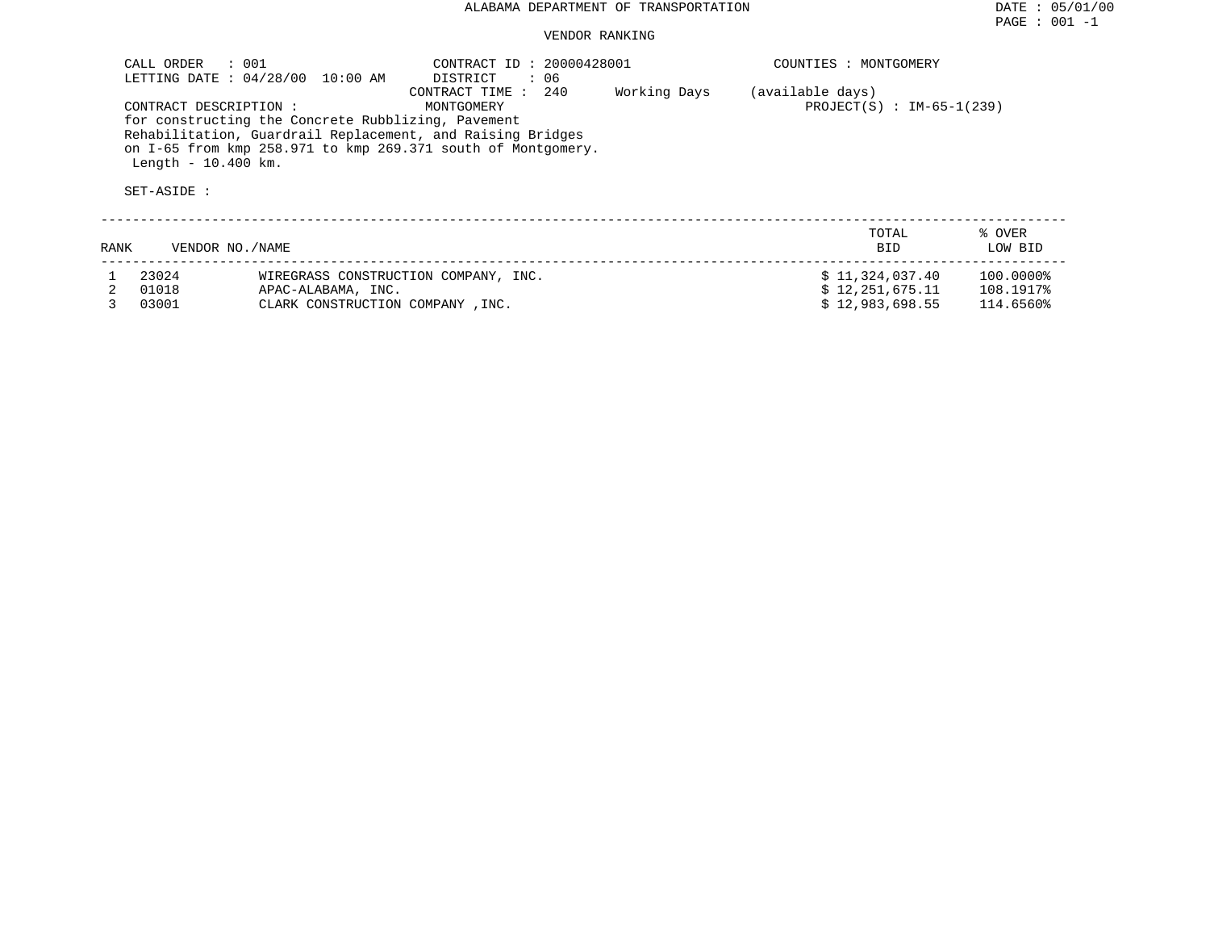### VENDOR RANKING

|      | CALL ORDER<br>CONTRACT DESCRIPTION :<br>Length $-10.400$ km.<br>SET-ASIDE : | $\therefore$ 001<br>LETTING DATE : 04/28/00 10:00 AM<br>for constructing the Concrete Rubblizing, Pavement | CONTRACT ID: 20000428001<br>DISTRICT<br>: 06<br>240<br>CONTRACT TIME:<br>MONTGOMERY<br>Rehabilitation, Guardrail Replacement, and Raising Bridges<br>on I-65 from kmp 258.971 to kmp 269.371 south of Montgomery. | Working Days | COUNTIES : MONTGOMERY<br>(available days)<br>$PROJECT(S) : IM-65-1(239)$ |                        |
|------|-----------------------------------------------------------------------------|------------------------------------------------------------------------------------------------------------|-------------------------------------------------------------------------------------------------------------------------------------------------------------------------------------------------------------------|--------------|--------------------------------------------------------------------------|------------------------|
| RANK | VENDOR NO./NAME                                                             |                                                                                                            |                                                                                                                                                                                                                   |              | TOTAL<br><b>BID</b>                                                      | % OVER<br>LOW BID      |
|      | 23024<br>01018                                                              | WIREGRASS CONSTRUCTION COMPANY, INC.<br>APAC-ALABAMA, INC.                                                 |                                                                                                                                                                                                                   |              | \$11,324,037.40<br>\$12.251.675.11                                       | 100.0000%<br>108.1917% |

3 03001 CLARK CONSTRUCTION COMPANY ,INC. \$ 12,983,698.55 114.6560%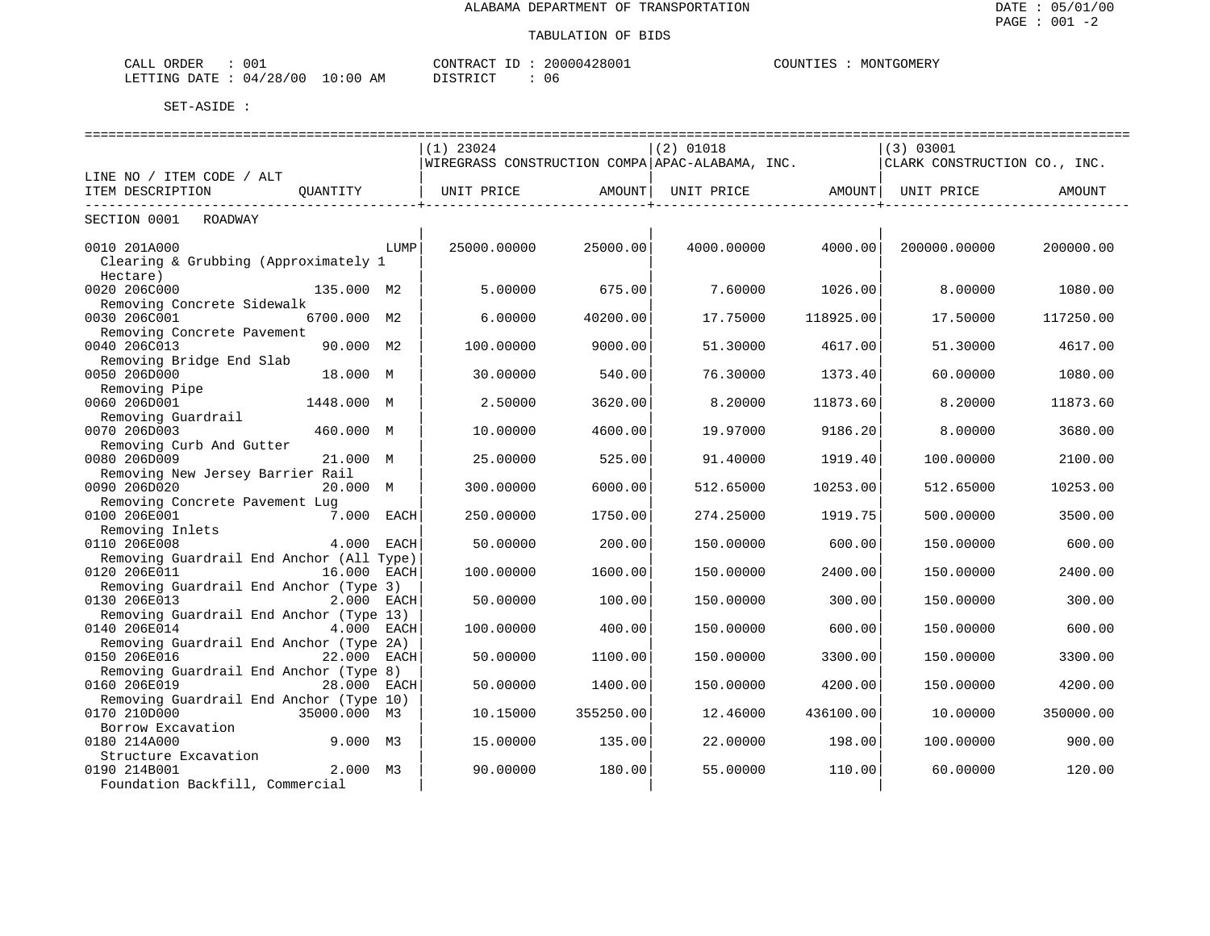| CALL ORDER                      | 001 | CONTRACT ID: 20000428001 |    |  | COUNTIES : MONTGOMERY |
|---------------------------------|-----|--------------------------|----|--|-----------------------|
| LETTING DATE: 04/28/00 10:00 AM |     | DISTRICT                 | በ6 |  |                       |

| $(1)$ 23024<br>(2) 01018<br>(3) 03001<br> WIREGRASS CONSTRUCTION COMPA APAC-ALABAMA, INC.<br>CLARK CONSTRUCTION CO., INC.<br>LINE NO / ITEM CODE / ALT<br>ITEM DESCRIPTION<br>OUANTITY<br>UNIT PRICE<br>AMOUNT  <br>UNIT PRICE<br>AMOUNT<br>UNIT PRICE<br>AMOUNT<br>SECTION 0001<br>ROADWAY<br>0010 201A000<br>25000.00000<br>25000.00<br>4000.00000<br>4000.00<br>LUMP<br>200000.00000<br>200000.00<br>Clearing & Grubbing (Approximately 1<br>Hectare)<br>0020 206C000<br>135.000 M2<br>5.00000<br>675.00<br>7.60000<br>1026.00<br>8.00000<br>1080.00<br>Removing Concrete Sidewalk<br>0030 206C001<br>6700.000 M2<br>40200.00<br>118925.00<br>6.00000<br>17.75000<br>17.50000<br>117250.00<br>Removing Concrete Pavement<br>0040 206C013<br>90.000 M2<br>100.00000<br>9000.00<br>4617.00<br>51.30000<br>4617.00<br>51.30000<br>Removing Bridge End Slab<br>0050 206D000<br>18.000 M<br>30.00000<br>540.00<br>76.30000<br>1373.40<br>60.00000<br>1080.00<br>Removing Pipe<br>0060 206D001<br>3620.00<br>8.20000<br>11873.60<br>8.20000<br>11873.60<br>1448.000 M<br>2.50000<br>Removing Guardrail<br>0070 206D003<br>460.000 M<br>10.00000<br>4600.00<br>19.97000<br>9186.20<br>8.00000<br>3680.00<br>Removing Curb And Gutter<br>0080 206D009<br>21.000 M<br>25.00000<br>525.00<br>91.40000<br>1919.40<br>100.00000<br>2100.00<br>Removing New Jersey Barrier Rail<br>0090 206D020<br>20.000 M<br>300.00000<br>10253.00<br>512.65000<br>10253.00<br>6000.00<br>512.65000<br>Removing Concrete Pavement Lug<br>0100 206E001<br>7.000 EACH<br>250.00000<br>1750.00<br>274.25000<br>1919.75<br>500.00000<br>3500.00<br>Removing Inlets<br>0110 206E008<br>4.000 EACH<br>50.00000<br>200.00<br>150.00000<br>600.00<br>150.00000<br>600.00<br>Removing Guardrail End Anchor (All Type)<br>0120 206E011<br>16.000 EACH<br>100.00000<br>1600.00<br>150.00000<br>150.00000<br>2400.00<br>2400.00<br>Removing Guardrail End Anchor (Type 3)<br>0130 206E013<br>2.000 EACH<br>100.00<br>300.00<br>50.00000<br>150.00000<br>300.00<br>150.00000<br>Removing Guardrail End Anchor (Type 13)<br>0140 206E014<br>4.000 EACH<br>100.00000<br>400.00<br>150.00000<br>600.00<br>150.00000<br>600.00<br>Removing Guardrail End Anchor (Type 2A)<br>0150 206E016<br>22.000 EACH<br>50.00000<br>1100.00<br>150.00000<br>3300.00<br>150.00000<br>3300.00 |                                        |  |  |  |
|----------------------------------------------------------------------------------------------------------------------------------------------------------------------------------------------------------------------------------------------------------------------------------------------------------------------------------------------------------------------------------------------------------------------------------------------------------------------------------------------------------------------------------------------------------------------------------------------------------------------------------------------------------------------------------------------------------------------------------------------------------------------------------------------------------------------------------------------------------------------------------------------------------------------------------------------------------------------------------------------------------------------------------------------------------------------------------------------------------------------------------------------------------------------------------------------------------------------------------------------------------------------------------------------------------------------------------------------------------------------------------------------------------------------------------------------------------------------------------------------------------------------------------------------------------------------------------------------------------------------------------------------------------------------------------------------------------------------------------------------------------------------------------------------------------------------------------------------------------------------------------------------------------------------------------------------------------------------------------------------------------------------------------------------------------------------------------------------------------------------------------------------------------------------------------------------------------------------------------------------------------------------------------------------------------------------------------------|----------------------------------------|--|--|--|
|                                                                                                                                                                                                                                                                                                                                                                                                                                                                                                                                                                                                                                                                                                                                                                                                                                                                                                                                                                                                                                                                                                                                                                                                                                                                                                                                                                                                                                                                                                                                                                                                                                                                                                                                                                                                                                                                                                                                                                                                                                                                                                                                                                                                                                                                                                                                        |                                        |  |  |  |
|                                                                                                                                                                                                                                                                                                                                                                                                                                                                                                                                                                                                                                                                                                                                                                                                                                                                                                                                                                                                                                                                                                                                                                                                                                                                                                                                                                                                                                                                                                                                                                                                                                                                                                                                                                                                                                                                                                                                                                                                                                                                                                                                                                                                                                                                                                                                        |                                        |  |  |  |
|                                                                                                                                                                                                                                                                                                                                                                                                                                                                                                                                                                                                                                                                                                                                                                                                                                                                                                                                                                                                                                                                                                                                                                                                                                                                                                                                                                                                                                                                                                                                                                                                                                                                                                                                                                                                                                                                                                                                                                                                                                                                                                                                                                                                                                                                                                                                        |                                        |  |  |  |
|                                                                                                                                                                                                                                                                                                                                                                                                                                                                                                                                                                                                                                                                                                                                                                                                                                                                                                                                                                                                                                                                                                                                                                                                                                                                                                                                                                                                                                                                                                                                                                                                                                                                                                                                                                                                                                                                                                                                                                                                                                                                                                                                                                                                                                                                                                                                        |                                        |  |  |  |
|                                                                                                                                                                                                                                                                                                                                                                                                                                                                                                                                                                                                                                                                                                                                                                                                                                                                                                                                                                                                                                                                                                                                                                                                                                                                                                                                                                                                                                                                                                                                                                                                                                                                                                                                                                                                                                                                                                                                                                                                                                                                                                                                                                                                                                                                                                                                        |                                        |  |  |  |
|                                                                                                                                                                                                                                                                                                                                                                                                                                                                                                                                                                                                                                                                                                                                                                                                                                                                                                                                                                                                                                                                                                                                                                                                                                                                                                                                                                                                                                                                                                                                                                                                                                                                                                                                                                                                                                                                                                                                                                                                                                                                                                                                                                                                                                                                                                                                        |                                        |  |  |  |
|                                                                                                                                                                                                                                                                                                                                                                                                                                                                                                                                                                                                                                                                                                                                                                                                                                                                                                                                                                                                                                                                                                                                                                                                                                                                                                                                                                                                                                                                                                                                                                                                                                                                                                                                                                                                                                                                                                                                                                                                                                                                                                                                                                                                                                                                                                                                        |                                        |  |  |  |
|                                                                                                                                                                                                                                                                                                                                                                                                                                                                                                                                                                                                                                                                                                                                                                                                                                                                                                                                                                                                                                                                                                                                                                                                                                                                                                                                                                                                                                                                                                                                                                                                                                                                                                                                                                                                                                                                                                                                                                                                                                                                                                                                                                                                                                                                                                                                        |                                        |  |  |  |
|                                                                                                                                                                                                                                                                                                                                                                                                                                                                                                                                                                                                                                                                                                                                                                                                                                                                                                                                                                                                                                                                                                                                                                                                                                                                                                                                                                                                                                                                                                                                                                                                                                                                                                                                                                                                                                                                                                                                                                                                                                                                                                                                                                                                                                                                                                                                        |                                        |  |  |  |
|                                                                                                                                                                                                                                                                                                                                                                                                                                                                                                                                                                                                                                                                                                                                                                                                                                                                                                                                                                                                                                                                                                                                                                                                                                                                                                                                                                                                                                                                                                                                                                                                                                                                                                                                                                                                                                                                                                                                                                                                                                                                                                                                                                                                                                                                                                                                        |                                        |  |  |  |
|                                                                                                                                                                                                                                                                                                                                                                                                                                                                                                                                                                                                                                                                                                                                                                                                                                                                                                                                                                                                                                                                                                                                                                                                                                                                                                                                                                                                                                                                                                                                                                                                                                                                                                                                                                                                                                                                                                                                                                                                                                                                                                                                                                                                                                                                                                                                        |                                        |  |  |  |
|                                                                                                                                                                                                                                                                                                                                                                                                                                                                                                                                                                                                                                                                                                                                                                                                                                                                                                                                                                                                                                                                                                                                                                                                                                                                                                                                                                                                                                                                                                                                                                                                                                                                                                                                                                                                                                                                                                                                                                                                                                                                                                                                                                                                                                                                                                                                        |                                        |  |  |  |
|                                                                                                                                                                                                                                                                                                                                                                                                                                                                                                                                                                                                                                                                                                                                                                                                                                                                                                                                                                                                                                                                                                                                                                                                                                                                                                                                                                                                                                                                                                                                                                                                                                                                                                                                                                                                                                                                                                                                                                                                                                                                                                                                                                                                                                                                                                                                        |                                        |  |  |  |
|                                                                                                                                                                                                                                                                                                                                                                                                                                                                                                                                                                                                                                                                                                                                                                                                                                                                                                                                                                                                                                                                                                                                                                                                                                                                                                                                                                                                                                                                                                                                                                                                                                                                                                                                                                                                                                                                                                                                                                                                                                                                                                                                                                                                                                                                                                                                        |                                        |  |  |  |
|                                                                                                                                                                                                                                                                                                                                                                                                                                                                                                                                                                                                                                                                                                                                                                                                                                                                                                                                                                                                                                                                                                                                                                                                                                                                                                                                                                                                                                                                                                                                                                                                                                                                                                                                                                                                                                                                                                                                                                                                                                                                                                                                                                                                                                                                                                                                        |                                        |  |  |  |
|                                                                                                                                                                                                                                                                                                                                                                                                                                                                                                                                                                                                                                                                                                                                                                                                                                                                                                                                                                                                                                                                                                                                                                                                                                                                                                                                                                                                                                                                                                                                                                                                                                                                                                                                                                                                                                                                                                                                                                                                                                                                                                                                                                                                                                                                                                                                        |                                        |  |  |  |
|                                                                                                                                                                                                                                                                                                                                                                                                                                                                                                                                                                                                                                                                                                                                                                                                                                                                                                                                                                                                                                                                                                                                                                                                                                                                                                                                                                                                                                                                                                                                                                                                                                                                                                                                                                                                                                                                                                                                                                                                                                                                                                                                                                                                                                                                                                                                        |                                        |  |  |  |
|                                                                                                                                                                                                                                                                                                                                                                                                                                                                                                                                                                                                                                                                                                                                                                                                                                                                                                                                                                                                                                                                                                                                                                                                                                                                                                                                                                                                                                                                                                                                                                                                                                                                                                                                                                                                                                                                                                                                                                                                                                                                                                                                                                                                                                                                                                                                        |                                        |  |  |  |
|                                                                                                                                                                                                                                                                                                                                                                                                                                                                                                                                                                                                                                                                                                                                                                                                                                                                                                                                                                                                                                                                                                                                                                                                                                                                                                                                                                                                                                                                                                                                                                                                                                                                                                                                                                                                                                                                                                                                                                                                                                                                                                                                                                                                                                                                                                                                        |                                        |  |  |  |
|                                                                                                                                                                                                                                                                                                                                                                                                                                                                                                                                                                                                                                                                                                                                                                                                                                                                                                                                                                                                                                                                                                                                                                                                                                                                                                                                                                                                                                                                                                                                                                                                                                                                                                                                                                                                                                                                                                                                                                                                                                                                                                                                                                                                                                                                                                                                        |                                        |  |  |  |
|                                                                                                                                                                                                                                                                                                                                                                                                                                                                                                                                                                                                                                                                                                                                                                                                                                                                                                                                                                                                                                                                                                                                                                                                                                                                                                                                                                                                                                                                                                                                                                                                                                                                                                                                                                                                                                                                                                                                                                                                                                                                                                                                                                                                                                                                                                                                        |                                        |  |  |  |
|                                                                                                                                                                                                                                                                                                                                                                                                                                                                                                                                                                                                                                                                                                                                                                                                                                                                                                                                                                                                                                                                                                                                                                                                                                                                                                                                                                                                                                                                                                                                                                                                                                                                                                                                                                                                                                                                                                                                                                                                                                                                                                                                                                                                                                                                                                                                        |                                        |  |  |  |
|                                                                                                                                                                                                                                                                                                                                                                                                                                                                                                                                                                                                                                                                                                                                                                                                                                                                                                                                                                                                                                                                                                                                                                                                                                                                                                                                                                                                                                                                                                                                                                                                                                                                                                                                                                                                                                                                                                                                                                                                                                                                                                                                                                                                                                                                                                                                        |                                        |  |  |  |
|                                                                                                                                                                                                                                                                                                                                                                                                                                                                                                                                                                                                                                                                                                                                                                                                                                                                                                                                                                                                                                                                                                                                                                                                                                                                                                                                                                                                                                                                                                                                                                                                                                                                                                                                                                                                                                                                                                                                                                                                                                                                                                                                                                                                                                                                                                                                        |                                        |  |  |  |
|                                                                                                                                                                                                                                                                                                                                                                                                                                                                                                                                                                                                                                                                                                                                                                                                                                                                                                                                                                                                                                                                                                                                                                                                                                                                                                                                                                                                                                                                                                                                                                                                                                                                                                                                                                                                                                                                                                                                                                                                                                                                                                                                                                                                                                                                                                                                        |                                        |  |  |  |
|                                                                                                                                                                                                                                                                                                                                                                                                                                                                                                                                                                                                                                                                                                                                                                                                                                                                                                                                                                                                                                                                                                                                                                                                                                                                                                                                                                                                                                                                                                                                                                                                                                                                                                                                                                                                                                                                                                                                                                                                                                                                                                                                                                                                                                                                                                                                        |                                        |  |  |  |
|                                                                                                                                                                                                                                                                                                                                                                                                                                                                                                                                                                                                                                                                                                                                                                                                                                                                                                                                                                                                                                                                                                                                                                                                                                                                                                                                                                                                                                                                                                                                                                                                                                                                                                                                                                                                                                                                                                                                                                                                                                                                                                                                                                                                                                                                                                                                        |                                        |  |  |  |
|                                                                                                                                                                                                                                                                                                                                                                                                                                                                                                                                                                                                                                                                                                                                                                                                                                                                                                                                                                                                                                                                                                                                                                                                                                                                                                                                                                                                                                                                                                                                                                                                                                                                                                                                                                                                                                                                                                                                                                                                                                                                                                                                                                                                                                                                                                                                        |                                        |  |  |  |
|                                                                                                                                                                                                                                                                                                                                                                                                                                                                                                                                                                                                                                                                                                                                                                                                                                                                                                                                                                                                                                                                                                                                                                                                                                                                                                                                                                                                                                                                                                                                                                                                                                                                                                                                                                                                                                                                                                                                                                                                                                                                                                                                                                                                                                                                                                                                        |                                        |  |  |  |
|                                                                                                                                                                                                                                                                                                                                                                                                                                                                                                                                                                                                                                                                                                                                                                                                                                                                                                                                                                                                                                                                                                                                                                                                                                                                                                                                                                                                                                                                                                                                                                                                                                                                                                                                                                                                                                                                                                                                                                                                                                                                                                                                                                                                                                                                                                                                        | Removing Guardrail End Anchor (Type 8) |  |  |  |
| 0160 206E019<br>28.000 EACH<br>50.00000<br>1400.00<br>150.00000<br>4200.00<br>150.00000<br>4200.00                                                                                                                                                                                                                                                                                                                                                                                                                                                                                                                                                                                                                                                                                                                                                                                                                                                                                                                                                                                                                                                                                                                                                                                                                                                                                                                                                                                                                                                                                                                                                                                                                                                                                                                                                                                                                                                                                                                                                                                                                                                                                                                                                                                                                                     |                                        |  |  |  |
| Removing Guardrail End Anchor (Type 10)                                                                                                                                                                                                                                                                                                                                                                                                                                                                                                                                                                                                                                                                                                                                                                                                                                                                                                                                                                                                                                                                                                                                                                                                                                                                                                                                                                                                                                                                                                                                                                                                                                                                                                                                                                                                                                                                                                                                                                                                                                                                                                                                                                                                                                                                                                |                                        |  |  |  |
| 0170 210D000<br>355250.00<br>35000.000 M3<br>10.15000<br>12.46000<br>436100.00<br>10.00000<br>350000.00                                                                                                                                                                                                                                                                                                                                                                                                                                                                                                                                                                                                                                                                                                                                                                                                                                                                                                                                                                                                                                                                                                                                                                                                                                                                                                                                                                                                                                                                                                                                                                                                                                                                                                                                                                                                                                                                                                                                                                                                                                                                                                                                                                                                                                |                                        |  |  |  |
| Borrow Excavation                                                                                                                                                                                                                                                                                                                                                                                                                                                                                                                                                                                                                                                                                                                                                                                                                                                                                                                                                                                                                                                                                                                                                                                                                                                                                                                                                                                                                                                                                                                                                                                                                                                                                                                                                                                                                                                                                                                                                                                                                                                                                                                                                                                                                                                                                                                      |                                        |  |  |  |
| 0180 214A000<br>9.000 M3<br>15,00000<br>135.00<br>22,00000<br>198.00<br>100.00000<br>900.00                                                                                                                                                                                                                                                                                                                                                                                                                                                                                                                                                                                                                                                                                                                                                                                                                                                                                                                                                                                                                                                                                                                                                                                                                                                                                                                                                                                                                                                                                                                                                                                                                                                                                                                                                                                                                                                                                                                                                                                                                                                                                                                                                                                                                                            |                                        |  |  |  |
| Structure Excavation<br>0190 214B001<br>2.000 M3<br>90.00000<br>180.00<br>55.00000<br>110.00<br>60.00000<br>120.00                                                                                                                                                                                                                                                                                                                                                                                                                                                                                                                                                                                                                                                                                                                                                                                                                                                                                                                                                                                                                                                                                                                                                                                                                                                                                                                                                                                                                                                                                                                                                                                                                                                                                                                                                                                                                                                                                                                                                                                                                                                                                                                                                                                                                     |                                        |  |  |  |
| Foundation Backfill, Commercial                                                                                                                                                                                                                                                                                                                                                                                                                                                                                                                                                                                                                                                                                                                                                                                                                                                                                                                                                                                                                                                                                                                                                                                                                                                                                                                                                                                                                                                                                                                                                                                                                                                                                                                                                                                                                                                                                                                                                                                                                                                                                                                                                                                                                                                                                                        |                                        |  |  |  |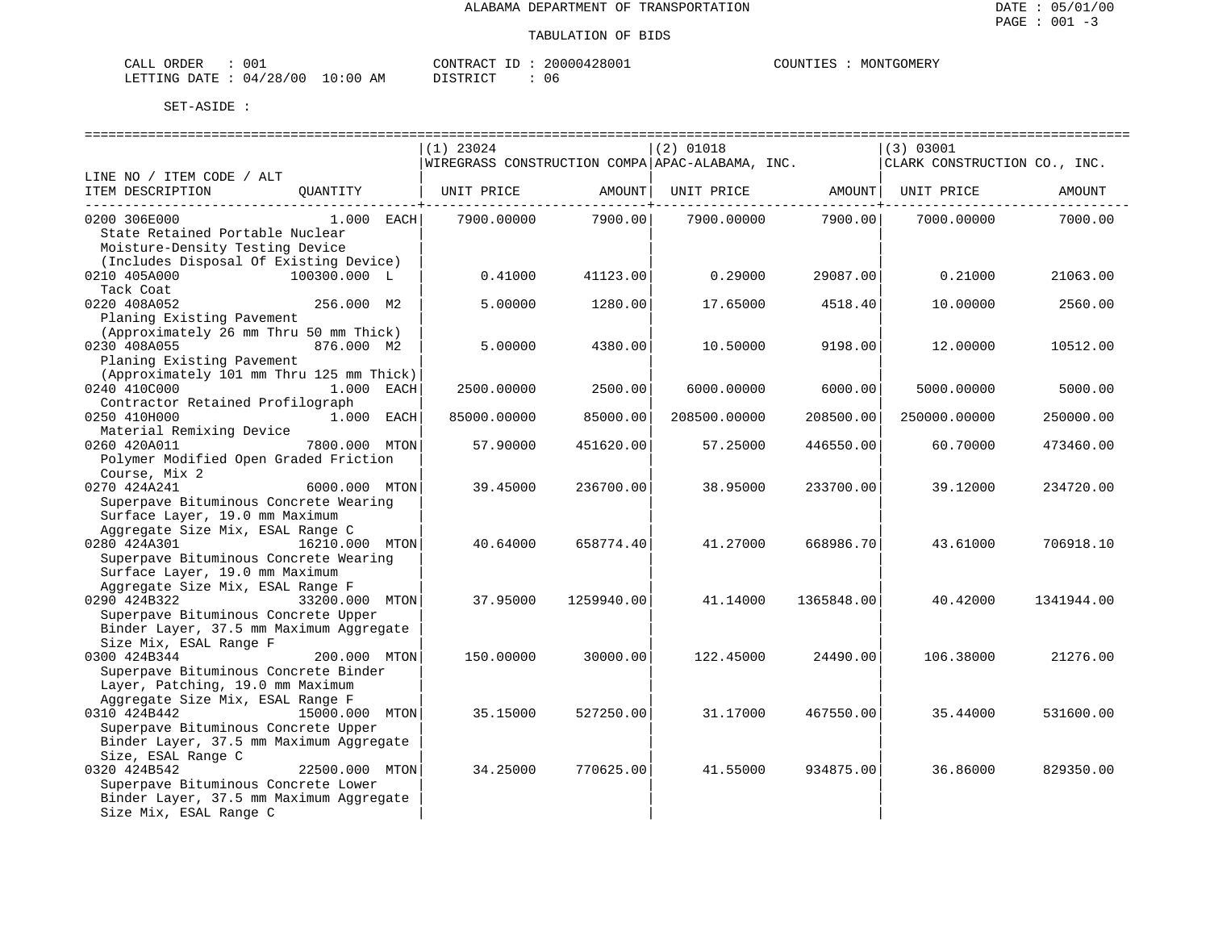| CALL ORDER                      | 001 |          | CONTRACT ID: 20000428001 | COUNTIES : MONTGOMERY |
|---------------------------------|-----|----------|--------------------------|-----------------------|
| LETTING DATE: 04/28/00 10:00 AM |     | DISTRICT |                          |                       |

|                                          |             |            | ===========================                                                            |            |                              |            |
|------------------------------------------|-------------|------------|----------------------------------------------------------------------------------------|------------|------------------------------|------------|
|                                          | $(1)$ 23024 |            | $(2)$ 01018                                                                            |            | (3) 03001                    |            |
|                                          |             |            | WIREGRASS CONSTRUCTION COMPA APAC-ALABAMA, INC.                                        |            | CLARK CONSTRUCTION CO., INC. |            |
| LINE NO / ITEM CODE / ALT                |             |            |                                                                                        |            |                              |            |
| ITEM DESCRIPTION<br>QUANTITY             |             |            | UNIT PRICE                AMOUNT     UNIT PRICE                  AMOUNT     UNIT PRICE |            |                              | AMOUNT     |
|                                          |             |            |                                                                                        |            |                              |            |
| 0200 306E000<br>$1.000$ EACH             | 7900.00000  | 7900.00    | 7900.00000                                                                             | 7900.00    | 7000.00000                   | 7000.00    |
| State Retained Portable Nuclear          |             |            |                                                                                        |            |                              |            |
| Moisture-Density Testing Device          |             |            |                                                                                        |            |                              |            |
| (Includes Disposal Of Existing Device)   |             |            |                                                                                        |            |                              |            |
| 100300.000 L<br>0210 405A000             | 0.41000     | 41123.00   | 0.29000                                                                                | 29087.00   | 0.21000                      | 21063.00   |
| Tack Coat                                |             |            |                                                                                        |            |                              |            |
| 256.000 M2<br>0220 408A052               | 5.00000     | 1280.00    | 17.65000                                                                               | 4518.40    | 10.00000                     | 2560.00    |
| Planing Existing Pavement                |             |            |                                                                                        |            |                              |            |
| (Approximately 26 mm Thru 50 mm Thick)   |             |            |                                                                                        |            |                              |            |
| 0230 408A055<br>876.000 M2               | 5.00000     | 4380.00    | 10.50000                                                                               | 9198.00    | 12.00000                     | 10512.00   |
| Planing Existing Pavement                |             |            |                                                                                        |            |                              |            |
| (Approximately 101 mm Thru 125 mm Thick) |             |            |                                                                                        |            |                              |            |
| 0240 410C000 1.000 EACH                  | 2500.00000  | 2500.00    | 6000.00000                                                                             | 6000.00    | 5000.00000                   | 5000.00    |
| Contractor Retained Profilograph         |             |            |                                                                                        |            |                              |            |
| 0250 410H000<br>1.000 EACH               | 85000.00000 | 85000.00   | 208500.00000                                                                           | 208500.00  | 250000.00000                 | 250000.00  |
| Material Remixing Device                 |             |            |                                                                                        |            |                              |            |
| 0260 420A011<br>7800.000 MTON            | 57.90000    | 451620.00  | 57.25000                                                                               | 446550.00  | 60.70000                     | 473460.00  |
| Polymer Modified Open Graded Friction    |             |            |                                                                                        |            |                              |            |
| Course, Mix 2                            |             |            |                                                                                        |            |                              |            |
| $6000.000$ MTON<br>0270 424A241          | 39.45000    | 236700.00  | 38.95000                                                                               | 233700.00  | 39.12000                     | 234720.00  |
| Superpave Bituminous Concrete Wearing    |             |            |                                                                                        |            |                              |            |
| Surface Layer, 19.0 mm Maximum           |             |            |                                                                                        |            |                              |            |
| Aggregate Size Mix, ESAL Range C         |             |            |                                                                                        |            |                              |            |
| 0280 424A301<br>16210.000 MTON           | 40.64000    | 658774.40  | 41.27000                                                                               | 668986.70  | 43.61000                     | 706918.10  |
| Superpave Bituminous Concrete Wearing    |             |            |                                                                                        |            |                              |            |
| Surface Layer, 19.0 mm Maximum           |             |            |                                                                                        |            |                              |            |
| Aggregate Size Mix, ESAL Range F         |             |            |                                                                                        |            |                              |            |
| 0290 424B322<br>33200.000 MTON           | 37.95000    | 1259940.00 | 41.14000                                                                               | 1365848.00 | 40.42000                     | 1341944.00 |
| Superpave Bituminous Concrete Upper      |             |            |                                                                                        |            |                              |            |
| Binder Layer, 37.5 mm Maximum Aggregate  |             |            |                                                                                        |            |                              |            |
| Size Mix, ESAL Range F                   |             |            |                                                                                        |            |                              |            |
| 0300 424B344<br>200.000 MTON             | 150.00000   | 30000.00   | 122.45000                                                                              | 24490.00   | 106.38000                    | 21276.00   |
| Superpave Bituminous Concrete Binder     |             |            |                                                                                        |            |                              |            |
| Layer, Patching, 19.0 mm Maximum         |             |            |                                                                                        |            |                              |            |
| Aggregate Size Mix, ESAL Range F         |             |            |                                                                                        |            |                              |            |
| 0310 424B442<br>15000.000 MTON           | 35.15000    | 527250.00  | 31.17000                                                                               | 467550.00  | 35.44000                     | 531600.00  |
| Superpave Bituminous Concrete Upper      |             |            |                                                                                        |            |                              |            |
| Binder Layer, 37.5 mm Maximum Aggregate  |             |            |                                                                                        |            |                              |            |
| Size, ESAL Range C                       |             |            |                                                                                        |            |                              |            |
| 0320 424B542<br>22500.000 MTON           | 34.25000    | 770625.00  | 41.55000                                                                               | 934875.00  | 36.86000                     | 829350.00  |
| Superpave Bituminous Concrete Lower      |             |            |                                                                                        |            |                              |            |
| Binder Layer, 37.5 mm Maximum Aggregate  |             |            |                                                                                        |            |                              |            |
| Size Mix, ESAL Range C                   |             |            |                                                                                        |            |                              |            |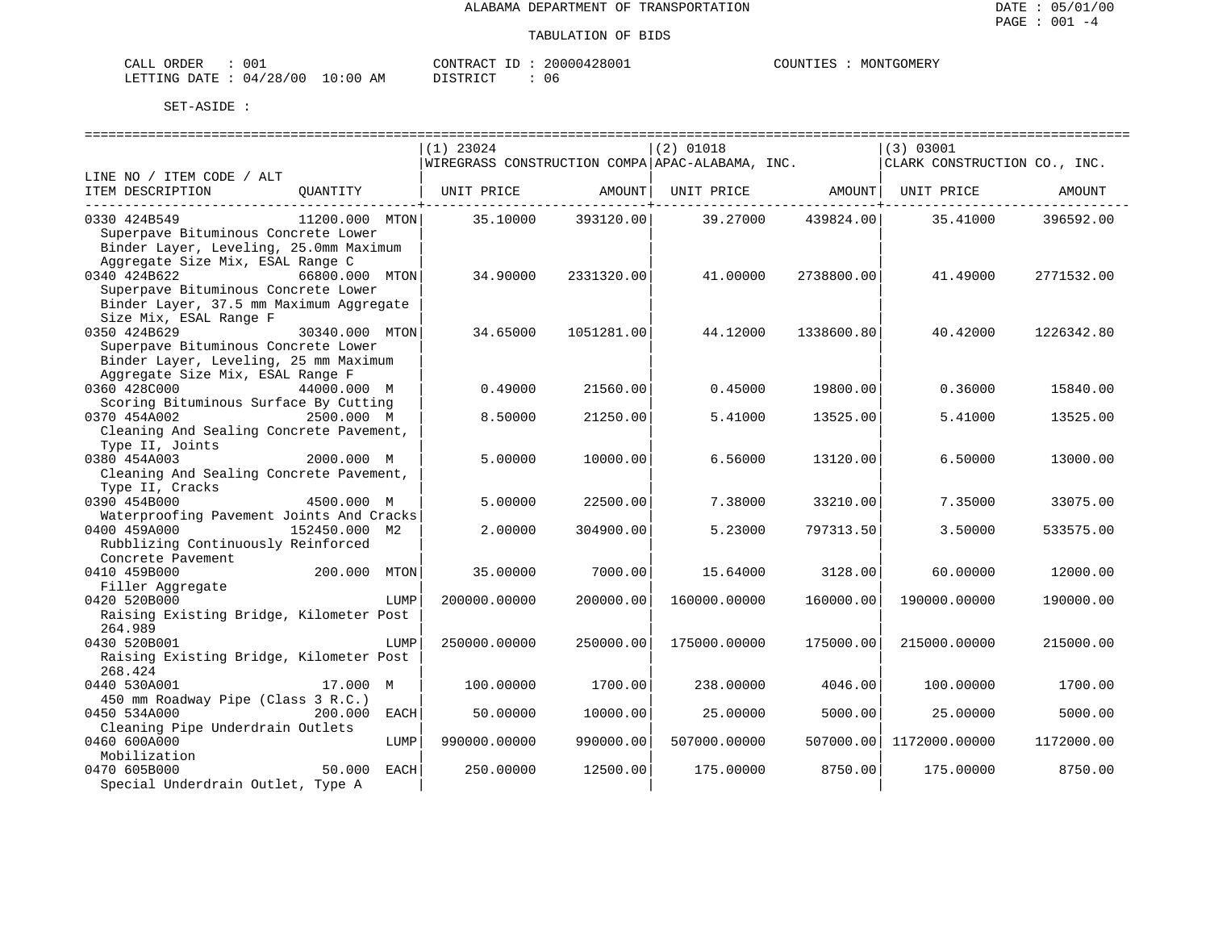| CALL ORDER                      | 001 |          | CONTRACT ID: 20000428001 | COUNTIES : MONTGOMERY |
|---------------------------------|-----|----------|--------------------------|-----------------------|
| LETTING DATE: 04/28/00 10:00 AM |     | DISTRICT |                          |                       |

|                                          |                        |             |              | ============================== | ==============================                     |            | ============================== |            |
|------------------------------------------|------------------------|-------------|--------------|--------------------------------|----------------------------------------------------|------------|--------------------------------|------------|
|                                          |                        | $(1)$ 23024 |              |                                | $(2)$ 01018                                        |            | (3) 03001                      |            |
|                                          |                        |             |              |                                | WIREGRASS CONSTRUCTION COMPA APAC-ALABAMA, INC.    |            | CLARK CONSTRUCTION CO., INC.   |            |
| LINE NO / ITEM CODE / ALT                |                        |             |              |                                |                                                    |            |                                |            |
| ITEM DESCRIPTION                         | QUANTITY               |             |              |                                | UNIT PRICE AMOUNT   UNIT PRICE AMOUNT   UNIT PRICE |            |                                | AMOUNT     |
|                                          |                        |             |              |                                |                                                    |            |                                |            |
| 0330 424B549                             | 11200.000 MTON         |             | 35.10000     | 393120.00                      | 39.27000                                           | 439824.00  | 35.41000                       | 396592.00  |
| Superpave Bituminous Concrete Lower      |                        |             |              |                                |                                                    |            |                                |            |
| Binder Layer, Leveling, 25.0mm Maximum   |                        |             |              |                                |                                                    |            |                                |            |
| Aggregate Size Mix, ESAL Range C         |                        |             |              |                                |                                                    |            |                                |            |
| 0340 424B622                             | 66800.000 MTON         |             | 34.90000     | 2331320.00                     | 41,00000                                           | 2738800.00 | 41.49000                       | 2771532.00 |
| Superpave Bituminous Concrete Lower      |                        |             |              |                                |                                                    |            |                                |            |
| Binder Layer, 37.5 mm Maximum Aggregate  |                        |             |              |                                |                                                    |            |                                |            |
| Size Mix, ESAL Range F                   |                        |             |              |                                |                                                    |            |                                |            |
| 0350 424B629                             | 30340.000 MTON         |             | 34.65000     | 1051281.00                     | 44.12000                                           | 1338600.80 | 40.42000                       | 1226342.80 |
| Superpave Bituminous Concrete Lower      |                        |             |              |                                |                                                    |            |                                |            |
| Binder Layer, Leveling, 25 mm Maximum    |                        |             |              |                                |                                                    |            |                                |            |
| Aggregate Size Mix, ESAL Range F         |                        |             |              |                                |                                                    |            |                                |            |
| 0360 428C000                             | 44000.000 M            |             | 0.49000      | 21560.00                       | 0.45000                                            | 19800.00   | 0.36000                        | 15840.00   |
| Scoring Bituminous Surface By Cutting    |                        |             |              |                                |                                                    |            |                                |            |
| 0370 454A002                             | 2500.000 M             |             | 8.50000      | 21250.00                       | 5.41000                                            | 13525.00   | 5.41000                        | 13525.00   |
| Cleaning And Sealing Concrete Pavement,  |                        |             |              |                                |                                                    |            |                                |            |
| Type II, Joints                          |                        |             |              |                                |                                                    |            |                                |            |
| 0380 454A003                             | 2000.000 M             |             | 5.00000      | 10000.00                       | 6.56000                                            | 13120.00   | 6.50000                        | 13000.00   |
| Cleaning And Sealing Concrete Pavement,  |                        |             |              |                                |                                                    |            |                                |            |
| Type II, Cracks                          |                        |             |              |                                |                                                    |            |                                |            |
| 0390 454B000                             | 4500.000 M             |             | 5.00000      | 22500.00                       | 7.38000                                            | 33210.00   | 7.35000                        | 33075.00   |
| Waterproofing Pavement Joints And Cracks |                        |             |              |                                |                                                    |            |                                |            |
| 0400 459A000                             | 152450.000 M2          |             | 2.00000      | 304900.00                      | 5.23000                                            | 797313.50  | 3.50000                        | 533575.00  |
| Rubblizing Continuously Reinforced       |                        |             |              |                                |                                                    |            |                                |            |
| Concrete Pavement                        |                        |             |              |                                |                                                    |            |                                |            |
| 0410 459B000                             | 200.000 MTON           |             | 35,00000     | 7000.00                        | 15.64000                                           | 3128.00    | 60.00000                       | 12000.00   |
| Filler Aqqreqate                         |                        |             |              |                                |                                                    |            |                                |            |
| 0420 520B000                             | LUMP                   |             | 200000.00000 | 200000.00                      | 160000.00000                                       | 160000.00  | 190000.00000                   | 190000.00  |
| Raising Existing Bridge, Kilometer Post  |                        |             |              |                                |                                                    |            |                                |            |
| 264.989                                  |                        |             |              |                                |                                                    |            |                                |            |
| 0430 520B001                             | LUMP                   |             | 250000.00000 | 250000.00                      | 175000.00000                                       | 175000.00  | 215000.00000                   | 215000.00  |
| Raising Existing Bridge, Kilometer Post  |                        |             |              |                                |                                                    |            |                                |            |
| 268.424                                  |                        |             |              |                                |                                                    |            |                                |            |
| 0440 530A001                             | 17.000 M               |             | 100,00000    | 1700.00                        | 238,00000                                          | 4046.00    | 100,00000                      | 1700.00    |
| 450 mm Roadway Pipe (Class 3 R.C.)       |                        |             |              |                                |                                                    |            |                                |            |
| 0450 534A000                             | 200.000<br><b>EACH</b> |             | 50.00000     | 10000.00                       | 25.00000                                           | 5000.00    | 25.00000                       | 5000.00    |
| Cleaning Pipe Underdrain Outlets         |                        |             |              |                                |                                                    |            |                                |            |
| 0460 600A000                             | LUMP                   |             | 990000.00000 | 990000.00                      | 507000.00000                                       |            | 507000.00 1172000.00000        | 1172000.00 |
| Mobilization                             |                        |             |              |                                |                                                    |            |                                |            |
| 0470 605B000                             | 50.000<br>EACH         |             | 250.00000    | 12500.00                       | 175.00000                                          | 8750.00    | 175.00000                      | 8750.00    |
| Special Underdrain Outlet, Type A        |                        |             |              |                                |                                                    |            |                                |            |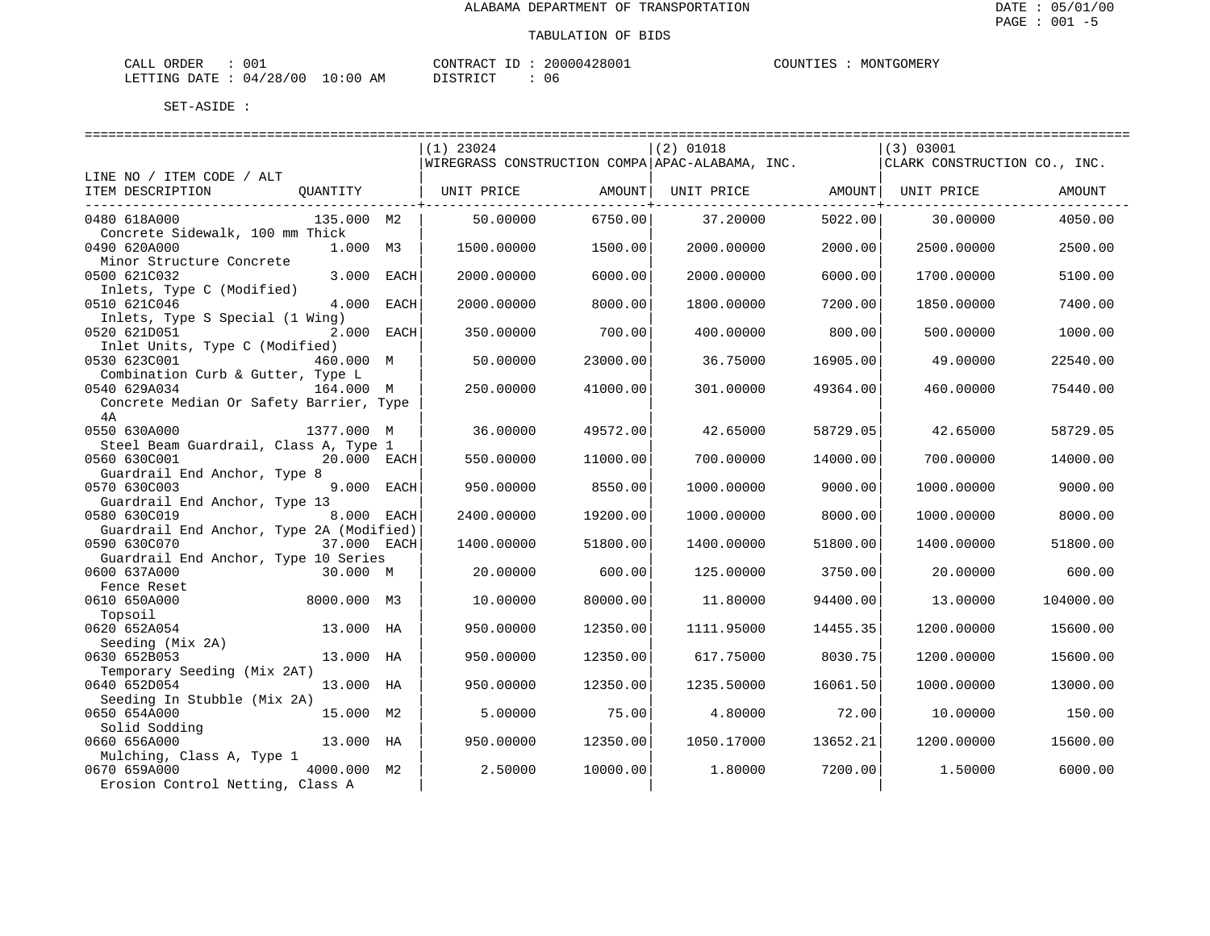| ORDER<br>$\sim$ $ -$<br>ד בי<br>للسلطات | 001          |                     | CONTRACT<br>$- -$ |            | $\cdot$ , $\text{I}\text{I}\text{M}^{\text{up}}$ , | GOMER.<br>MON' |
|-----------------------------------------|--------------|---------------------|-------------------|------------|----------------------------------------------------|----------------|
| DATE<br>LETTING                         | '28/00<br>04 | LO : 00<br>AΜ<br>__ | דים דפידי פורו    | 1 I F<br>. |                                                    |                |

|                                                                         |      | $(1)$ 23024                                     |          | $(2)$ 01018                  |          | (3) 03001                    |           |
|-------------------------------------------------------------------------|------|-------------------------------------------------|----------|------------------------------|----------|------------------------------|-----------|
|                                                                         |      | WIREGRASS CONSTRUCTION COMPA APAC-ALABAMA, INC. |          |                              |          | CLARK CONSTRUCTION CO., INC. |           |
| LINE NO / ITEM CODE / ALT                                               |      |                                                 |          |                              |          |                              |           |
| ITEM DESCRIPTION<br>QUANTITY                                            |      | UNIT PRICE AMOUNT                               |          | UNIT PRICE AMOUNT UNIT PRICE |          |                              | AMOUNT    |
| 0480 618A000<br>135.000 M2                                              |      | 50.00000                                        | 6750.00  | 37.20000                     | 5022.00  | 30.00000                     | 4050.00   |
| Concrete Sidewalk, 100 mm Thick                                         |      |                                                 |          |                              |          |                              |           |
| 0490 620A000<br>1.000 M3                                                |      | 1500.00000                                      | 1500.00  | 2000.00000                   | 2000.00  | 2500.00000                   | 2500.00   |
| Minor Structure Concrete                                                |      |                                                 |          |                              |          |                              |           |
| 0500 621C032<br>3.000<br>Inlets, Type C (Modified)                      | EACH | 2000.00000                                      | 6000.00  | 2000.00000                   | 6000.00  | 1700.00000                   | 5100.00   |
| 4.000<br>0510 621C046                                                   | EACH | 2000.00000                                      | 8000.00  | 1800.00000                   | 7200.00  | 1850.00000                   | 7400.00   |
| Inlets, Type S Special (1 Wing)<br>0520 621D051<br>2.000 EACH           |      | 350.00000                                       | 700.00   | 400.00000                    | 800.00   | 500.00000                    | 1000.00   |
| Inlet Units, Type C (Modified)                                          |      |                                                 |          |                              |          |                              |           |
| 0530 623C001<br>460.000 M                                               |      | 50.00000                                        | 23000.00 | 36.75000                     | 16905.00 | 49.00000                     | 22540.00  |
| Combination Curb & Gutter, Type L<br>0540 629A034<br>164.000 M          |      | 250.00000                                       | 41000.00 | 301.00000                    | 49364.00 | 460.00000                    | 75440.00  |
| Concrete Median Or Safety Barrier, Type                                 |      |                                                 |          |                              |          |                              |           |
| 4A                                                                      |      |                                                 |          |                              |          |                              |           |
| 0550 630A000<br>1377.000 M                                              |      | 36.00000                                        | 49572.00 | 42.65000                     | 58729.05 | 42.65000                     | 58729.05  |
| Steel Beam Guardrail, Class A, Type 1                                   |      |                                                 |          |                              |          |                              |           |
| 0560 630C001<br>20.000 EACH                                             |      | 550.00000                                       | 11000.00 | 700.00000                    | 14000.00 | 700.00000                    | 14000.00  |
| Guardrail End Anchor, Type 8                                            |      |                                                 |          |                              |          |                              |           |
| 9.000 EACH<br>0570 630C003                                              |      | 950.00000                                       | 8550.00  | 1000.00000                   | 9000.00  | 1000.00000                   | 9000.00   |
| Guardrail End Anchor, Type 13                                           |      |                                                 |          |                              |          |                              |           |
| 0580 630C019<br>8.000 EACH                                              |      | 2400.00000                                      | 19200.00 | 1000.00000                   | 8000.00  | 1000.00000                   | 8000.00   |
| Guardrail End Anchor, Type 2A (Modified)<br>0590 630C070<br>37.000 EACH |      |                                                 | 51800.00 |                              | 51800.00 |                              | 51800.00  |
| Guardrail End Anchor, Type 10 Series                                    |      | 1400.00000                                      |          | 1400.00000                   |          | 1400.00000                   |           |
| 0600 637A000<br>30.000 M                                                |      | 20.00000                                        | 600.00   | 125.00000                    | 3750.00  | 20.00000                     | 600.00    |
| Fence Reset                                                             |      |                                                 |          |                              |          |                              |           |
| 0610 650A000<br>8000.000 M3                                             |      | 10.00000                                        | 80000.00 | 11,80000                     | 94400.00 | 13,00000                     | 104000.00 |
| Topsoil                                                                 |      |                                                 |          |                              |          |                              |           |
| 0620 652A054<br>13.000 HA                                               |      | 950.00000                                       | 12350.00 | 1111.95000                   | 14455.35 | 1200.00000                   | 15600.00  |
| Seeding (Mix 2A)                                                        |      |                                                 |          |                              |          |                              |           |
| 0630 652B053<br>13.000 HA                                               |      | 950.00000                                       | 12350.00 | 617.75000                    | 8030.75  | 1200.00000                   | 15600.00  |
| Temporary Seeding (Mix 2AT)<br>0640 652D054<br>13.000 HA                |      |                                                 |          |                              |          |                              |           |
| Seeding In Stubble (Mix 2A)                                             |      | 950.00000                                       | 12350.00 | 1235.50000                   | 16061.50 | 1000.00000                   | 13000.00  |
| 0650 654A000<br>15.000 M2                                               |      | 5.00000                                         | 75.00    | 4.80000                      | 72.00    | 10.00000                     | 150.00    |
| Solid Sodding                                                           |      |                                                 |          |                              |          |                              |           |
| 0660 656A000<br>13.000 HA                                               |      | 950.00000                                       | 12350.00 | 1050.17000                   | 13652.21 | 1200.00000                   | 15600.00  |
| Mulching, Class A, Type 1                                               |      |                                                 |          |                              |          |                              |           |
| 0670 659A000<br>4000.000 M2                                             |      | 2.50000                                         | 10000.00 | 1,80000                      | 7200.00  | 1,50000                      | 6000.00   |
| Erosion Control Netting, Class A                                        |      |                                                 |          |                              |          |                              |           |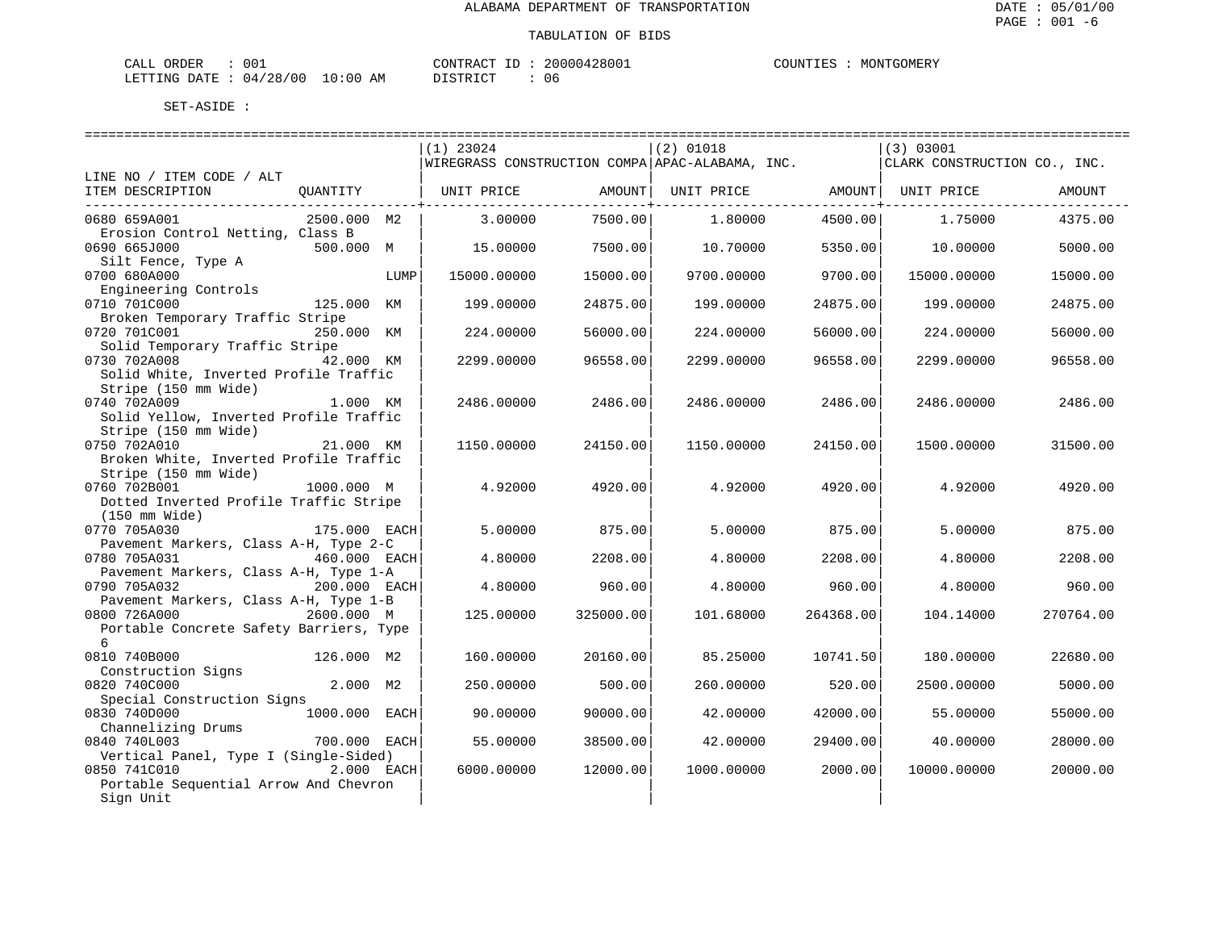| CALL ORDER                      | 001 |          | CONTRACT ID: 20000428001 | COUNTIES : MONTGOMERY |
|---------------------------------|-----|----------|--------------------------|-----------------------|
| LETTING DATE: 04/28/00 10:00 AM |     | DISTRICT |                          |                       |

| $(2)$ 01018<br>$(1)$ 23024<br>(3) 03001<br> WIREGRASS CONSTRUCTION COMPA APAC-ALABAMA, INC.<br>CLARK CONSTRUCTION CO., INC.<br>LINE NO / ITEM CODE / ALT<br>ITEM DESCRIPTION<br>QUANTITY<br>UNIT PRICE<br>AMOUNT<br>UNIT PRICE<br>AMOUNT  <br>UNIT PRICE<br>AMOUNT<br>7500.00<br>2500.000 M2<br>3.00000<br>1.80000<br>4500.00<br>4375.00<br>0680 659A001<br>1.75000<br>Erosion Control Netting, Class B<br>0690 665J000<br>500.000 M<br>15,00000<br>7500.00<br>10.70000<br>5350.00<br>10.00000<br>5000.00<br>Silt Fence, Type A<br>15000.00<br>9700.00000<br>9700.00<br>0700 680A000<br>15000.00000<br>15000.00000<br>15000.00<br>LUMP<br>Engineering Controls<br>0710 701C000<br>125.000 KM<br>24875.00<br>199.00000<br>24875.00<br>199.00000<br>199.00000<br>24875.00<br>Broken Temporary Traffic Stripe<br>0720 701C001<br>250.000 KM<br>56000.00<br>224.00000<br>56000.00<br>224.00000<br>224.00000<br>56000.00<br>Solid Temporary Traffic Stripe<br>0730 702A008<br>42.000 KM<br>2299.00000<br>96558.00<br>2299.00000<br>96558.00<br>2299.00000<br>96558.00<br>Solid White, Inverted Profile Traffic<br>Stripe (150 mm Wide)<br>0740 702A009<br>1.000 KM<br>2486.00000<br>2486.00<br>2486.00000<br>2486.00<br>2486.00000<br>2486.00<br>Solid Yellow, Inverted Profile Traffic<br>Stripe (150 mm Wide)<br>0750 702A010<br>21.000 KM<br>1150.00000<br>24150.00<br>1150.00000<br>24150.00<br>1500.00000<br>31500.00<br>Broken White, Inverted Profile Traffic<br>Stripe (150 mm Wide)<br>0760 702B001<br>1000.000 M<br>4.92000<br>4920.00<br>4.92000<br>4920.00<br>4.92000<br>4920.00<br>Dotted Inverted Profile Traffic Stripe<br>$(150 \text{ mm Wide})$<br>0770 705A030<br>175.000 EACH<br>5.00000<br>875.00<br>5.00000<br>875.00<br>5.00000<br>875.00<br>Pavement Markers, Class A-H, Type 2-C<br>0780 705A031<br>460.000 EACH<br>4.80000<br>2208.00<br>2208.00<br>4.80000<br>2208.00<br>4.80000<br>Pavement Markers, Class A-H, Type 1-A<br>0790 705A032<br>960.00<br>200.000 EACH<br>4.80000<br>4.80000<br>960.00<br>4.80000<br>960.00<br>Pavement Markers, Class A-H, Type 1-B<br>2600.000 M<br>0800 726A000<br>125,00000<br>325000.00<br>101.68000<br>264368.00<br>104.14000<br>270764.00<br>Portable Concrete Safety Barriers, Type<br>6<br>0810 740B000<br>126.000 M2<br>10741.50<br>160.00000<br>20160.00<br>85.25000<br>180.00000<br>22680.00<br>Construction Signs<br>2.000 M2<br>0820 740C000<br>250.00000<br>500.00<br>260.00000<br>520.00<br>2500.00000<br>5000.00 |                            |  |  |  |  |
|--------------------------------------------------------------------------------------------------------------------------------------------------------------------------------------------------------------------------------------------------------------------------------------------------------------------------------------------------------------------------------------------------------------------------------------------------------------------------------------------------------------------------------------------------------------------------------------------------------------------------------------------------------------------------------------------------------------------------------------------------------------------------------------------------------------------------------------------------------------------------------------------------------------------------------------------------------------------------------------------------------------------------------------------------------------------------------------------------------------------------------------------------------------------------------------------------------------------------------------------------------------------------------------------------------------------------------------------------------------------------------------------------------------------------------------------------------------------------------------------------------------------------------------------------------------------------------------------------------------------------------------------------------------------------------------------------------------------------------------------------------------------------------------------------------------------------------------------------------------------------------------------------------------------------------------------------------------------------------------------------------------------------------------------------------------------------------------------------------------------------------------------------------------------------------------------------------------------------------------------------------------------------------------------------------------------------------------------------------------------------------------------------------------------------------------------------------------------------------------|----------------------------|--|--|--|--|
|                                                                                                                                                                                                                                                                                                                                                                                                                                                                                                                                                                                                                                                                                                                                                                                                                                                                                                                                                                                                                                                                                                                                                                                                                                                                                                                                                                                                                                                                                                                                                                                                                                                                                                                                                                                                                                                                                                                                                                                                                                                                                                                                                                                                                                                                                                                                                                                                                                                                                      |                            |  |  |  |  |
|                                                                                                                                                                                                                                                                                                                                                                                                                                                                                                                                                                                                                                                                                                                                                                                                                                                                                                                                                                                                                                                                                                                                                                                                                                                                                                                                                                                                                                                                                                                                                                                                                                                                                                                                                                                                                                                                                                                                                                                                                                                                                                                                                                                                                                                                                                                                                                                                                                                                                      |                            |  |  |  |  |
|                                                                                                                                                                                                                                                                                                                                                                                                                                                                                                                                                                                                                                                                                                                                                                                                                                                                                                                                                                                                                                                                                                                                                                                                                                                                                                                                                                                                                                                                                                                                                                                                                                                                                                                                                                                                                                                                                                                                                                                                                                                                                                                                                                                                                                                                                                                                                                                                                                                                                      |                            |  |  |  |  |
|                                                                                                                                                                                                                                                                                                                                                                                                                                                                                                                                                                                                                                                                                                                                                                                                                                                                                                                                                                                                                                                                                                                                                                                                                                                                                                                                                                                                                                                                                                                                                                                                                                                                                                                                                                                                                                                                                                                                                                                                                                                                                                                                                                                                                                                                                                                                                                                                                                                                                      |                            |  |  |  |  |
|                                                                                                                                                                                                                                                                                                                                                                                                                                                                                                                                                                                                                                                                                                                                                                                                                                                                                                                                                                                                                                                                                                                                                                                                                                                                                                                                                                                                                                                                                                                                                                                                                                                                                                                                                                                                                                                                                                                                                                                                                                                                                                                                                                                                                                                                                                                                                                                                                                                                                      |                            |  |  |  |  |
|                                                                                                                                                                                                                                                                                                                                                                                                                                                                                                                                                                                                                                                                                                                                                                                                                                                                                                                                                                                                                                                                                                                                                                                                                                                                                                                                                                                                                                                                                                                                                                                                                                                                                                                                                                                                                                                                                                                                                                                                                                                                                                                                                                                                                                                                                                                                                                                                                                                                                      |                            |  |  |  |  |
|                                                                                                                                                                                                                                                                                                                                                                                                                                                                                                                                                                                                                                                                                                                                                                                                                                                                                                                                                                                                                                                                                                                                                                                                                                                                                                                                                                                                                                                                                                                                                                                                                                                                                                                                                                                                                                                                                                                                                                                                                                                                                                                                                                                                                                                                                                                                                                                                                                                                                      |                            |  |  |  |  |
|                                                                                                                                                                                                                                                                                                                                                                                                                                                                                                                                                                                                                                                                                                                                                                                                                                                                                                                                                                                                                                                                                                                                                                                                                                                                                                                                                                                                                                                                                                                                                                                                                                                                                                                                                                                                                                                                                                                                                                                                                                                                                                                                                                                                                                                                                                                                                                                                                                                                                      |                            |  |  |  |  |
|                                                                                                                                                                                                                                                                                                                                                                                                                                                                                                                                                                                                                                                                                                                                                                                                                                                                                                                                                                                                                                                                                                                                                                                                                                                                                                                                                                                                                                                                                                                                                                                                                                                                                                                                                                                                                                                                                                                                                                                                                                                                                                                                                                                                                                                                                                                                                                                                                                                                                      |                            |  |  |  |  |
|                                                                                                                                                                                                                                                                                                                                                                                                                                                                                                                                                                                                                                                                                                                                                                                                                                                                                                                                                                                                                                                                                                                                                                                                                                                                                                                                                                                                                                                                                                                                                                                                                                                                                                                                                                                                                                                                                                                                                                                                                                                                                                                                                                                                                                                                                                                                                                                                                                                                                      |                            |  |  |  |  |
|                                                                                                                                                                                                                                                                                                                                                                                                                                                                                                                                                                                                                                                                                                                                                                                                                                                                                                                                                                                                                                                                                                                                                                                                                                                                                                                                                                                                                                                                                                                                                                                                                                                                                                                                                                                                                                                                                                                                                                                                                                                                                                                                                                                                                                                                                                                                                                                                                                                                                      |                            |  |  |  |  |
|                                                                                                                                                                                                                                                                                                                                                                                                                                                                                                                                                                                                                                                                                                                                                                                                                                                                                                                                                                                                                                                                                                                                                                                                                                                                                                                                                                                                                                                                                                                                                                                                                                                                                                                                                                                                                                                                                                                                                                                                                                                                                                                                                                                                                                                                                                                                                                                                                                                                                      |                            |  |  |  |  |
|                                                                                                                                                                                                                                                                                                                                                                                                                                                                                                                                                                                                                                                                                                                                                                                                                                                                                                                                                                                                                                                                                                                                                                                                                                                                                                                                                                                                                                                                                                                                                                                                                                                                                                                                                                                                                                                                                                                                                                                                                                                                                                                                                                                                                                                                                                                                                                                                                                                                                      |                            |  |  |  |  |
|                                                                                                                                                                                                                                                                                                                                                                                                                                                                                                                                                                                                                                                                                                                                                                                                                                                                                                                                                                                                                                                                                                                                                                                                                                                                                                                                                                                                                                                                                                                                                                                                                                                                                                                                                                                                                                                                                                                                                                                                                                                                                                                                                                                                                                                                                                                                                                                                                                                                                      |                            |  |  |  |  |
|                                                                                                                                                                                                                                                                                                                                                                                                                                                                                                                                                                                                                                                                                                                                                                                                                                                                                                                                                                                                                                                                                                                                                                                                                                                                                                                                                                                                                                                                                                                                                                                                                                                                                                                                                                                                                                                                                                                                                                                                                                                                                                                                                                                                                                                                                                                                                                                                                                                                                      |                            |  |  |  |  |
|                                                                                                                                                                                                                                                                                                                                                                                                                                                                                                                                                                                                                                                                                                                                                                                                                                                                                                                                                                                                                                                                                                                                                                                                                                                                                                                                                                                                                                                                                                                                                                                                                                                                                                                                                                                                                                                                                                                                                                                                                                                                                                                                                                                                                                                                                                                                                                                                                                                                                      |                            |  |  |  |  |
|                                                                                                                                                                                                                                                                                                                                                                                                                                                                                                                                                                                                                                                                                                                                                                                                                                                                                                                                                                                                                                                                                                                                                                                                                                                                                                                                                                                                                                                                                                                                                                                                                                                                                                                                                                                                                                                                                                                                                                                                                                                                                                                                                                                                                                                                                                                                                                                                                                                                                      |                            |  |  |  |  |
|                                                                                                                                                                                                                                                                                                                                                                                                                                                                                                                                                                                                                                                                                                                                                                                                                                                                                                                                                                                                                                                                                                                                                                                                                                                                                                                                                                                                                                                                                                                                                                                                                                                                                                                                                                                                                                                                                                                                                                                                                                                                                                                                                                                                                                                                                                                                                                                                                                                                                      |                            |  |  |  |  |
|                                                                                                                                                                                                                                                                                                                                                                                                                                                                                                                                                                                                                                                                                                                                                                                                                                                                                                                                                                                                                                                                                                                                                                                                                                                                                                                                                                                                                                                                                                                                                                                                                                                                                                                                                                                                                                                                                                                                                                                                                                                                                                                                                                                                                                                                                                                                                                                                                                                                                      |                            |  |  |  |  |
|                                                                                                                                                                                                                                                                                                                                                                                                                                                                                                                                                                                                                                                                                                                                                                                                                                                                                                                                                                                                                                                                                                                                                                                                                                                                                                                                                                                                                                                                                                                                                                                                                                                                                                                                                                                                                                                                                                                                                                                                                                                                                                                                                                                                                                                                                                                                                                                                                                                                                      |                            |  |  |  |  |
|                                                                                                                                                                                                                                                                                                                                                                                                                                                                                                                                                                                                                                                                                                                                                                                                                                                                                                                                                                                                                                                                                                                                                                                                                                                                                                                                                                                                                                                                                                                                                                                                                                                                                                                                                                                                                                                                                                                                                                                                                                                                                                                                                                                                                                                                                                                                                                                                                                                                                      |                            |  |  |  |  |
|                                                                                                                                                                                                                                                                                                                                                                                                                                                                                                                                                                                                                                                                                                                                                                                                                                                                                                                                                                                                                                                                                                                                                                                                                                                                                                                                                                                                                                                                                                                                                                                                                                                                                                                                                                                                                                                                                                                                                                                                                                                                                                                                                                                                                                                                                                                                                                                                                                                                                      |                            |  |  |  |  |
|                                                                                                                                                                                                                                                                                                                                                                                                                                                                                                                                                                                                                                                                                                                                                                                                                                                                                                                                                                                                                                                                                                                                                                                                                                                                                                                                                                                                                                                                                                                                                                                                                                                                                                                                                                                                                                                                                                                                                                                                                                                                                                                                                                                                                                                                                                                                                                                                                                                                                      |                            |  |  |  |  |
|                                                                                                                                                                                                                                                                                                                                                                                                                                                                                                                                                                                                                                                                                                                                                                                                                                                                                                                                                                                                                                                                                                                                                                                                                                                                                                                                                                                                                                                                                                                                                                                                                                                                                                                                                                                                                                                                                                                                                                                                                                                                                                                                                                                                                                                                                                                                                                                                                                                                                      |                            |  |  |  |  |
|                                                                                                                                                                                                                                                                                                                                                                                                                                                                                                                                                                                                                                                                                                                                                                                                                                                                                                                                                                                                                                                                                                                                                                                                                                                                                                                                                                                                                                                                                                                                                                                                                                                                                                                                                                                                                                                                                                                                                                                                                                                                                                                                                                                                                                                                                                                                                                                                                                                                                      |                            |  |  |  |  |
|                                                                                                                                                                                                                                                                                                                                                                                                                                                                                                                                                                                                                                                                                                                                                                                                                                                                                                                                                                                                                                                                                                                                                                                                                                                                                                                                                                                                                                                                                                                                                                                                                                                                                                                                                                                                                                                                                                                                                                                                                                                                                                                                                                                                                                                                                                                                                                                                                                                                                      |                            |  |  |  |  |
|                                                                                                                                                                                                                                                                                                                                                                                                                                                                                                                                                                                                                                                                                                                                                                                                                                                                                                                                                                                                                                                                                                                                                                                                                                                                                                                                                                                                                                                                                                                                                                                                                                                                                                                                                                                                                                                                                                                                                                                                                                                                                                                                                                                                                                                                                                                                                                                                                                                                                      |                            |  |  |  |  |
|                                                                                                                                                                                                                                                                                                                                                                                                                                                                                                                                                                                                                                                                                                                                                                                                                                                                                                                                                                                                                                                                                                                                                                                                                                                                                                                                                                                                                                                                                                                                                                                                                                                                                                                                                                                                                                                                                                                                                                                                                                                                                                                                                                                                                                                                                                                                                                                                                                                                                      |                            |  |  |  |  |
|                                                                                                                                                                                                                                                                                                                                                                                                                                                                                                                                                                                                                                                                                                                                                                                                                                                                                                                                                                                                                                                                                                                                                                                                                                                                                                                                                                                                                                                                                                                                                                                                                                                                                                                                                                                                                                                                                                                                                                                                                                                                                                                                                                                                                                                                                                                                                                                                                                                                                      |                            |  |  |  |  |
|                                                                                                                                                                                                                                                                                                                                                                                                                                                                                                                                                                                                                                                                                                                                                                                                                                                                                                                                                                                                                                                                                                                                                                                                                                                                                                                                                                                                                                                                                                                                                                                                                                                                                                                                                                                                                                                                                                                                                                                                                                                                                                                                                                                                                                                                                                                                                                                                                                                                                      |                            |  |  |  |  |
|                                                                                                                                                                                                                                                                                                                                                                                                                                                                                                                                                                                                                                                                                                                                                                                                                                                                                                                                                                                                                                                                                                                                                                                                                                                                                                                                                                                                                                                                                                                                                                                                                                                                                                                                                                                                                                                                                                                                                                                                                                                                                                                                                                                                                                                                                                                                                                                                                                                                                      |                            |  |  |  |  |
|                                                                                                                                                                                                                                                                                                                                                                                                                                                                                                                                                                                                                                                                                                                                                                                                                                                                                                                                                                                                                                                                                                                                                                                                                                                                                                                                                                                                                                                                                                                                                                                                                                                                                                                                                                                                                                                                                                                                                                                                                                                                                                                                                                                                                                                                                                                                                                                                                                                                                      |                            |  |  |  |  |
|                                                                                                                                                                                                                                                                                                                                                                                                                                                                                                                                                                                                                                                                                                                                                                                                                                                                                                                                                                                                                                                                                                                                                                                                                                                                                                                                                                                                                                                                                                                                                                                                                                                                                                                                                                                                                                                                                                                                                                                                                                                                                                                                                                                                                                                                                                                                                                                                                                                                                      |                            |  |  |  |  |
|                                                                                                                                                                                                                                                                                                                                                                                                                                                                                                                                                                                                                                                                                                                                                                                                                                                                                                                                                                                                                                                                                                                                                                                                                                                                                                                                                                                                                                                                                                                                                                                                                                                                                                                                                                                                                                                                                                                                                                                                                                                                                                                                                                                                                                                                                                                                                                                                                                                                                      |                            |  |  |  |  |
|                                                                                                                                                                                                                                                                                                                                                                                                                                                                                                                                                                                                                                                                                                                                                                                                                                                                                                                                                                                                                                                                                                                                                                                                                                                                                                                                                                                                                                                                                                                                                                                                                                                                                                                                                                                                                                                                                                                                                                                                                                                                                                                                                                                                                                                                                                                                                                                                                                                                                      |                            |  |  |  |  |
|                                                                                                                                                                                                                                                                                                                                                                                                                                                                                                                                                                                                                                                                                                                                                                                                                                                                                                                                                                                                                                                                                                                                                                                                                                                                                                                                                                                                                                                                                                                                                                                                                                                                                                                                                                                                                                                                                                                                                                                                                                                                                                                                                                                                                                                                                                                                                                                                                                                                                      |                            |  |  |  |  |
|                                                                                                                                                                                                                                                                                                                                                                                                                                                                                                                                                                                                                                                                                                                                                                                                                                                                                                                                                                                                                                                                                                                                                                                                                                                                                                                                                                                                                                                                                                                                                                                                                                                                                                                                                                                                                                                                                                                                                                                                                                                                                                                                                                                                                                                                                                                                                                                                                                                                                      |                            |  |  |  |  |
|                                                                                                                                                                                                                                                                                                                                                                                                                                                                                                                                                                                                                                                                                                                                                                                                                                                                                                                                                                                                                                                                                                                                                                                                                                                                                                                                                                                                                                                                                                                                                                                                                                                                                                                                                                                                                                                                                                                                                                                                                                                                                                                                                                                                                                                                                                                                                                                                                                                                                      |                            |  |  |  |  |
|                                                                                                                                                                                                                                                                                                                                                                                                                                                                                                                                                                                                                                                                                                                                                                                                                                                                                                                                                                                                                                                                                                                                                                                                                                                                                                                                                                                                                                                                                                                                                                                                                                                                                                                                                                                                                                                                                                                                                                                                                                                                                                                                                                                                                                                                                                                                                                                                                                                                                      | Special Construction Signs |  |  |  |  |
| 0830 740D000<br>1000.000 EACH<br>90.00000<br>90000.00<br>42.00000<br>42000.00<br>55.00000<br>55000.00                                                                                                                                                                                                                                                                                                                                                                                                                                                                                                                                                                                                                                                                                                                                                                                                                                                                                                                                                                                                                                                                                                                                                                                                                                                                                                                                                                                                                                                                                                                                                                                                                                                                                                                                                                                                                                                                                                                                                                                                                                                                                                                                                                                                                                                                                                                                                                                |                            |  |  |  |  |
| Channelizing Drums                                                                                                                                                                                                                                                                                                                                                                                                                                                                                                                                                                                                                                                                                                                                                                                                                                                                                                                                                                                                                                                                                                                                                                                                                                                                                                                                                                                                                                                                                                                                                                                                                                                                                                                                                                                                                                                                                                                                                                                                                                                                                                                                                                                                                                                                                                                                                                                                                                                                   |                            |  |  |  |  |
| 0840 740L003<br>700.000 EACH<br>55.00000<br>38500.00<br>42.00000<br>29400.00<br>40.00000<br>28000.00                                                                                                                                                                                                                                                                                                                                                                                                                                                                                                                                                                                                                                                                                                                                                                                                                                                                                                                                                                                                                                                                                                                                                                                                                                                                                                                                                                                                                                                                                                                                                                                                                                                                                                                                                                                                                                                                                                                                                                                                                                                                                                                                                                                                                                                                                                                                                                                 |                            |  |  |  |  |
| Vertical Panel, Type I (Single-Sided)                                                                                                                                                                                                                                                                                                                                                                                                                                                                                                                                                                                                                                                                                                                                                                                                                                                                                                                                                                                                                                                                                                                                                                                                                                                                                                                                                                                                                                                                                                                                                                                                                                                                                                                                                                                                                                                                                                                                                                                                                                                                                                                                                                                                                                                                                                                                                                                                                                                |                            |  |  |  |  |
| 0850 741C010<br>$2.000$ EACH<br>6000.00000<br>12000.00<br>1000.00000<br>2000.00<br>10000.00000<br>20000.00                                                                                                                                                                                                                                                                                                                                                                                                                                                                                                                                                                                                                                                                                                                                                                                                                                                                                                                                                                                                                                                                                                                                                                                                                                                                                                                                                                                                                                                                                                                                                                                                                                                                                                                                                                                                                                                                                                                                                                                                                                                                                                                                                                                                                                                                                                                                                                           |                            |  |  |  |  |
| Portable Sequential Arrow And Chevron                                                                                                                                                                                                                                                                                                                                                                                                                                                                                                                                                                                                                                                                                                                                                                                                                                                                                                                                                                                                                                                                                                                                                                                                                                                                                                                                                                                                                                                                                                                                                                                                                                                                                                                                                                                                                                                                                                                                                                                                                                                                                                                                                                                                                                                                                                                                                                                                                                                |                            |  |  |  |  |
| Sign Unit                                                                                                                                                                                                                                                                                                                                                                                                                                                                                                                                                                                                                                                                                                                                                                                                                                                                                                                                                                                                                                                                                                                                                                                                                                                                                                                                                                                                                                                                                                                                                                                                                                                                                                                                                                                                                                                                                                                                                                                                                                                                                                                                                                                                                                                                                                                                                                                                                                                                            |                            |  |  |  |  |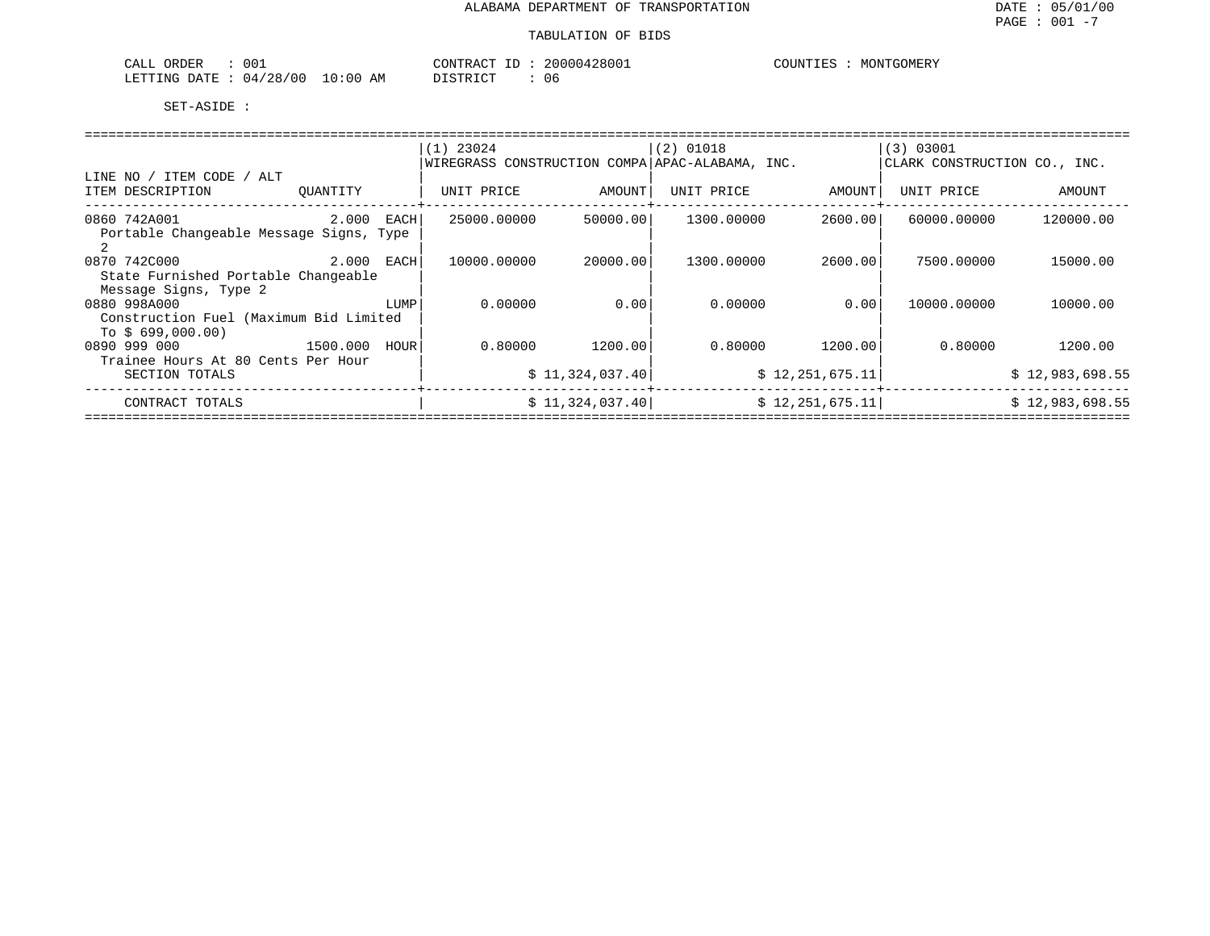| <b>ORDER</b><br>CALL      | -00                |                               | רזו∩י<br>א שי            | 2800<br>200. | . Риб | IONTGOMERY |
|---------------------------|--------------------|-------------------------------|--------------------------|--------------|-------|------------|
| . אמדידיתי<br><b>DATE</b> | /00<br>'28/<br>04. | $\Omega$<br>$: \bigcap$<br>AM | $+ \alpha$ mn<br>ו שיו ש | U6           |       |            |

|                                                              |               | $(1)$ 23024                                     |                 | $(2)$ 01018 |                   | (3) 03001                    |                 |  |  |  |  |
|--------------------------------------------------------------|---------------|-------------------------------------------------|-----------------|-------------|-------------------|------------------------------|-----------------|--|--|--|--|
|                                                              |               | WIREGRASS CONSTRUCTION COMPA APAC-ALABAMA, INC. |                 |             |                   | CLARK CONSTRUCTION CO., INC. |                 |  |  |  |  |
| LINE NO / ITEM CODE / ALT                                    |               |                                                 |                 |             |                   |                              |                 |  |  |  |  |
| ITEM DESCRIPTION                                             | QUANTITY      | UNIT PRICE                                      | AMOUNT          | UNIT PRICE  | AMOUNT            | UNIT PRICE                   | AMOUNT          |  |  |  |  |
| 0860 742A001                                                 | 2.000<br>EACH | 25000.00000                                     | 50000.00        | 1300.00000  | 2600.001          | 60000.00000                  | 120000.00       |  |  |  |  |
| Portable Changeable Message Signs, Type                      |               |                                                 |                 |             |                   |                              |                 |  |  |  |  |
| 0870 742C000                                                 |               | 10000.00000                                     | 20000.00        | 1300.00000  | 2600.00           | 7500.00000                   | 15000.00        |  |  |  |  |
| State Furnished Portable Changeable<br>Message Signs, Type 2 |               |                                                 |                 |             |                   |                              |                 |  |  |  |  |
| 0880 998A000                                                 | LUMP          | 0.00000                                         | 0.00            | 0.00000     | 0.001             | 10000.00000                  | 10000.00        |  |  |  |  |
| Construction Fuel (Maximum Bid Limited                       |               |                                                 |                 |             |                   |                              |                 |  |  |  |  |
| To $$699,000.00)$                                            |               |                                                 |                 |             |                   |                              |                 |  |  |  |  |
| 0890 999 000<br>1500.000                                     | HOUR          | 0.80000                                         | 1200.00         | 0.80000     | 1200.00           | 0.80000                      | 1200.00         |  |  |  |  |
| Trainee Hours At 80 Cents Per Hour                           |               |                                                 |                 |             |                   |                              |                 |  |  |  |  |
| SECTION TOTALS                                               |               |                                                 | \$11,324,037.40 |             | \$12, 251, 675.11 |                              | \$12,983,698.55 |  |  |  |  |
| CONTRACT TOTALS                                              |               |                                                 | \$11,324,037.40 |             | \$12,251,675.11   |                              | \$12,983,698.55 |  |  |  |  |
|                                                              |               |                                                 |                 |             |                   |                              |                 |  |  |  |  |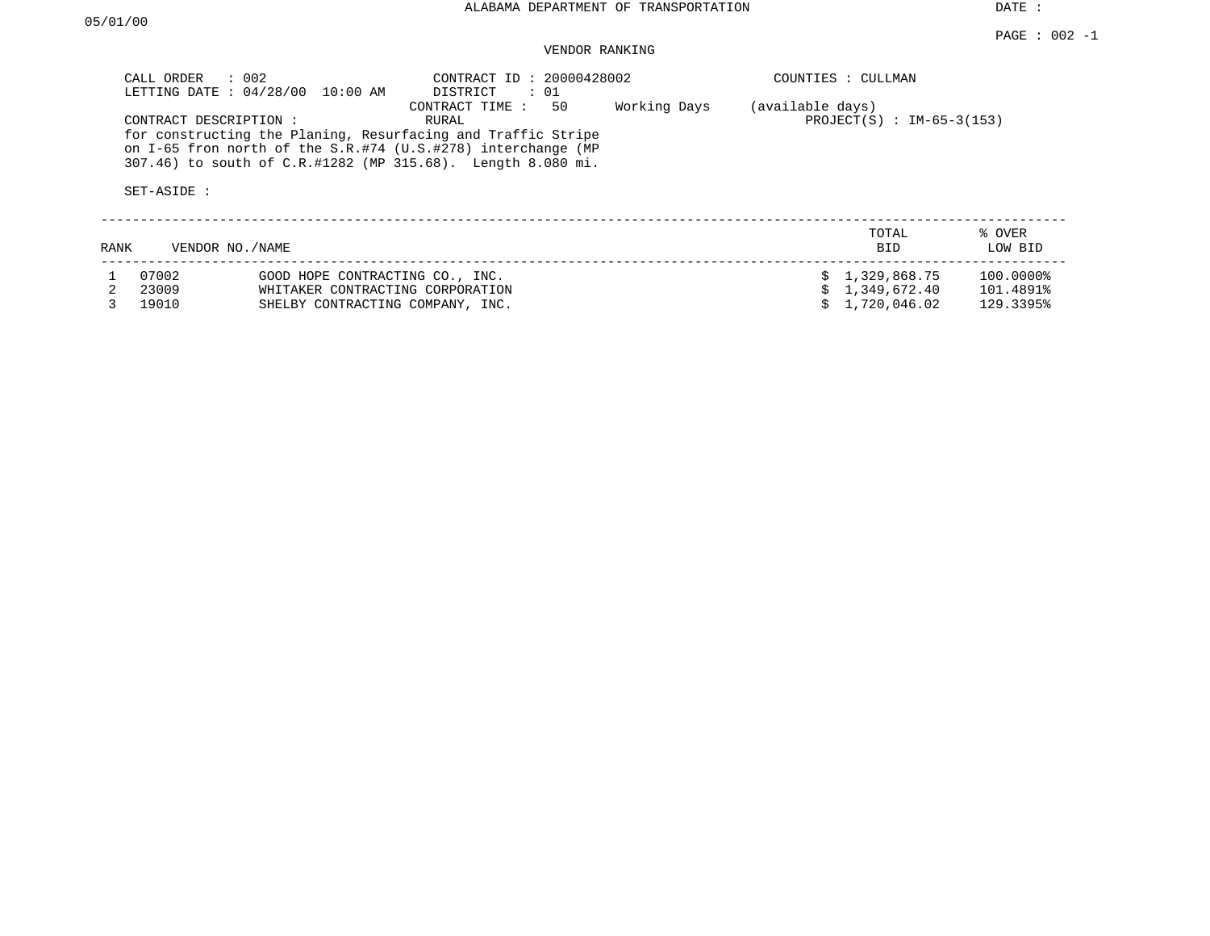# VENDOR RANKING

|      | CALL ORDER                           | $\therefore$ 002<br>LETTING DATE : 04/28/00 10:00 AM | CONTRACT ID: 20000428002<br>DISTRICT<br>: 01                                                                                                                                                                                    |              |                  | COUNTIES : CULLMAN          |                   |
|------|--------------------------------------|------------------------------------------------------|---------------------------------------------------------------------------------------------------------------------------------------------------------------------------------------------------------------------------------|--------------|------------------|-----------------------------|-------------------|
|      | CONTRACT DESCRIPTION:<br>SET-ASIDE : |                                                      | 50<br>CONTRACT TIME :<br>RURAL<br>for constructing the Planing, Resurfacing and Traffic Stripe<br>on I-65 fron north of the $S.R.+74$ (U.S.#278) interchange (MP<br>307.46) to south of C.R.#1282 (MP 315.68). Length 8.080 mi. | Working Days | (available days) | $PROJECT(S) : IM-65-3(153)$ |                   |
| RANK | VENDOR NO. / NAME                    |                                                      |                                                                                                                                                                                                                                 |              |                  | TOTAL<br><b>BID</b>         | % OVER<br>LOW BID |
|      | 07002                                | GOOD HOPE CONTRACTING CO., INC.                      |                                                                                                                                                                                                                                 |              |                  | \$1,329,868.75              | 100.0000%         |
|      | 23009                                | WHITAKER CONTRACTING CORPORATION                     |                                                                                                                                                                                                                                 |              |                  | 1,349,672.40                | 101.4891%         |
|      | 19010                                | SHELBY CONTRACTING COMPANY, INC.                     |                                                                                                                                                                                                                                 |              |                  | 1,720,046.02                | 129.3395%         |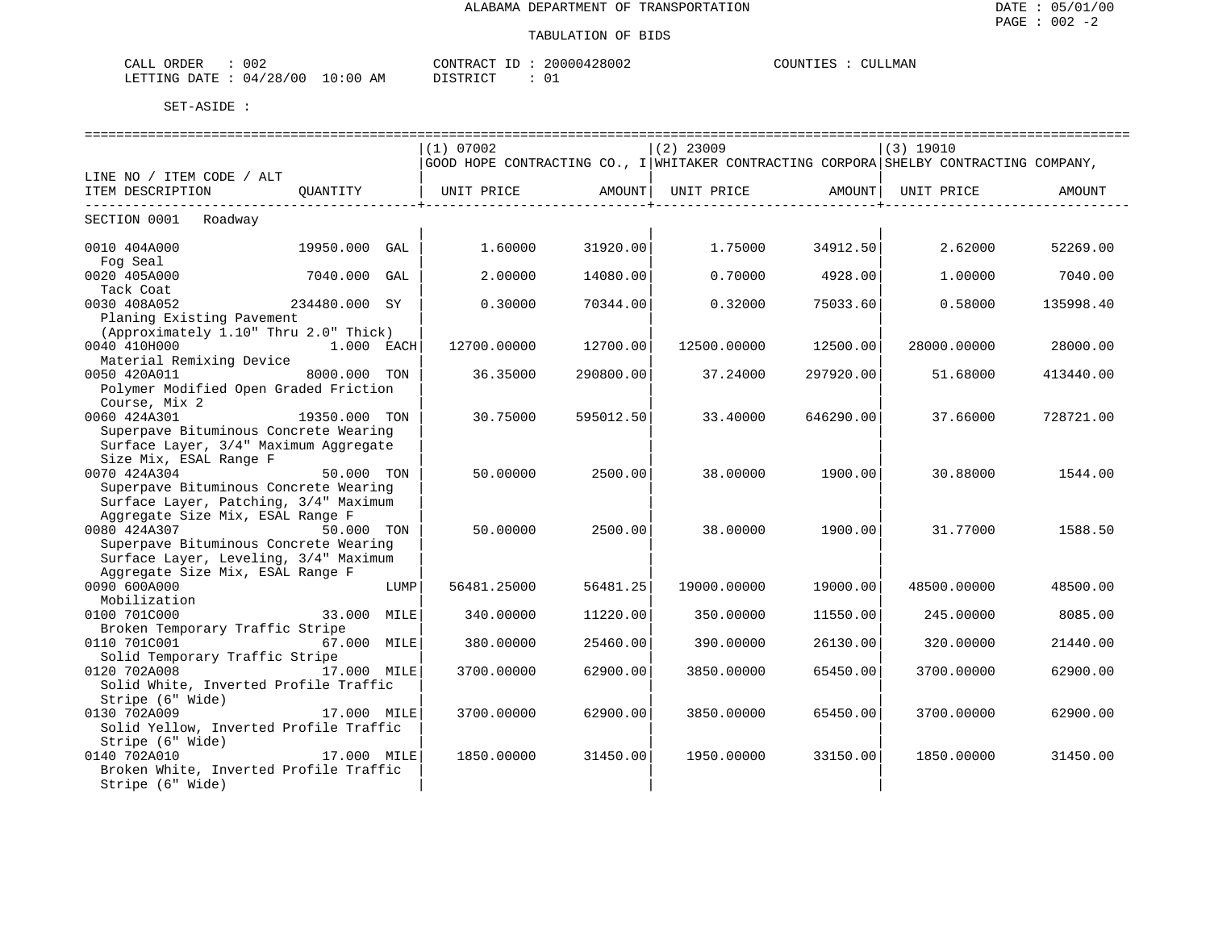| 002<br>ORDER<br>$\sim$ $ -$<br>اللطات           |            | u e Δ∩π<br>$- -$<br>™M∩      | 28002<br>$\cup$ | $\ldots$ $\ldots$ $\ldots$ $\ldots$ $\ldots$<br>.LMAN<br>L P.C |
|-------------------------------------------------|------------|------------------------------|-----------------|----------------------------------------------------------------|
| $^{\circ}28$<br>'00<br>LETTING<br>DATE<br>ົາ 4. | 0:00<br>AΜ | $\sim$<br>. קידי מ<br>------ | $\sim$<br>ັບ⊥   |                                                                |

|                                                                    |               |      | =========================                                                             |                        | ========================== |           | ===================== |           |
|--------------------------------------------------------------------|---------------|------|---------------------------------------------------------------------------------------|------------------------|----------------------------|-----------|-----------------------|-----------|
|                                                                    |               |      | (1) 07002                                                                             |                        | $(2)$ 23009                |           | (3) 19010             |           |
|                                                                    |               |      | GOOD HOPE CONTRACTING CO., I WHITAKER CONTRACTING CORPORA SHELBY CONTRACTING COMPANY, |                        |                            |           |                       |           |
| LINE NO / ITEM CODE / ALT                                          |               |      |                                                                                       |                        |                            |           |                       |           |
| ITEM DESCRIPTION                                                   |               |      | QUANTITY   UNIT PRICE AMOUNT  UNIT PRICE AMOUNT                                       |                        |                            |           | UNIT PRICE            | AMOUNT    |
| ----------------------------                                       |               |      |                                                                                       | -----------------+---- |                            |           |                       |           |
| SECTION 0001 Roadway                                               |               |      |                                                                                       |                        |                            |           |                       |           |
| 0010 404A000<br>19950.000 GAL                                      |               |      | 1.60000                                                                               | 31920.00               | 1.75000                    | 34912.50  | 2.62000               | 52269.00  |
| Fog Seal                                                           |               |      |                                                                                       |                        |                            |           |                       |           |
| 0020 405A000                                                       | 7040.000 GAL  |      | 2.00000                                                                               | 14080.00               | 0.70000                    | 4928.00   | 1.00000               | 7040.00   |
| Tack Coat                                                          |               |      |                                                                                       |                        |                            |           |                       |           |
| 0030 408A052                                                       | 234480.000 SY |      | 0.30000                                                                               | 70344.00               | 0.32000                    | 75033.60  | 0.58000               | 135998.40 |
| Planing Existing Pavement                                          |               |      |                                                                                       |                        |                            |           |                       |           |
| (Approximately 1.10" Thru 2.0" Thick)                              |               |      |                                                                                       |                        |                            |           |                       |           |
| 0040 410H000                                                       | $1.000$ EACH  |      | 12700.00000                                                                           | 12700.00               | 12500.00000                | 12500.00  | 28000.00000           | 28000.00  |
| Material Remixing Device                                           |               |      |                                                                                       |                        |                            |           |                       |           |
| 0050 420A011 8000.000 TON<br>Polymer Modified Open Graded Friction |               |      | 36.35000                                                                              | 290800.00              | 37.24000                   | 297920.00 | 51.68000              | 413440.00 |
| Course, Mix 2                                                      |               |      |                                                                                       |                        |                            |           |                       |           |
| 19350.000 TON<br>0060 424A301                                      |               |      | 30.75000                                                                              | 595012.50              | 33.40000                   | 646290.00 | 37.66000              | 728721.00 |
| Superpave Bituminous Concrete Wearing                              |               |      |                                                                                       |                        |                            |           |                       |           |
| Surface Layer, 3/4" Maximum Aggregate                              |               |      |                                                                                       |                        |                            |           |                       |           |
| Size Mix, ESAL Range F                                             |               |      |                                                                                       |                        |                            |           |                       |           |
| 0070 424A304                                                       | 50.000 TON    |      | 50.00000                                                                              | 2500.00                | 38.00000                   | 1900.00   | 30.88000              | 1544.00   |
| Superpave Bituminous Concrete Wearing                              |               |      |                                                                                       |                        |                            |           |                       |           |
| Surface Layer, Patching, 3/4" Maximum                              |               |      |                                                                                       |                        |                            |           |                       |           |
| Aggregate Size Mix, ESAL Range F                                   |               |      |                                                                                       |                        |                            |           |                       |           |
| 0080 424A307                                                       | 50.000 TON    |      | 50.00000                                                                              | 2500.00                | 38,00000                   | 1900.00   | 31.77000              | 1588.50   |
| Superpave Bituminous Concrete Wearing                              |               |      |                                                                                       |                        |                            |           |                       |           |
| Surface Layer, Leveling, 3/4" Maximum                              |               |      |                                                                                       |                        |                            |           |                       |           |
| Aggregate Size Mix, ESAL Range F                                   |               |      |                                                                                       |                        |                            |           |                       |           |
| 0090 600A000                                                       |               | LUMP | 56481.25000                                                                           | 56481.25               | 19000.00000                | 19000.00  | 48500.00000           | 48500.00  |
| Mobilization                                                       |               |      |                                                                                       |                        |                            |           |                       |           |
| 0100 701C000                                                       | 33.000 MILE   |      | 340.00000                                                                             | 11220.00               | 350.00000                  | 11550.00  | 245.00000             | 8085.00   |
| Broken Temporary Traffic Stripe<br>0110 701C001                    | 67.000 MILE   |      | 380.00000                                                                             | 25460.00               | 390.00000                  | 26130.00  | 320.00000             | 21440.00  |
| Solid Temporary Traffic Stripe                                     |               |      |                                                                                       |                        |                            |           |                       |           |
| 0120 702A008                                                       | 17.000 MILE   |      | 3700.00000                                                                            | 62900.00               | 3850.00000                 | 65450.00  | 3700.00000            | 62900.00  |
| Solid White, Inverted Profile Traffic                              |               |      |                                                                                       |                        |                            |           |                       |           |
| Stripe (6" Wide)                                                   |               |      |                                                                                       |                        |                            |           |                       |           |
| 0130 702A009<br>17.000 MILE                                        |               |      | 3700.00000                                                                            | 62900.00               | 3850.00000                 | 65450.00  | 3700.00000            | 62900.00  |
| Solid Yellow, Inverted Profile Traffic                             |               |      |                                                                                       |                        |                            |           |                       |           |
| Stripe (6" Wide)                                                   |               |      |                                                                                       |                        |                            |           |                       |           |
| 0140 702A010                                                       | 17.000 MILE   |      | 1850.00000                                                                            | 31450.00               | 1950.00000                 | 33150.00  | 1850.00000            | 31450.00  |
| Broken White, Inverted Profile Traffic                             |               |      |                                                                                       |                        |                            |           |                       |           |
| Stripe (6" Wide)                                                   |               |      |                                                                                       |                        |                            |           |                       |           |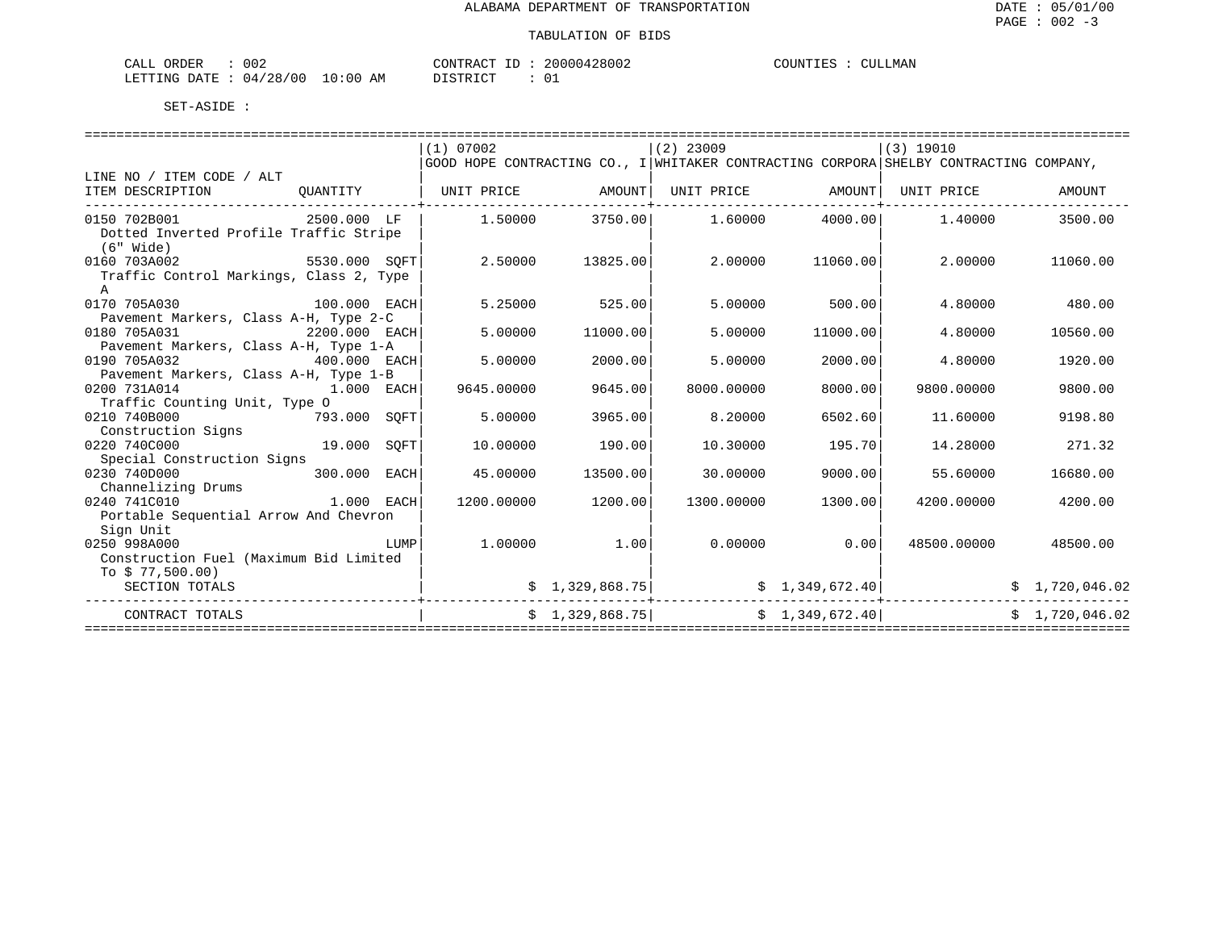| ORDER<br>CALI | 002      |               | "ONTRAC |  | 20000428002 | COUNTIES | LMAN<br>7 |
|---------------|----------|---------------|---------|--|-------------|----------|-----------|
| LETTING DATE  | 04/28/00 | LO : 00<br>AΜ |         |  |             |          |           |

|                                                         |              |      | (1) 07002                                       |                 | $(2)$ 23009       |                | (3) 19010                                                                             |                |
|---------------------------------------------------------|--------------|------|-------------------------------------------------|-----------------|-------------------|----------------|---------------------------------------------------------------------------------------|----------------|
|                                                         |              |      |                                                 |                 |                   |                | GOOD HOPE CONTRACTING CO., I WHITAKER CONTRACTING CORPORA SHELBY CONTRACTING COMPANY, |                |
| LINE NO / ITEM CODE / ALT                               |              |      |                                                 |                 |                   |                |                                                                                       |                |
| ITEM DESCRIPTION                                        |              |      | OUANTITY   UNIT PRICE AMOUNT  UNIT PRICE AMOUNT |                 |                   |                | UNIT PRICE                                                                            | AMOUNT         |
| 0150 702B001                                            | 2500.000 LF  |      |                                                 | 1.50000 3750.00 | $1.60000$ 4000.00 |                | 1.40000                                                                               | 3500.00        |
| Dotted Inverted Profile Traffic Stripe<br>$(6"$ Wide)   |              |      |                                                 |                 |                   |                |                                                                                       |                |
| 5530.000 SOFT<br>0160 703A002                           |              |      | 2.50000                                         | 13825.00        | 2.00000           | 11060.00       | 2.00000                                                                               | 11060.00       |
| Traffic Control Markings, Class 2, Type<br>$\mathbb{A}$ |              |      |                                                 |                 |                   |                |                                                                                       |                |
| 0170 705A030<br>$100.000$ EACH                          |              |      | 5.25000                                         | 525.00          | 5.00000           | 500.00         | 4.80000                                                                               | 480.00         |
| Pavement Markers, Class A-H, Type 2-C                   |              |      |                                                 |                 |                   |                |                                                                                       |                |
| 0180 705A031<br>2200.000 EACH                           |              |      | 5.00000                                         | 11000.00        | 5.00000           | 11000.00       | 4.80000                                                                               | 10560.00       |
| Pavement Markers, Class A-H, Type 1-A                   |              |      |                                                 |                 |                   |                |                                                                                       |                |
| 0190 705A032<br>$400.000$ EACH                          |              |      | 5.00000                                         | 2000.00         | 5.00000           | 2000.00        | 4.80000                                                                               | 1920.00        |
| Pavement Markers, Class A-H, Type 1-B                   |              |      |                                                 |                 |                   |                |                                                                                       |                |
| 1.000 EACH<br>0200 731A014                              |              |      | 9645.00000                                      | 9645.00         | 8000.00000        | 8000.00        | 9800.00000                                                                            | 9800.00        |
| Traffic Counting Unit, Type O                           |              |      |                                                 |                 |                   |                |                                                                                       |                |
| 0210 740B000                                            | 793.000 SOFT |      | 5.00000                                         | 3965.00         | 8,20000           | 6502.60        | 11.60000                                                                              | 9198.80        |
| Construction Signs                                      |              |      |                                                 |                 |                   |                |                                                                                       |                |
| 0220 740C000                                            | 19.000 SOFT  |      | 10.00000                                        | 190.00          | 10.30000          | 195.70         | 14.28000                                                                              | 271.32         |
| Special Construction Signs<br>0230 740D000              | 300.000 EACH |      | 45.00000                                        | 13500.00        | 30.00000          | 9000.00        | 55.60000                                                                              |                |
|                                                         |              |      |                                                 |                 |                   |                |                                                                                       | 16680.00       |
| Channelizing Drums<br>1.000 EACH<br>0240 741C010        |              |      | 1200.00000                                      | 1200.00         | 1300.00000        | 1300.00        | 4200.00000                                                                            | 4200.00        |
| Portable Sequential Arrow And Chevron                   |              |      |                                                 |                 |                   |                |                                                                                       |                |
| Sign Unit                                               |              |      |                                                 |                 |                   |                |                                                                                       |                |
| 0250 998A000                                            |              | LUMP | 1,00000                                         | 1.00            | 0.00000           | 0.00           | 48500.00000                                                                           | 48500.00       |
| Construction Fuel (Maximum Bid Limited                  |              |      |                                                 |                 |                   |                |                                                                                       |                |
| To $$77,500.00)$                                        |              |      |                                                 |                 |                   |                |                                                                                       |                |
| SECTION TOTALS                                          |              |      |                                                 | \$1,329,868.75] |                   | \$1,349,672.40 |                                                                                       | \$1,720,046.02 |
| CONTRACT TOTALS                                         |              |      |                                                 | \$1,329,868.75] | \$1,349,672.40]   |                |                                                                                       | \$1.720.046.02 |
|                                                         |              |      |                                                 |                 |                   |                |                                                                                       |                |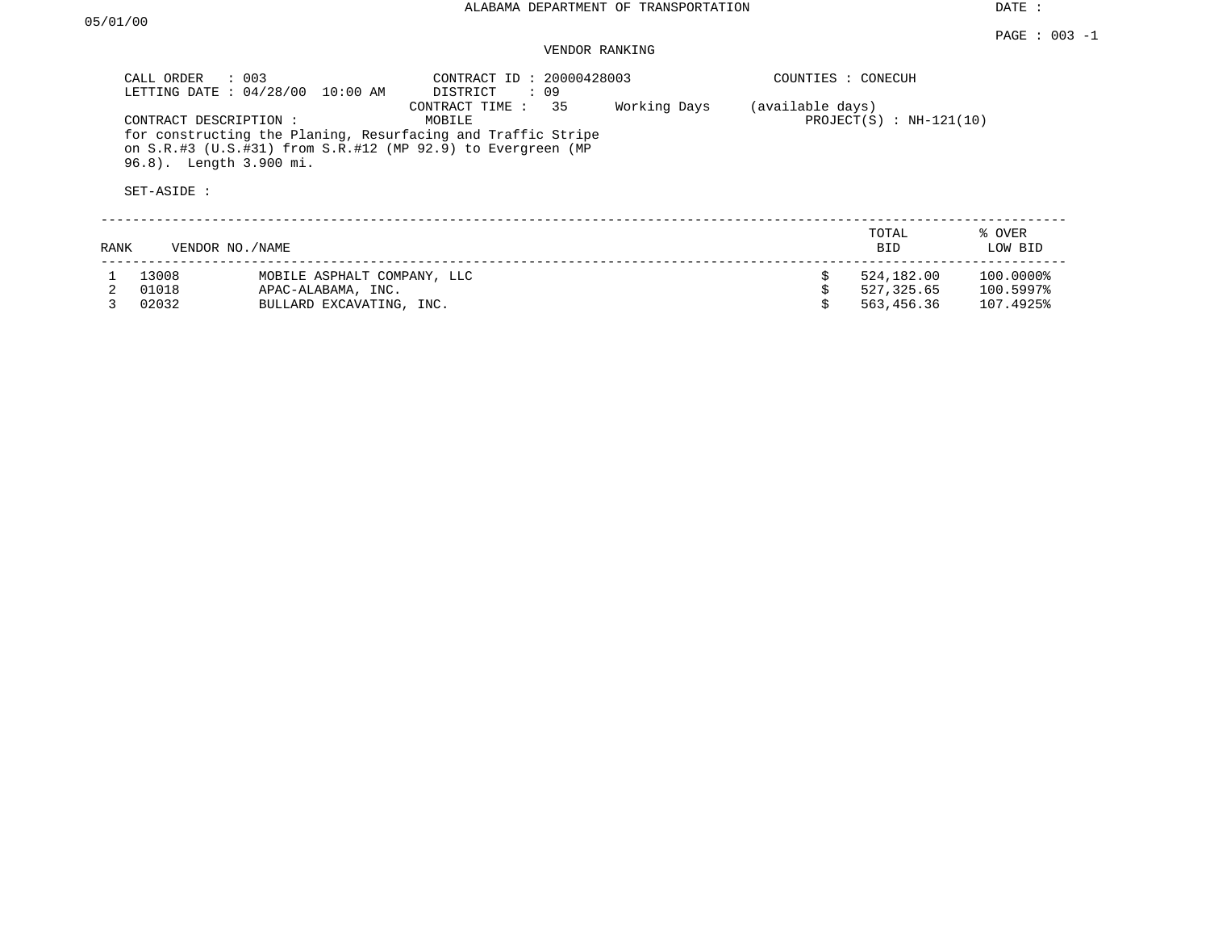## VENDOR RANKING

|      | CALL ORDER                                                      | $\therefore$ 003<br>LETTING DATE : 04/28/00 10:00 AM | CONTRACT ID: 20000428003<br>DISTRICT<br>: 09                                                                                                                |              | COUNTIES : CONECUH |                               |                   |
|------|-----------------------------------------------------------------|------------------------------------------------------|-------------------------------------------------------------------------------------------------------------------------------------------------------------|--------------|--------------------|-------------------------------|-------------------|
|      | CONTRACT DESCRIPTION:<br>96.8). Length 3.900 mi.<br>SET-ASIDE : |                                                      | CONTRACT TIME : 35<br>MOBILE<br>for constructing the Planing, Resurfacing and Traffic Stripe<br>on S.R.#3 (U.S.#31) from S.R.#12 (MP 92.9) to Evergreen (MP | Working Days | (available days)   | PROJECT $(S)$ : NH-121 $(10)$ |                   |
| RANK |                                                                 | VENDOR NO./NAME                                      |                                                                                                                                                             |              |                    | TOTAL<br>BID                  | % OVER<br>LOW BID |
|      | 13008                                                           | MOBILE ASPHALT COMPANY, LLC                          |                                                                                                                                                             |              |                    | 524,182.00                    | 100.0000%         |
|      | 01018                                                           | APAC-ALABAMA, INC.                                   |                                                                                                                                                             |              |                    | 527,325.65                    | 100.5997%         |

3 02032 BULLARD EXCAVATING, INC. \$ 563,456.36 107.4925%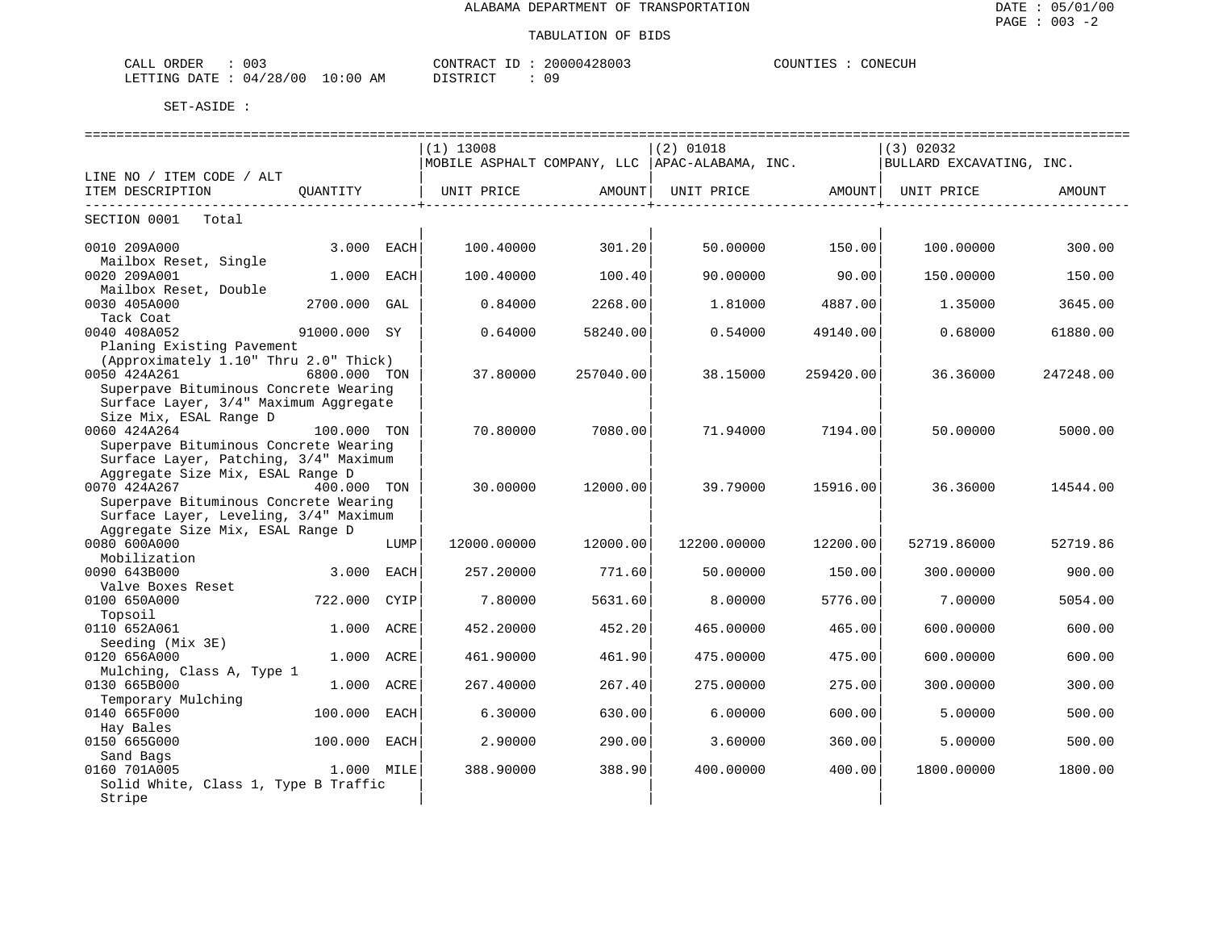| : 003<br>CALL ORDER             |          | CONTRACT ID: 20000428003 | CONECUH<br>COUNTIES : C |
|---------------------------------|----------|--------------------------|-------------------------|
| LETTING DATE: 04/28/00 10:00 AM | DISTRICT | 09                       |                         |

|                                       |              |      | $(1)$ 13008 |                   | $(2)$ 01018                                     |           | (3) 02032                |           |
|---------------------------------------|--------------|------|-------------|-------------------|-------------------------------------------------|-----------|--------------------------|-----------|
|                                       |              |      |             |                   | MOBILE ASPHALT COMPANY, LLC  APAC-ALABAMA, INC. |           | BULLARD EXCAVATING, INC. |           |
| LINE NO / ITEM CODE / ALT             |              |      |             |                   |                                                 |           |                          |           |
| ITEM DESCRIPTION                      | OUANTITY     |      |             | UNIT PRICE AMOUNT | UNIT PRICE                                      | AMOUNTI   | UNIT PRICE               | AMOUNT    |
| ------------------------              |              |      |             | ----------------+ |                                                 |           |                          |           |
| SECTION 0001<br>Total                 |              |      |             |                   |                                                 |           |                          |           |
|                                       |              |      |             |                   |                                                 |           |                          |           |
| 0010 209A000                          | 3.000        | EACH | 100.40000   | 301.20            | 50.00000                                        | 150.00    | 100.00000                | 300.00    |
| Mailbox Reset, Single                 |              |      |             |                   |                                                 |           |                          |           |
| 0020 209A001                          | 1.000        | EACH | 100.40000   | 100.40            | 90.00000                                        | 90.00     | 150.00000                | 150.00    |
| Mailbox Reset, Double                 |              |      |             |                   |                                                 |           |                          |           |
| 0030 405A000                          | 2700.000     | GAL  | 0.84000     | 2268.00           | 1,81000                                         | 4887.00   | 1.35000                  | 3645.00   |
| Tack Coat                             |              |      |             |                   |                                                 |           |                          |           |
| 0040 408A052                          | 91000.000 SY |      | 0.64000     | 58240.00          | 0.54000                                         | 49140.00  | 0.68000                  | 61880.00  |
| Planing Existing Pavement             |              |      |             |                   |                                                 |           |                          |           |
| (Approximately 1.10" Thru 2.0" Thick) |              |      |             |                   |                                                 |           |                          |           |
| 0050 424A261                          | 6800.000 TON |      | 37.80000    | 257040.00         | 38.15000                                        | 259420.00 | 36.36000                 | 247248.00 |
| Superpave Bituminous Concrete Wearing |              |      |             |                   |                                                 |           |                          |           |
| Surface Layer, 3/4" Maximum Aggregate |              |      |             |                   |                                                 |           |                          |           |
| Size Mix, ESAL Range D                |              |      |             |                   |                                                 |           |                          |           |
| 0060 424A264                          | 100.000 TON  |      | 70.80000    | 7080.00           | 71.94000                                        | 7194.00   | 50.00000                 | 5000.00   |
| Superpave Bituminous Concrete Wearing |              |      |             |                   |                                                 |           |                          |           |
| Surface Layer, Patching, 3/4" Maximum |              |      |             |                   |                                                 |           |                          |           |
| Aggregate Size Mix, ESAL Range D      |              |      |             |                   |                                                 |           |                          |           |
| 0070 424A267                          | 400.000 TON  |      | 30,00000    | 12000.00          | 39.79000                                        | 15916.00  | 36.36000                 | 14544.00  |
| Superpave Bituminous Concrete Wearing |              |      |             |                   |                                                 |           |                          |           |
| Surface Layer, Leveling, 3/4" Maximum |              |      |             |                   |                                                 |           |                          |           |
| Aggregate Size Mix, ESAL Range D      |              |      |             |                   |                                                 |           |                          |           |
| 0080 600A000                          |              | LUMP | 12000.00000 | 12000.00          | 12200.00000                                     | 12200.00  | 52719.86000              | 52719.86  |
| Mobilization                          |              |      |             |                   |                                                 |           |                          |           |
| 0090 643B000                          | 3.000        | EACH | 257.20000   | 771.60            | 50.00000                                        | 150.00    | 300.00000                | 900.00    |
| Valve Boxes Reset<br>0100 650A000     | 722.000      | CYIP | 7.80000     | 5631.60           | 8,00000                                         | 5776.00   | 7.00000                  | 5054.00   |
| Topsoil                               |              |      |             |                   |                                                 |           |                          |           |
| 0110 652A061                          | 1.000 ACRE   |      | 452.20000   | 452.20            | 465.00000                                       | 465.00    | 600.00000                | 600.00    |
| Seeding (Mix 3E)                      |              |      |             |                   |                                                 |           |                          |           |
| 0120 656A000                          | 1.000 ACRE   |      | 461.90000   | 461.90            | 475.00000                                       | 475.00    | 600.00000                | 600.00    |
| Mulching, Class A, Type 1             |              |      |             |                   |                                                 |           |                          |           |
| 0130 665B000                          | 1.000        | ACRE | 267.40000   | 267.40            | 275.00000                                       | 275.00    | 300.00000                | 300.00    |
| Temporary Mulching                    |              |      |             |                   |                                                 |           |                          |           |
| 0140 665F000                          | 100.000      | EACH | 6.30000     | 630.00            | 6.00000                                         | 600.00    | 5.00000                  | 500.00    |
| Hay Bales                             |              |      |             |                   |                                                 |           |                          |           |
| 0150 665G000                          | 100.000      | EACH | 2.90000     | 290.00            | 3.60000                                         | 360.00    | 5.00000                  | 500.00    |
| Sand Bags                             |              |      |             |                   |                                                 |           |                          |           |
| 0160 701A005                          | 1.000 MILE   |      | 388.90000   | 388.90            | 400.00000                                       | 400.00    | 1800.00000               | 1800.00   |
| Solid White, Class 1, Type B Traffic  |              |      |             |                   |                                                 |           |                          |           |
| Stripe                                |              |      |             |                   |                                                 |           |                          |           |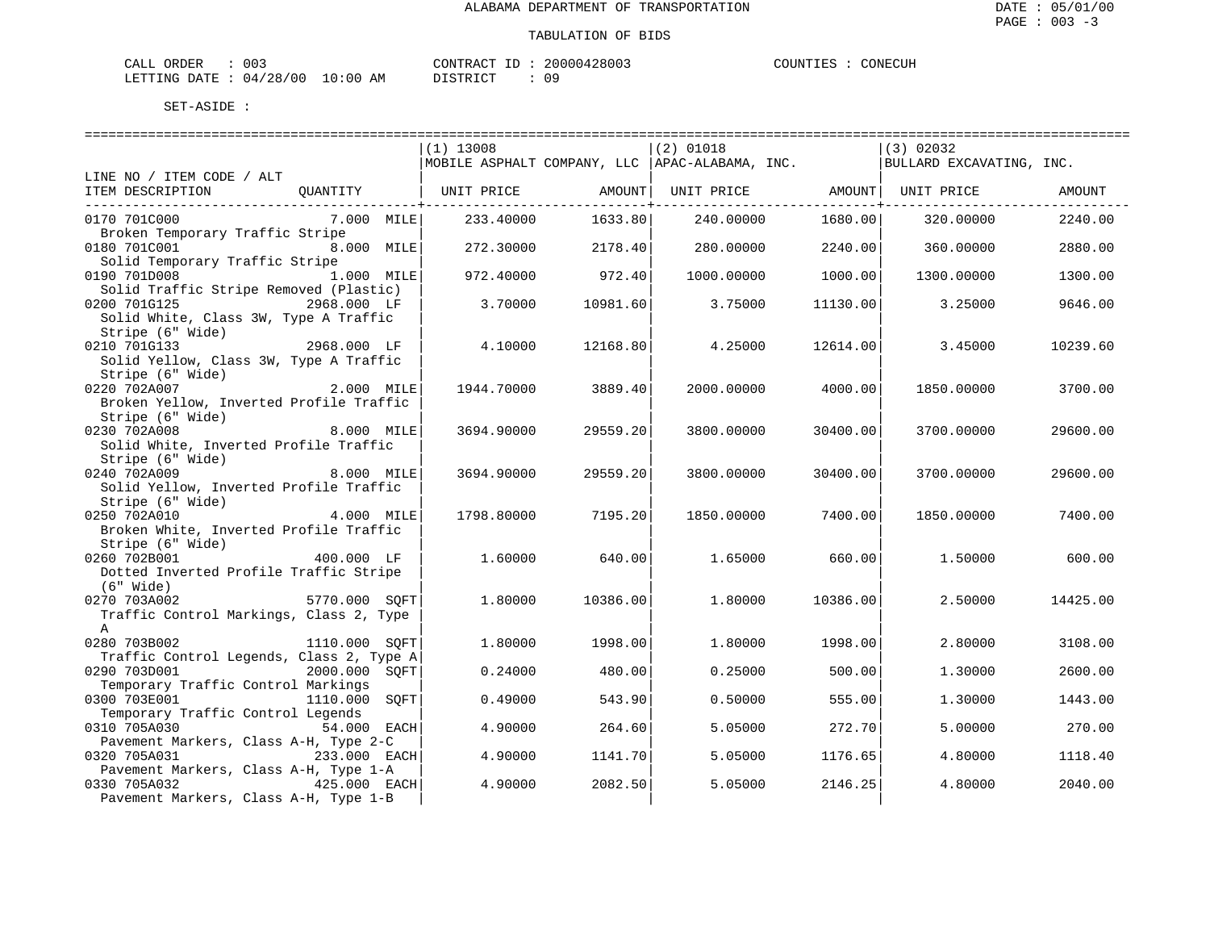| CALL ORDER                       | 003 | 'ONTRACT<br>- TD |  | 20000428003 | COUNTIES | CONECUH |
|----------------------------------|-----|------------------|--|-------------|----------|---------|
| LETTING DATE : 04/28/00 10:00 AM |     | DISTRICT         |  | 09          |          |         |

|                                                               |               | $(1)$ 13008 |          | $(2)$ 01018                                      |                        | $(3)$ 02032                                                                 |          |
|---------------------------------------------------------------|---------------|-------------|----------|--------------------------------------------------|------------------------|-----------------------------------------------------------------------------|----------|
|                                                               |               |             |          | MOBILE ASPHALT COMPANY, LLC   APAC-ALABAMA, INC. |                        | BULLARD EXCAVATING, INC.                                                    |          |
| LINE NO / ITEM CODE / ALT                                     |               |             |          |                                                  |                        |                                                                             |          |
| ITEM DESCRIPTION                                              |               |             |          |                                                  |                        | QUANTITY   UNIT PRICE         AMOUNT  UNIT PRICE         AMOUNT  UNIT PRICE | AMOUNT   |
|                                                               |               |             |          |                                                  | ---------------+------ |                                                                             |          |
| 0170 701C000                                                  | 7.000 MILE    | 233.40000   | 1633.80  | 240.00000 1680.00                                |                        | 320.00000                                                                   | 2240.00  |
| Broken Temporary Traffic Stripe                               |               |             |          |                                                  |                        |                                                                             |          |
| 0180 701C001                                                  | 8.000 MILE    | 272.30000   | 2178.40  | 280.00000                                        | 2240.00                | 360.00000                                                                   | 2880.00  |
| Solid Temporary Traffic Stripe                                |               |             |          |                                                  |                        |                                                                             |          |
| 0190 701D008<br>1.000 MILE                                    |               | 972.40000   | 972.40   | 1000.00000                                       | 1000.00                | 1300.00000                                                                  | 1300.00  |
| Solid Traffic Stripe Removed (Plastic)                        |               |             |          |                                                  |                        |                                                                             |          |
| 0200 701G125<br>2968.000 LF                                   |               | 3.70000     | 10981.60 | 3.75000                                          | 11130.00               | 3.25000                                                                     | 9646.00  |
| Solid White, Class 3W, Type A Traffic                         |               |             |          |                                                  |                        |                                                                             |          |
| Stripe (6" Wide)                                              |               |             |          |                                                  |                        |                                                                             |          |
| 2968.000 LF<br>0210 701G133                                   |               | 4.10000     | 12168.80 | 4.25000                                          | 12614.00               | 3.45000                                                                     | 10239.60 |
| Solid Yellow, Class 3W, Type A Traffic                        |               |             |          |                                                  |                        |                                                                             |          |
|                                                               |               |             |          |                                                  |                        |                                                                             |          |
| SUIL IULINE<br>Stripe (6" Wide)<br>2.000 MILE<br>0220 702A007 |               | 1944.70000  | 3889.40  | 2000.00000                                       | 4000.00                | 1850.00000                                                                  | 3700.00  |
| Broken Yellow, Inverted Profile Traffic                       |               |             |          |                                                  |                        |                                                                             |          |
| Stripe (6" Wide)                                              |               |             |          |                                                  |                        |                                                                             |          |
| 0230 702A008                                                  | 8.000 MILE    | 3694.90000  | 29559.20 | 3800.00000                                       | 30400.00               | 3700.00000                                                                  | 29600.00 |
| Solid White, Inverted Profile Traffic                         |               |             |          |                                                  |                        |                                                                             |          |
| Stripe (6" Wide)                                              |               |             |          |                                                  |                        |                                                                             |          |
| 8.000 MILE<br>0240 702A009                                    |               | 3694.90000  | 29559.20 | 3800.00000                                       | 30400.00               | 3700.00000                                                                  | 29600.00 |
| Solid Yellow, Inverted Profile Traffic                        |               |             |          |                                                  |                        |                                                                             |          |
| Stripe (6" Wide)                                              |               |             |          |                                                  |                        |                                                                             |          |
| 0250 702A010                                                  | $4.000$ MILE  | 1798.80000  | 7195.20  | 1850.00000                                       | 7400.001               | 1850.00000                                                                  | 7400.00  |
| Broken White, Inverted Profile Traffic                        |               |             |          |                                                  |                        |                                                                             |          |
| Stripe (6" Wide)                                              |               |             |          |                                                  |                        |                                                                             |          |
| 0260 702B001                                                  | 400.000 LF    | 1.60000     | 640.00   | 1.65000 660.00                                   |                        | 1.50000                                                                     | 600.00   |
| Dotted Inverted Profile Traffic Stripe                        |               |             |          |                                                  |                        |                                                                             |          |
| $(6"$ Wide)                                                   |               |             |          |                                                  |                        |                                                                             |          |
| 5770.000 SOFT<br>0270 703A002                                 |               | 1,80000     | 10386.00 | 1,80000                                          | 10386.00               | 2.50000                                                                     | 14425.00 |
| Traffic Control Markings, Class 2, Type                       |               |             |          |                                                  |                        |                                                                             |          |
| $\mathbb{A}$                                                  |               |             |          |                                                  |                        |                                                                             |          |
| 0280 703B002                                                  | 1110.000 SOFT | 1,80000     | 1998.00  | 1,80000                                          | 1998.00                | 2.80000                                                                     | 3108.00  |
| Traffic Control Legends, Class 2, Type A                      |               |             |          |                                                  |                        |                                                                             |          |
| 0290 703D001<br>2000.000 SOFT                                 |               | 0.24000     | 480.00   | 0.25000                                          | 500.00                 | 1.30000                                                                     | 2600.00  |
| Temporary Traffic Control Markings                            |               |             |          |                                                  |                        |                                                                             |          |
| 0300 703E001                                                  | 1110.000 SOFT | 0.49000     | 543.90   | 0.50000                                          | 555.00                 | 1,30000                                                                     | 1443.00  |
| Temporary Traffic Control Legends                             |               |             |          |                                                  |                        |                                                                             |          |
| 0310 705A030<br>54.000 EACH                                   |               | 4.90000     | 264.60   | 5.05000                                          | 272.70                 | 5.00000                                                                     | 270.00   |
| Pavement Markers, Class A-H, Type 2-C                         |               |             |          |                                                  |                        |                                                                             |          |
| 0320 705A031                                                  | 233.000 EACH  | 4.90000     | 1141.70  | 5.05000                                          | 1176.65                | 4.80000                                                                     | 1118.40  |
| Pavement Markers, Class A-H, Type 1-A                         |               |             |          |                                                  |                        |                                                                             |          |
| 0330 705A032<br>425.000 EACH                                  |               | 4.90000     | 2082.50  | 5.05000                                          | 2146.25                | 4.80000                                                                     | 2040.00  |
| Pavement Markers, Class A-H, Type 1-B                         |               |             |          |                                                  |                        |                                                                             |          |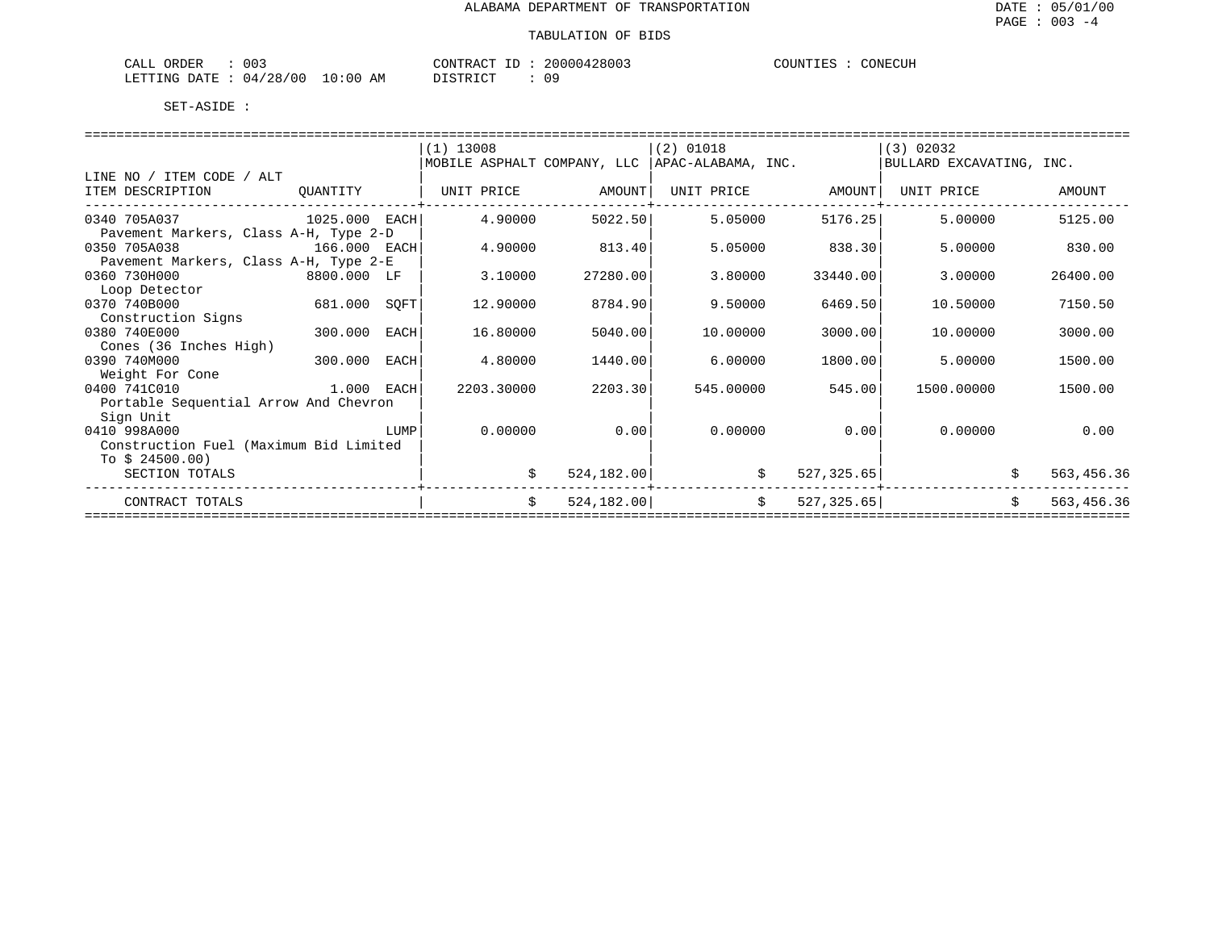| ۱،۱.۵'<br>H<br>للتنعب  | 003               |                   | $T$ $\cap$ $NT$<br>--<br>'R A ( | $\cap$ $\cap$ $\cap$<br>. | ™ONF∴ |
|------------------------|-------------------|-------------------|---------------------------------|---------------------------|-------|
| <b>RTTING</b><br>DATE. | '00<br>/28.<br>04 | ΑМ<br>- (1<br>:00 | $\tau$ $\pi$                    | റ റ                       |       |

|                                        |               |      | $(1)$ 13008                                      |             | $(2)$ 01018 |             | (3) 02032                |                  |
|----------------------------------------|---------------|------|--------------------------------------------------|-------------|-------------|-------------|--------------------------|------------------|
|                                        |               |      | MOBILE ASPHALT COMPANY, LLC   APAC-ALABAMA, INC. |             |             |             | BULLARD EXCAVATING, INC. |                  |
| LINE NO / ITEM CODE / ALT              |               |      |                                                  |             |             |             |                          |                  |
| ITEM DESCRIPTION                       | QUANTITY      |      | UNIT PRICE                                       | AMOUNT      | UNIT PRICE  | AMOUNT      | UNIT PRICE               | AMOUNT           |
| 0340 705A037                           | 1025.000 EACH |      | 4.90000                                          | 5022.50     | 5.05000     | 5176.25     | 5.00000                  | 5125.00          |
| Pavement Markers, Class A-H, Type 2-D  |               |      |                                                  |             |             |             |                          |                  |
| 0350 705A038<br>166.000 EACH           |               |      | 4.90000                                          | 813.40      | 5.05000     | 838.30      | 5.00000                  | 830.00           |
| Pavement Markers, Class A-H, Type 2-E  |               |      |                                                  |             |             |             |                          |                  |
| 0360 730H000                           | 8800.000 LF   |      | 3.10000                                          | 27280.00    | 3.80000     | 33440.00    | 3.00000                  | 26400.00         |
| Loop Detector                          |               |      |                                                  |             |             |             |                          |                  |
| 0370 740B000                           | 681.000 SQFT  |      | 12.90000                                         | 8784.90     | 9.50000     | 6469.50     | 10.50000                 | 7150.50          |
| Construction Signs                     |               |      |                                                  |             |             |             |                          |                  |
| 0380 740E000                           | 300.000       | EACH | 16.80000                                         | 5040.00     | 10,00000    | 3000.00     | 10,00000                 | 3000.00          |
| Cones (36 Inches High)                 |               |      |                                                  |             |             |             |                          |                  |
| 0390 740M000                           | 300.000       | EACH | 4.80000                                          | 1440.00     | 6.00000     | 1800.00     | 5.00000                  | 1500.00          |
| Weight For Cone                        |               |      |                                                  |             |             |             |                          |                  |
| 0400 741C010                           | 1.000 EACH    |      | 2203.30000                                       | 2203.30     | 545.00000   | 545.00      | 1500.00000               | 1500.00          |
| Portable Sequential Arrow And Chevron  |               |      |                                                  |             |             |             |                          |                  |
| Sign Unit                              |               |      |                                                  |             |             |             |                          |                  |
| 0410 998A000                           |               | LUMP | 0.00000                                          | 0.00        | 0.00000     | 0.00        | 0.00000                  | 0.00             |
| Construction Fuel (Maximum Bid Limited |               |      |                                                  |             |             |             |                          |                  |
| To $$24500.00)$                        |               |      |                                                  |             |             |             |                          |                  |
| SECTION TOTALS                         |               |      | \$                                               | 524, 182.00 | \$          | 527, 325.65 |                          | 563,456.36       |
| CONTRACT TOTALS                        |               |      | \$                                               | 524, 182.00 | \$          | 527, 325.65 |                          | \$<br>563,456.36 |
|                                        |               |      |                                                  |             |             |             |                          |                  |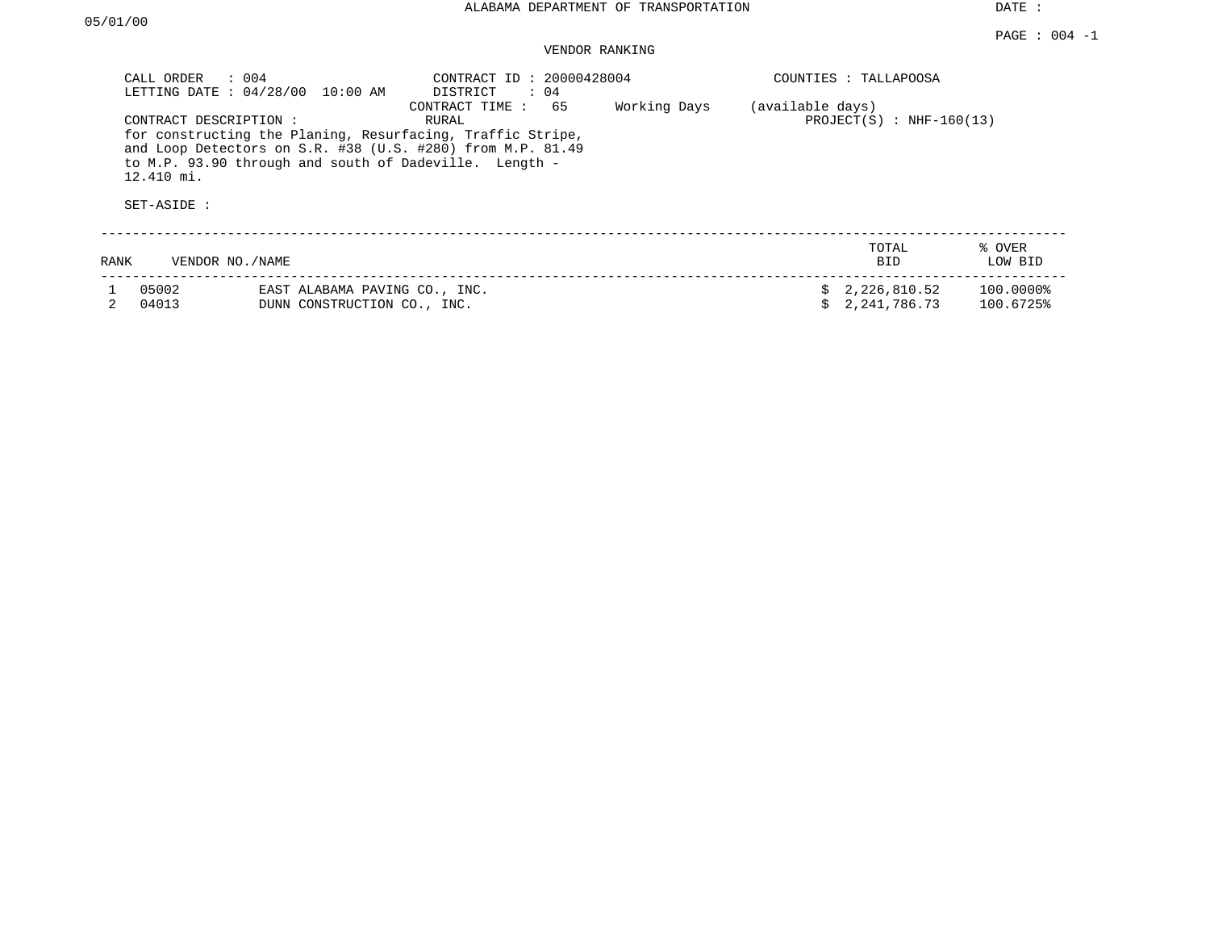# VENDOR RANKING

|      | CALL ORDER<br>$\therefore$ 004<br>LETTING DATE: 04/28/00 | 10:00 AM                                                     | CONTRACT ID: 20000428004<br>DISTRICT<br>: 04                                                                                                                                                                        |              |                  | COUNTIES : TALLAPOOSA        |                        |
|------|----------------------------------------------------------|--------------------------------------------------------------|---------------------------------------------------------------------------------------------------------------------------------------------------------------------------------------------------------------------|--------------|------------------|------------------------------|------------------------|
|      | CONTRACT DESCRIPTION :<br>12.410 mi.<br>SET-ASIDE :      |                                                              | 65<br>CONTRACT TIME:<br>RURAL<br>for constructing the Planing, Resurfacing, Traffic Stripe,<br>and Loop Detectors on S.R. #38 (U.S. #280) from M.P. 81.49<br>to M.P. 93.90 through and south of Dadeville. Length - | Working Days | (available days) | $PROJECT(S) : NHF-160(13)$   |                        |
| RANK | VENDOR NO./NAME                                          |                                                              |                                                                                                                                                                                                                     |              |                  | TOTAL<br><b>BID</b>          | % OVER<br>LOW BID      |
|      | 05002<br>04013                                           | EAST ALABAMA PAVING CO., INC.<br>DUNN CONSTRUCTION CO., INC. |                                                                                                                                                                                                                     |              |                  | 2,226,810.52<br>2,241,786.73 | 100.0000%<br>100.6725% |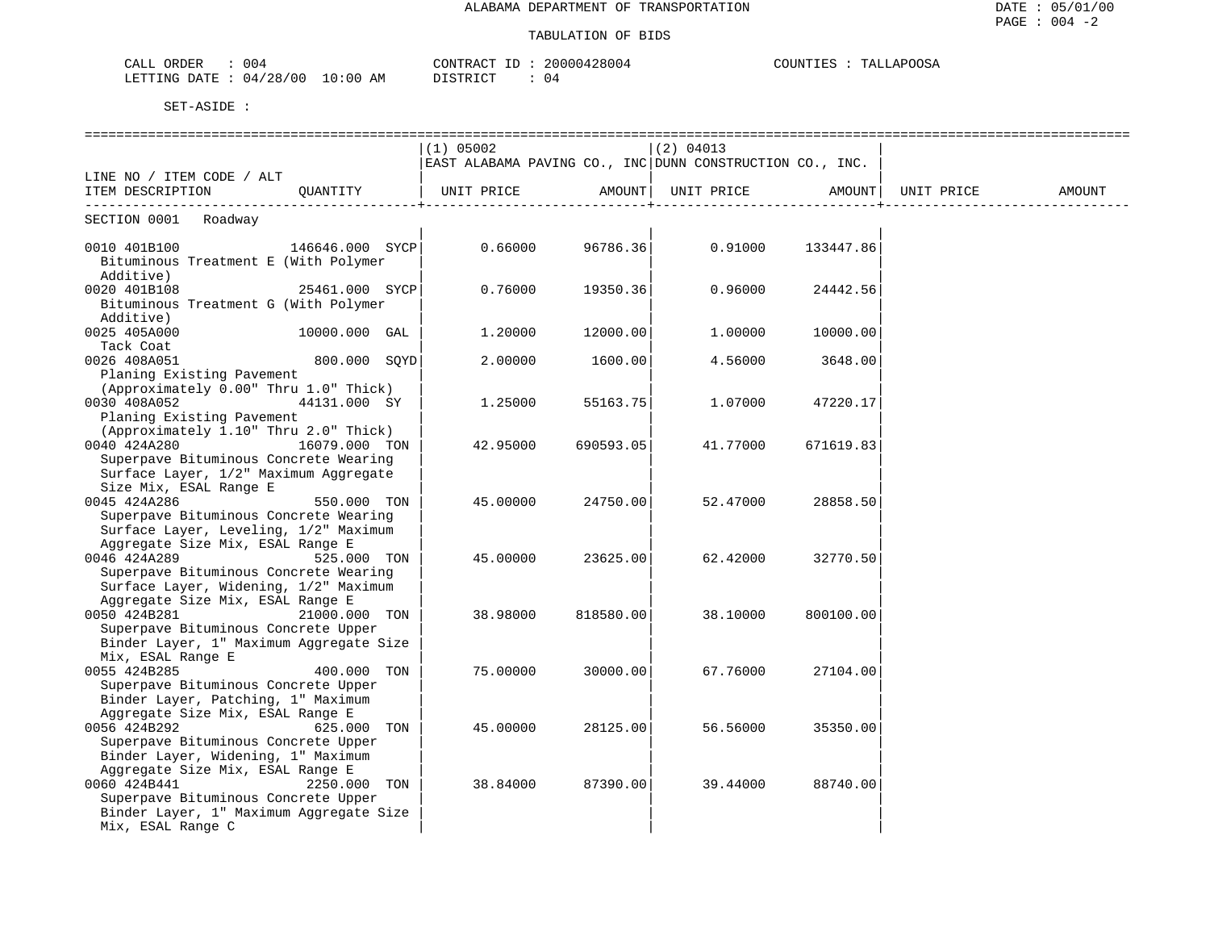| 004<br>$\overline{D}$<br>'I) H. H<br>◝<br>لللطب<br>. נבעי                   | $\sim$ $\sim$<br>2001<br>$\sim$<br>14<br>$\cdot$ JIM | ™DOOS∆<br>ית TN"<br>، ۱، ۸ ۲<br>- - - -<br>- VUJA |
|-----------------------------------------------------------------------------|------------------------------------------------------|---------------------------------------------------|
| LETTING<br>:00<br>DATE<br>ΆM<br>728/00<br><u>іід,</u><br>— ∪ ∸<br>- - - - - | DIAMPIAT<br>-04                                      |                                                   |

|                                                              |                | (1) 05002                                                |           | $(2)$ 04013       |           |            |        |
|--------------------------------------------------------------|----------------|----------------------------------------------------------|-----------|-------------------|-----------|------------|--------|
|                                                              |                | EAST ALABAMA PAVING CO., INC DUNN CONSTRUCTION CO., INC. |           |                   |           |            |        |
| LINE NO / ITEM CODE / ALT                                    |                |                                                          |           |                   |           |            |        |
| ITEM DESCRIPTION QUANTITY                                    |                | UNIT PRICE AMOUNT                                        |           | UNIT PRICE AMOUNT |           | UNIT PRICE | AMOUNT |
|                                                              |                |                                                          |           |                   |           |            |        |
| SECTION 0001 Roadway                                         |                |                                                          |           |                   |           |            |        |
| 0010 401B100 146646.000 SYCP                                 |                | 0.66000                                                  | 96786.36  | 0.91000           | 133447.86 |            |        |
| Bituminous Treatment E (With Polymer                         |                |                                                          |           |                   |           |            |        |
| Additive)                                                    |                |                                                          |           |                   |           |            |        |
| 0020 401B108                                                 | 25461.000 SYCP | 0.76000                                                  | 19350.36  | 0.96000           | 24442.56  |            |        |
| Bituminous Treatment G (With Polymer                         |                |                                                          |           |                   |           |            |        |
| Additive)                                                    |                |                                                          |           |                   |           |            |        |
| 0025 405A000<br>10000.000 GAL                                |                | 1.20000                                                  | 12000.00  | 1,00000           | 10000.00  |            |        |
| Tack Coat                                                    |                |                                                          |           |                   |           |            |        |
| 0026 408A051                                                 | 800.000 SQYD   | 2.00000                                                  | 1600.00   | 4.56000           | 3648.00   |            |        |
| Planing Existing Pavement                                    |                |                                                          |           |                   |           |            |        |
| (Approximately 0.00" Thru 1.0" Thick)                        |                |                                                          |           |                   |           |            |        |
| 0030 408A052                                                 | 44131.000 SY   | 1.25000                                                  | 55163.75  | 1,07000           | 47220.17  |            |        |
| Planing Existing Pavement                                    |                |                                                          |           |                   |           |            |        |
| (Approximately 1.10" Thru 2.0" Thick)                        |                |                                                          |           |                   |           |            |        |
| 0040 424A280                                                 | 16079.000 TON  | 42.95000                                                 | 690593.05 | 41.77000          | 671619.83 |            |        |
| Superpave Bituminous Concrete Wearing                        |                |                                                          |           |                   |           |            |        |
| Surface Layer, 1/2" Maximum Aggregate                        |                |                                                          |           |                   |           |            |        |
| Size Mix, ESAL Range E                                       |                |                                                          |           |                   |           |            |        |
| 0045 424A286                                                 | 550.000 TON    | 45.00000                                                 | 24750.00  | 52.47000          | 28858.50  |            |        |
| Superpave Bituminous Concrete Wearing                        |                |                                                          |           |                   |           |            |        |
| Surface Layer, Leveling, 1/2" Maximum                        |                |                                                          |           |                   |           |            |        |
| Aggregate Size Mix, ESAL Range E                             |                |                                                          |           |                   |           |            |        |
| 0046 424A289                                                 | 525.000 TON    | 45.00000                                                 | 23625.00  | 62.42000          | 32770.50  |            |        |
| Superpave Bituminous Concrete Wearing                        |                |                                                          |           |                   |           |            |        |
| Surface Layer, Widening, 1/2" Maximum                        |                |                                                          |           |                   |           |            |        |
| Aggregate Size Mix, ESAL Range E                             |                |                                                          |           |                   |           |            |        |
| 0050 424B281                                                 | 21000.000 TON  | 38.98000                                                 | 818580.00 | 38.10000          | 800100.00 |            |        |
| Superpave Bituminous Concrete Upper                          |                |                                                          |           |                   |           |            |        |
| Binder Layer, 1" Maximum Aggregate Size<br>Mix, ESAL Range E |                |                                                          |           |                   |           |            |        |
| 0055 424B285                                                 | 400.000 TON    | 75.00000                                                 | 30000.00  | 67.76000          | 27104.00  |            |        |
| Superpave Bituminous Concrete Upper                          |                |                                                          |           |                   |           |            |        |
| Binder Layer, Patching, 1" Maximum                           |                |                                                          |           |                   |           |            |        |
| Aggregate Size Mix, ESAL Range E                             |                |                                                          |           |                   |           |            |        |
| 0056 424B292                                                 | 625.000 TON    | 45.00000                                                 | 28125.00  | 56.56000          | 35350.00  |            |        |
| Superpave Bituminous Concrete Upper                          |                |                                                          |           |                   |           |            |        |
| Binder Layer, Widening, 1" Maximum                           |                |                                                          |           |                   |           |            |        |
| Aggregate Size Mix, ESAL Range E                             |                |                                                          |           |                   |           |            |        |
| 0060 424B441                                                 | 2250.000 TON   | 38.84000                                                 | 87390.00  | 39.44000          | 88740.00  |            |        |
| Superpave Bituminous Concrete Upper                          |                |                                                          |           |                   |           |            |        |
| Binder Layer, 1" Maximum Aggregate Size                      |                |                                                          |           |                   |           |            |        |
| Mix, ESAL Range C                                            |                |                                                          |           |                   |           |            |        |
|                                                              |                |                                                          |           |                   |           |            |        |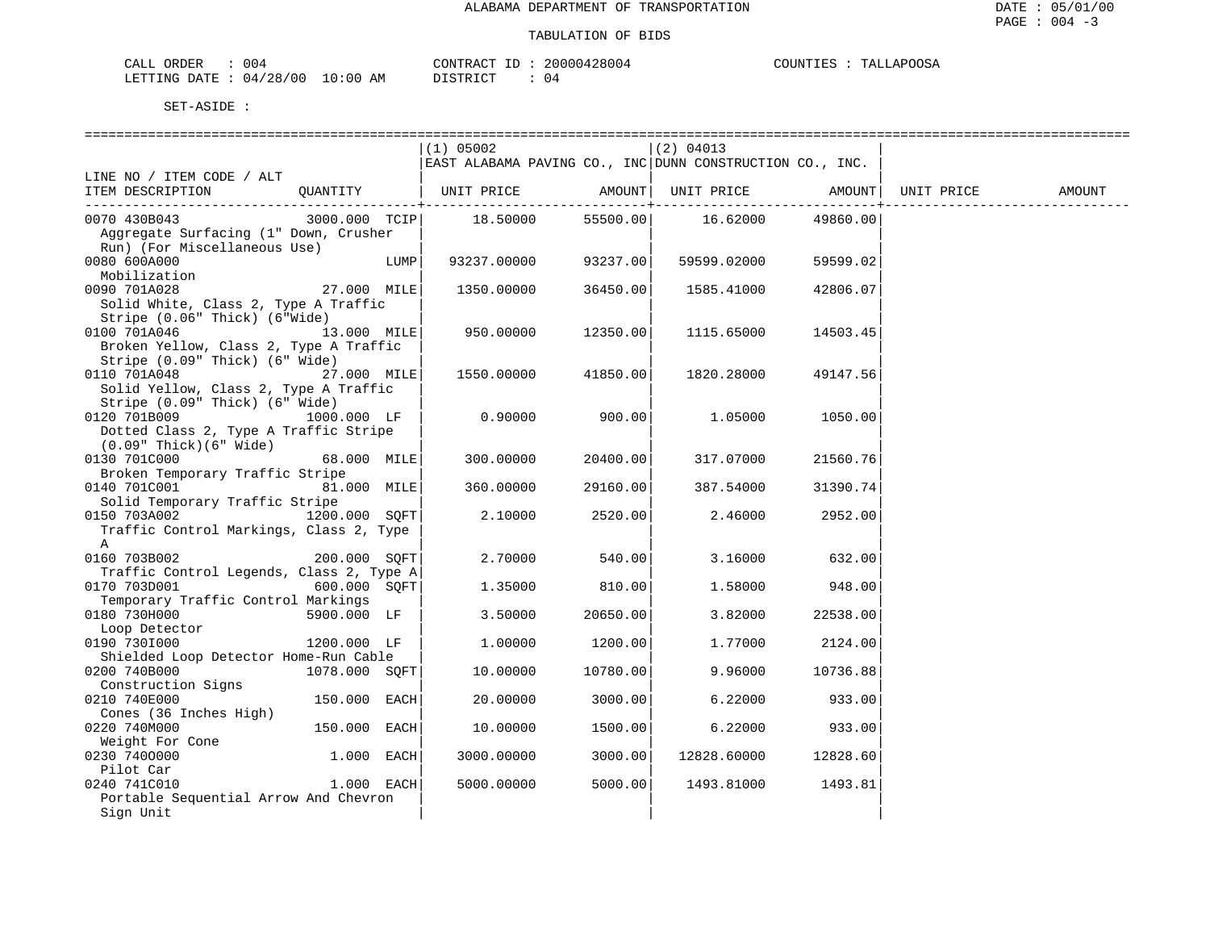| CALL ORDER       | 004                   |                       | CONTRACT ID: 20000428004 | COUNTIES | TALLAPOOSA |
|------------------|-----------------------|-----------------------|--------------------------|----------|------------|
| LETTING DATE : ' | : : 04/28/00 10:00 AM | ידי איד פידי פור<br>. | 04                       |          |            |

|                                          |               |      | $(1)$ 05002                                              |                    | (2) 04013                |                      |            |               |
|------------------------------------------|---------------|------|----------------------------------------------------------|--------------------|--------------------------|----------------------|------------|---------------|
|                                          |               |      | EAST ALABAMA PAVING CO., INC DUNN CONSTRUCTION CO., INC. |                    |                          |                      |            |               |
| LINE NO / ITEM CODE / ALT                |               |      |                                                          |                    |                          |                      |            |               |
| ITEM DESCRIPTION                         |               |      | QUANTITY   UNIT PRICE                                    |                    | AMOUNT UNIT PRICE AMOUNT |                      | UNIT PRICE | <b>AMOUNT</b> |
|                                          |               |      |                                                          | ----------+------- |                          |                      |            |               |
| 0070 430B043                             | 3000.000 TCIP |      | 18.50000                                                 |                    | 55500.00    16.62000     | 49860.00             |            |               |
| Aggregate Surfacing (1" Down, Crusher    |               |      |                                                          |                    |                          |                      |            |               |
| Run) (For Miscellaneous Use)             |               |      |                                                          |                    |                          |                      |            |               |
| 0080 600A000                             |               | LUMP | 93237.00000 93237.00                                     |                    | 59599.02000              | 59599.02             |            |               |
| Mobilization                             |               |      |                                                          |                    |                          |                      |            |               |
| 0090 701A028                             | 27.000 MILE   |      | 1350.00000                                               | 36450.00           | 1585.41000               | 42806.07             |            |               |
| Solid White, Class 2, Type A Traffic     |               |      |                                                          |                    |                          |                      |            |               |
| Stripe (0.06" Thick) (6"Wide)            |               |      |                                                          |                    |                          |                      |            |               |
| 13.000 MILE<br>0100 701A046              |               |      | 950.00000                                                | 12350.00           | 1115.65000               | 14503.45             |            |               |
| Broken Yellow, Class 2, Type A Traffic   |               |      |                                                          |                    |                          |                      |            |               |
| Stripe (0.09" Thick) (6" Wide)           |               |      |                                                          |                    |                          |                      |            |               |
| 0110 701A048                             | 27.000 MILE   |      | 1550.00000 41850.00                                      |                    | 1820.28000               | 49147.56             |            |               |
| Solid Yellow, Class 2, Type A Traffic    |               |      |                                                          |                    |                          |                      |            |               |
| Stripe (0.09" Thick) (6" Wide)           |               |      |                                                          |                    |                          |                      |            |               |
| 0120 701B009                             | 1000.000 LF   |      | $0.90000$ 900.00                                         |                    | 1.05000                  | 1050.00              |            |               |
| Dotted Class 2, Type A Traffic Stripe    |               |      |                                                          |                    |                          |                      |            |               |
| $(0.09"$ Thick $)(6"$ Wide)              |               |      |                                                          |                    |                          |                      |            |               |
| 0130 701C000                             | 68.000 MILE   |      | 300.00000                                                | 20400.00           | 317.07000                | 21560.76             |            |               |
| Broken Temporary Traffic Stripe          |               |      |                                                          |                    |                          |                      |            |               |
| 0140 701C001                             | 81.000 MILE   |      | 360.00000                                                | 29160.00           | 387.54000                | 31390.74             |            |               |
| Solid Temporary Traffic Stripe           |               |      |                                                          |                    |                          |                      |            |               |
| 0150 703A002 1200.000 SQFT               |               |      | 2.10000                                                  | 2520.00            | 2.46000                  | 2952.00              |            |               |
| Traffic Control Markings, Class 2, Type  |               |      |                                                          |                    |                          |                      |            |               |
| A                                        |               |      |                                                          |                    |                          |                      |            |               |
| 200.000 SOFT<br>0160 703B002             |               |      | 2.70000                                                  | 540.00             | 3.16000                  | 632.00               |            |               |
| Traffic Control Legends, Class 2, Type A |               |      |                                                          |                    |                          |                      |            |               |
| 0170 703D001                             | 600.000 SOFT  |      | 1.35000                                                  | 810.00             | 1.58000                  | 948.00               |            |               |
| Temporary Traffic Control Markings       |               |      |                                                          |                    |                          |                      |            |               |
| 0180 730H000                             | 5900.000 LF   |      | 3.50000                                                  | 20650.00           | 3.82000                  | 22538.00             |            |               |
| Loop Detector                            |               |      |                                                          |                    |                          |                      |            |               |
| 0190 7301000                             | 1200.000 LF   |      | 1,00000                                                  | 1200.00            | 1.77000                  | 2124.00              |            |               |
| Shielded Loop Detector Home-Run Cable    |               |      |                                                          |                    |                          |                      |            |               |
| 0200 740B000                             | 1078.000 SOFT |      | 10.00000                                                 | 10780.00           | 9.96000                  | 10736.88             |            |               |
| Construction Signs                       |               |      |                                                          |                    |                          |                      |            |               |
| 0210 740E000                             | 150.000 EACH  |      | 20.00000                                                 | 3000.00            | 6.22000                  | 933.00               |            |               |
| Cones (36 Inches High)                   |               |      |                                                          |                    |                          |                      |            |               |
| 0220 740M000                             | 150.000 EACH  |      | 10.00000                                                 | 1500.00            | 6.22000                  | 933.00               |            |               |
| Weight For Cone                          |               |      |                                                          |                    |                          |                      |            |               |
| 0230 7400000                             | 1.000 EACH    |      | 3000.00000                                               | 3000.00            |                          | 12828.60000 12828.60 |            |               |
| Pilot Car                                |               |      |                                                          |                    |                          |                      |            |               |
| 0240 741C010                             | 1.000 EACH    |      | 5000.00000                                               | 5000.00            | 1493.81000               | 1493.81              |            |               |
| Portable Sequential Arrow And Chevron    |               |      |                                                          |                    |                          |                      |            |               |
| Sign Unit                                |               |      |                                                          |                    |                          |                      |            |               |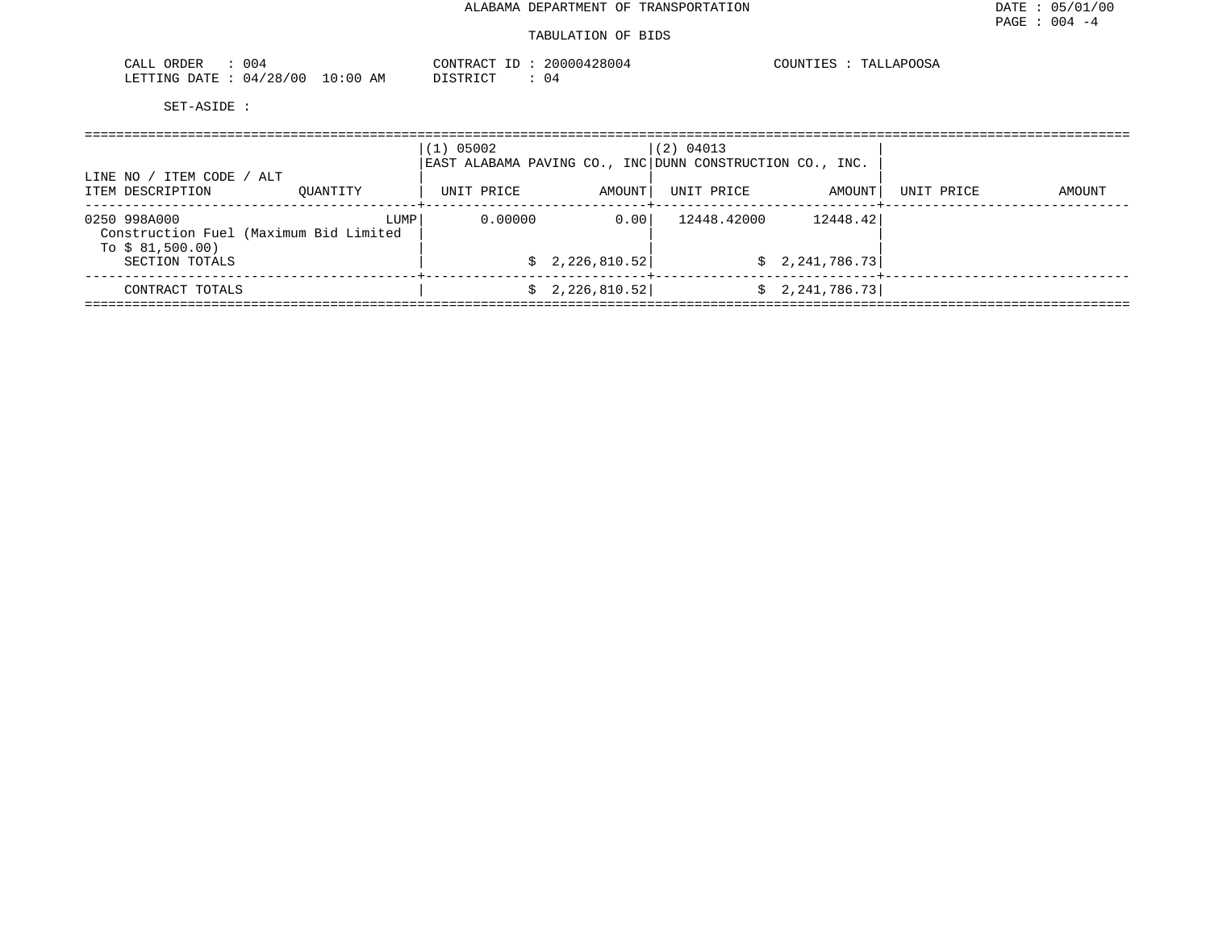## TABULATION OF BIDS

| 004<br>.<br>. I HI H<br>◡▴◟◡∸                                            | $-1$<br>ח ח ח ר<br>$\gamma$ ONTRAC<br>28004<br>- 21 1 1 1 1 1<br>. . | APOOSA<br>$\sim$ $\sim$ $\sim$<br>TNTT |
|--------------------------------------------------------------------------|----------------------------------------------------------------------|----------------------------------------|
| 100<br>100<br>LETTING<br><b>DATF</b><br>.<br>$\sqrt{2}$<br>14<br>Aľ<br>. | $T^{\prime}$<br>. ו סידים<br>∪±                                      |                                        |

| LINE NO / ITEM CODE /<br>ALT                                               | $(1)$ 05002<br>EAST ALABAMA PAVING CO., INC DUNN CONSTRUCTION CO., INC. |            | (2) 04013       |             |                 |            |        |  |
|----------------------------------------------------------------------------|-------------------------------------------------------------------------|------------|-----------------|-------------|-----------------|------------|--------|--|
| ITEM DESCRIPTION                                                           | OUANTITY                                                                | UNIT PRICE | AMOUNT          | UNIT PRICE  | AMOUNT          | UNIT PRICE | AMOUNT |  |
| 0250 998A000<br>Construction Fuel (Maximum Bid Limited<br>To $$81,500.00)$ | LUMP                                                                    | 0.00000    | 0.00            | 12448.42000 | 12448.42        |            |        |  |
| SECTION TOTALS                                                             |                                                                         |            | \$2,226,810.52] |             | \$2,241,786.73] |            |        |  |
| CONTRACT TOTALS                                                            |                                                                         |            | 2,226,810.52    |             | \$2,241,786.73] |            |        |  |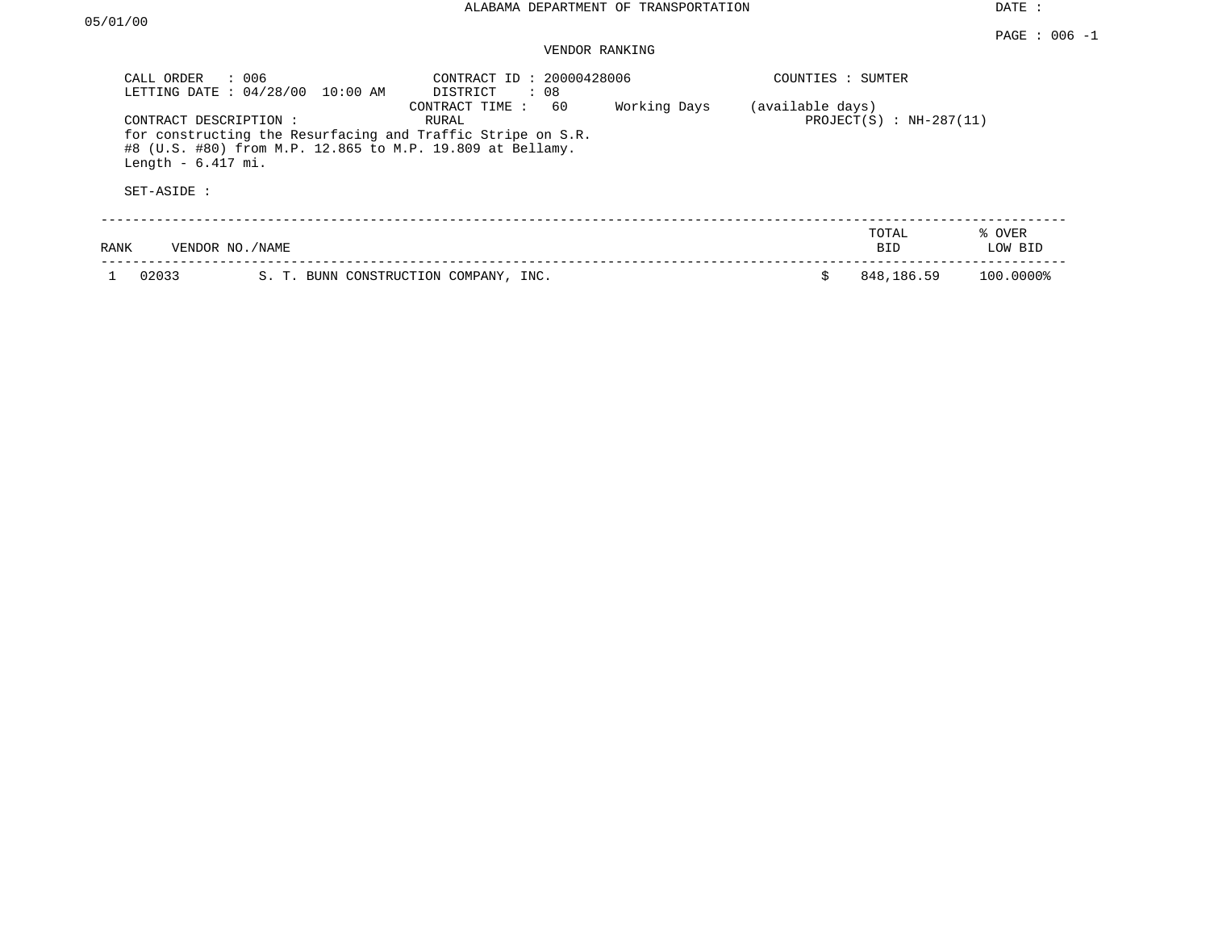## VENDOR RANKING

| CALL ORDER<br>LETTING DATE: 04/28/00                       | : 006<br>10:00 AM                                         | CONTRACT ID: 20000428006<br>DISTRICT<br>: 08                                                 |              | COUNTIES : SUMTER |                               |                   |
|------------------------------------------------------------|-----------------------------------------------------------|----------------------------------------------------------------------------------------------|--------------|-------------------|-------------------------------|-------------------|
| CONTRACT DESCRIPTION:<br>Length $-6.417$ mi.<br>SET-ASIDE: | #8 (U.S. #80) from M.P. 12.865 to M.P. 19.809 at Bellamy. | 60<br>CONTRACT TIME:<br>RURAL<br>for constructing the Resurfacing and Traffic Stripe on S.R. | Working Days | (available days)  | PROJECT $(S)$ : NH-287 $(11)$ |                   |
| RANK                                                       | VENDOR NO. / NAME                                         |                                                                                              |              |                   | TOTAL<br><b>BID</b>           | % OVER<br>LOW BID |
| 02033                                                      | S. T. BUNN CONSTRUCTION COMPANY, INC.                     |                                                                                              |              |                   | 848,186.59                    | 100.0000%         |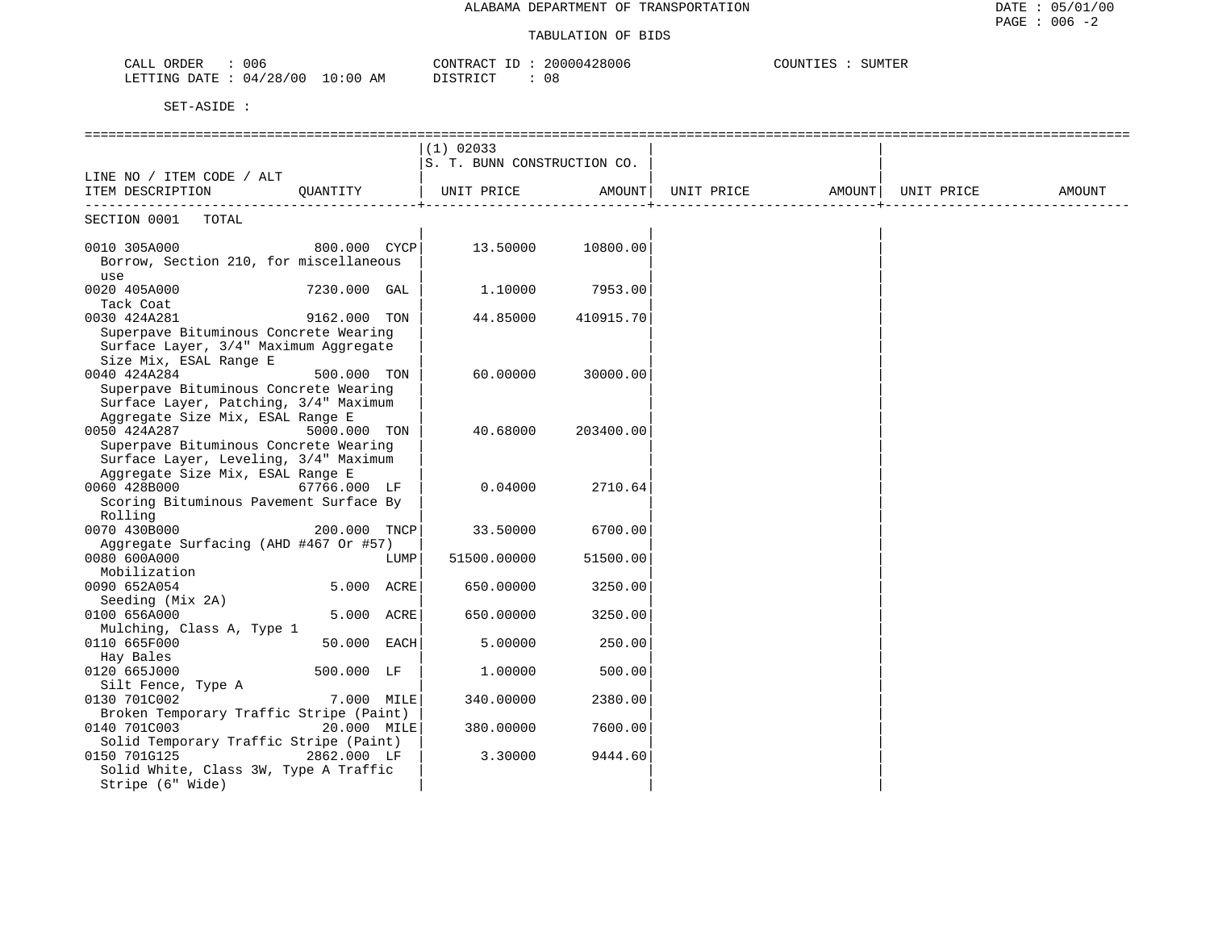### TABULATION OF BIDS

| 006<br>ותחס∩<br>ىلىدى.                                                                                                                                          | זידיז\∩י<br>$\theta$ $\theta$ $\theta$ $\theta$ $\theta$ $\theta$ $\theta$<br>28006 | C<br>SUMTER |
|-----------------------------------------------------------------------------------------------------------------------------------------------------------------|-------------------------------------------------------------------------------------|-------------|
| '28/00<br>LETTING DATE<br>10:0ს<br>AΜ<br>04.<br>the contract of the contract of the contract of the contract of the contract of the contract of the contract of | -08<br>. שי                                                                         |             |

|                                                                                                                                    |                |      | $(1)$ 02033<br>S. T. BUNN CONSTRUCTION CO. |           |                   |            |        |
|------------------------------------------------------------------------------------------------------------------------------------|----------------|------|--------------------------------------------|-----------|-------------------|------------|--------|
| LINE NO / ITEM CODE / ALT<br>ITEM DESCRIPTION                                                                                      | OUANTITY       |      | UNIT PRICE                                 | AMOUNT    | UNIT PRICE AMOUNT | UNIT PRICE | AMOUNT |
| SECTION 0001<br>TOTAL                                                                                                              |                |      |                                            |           |                   |            |        |
| 0010 305A000<br>Borrow, Section 210, for miscellaneous<br>use                                                                      | 800.000 CYCP   |      | 13.50000                                   | 10800.00  |                   |            |        |
| 0020 405A000<br>Tack Coat                                                                                                          | 7230.000 GAL   |      | 1,10000                                    | 7953.00   |                   |            |        |
| 0030 424A281<br>Superpave Bituminous Concrete Wearing<br>Surface Layer, 3/4" Maximum Aggregate<br>Size Mix, ESAL Range E           | 9162.000 TON   |      | 44.85000                                   | 410915.70 |                   |            |        |
| 0040 424A284<br>Superpave Bituminous Concrete Wearing<br>Surface Layer, Patching, 3/4" Maximum<br>Aggregate Size Mix, ESAL Range E | 500.000 TON    |      | 60,00000                                   | 30000.00  |                   |            |        |
| 0050 424A287<br>Superpave Bituminous Concrete Wearing<br>Surface Layer, Leveling, 3/4" Maximum<br>Aggregate Size Mix, ESAL Range E | 5000.000 TON   |      | 40.68000                                   | 203400.00 |                   |            |        |
| 0060 428B000<br>Scoring Bituminous Pavement Surface By<br>Rolling                                                                  | 67766.000 LF   |      | 0.04000                                    | 2710.64   |                   |            |        |
| 0070 430B000<br>Aggregate Surfacing (AHD #467 Or #57)                                                                              | 200.000 TNCP   |      | 33.50000                                   | 6700.00   |                   |            |        |
| 0080 600A000<br>Mobilization                                                                                                       |                | LUMP | 51500.00000                                | 51500.00  |                   |            |        |
| 0090 652A054<br>Seeding (Mix 2A)                                                                                                   | $5.000$ $ACRE$ |      | 650.00000                                  | 3250.00   |                   |            |        |
| 0100 656A000<br>Mulching, Class A, Type 1                                                                                          | 5.000 ACRE     |      | 650.00000                                  | 3250.00   |                   |            |        |
| 0110 665F000<br>Hay Bales                                                                                                          | $50.000$ EACH  |      | 5.00000                                    | 250.00    |                   |            |        |
| 0120 665J000<br>Silt Fence, Type A                                                                                                 | 500.000 LF     |      | 1,00000                                    | 500.00    |                   |            |        |
| 0130 701C002<br>Broken Temporary Traffic Stripe (Paint)                                                                            | 7.000 MILE     |      | 340.00000                                  | 2380.00   |                   |            |        |
| 0140 701C003                                                                                                                       | 20.000 MILE    |      | 380.00000                                  | 7600.00   |                   |            |        |
| Solid Temporary Traffic Stripe (Paint)<br>0150 701G125<br>Solid White, Class 3W, Type A Traffic<br>Stripe (6" Wide)                | 2862.000 LF    |      | 3.30000                                    | 9444.60   |                   |            |        |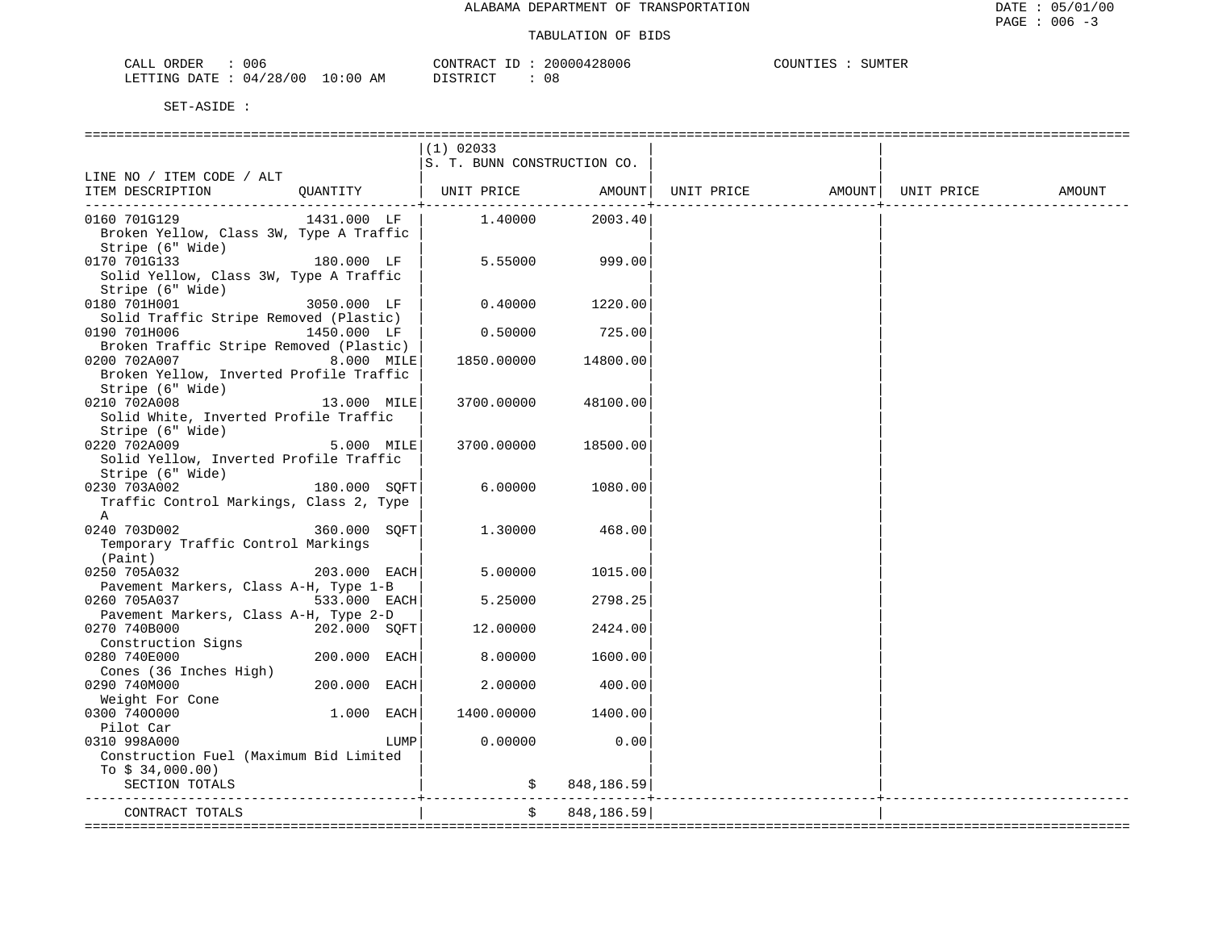| 006<br>CALI<br>ORDER                    |                           | $\sim$ $\sim$ $\sim$ | ിറ്<br>:800c | 'UMTER<br>. INT |
|-----------------------------------------|---------------------------|----------------------|--------------|-----------------|
| LETTING<br>DATE.<br>04<br>′ () (.<br>28 | ΑM<br>$: \cap$<br>$\cdot$ | $- \cap$             | UC.          |                 |

|                                         |                |              | $(1)$ 02033                                      |              |                             |  |        |
|-----------------------------------------|----------------|--------------|--------------------------------------------------|--------------|-----------------------------|--|--------|
|                                         |                |              | S. T. BUNN CONSTRUCTION CO.                      |              |                             |  |        |
| LINE NO / ITEM CODE / ALT               |                |              |                                                  |              |                             |  |        |
| ITEM DESCRIPTION                        | OUANTITY       |              | UNIT PRICE AMOUNT  UNIT PRICE AMOUNT  UNIT PRICE |              |                             |  | AMOUNT |
|                                         |                |              |                                                  |              | ___________________________ |  |        |
| 0160 701G129                            | 1431.000 LF    |              | 1.40000                                          | 2003.40      |                             |  |        |
| Broken Yellow, Class 3W, Type A Traffic |                |              |                                                  |              |                             |  |        |
| Stripe (6" Wide)                        |                |              |                                                  |              |                             |  |        |
| 0170 701G133                            | 180.000 LF     |              | 5.55000                                          | 999.00       |                             |  |        |
| Solid Yellow, Class 3W, Type A Traffic  |                |              |                                                  |              |                             |  |        |
| Stripe (6" Wide)                        |                |              |                                                  |              |                             |  |        |
| $3050.000$ LF<br>0180 701H001           |                |              | 0.40000                                          | 1220.00      |                             |  |        |
| Solid Traffic Stripe Removed (Plastic)  |                |              |                                                  |              |                             |  |        |
| 0190 701H006                            | 1450.000 LF    |              | 0.50000                                          | 725.00       |                             |  |        |
| Broken Traffic Stripe Removed (Plastic) |                |              |                                                  |              |                             |  |        |
| 0200 702A007                            | 8.000 MILE     |              | 1850.00000                                       | 14800.00     |                             |  |        |
| Broken Yellow, Inverted Profile Traffic |                |              |                                                  |              |                             |  |        |
| Stripe (6" Wide)                        |                |              |                                                  |              |                             |  |        |
| 0210 702A008                            | 13.000 MILE    |              | 3700.00000                                       | 48100.00     |                             |  |        |
| Solid White, Inverted Profile Traffic   |                |              |                                                  |              |                             |  |        |
| Stripe (6" Wide)                        |                |              |                                                  |              |                             |  |        |
| 0220 702A009                            |                | $5.000$ MILE | 3700.00000                                       | 18500.00     |                             |  |        |
| Solid Yellow, Inverted Profile Traffic  |                |              |                                                  |              |                             |  |        |
| Stripe (6" Wide)                        |                |              |                                                  |              |                             |  |        |
| 0230 703A002 180.000 SQFT               |                |              | 6.00000                                          | 1080.00      |                             |  |        |
| Traffic Control Markings, Class 2, Type |                |              |                                                  |              |                             |  |        |
| A                                       |                |              |                                                  |              |                             |  |        |
| 0240 703D002                            | $360.000$ SQFT |              | 1.30000                                          | 468.00       |                             |  |        |
| Temporary Traffic Control Markings      |                |              |                                                  |              |                             |  |        |
| (Paint)                                 |                |              |                                                  |              |                             |  |        |
| 0250 705A032                            | 203.000 EACH   |              | 5.00000                                          | 1015.00      |                             |  |        |
| Pavement Markers, Class A-H, Type 1-B   |                |              |                                                  |              |                             |  |        |
| 533.000 EACH<br>0260 705A037            |                |              | 5.25000                                          | 2798.25      |                             |  |        |
| Pavement Markers, Class A-H, Type 2-D   |                |              |                                                  |              |                             |  |        |
| 0270 740B000                            | 202.000 SQFT   |              | 12.00000                                         | 2424.00      |                             |  |        |
| Construction Signs                      |                |              |                                                  |              |                             |  |        |
| 0280 740E000                            | 200.000 EACH   |              | 8.00000                                          | 1600.00      |                             |  |        |
| Cones (36 Inches High)                  |                |              |                                                  |              |                             |  |        |
| 0290 740M000                            | 200.000 EACH   |              | 2.00000                                          | 400.00       |                             |  |        |
| Weight For Cone                         |                |              |                                                  |              |                             |  |        |
| 0300 7400000                            | $1.000$ EACH   |              | 1400.00000                                       | 1400.00      |                             |  |        |
| Pilot Car                               |                |              |                                                  |              |                             |  |        |
| 0310 998A000                            |                | LUMP         | 0.00000                                          | 0.00         |                             |  |        |
| Construction Fuel (Maximum Bid Limited  |                |              |                                                  |              |                             |  |        |
| To $$34,000.00)$                        |                |              |                                                  |              |                             |  |        |
| SECTION TOTALS                          |                |              |                                                  | \$848,186.59 |                             |  |        |
|                                         |                |              |                                                  |              |                             |  |        |
| CONTRACT TOTALS                         |                |              |                                                  | 848,186.59   |                             |  |        |
|                                         |                |              |                                                  |              |                             |  |        |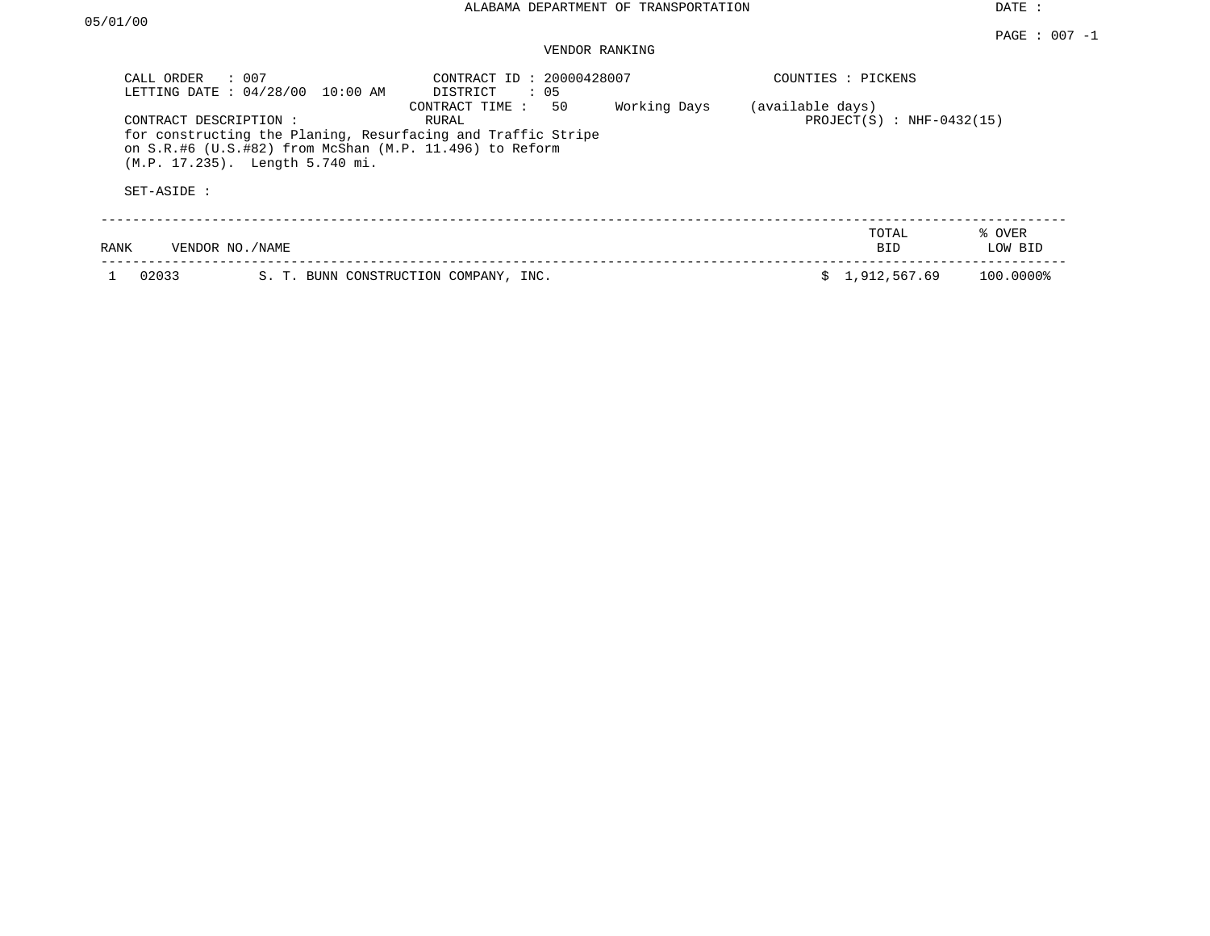# VENDOR RANKING

| CALL ORDER                          | $\therefore$ 007<br>LETTING DATE : 04/28/00 10:00 AM                                       | CONTRACT ID: 20000428007<br>$\therefore$ 05<br>DISTRICT                                       |              |                  | COUNTIES : PICKENS          |                   |
|-------------------------------------|--------------------------------------------------------------------------------------------|-----------------------------------------------------------------------------------------------|--------------|------------------|-----------------------------|-------------------|
| CONTRACT DESCRIPTION:<br>SET-ASIDE: | on S.R.#6 (U.S.#82) from McShan (M.P. 11.496) to Reform<br>(M.P. 17.235). Length 5.740 mi. | 50<br>CONTRACT TIME:<br>RURAL<br>for constructing the Planing, Resurfacing and Traffic Stripe | Working Days | (available days) | $PROJECT(S)$ : NHF-0432(15) |                   |
| RANK                                | VENDOR NO./NAME                                                                            |                                                                                               |              |                  | TOTAL<br>BID                | % OVER<br>LOW BID |
| 02033                               |                                                                                            | S. T. BUNN CONSTRUCTION COMPANY, INC.                                                         |              |                  | \$1,912,567.69              | 100.0000%         |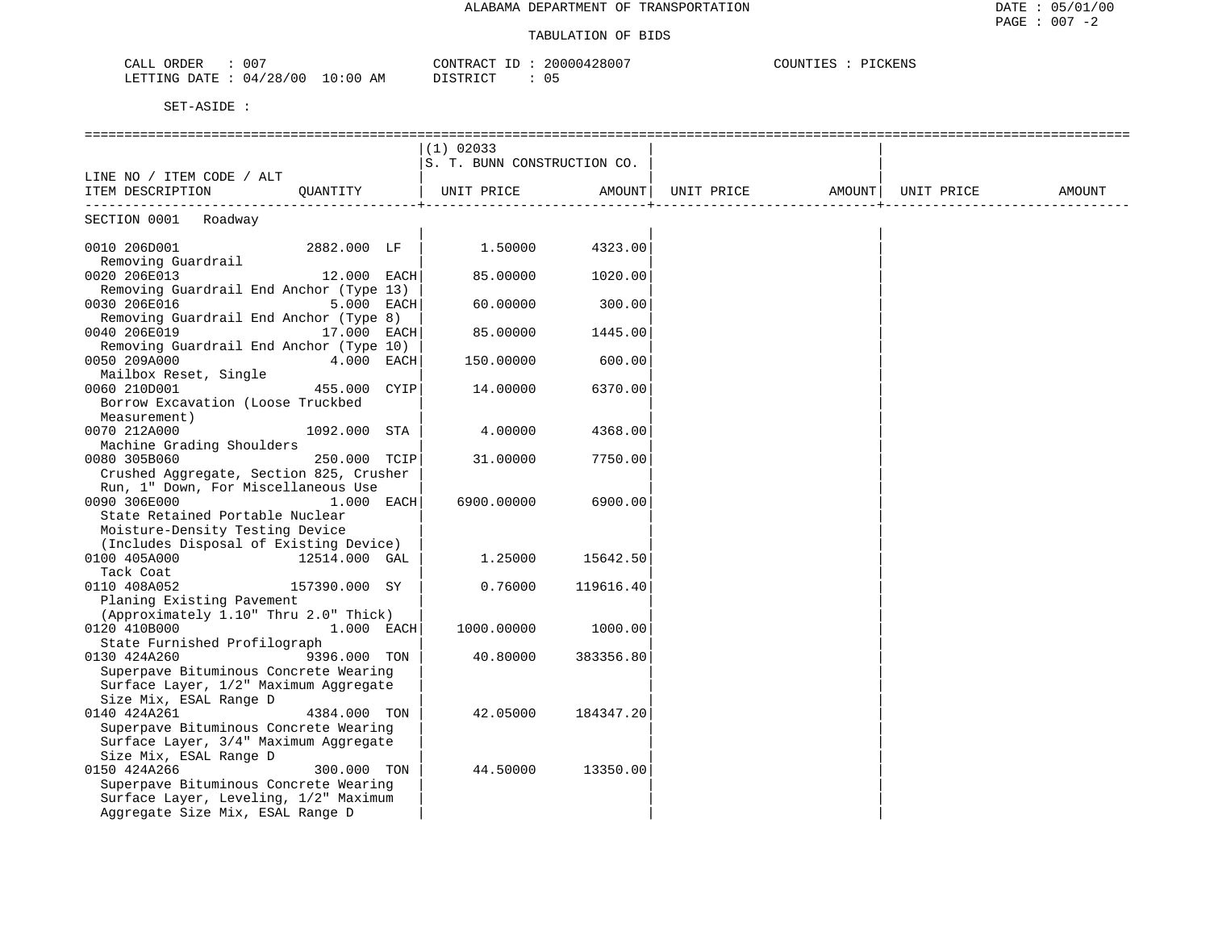| 007<br>CALL ORDER               | 20000428007<br>CONTRACT ID: | COUNTIES : PICKENS |
|---------------------------------|-----------------------------|--------------------|
| LETTING DATE: 04/28/00 10:00 AM | DISTRICT                    |                    |

|                                                                                |               |  | $(1)$ 02033                 |           |                                |  |        |
|--------------------------------------------------------------------------------|---------------|--|-----------------------------|-----------|--------------------------------|--|--------|
|                                                                                |               |  | S. T. BUNN CONSTRUCTION CO. |           |                                |  |        |
| LINE NO / ITEM CODE / ALT                                                      |               |  |                             |           |                                |  |        |
| ITEM DESCRIPTION QUANTITY                                                      |               |  | UNIT PRICE AMOUNT           |           | UNIT PRICE AMOUNT   UNIT PRICE |  | AMOUNT |
|                                                                                |               |  |                             |           | -----------------+             |  |        |
| SECTION 0001 Roadway                                                           |               |  |                             |           |                                |  |        |
| 0010 206D001                                                                   | 2882.000 LF   |  | 1.50000 4323.00             |           |                                |  |        |
| Removing Guardrail                                                             |               |  |                             |           |                                |  |        |
| 0020 206E013                                                                   | $12.000$ EACH |  | 85.00000                    | 1020.00   |                                |  |        |
| Removing Guardrail End Anchor (Type 13)                                        |               |  |                             |           |                                |  |        |
| 0030 206E016                                                                   | $5.000$ EACH  |  | 60.00000                    | 300.00    |                                |  |        |
| Removing Guardrail End Anchor (Type 8)                                         |               |  |                             |           |                                |  |        |
| 0040 206E019                                                                   | 17.000 EACH   |  | 85.00000                    | 1445.00   |                                |  |        |
| Removing Guardrail End Anchor (Type 10)                                        |               |  |                             |           |                                |  |        |
| 0050 209A000                                                                   | 4.000 EACH    |  | 150.00000                   | 600.00    |                                |  |        |
| Mailbox Reset, Single                                                          |               |  |                             |           |                                |  |        |
| 0060 210D001                                                                   | 455.000 CYIP  |  | 14.00000                    | 6370.00   |                                |  |        |
| Borrow Excavation (Loose Truckbed                                              |               |  |                             |           |                                |  |        |
|                                                                                |               |  |                             |           |                                |  |        |
| Measurement)<br>0070 212A000                                                   | 1092.000 STA  |  | 4.00000                     | 4368.00   |                                |  |        |
| Machine Grading Shoulders                                                      |               |  |                             |           |                                |  |        |
|                                                                                |               |  |                             |           |                                |  |        |
| 0080 305B060<br>Crushed Aggregate, Section 825, Crusher                        | 250.000 TCIP  |  | 31.00000                    | 7750.00   |                                |  |        |
| Run, 1" Down, For Miscellaneous Use                                            |               |  |                             |           |                                |  |        |
| 0090 306E000<br>$1.000$ EACH                                                   |               |  | 6900.00000                  | 6900.00   |                                |  |        |
| State Retained Portable Nuclear                                                |               |  |                             |           |                                |  |        |
| Moisture-Density Testing Device                                                |               |  |                             |           |                                |  |        |
| (Includes Disposal of Existing Device)                                         |               |  |                             |           |                                |  |        |
| 0100 405A000                                                                   | 12514.000 GAL |  | 1.25000                     | 15642.50  |                                |  |        |
| Tack Coat                                                                      |               |  |                             |           |                                |  |        |
| 0110 408A052                                                                   | 157390.000 SY |  | 0.76000                     | 119616.40 |                                |  |        |
| Planing Existing Pavement                                                      |               |  |                             |           |                                |  |        |
| (Approximately 1.10" Thru 2.0" Thick)                                          |               |  |                             |           |                                |  |        |
| 0120 410B000 1.000 EACH                                                        |               |  | 1000.00000                  | 1000.00   |                                |  |        |
| State Furnished Profilograph                                                   |               |  |                             |           |                                |  |        |
| 0130 424A260                                                                   | 9396.000 TON  |  | 40.80000                    | 383356.80 |                                |  |        |
|                                                                                |               |  |                             |           |                                |  |        |
| Superpave Bituminous Concrete Wearing<br>Surface Layer, 1/2" Maximum Aggregate |               |  |                             |           |                                |  |        |
| Size Mix, ESAL Range D                                                         |               |  |                             |           |                                |  |        |
| 0140 424A261                                                                   | 4384.000 TON  |  | 42.05000                    | 184347.20 |                                |  |        |
| Superpave Bituminous Concrete Wearing                                          |               |  |                             |           |                                |  |        |
| Surface Layer, 3/4" Maximum Aggregate                                          |               |  |                             |           |                                |  |        |
| Size Mix, ESAL Range D                                                         |               |  |                             |           |                                |  |        |
| 0150 424A266                                                                   | 300.000 TON   |  | 44.50000                    | 13350.00  |                                |  |        |
| Superpave Bituminous Concrete Wearing                                          |               |  |                             |           |                                |  |        |
| Surface Layer, Leveling, 1/2" Maximum                                          |               |  |                             |           |                                |  |        |
| Aggregate Size Mix, ESAL Range D                                               |               |  |                             |           |                                |  |        |
|                                                                                |               |  |                             |           |                                |  |        |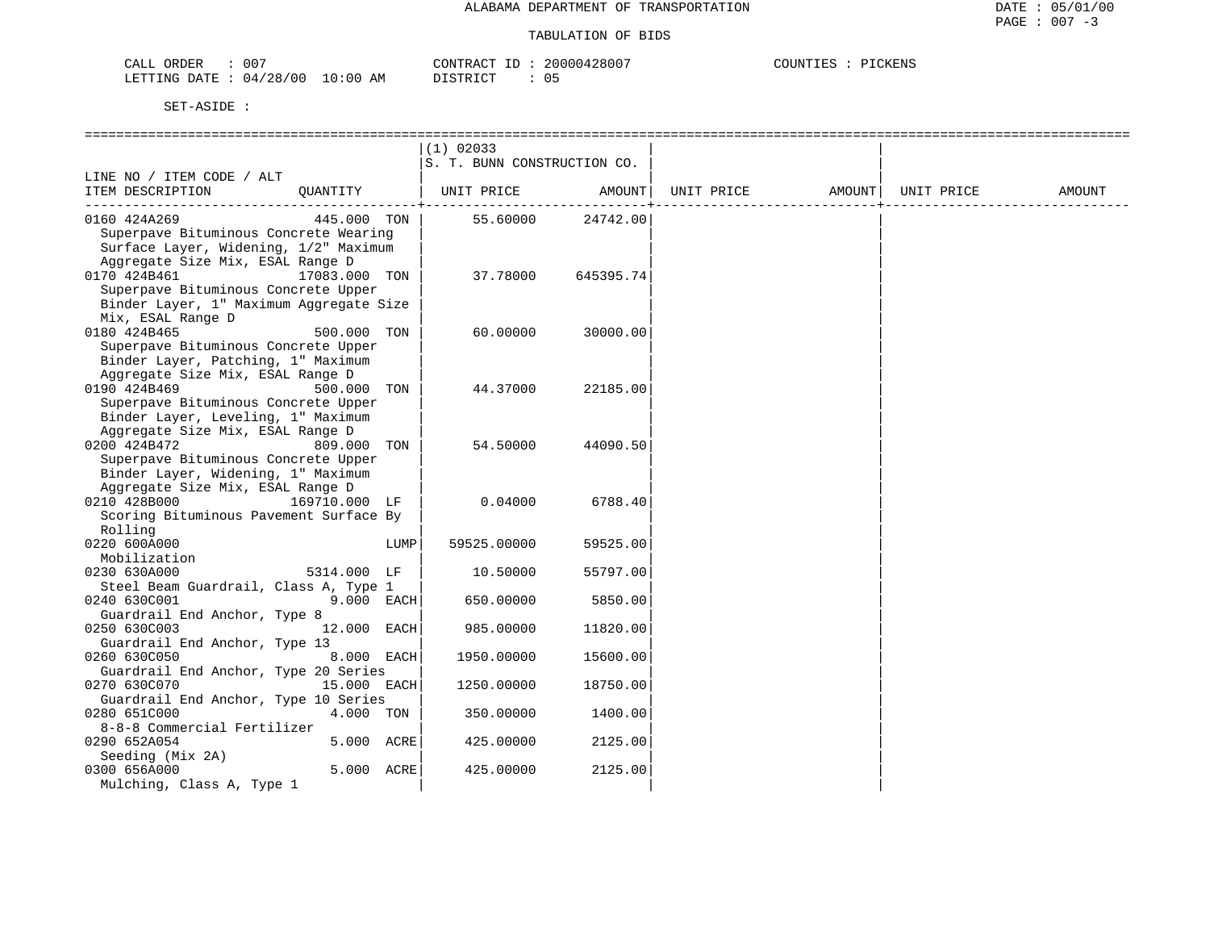| 007<br>CALL<br>ORDER               |                  | 20000<br>CONTF<br>$\sim$ $\sim$ $\sim$ $\sim$ $\sim$ | "KENS<br>$\gamma$ otint $\gamma$ . |
|------------------------------------|------------------|------------------------------------------------------|------------------------------------|
| /28/00<br>LETTING<br>DATE.<br>(14) | 10:00<br>ΆM<br>. | ד פידי אדר<br>— ∪                                    |                                    |

|                                                                                                                                    |                           | $(1)$ 02033<br>S. T. BUNN CONSTRUCTION CO. |                      |            |        |            |        |
|------------------------------------------------------------------------------------------------------------------------------------|---------------------------|--------------------------------------------|----------------------|------------|--------|------------|--------|
| LINE NO / ITEM CODE / ALT<br>ITEM DESCRIPTION                                                                                      | QUANTITY                  | UNIT PRICE AMOUNT                          |                      | UNIT PRICE | AMOUNT | UNIT PRICE | AMOUNT |
| 0160 424A269<br>Superpave Bituminous Concrete Wearing<br>Surface Layer, Widening, 1/2" Maximum<br>Aggregate Size Mix, ESAL Range D | 445.000 TON               |                                            | 55.60000 24742.00    |            |        |            |        |
| 0170 424B461<br>Superpave Bituminous Concrete Upper<br>Binder Layer, 1" Maximum Aggregate Size<br>Mix, ESAL Range D                | 17083.000 TON             | 37.78000                                   | 645395.74            |            |        |            |        |
| 0180 424B465<br>Superpave Bituminous Concrete Upper<br>Binder Layer, Patching, 1" Maximum<br>Aggregate Size Mix, ESAL Range D      | 500.000 TON               | 60.00000                                   | 30000.00             |            |        |            |        |
| 0190 424B469<br>Superpave Bituminous Concrete Upper<br>Binder Layer, Leveling, 1" Maximum<br>Aggregate Size Mix, ESAL Range D      | 500.000 TON               | 44.37000                                   | 22185.00             |            |        |            |        |
| 0200 424B472<br>Superpave Bituminous Concrete Upper<br>Binder Layer, Widening, 1" Maximum<br>Aggregate Size Mix, ESAL Range D      | 809.000 TON               | 54.50000                                   | 44090.50             |            |        |            |        |
| 0210 428B000<br>Scoring Bituminous Pavement Surface By<br>Rolling                                                                  | 169710.000 LF             | 0.04000                                    | 6788.40              |            |        |            |        |
| 0220 600A000<br>Mobilization                                                                                                       | LUMP                      | 59525.00000                                | 59525.00             |            |        |            |        |
| 0230 630A000<br>Steel Beam Guardrail, Class A, Type 1                                                                              | 5314.000 LF               | 10.50000                                   | 55797.00             |            |        |            |        |
| 0240 630C001<br>Guardrail End Anchor, Type 8                                                                                       | 9.000 EACH                | 650.00000                                  | 5850.00              |            |        |            |        |
| 0250 630C003<br>Guardrail End Anchor, Type 13                                                                                      | 12.000 EACH               | 985.00000                                  | 11820.00             |            |        |            |        |
| 0260 630C050<br>Guardrail End Anchor, Type 20 Series<br>0270 630C070                                                               | 8.000 EACH<br>15.000 EACH | 1950.00000<br>1250.00000                   | 15600.00<br>18750.00 |            |        |            |        |
| Guardrail End Anchor, Type 10 Series<br>0280 651C000                                                                               | 4.000 TON                 | 350.00000                                  | 1400.00              |            |        |            |        |
| 8-8-8 Commercial Fertilizer<br>0290 652A054                                                                                        | 5.000 ACRE                | 425.00000                                  | 2125.00              |            |        |            |        |
| Seeding (Mix 2A)<br>0300 656A000<br>Mulching, Class A, Type 1                                                                      | 5.000 ACRE                | 425.00000                                  | 2125.00              |            |        |            |        |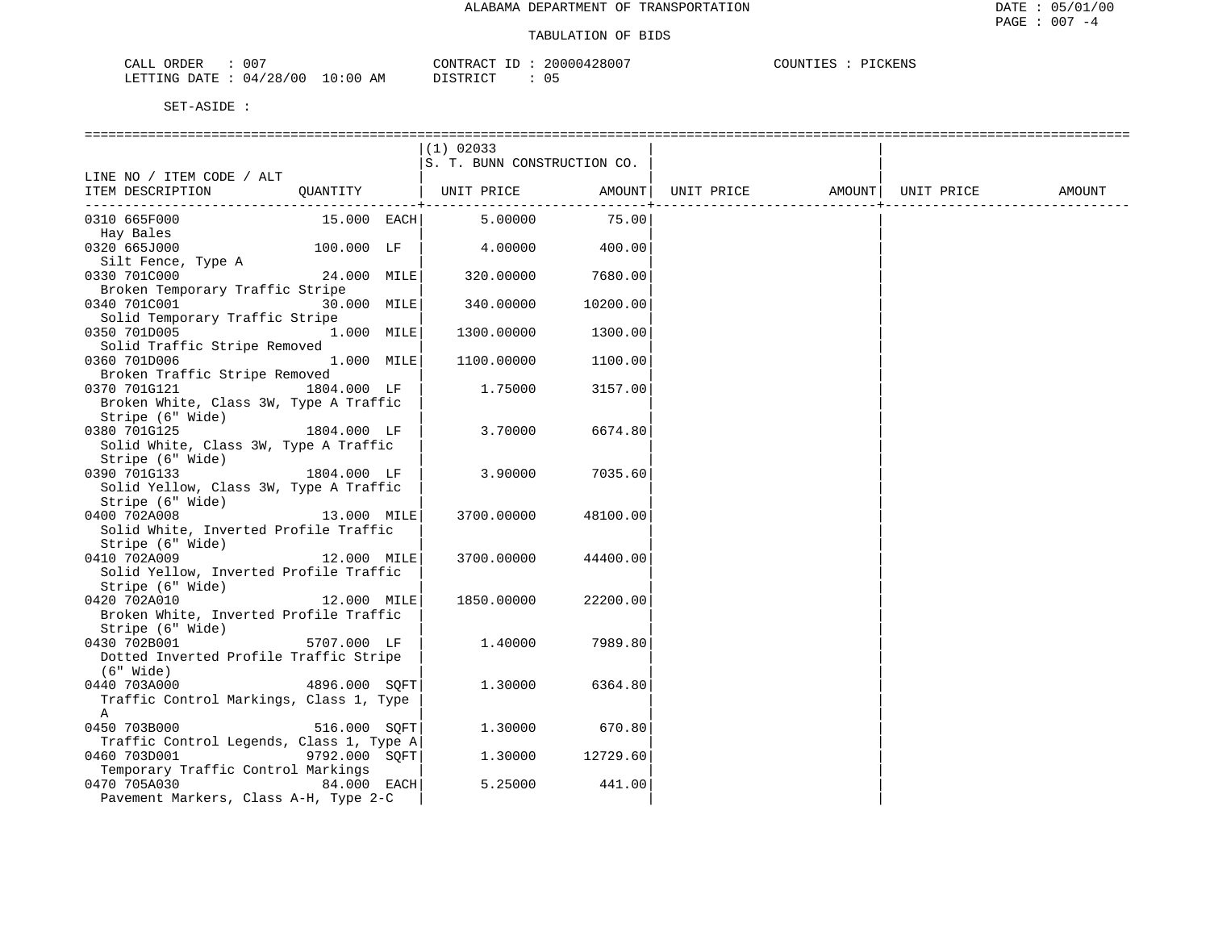| 007<br>ORDER<br>CALL       | CONTRACT               | 20000428007 | COUNTIES<br>PICKENS |
|----------------------------|------------------------|-------------|---------------------|
| 04/28/00<br>LETTING DATE : | $10:00$ AM<br>DISTRICT | - U 5       |                     |

|                                                          |               | $(1)$ 02033                 |          |            |                    |        |
|----------------------------------------------------------|---------------|-----------------------------|----------|------------|--------------------|--------|
|                                                          |               | S. T. BUNN CONSTRUCTION CO. |          |            |                    |        |
| LINE NO / ITEM CODE / ALT                                |               |                             |          |            |                    |        |
| ITEM DESCRIPTION QUANTITY   UNIT PRICE AMOUNT            |               |                             |          | UNIT PRICE | AMOUNT  UNIT PRICE | AMOUNT |
| 0310 665F000                                             | 15.000 EACH   | 5.00000                     | 75.00    |            |                    |        |
| Hay Bales                                                |               |                             |          |            |                    |        |
| 0320 665J000                                             | 100.000 LF    | 4.00000                     | 400.00   |            |                    |        |
| Silt Fence, Type A                                       |               |                             |          |            |                    |        |
| 0330 701C000                                             | 24.000 MILE   | 320.00000                   | 7680.00  |            |                    |        |
| Broken Temporary Traffic Stripe                          |               |                             |          |            |                    |        |
| 0340 701C001                                             | 30.000 MILE   | 340.00000                   | 10200.00 |            |                    |        |
| Solid Temporary Traffic Stripe                           |               |                             |          |            |                    |        |
| 0350 701D005<br>Solid Traffic Stripe Removed             | 1.000 MILE    | 1300.00000                  | 1300.00  |            |                    |        |
| 0360 701D006                                             | 1.000 MILE    | 1100.00000                  | 1100.00  |            |                    |        |
| Broken Traffic Stripe Removed                            |               |                             |          |            |                    |        |
| 0370 701G121                                             | 1804.000 LF   | 1.75000                     | 3157.00  |            |                    |        |
| Broken White, Class 3W, Type A Traffic                   |               |                             |          |            |                    |        |
| Stripe (6" Wide)                                         |               |                             |          |            |                    |        |
| 0380 701G125                                             | 1804.000 LF   | 3.70000                     | 6674.80  |            |                    |        |
| Solid White, Class 3W, Type A Traffic                    |               |                             |          |            |                    |        |
| Stripe (6" Wide)                                         |               |                             |          |            |                    |        |
| 0390 701G133                                             | 1804.000 LF   | 3.90000                     | 7035.60  |            |                    |        |
| Solid Yellow, Class 3W, Type A Traffic                   |               |                             |          |            |                    |        |
| Stripe (6" Wide)                                         |               |                             |          |            |                    |        |
| 0400 702A008                                             | 13.000 MILE   | 3700.00000                  | 48100.00 |            |                    |        |
| Solid White, Inverted Profile Traffic                    |               |                             |          |            |                    |        |
| Stripe (6" Wide)<br>0410 702A009                         | 12.000 MILE   | 3700.00000                  | 44400.00 |            |                    |        |
| Solid Yellow, Inverted Profile Traffic                   |               |                             |          |            |                    |        |
| Stripe (6" Wide)                                         |               |                             |          |            |                    |        |
| 0420 702A010                                             | 12.000 MILE   | 1850.00000                  | 22200.00 |            |                    |        |
| Broken White, Inverted Profile Traffic                   |               |                             |          |            |                    |        |
| Stripe (6" Wide)                                         |               |                             |          |            |                    |        |
| 5707.000 LF<br>0430 702B001                              |               | 1.40000                     | 7989.80  |            |                    |        |
| Dotted Inverted Profile Traffic Stripe                   |               |                             |          |            |                    |        |
| (6" Wide)                                                |               |                             |          |            |                    |        |
| 0440 703A000                                             | 4896.000 SOFT | 1,30000                     | 6364.80  |            |                    |        |
| Traffic Control Markings, Class 1, Type                  |               |                             |          |            |                    |        |
| A                                                        |               |                             |          |            |                    |        |
| 0450 703B000                                             | 516.000 SOFT  | 1,30000                     | 670.80   |            |                    |        |
| Traffic Control Legends, Class 1, Type A<br>0460 703D001 | 9792.000 SQFT | 1.30000                     |          |            |                    |        |
| Temporary Traffic Control Markings                       |               |                             | 12729.60 |            |                    |        |
| 84.000 EACH<br>0470 705A030                              |               | 5.25000                     | 441.00   |            |                    |        |
| Pavement Markers, Class A-H, Type 2-C                    |               |                             |          |            |                    |        |
|                                                          |               |                             |          |            |                    |        |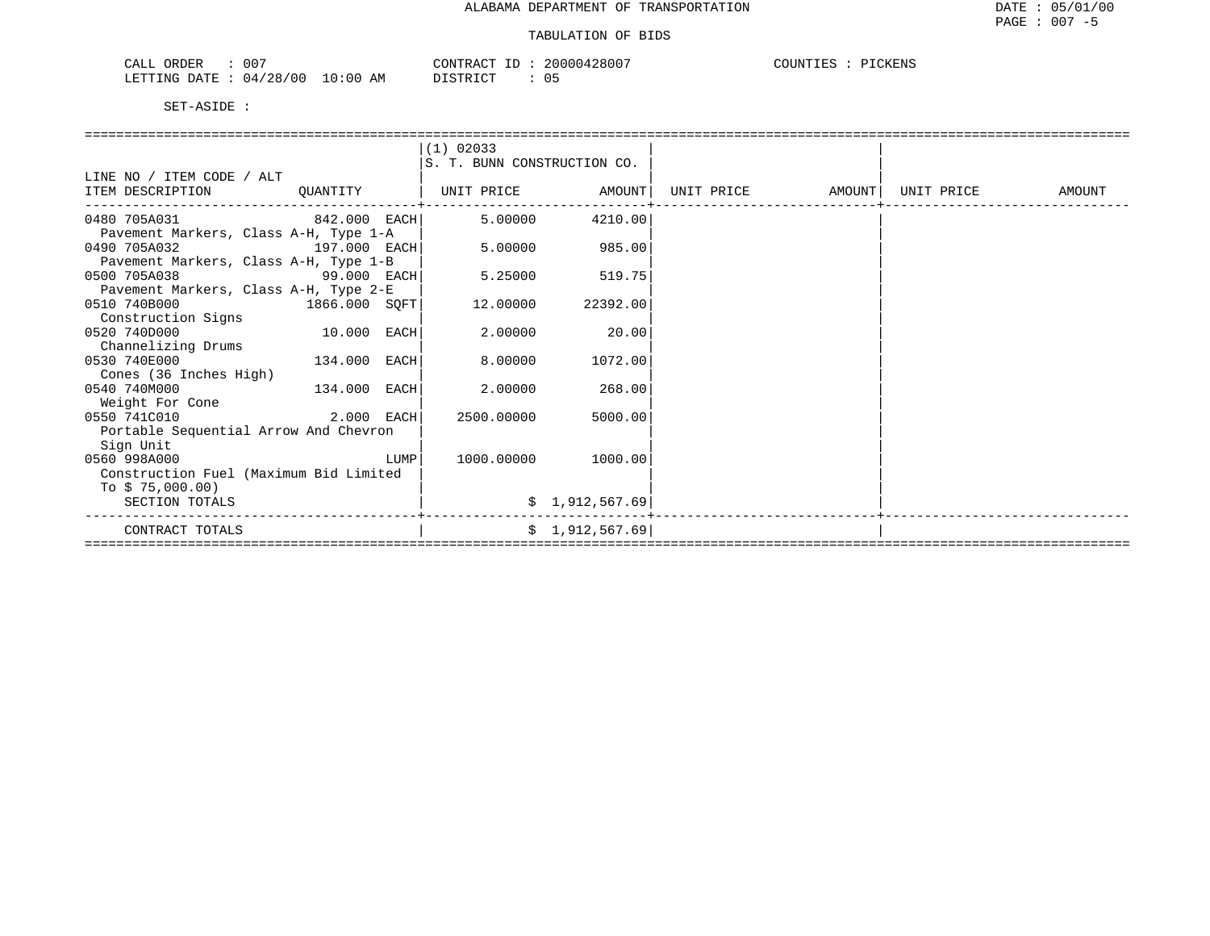| 00 <sup>7</sup><br>CALL ORDER |            | CONTRACT ID<br>- 1 D | 20000428007       | PICKENS<br>COUNTIES |
|-------------------------------|------------|----------------------|-------------------|---------------------|
| LETTING DATE: 04/28/00        | $10:00$ AM | DISTRICT             | $\sim$ $-$<br>U 5 |                     |

|                                        |               |      | $(1)$ 02033                 |                 |                   |            |        |
|----------------------------------------|---------------|------|-----------------------------|-----------------|-------------------|------------|--------|
|                                        |               |      | S. T. BUNN CONSTRUCTION CO. |                 |                   |            |        |
| LINE NO / ITEM CODE / ALT              |               |      |                             |                 |                   |            |        |
| ITEM DESCRIPTION                       | QUANTITY      |      | UNIT PRICE AMOUNT           |                 | UNIT PRICE AMOUNT | UNIT PRICE | AMOUNT |
| $842.000$ EACH<br>0480 705A031         |               |      | 5,00000                     | 4210.00         |                   |            |        |
| Pavement Markers, Class A-H, Type 1-A  |               |      |                             |                 |                   |            |        |
| 0490 705A032<br>197.000 EACH           |               |      | 5.00000                     | 985.00          |                   |            |        |
| Pavement Markers, Class A-H, Type 1-B  |               |      |                             |                 |                   |            |        |
| 0500 705A038<br><b>99.000 EACH</b>     |               |      | 5.25000                     | 519.75          |                   |            |        |
| Pavement Markers, Class A-H, Type 2-E  |               |      |                             |                 |                   |            |        |
| 0510 740B000                           | 1866.000 SOFT |      | 12.00000                    | 22392.00        |                   |            |        |
| Construction Signs                     |               |      |                             |                 |                   |            |        |
| 0520 740D000                           | $10.000$ EACH |      | 2.00000                     | 20.00           |                   |            |        |
| Channelizing Drums                     |               |      |                             |                 |                   |            |        |
| 0530 740E000                           | 134.000 EACH  |      | 8.00000                     | 1072.00         |                   |            |        |
| Cones (36 Inches High)                 |               |      |                             |                 |                   |            |        |
| 0540 740M000                           | 134.000 EACH  |      | 2.00000                     | 268.00          |                   |            |        |
| Weight For Cone                        |               |      |                             |                 |                   |            |        |
| $2.000$ EACH<br>0550 741C010           |               |      | 2500.00000                  | 5000.00         |                   |            |        |
| Portable Sequential Arrow And Chevron  |               |      |                             |                 |                   |            |        |
| Sign Unit                              |               |      |                             |                 |                   |            |        |
| 0560 998A000                           |               | LUMP | 1000.00000                  | 1000.00         |                   |            |        |
| Construction Fuel (Maximum Bid Limited |               |      |                             |                 |                   |            |        |
| To $$75,000.00)$                       |               |      |                             |                 |                   |            |        |
| SECTION TOTALS                         |               |      |                             | \$1,912,567.69  |                   |            |        |
| CONTRACT TOTALS                        |               |      |                             | \$1,912,567.69] |                   |            |        |
|                                        |               |      |                             |                 |                   |            |        |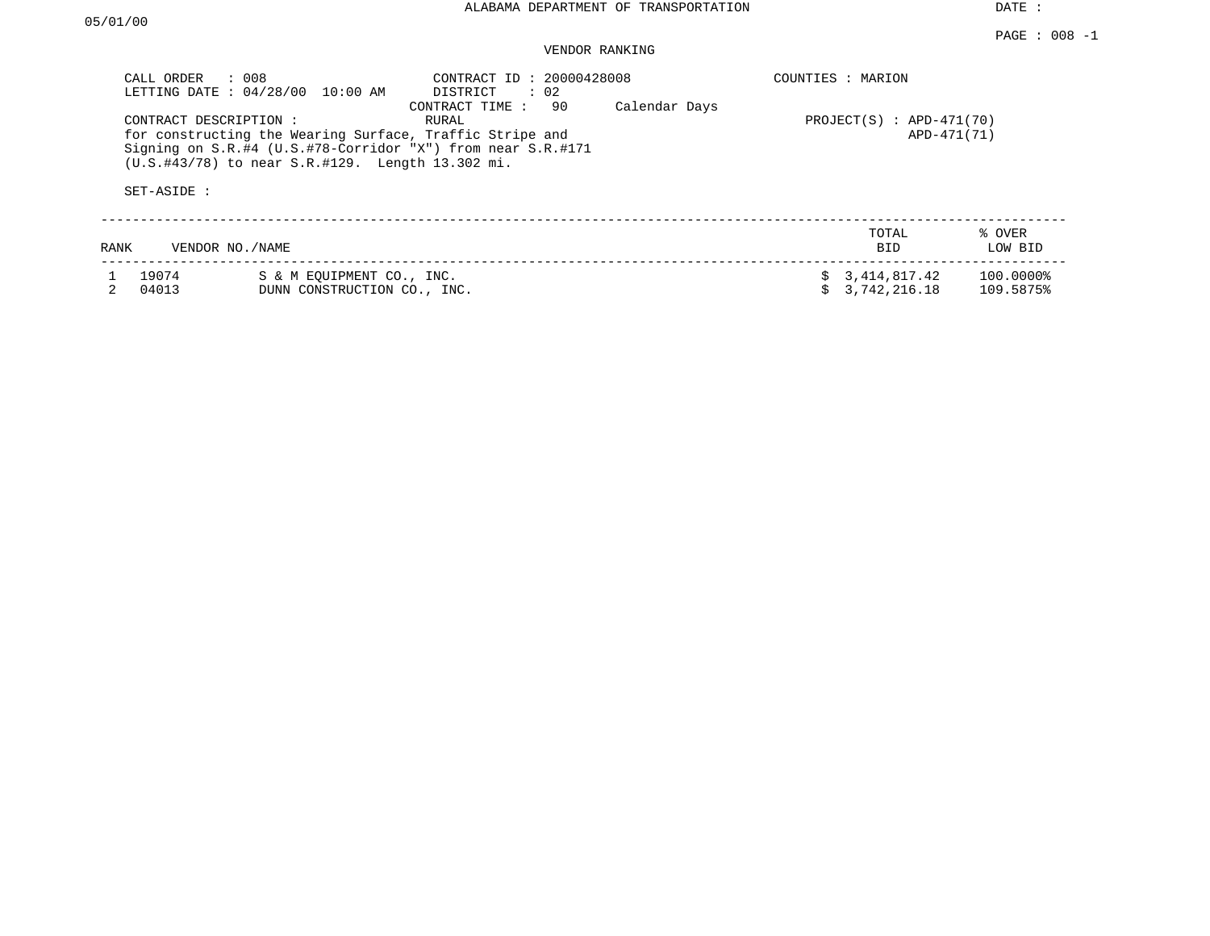# VENDOR RANKING

| CALL ORDER<br>LETTING DATE: 04/28/00<br>CONTRACT DESCRIPTION:<br>SET-ASIDE : | : 008<br>10:00 AM<br>for constructing the Wearing Surface, Traffic Stripe and<br>Signing on $S.R. #4$ (U.S.#78-Corridor "X") from near $S.R.#171$<br>$(U.S. #43/78)$ to near $S.R. #129$ . Length 13.302 mi. | Calendar Days | COUNTIES : MARION<br>$PROJECT(S)$ : APD-471(70)<br>APD-471(71) |                                               |                                             |
|------------------------------------------------------------------------------|--------------------------------------------------------------------------------------------------------------------------------------------------------------------------------------------------------------|---------------|----------------------------------------------------------------|-----------------------------------------------|---------------------------------------------|
| RANK<br>19074<br>04013                                                       | VENDOR NO./NAME<br>S & M EOUIPMENT CO., INC.<br>DUNN CONSTRUCTION CO., INC.                                                                                                                                  |               |                                                                | TOTAL<br>BID.<br>3,414,817.42<br>3,742,216.18 | % OVER<br>LOW BID<br>100.0000%<br>109.5875% |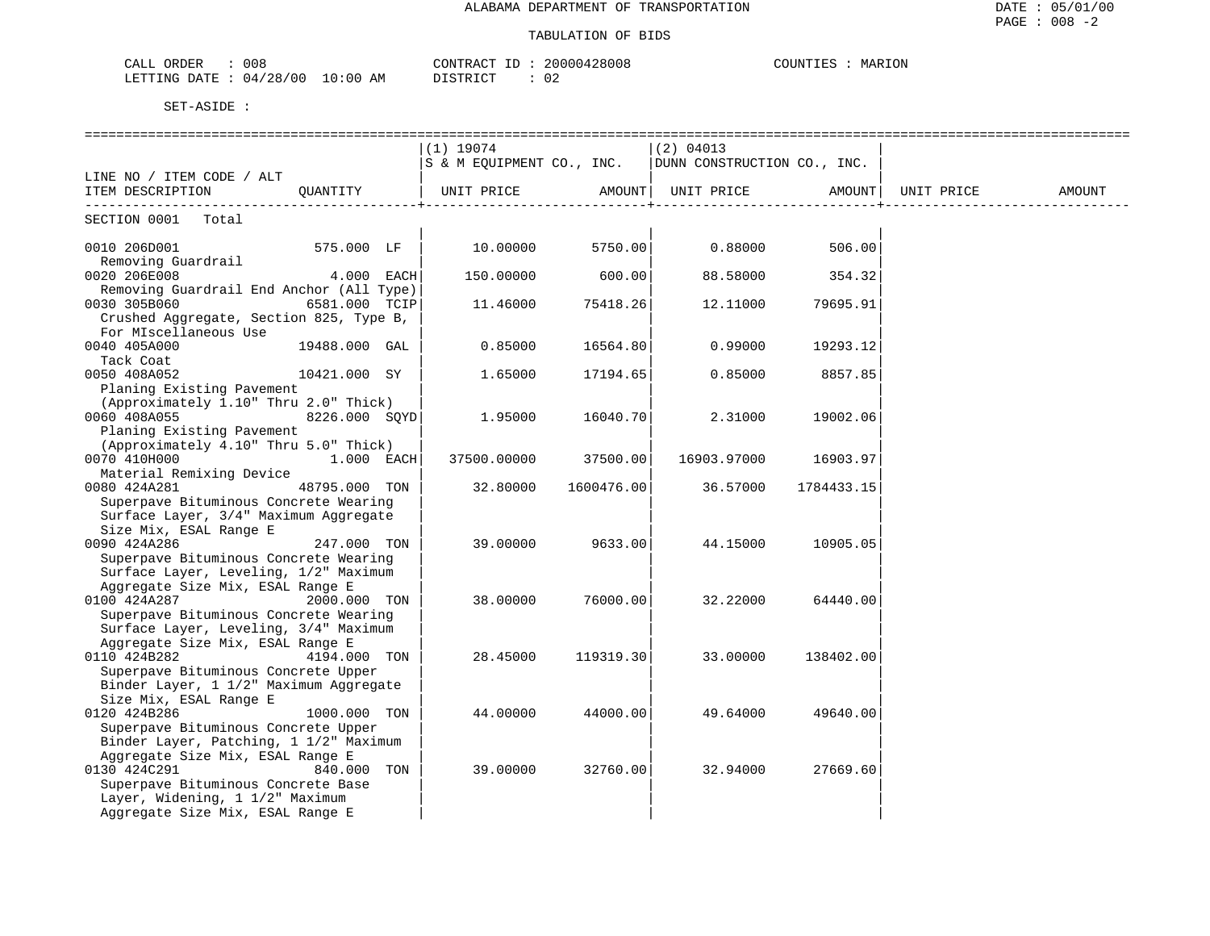| 008<br>ORDER<br>CALL       | CONTRACT ID            |    | 20000428008 | COUNTIES<br>MARION |
|----------------------------|------------------------|----|-------------|--------------------|
| : 04/28/00<br>LETTING DATE | $10:00$ AM<br>DISTRICT | 02 |             |                    |

|                                                                          | $(1)$ 19074 |                              | $ (2)$ 04013                                            |                               |            |        |
|--------------------------------------------------------------------------|-------------|------------------------------|---------------------------------------------------------|-------------------------------|------------|--------|
|                                                                          |             |                              | S & M EQUIPMENT CO., INC.   DUNN CONSTRUCTION CO., INC. |                               |            |        |
| LINE NO / ITEM CODE / ALT                                                |             |                              | UNIT PRICE AMOUNT   UNIT PRICE AMOUNT                   |                               | UNIT PRICE | AMOUNT |
| ITEM DESCRIPTION QUANTITY                                                |             | ---------------------------- |                                                         | _____________________________ |            |        |
| SECTION 0001 Total                                                       |             |                              |                                                         |                               |            |        |
| 575.000 LF  <br>0010 206D001                                             | 10.00000    | 5750.00                      | 0.88000                                                 | 506.00                        |            |        |
| Removing Guardrail                                                       |             |                              |                                                         |                               |            |        |
| 0020 206E008<br>$4.000$ EACH<br>Removing Guardrail End Anchor (All Type) | 150.00000   | 600.00                       | 88.58000                                                | 354.32                        |            |        |
| 0030 305B060<br>6581.000 TCIP                                            | 11.46000    | 75418.26                     | 12.11000                                                | 79695.91                      |            |        |
| Crushed Aggregate, Section 825, Type B,                                  |             |                              |                                                         |                               |            |        |
| For MIscellaneous Use                                                    |             |                              |                                                         |                               |            |        |
| 0040 405A000<br>19488.000 GAL                                            | 0.85000     | 16564.80                     | 0.99000                                                 | 19293.12                      |            |        |
| Tack Coat                                                                |             |                              |                                                         |                               |            |        |
| 10421.000 SY<br>0050 408A052                                             | 1.65000     | 17194.65                     | 0.85000                                                 | 8857.85                       |            |        |
| Planing Existing Pavement                                                |             |                              |                                                         |                               |            |        |
| (Approximately 1.10" Thru 2.0" Thick)                                    |             |                              |                                                         |                               |            |        |
| 0060 408A055<br>8226.000 SQYD                                            | 1.95000     | 16040.70                     | 2.31000                                                 | 19002.06                      |            |        |
| Planing Existing Pavement                                                |             |                              |                                                         |                               |            |        |
| (Approximately 4.10" Thru 5.0" Thick)                                    |             |                              |                                                         |                               |            |        |
| 0070 410H000<br>$1.000$ EACH<br>Material Remixing Device                 | 37500.00000 | 37500.00                     | 16903.97000                                             | 16903.97                      |            |        |
| 0080 424A281<br>48795.000 TON                                            | 32.80000    | 1600476.00                   | 36.57000                                                | 1784433.15                    |            |        |
| Superpave Bituminous Concrete Wearing                                    |             |                              |                                                         |                               |            |        |
| Surface Layer, 3/4" Maximum Aggregate                                    |             |                              |                                                         |                               |            |        |
| Size Mix, ESAL Range E                                                   |             |                              |                                                         |                               |            |        |
| 0090 424A286<br>247.000 TON                                              | 39.00000    | 9633.00                      | 44.15000                                                | 10905.05                      |            |        |
| Superpave Bituminous Concrete Wearing                                    |             |                              |                                                         |                               |            |        |
| Surface Layer, Leveling, 1/2" Maximum                                    |             |                              |                                                         |                               |            |        |
| Aggregate Size Mix, ESAL Range E                                         |             |                              |                                                         |                               |            |        |
| 0100 424A287<br>2000.000 TON                                             | 38.00000    | 76000.00                     | 32.22000                                                | 64440.00                      |            |        |
| Superpave Bituminous Concrete Wearing                                    |             |                              |                                                         |                               |            |        |
| Surface Layer, Leveling, 3/4" Maximum                                    |             |                              |                                                         |                               |            |        |
| Aggregate Size Mix, ESAL Range E<br>0110 424B282<br>4194.000 TON         | 28.45000    | 119319.30                    | 33.00000                                                | 138402.00                     |            |        |
| Superpave Bituminous Concrete Upper                                      |             |                              |                                                         |                               |            |        |
| Binder Layer, 1 1/2" Maximum Aggregate                                   |             |                              |                                                         |                               |            |        |
| Size Mix, ESAL Range E                                                   |             |                              |                                                         |                               |            |        |
| 0120 424B286<br>1000.000 TON                                             | 44.00000    | 44000.00                     | 49.64000                                                | 49640.00                      |            |        |
| Superpave Bituminous Concrete Upper                                      |             |                              |                                                         |                               |            |        |
| Binder Layer, Patching, 1 1/2" Maximum                                   |             |                              |                                                         |                               |            |        |
| Aggregate Size Mix, ESAL Range E                                         |             |                              |                                                         |                               |            |        |
| 840.000 TON<br>0130 424C291                                              | 39.00000    | 32760.00                     | 32.94000                                                | 27669.60                      |            |        |
| Superpave Bituminous Concrete Base                                       |             |                              |                                                         |                               |            |        |
| Layer, Widening, 1 1/2" Maximum                                          |             |                              |                                                         |                               |            |        |
| Aggregate Size Mix, ESAL Range E                                         |             |                              |                                                         |                               |            |        |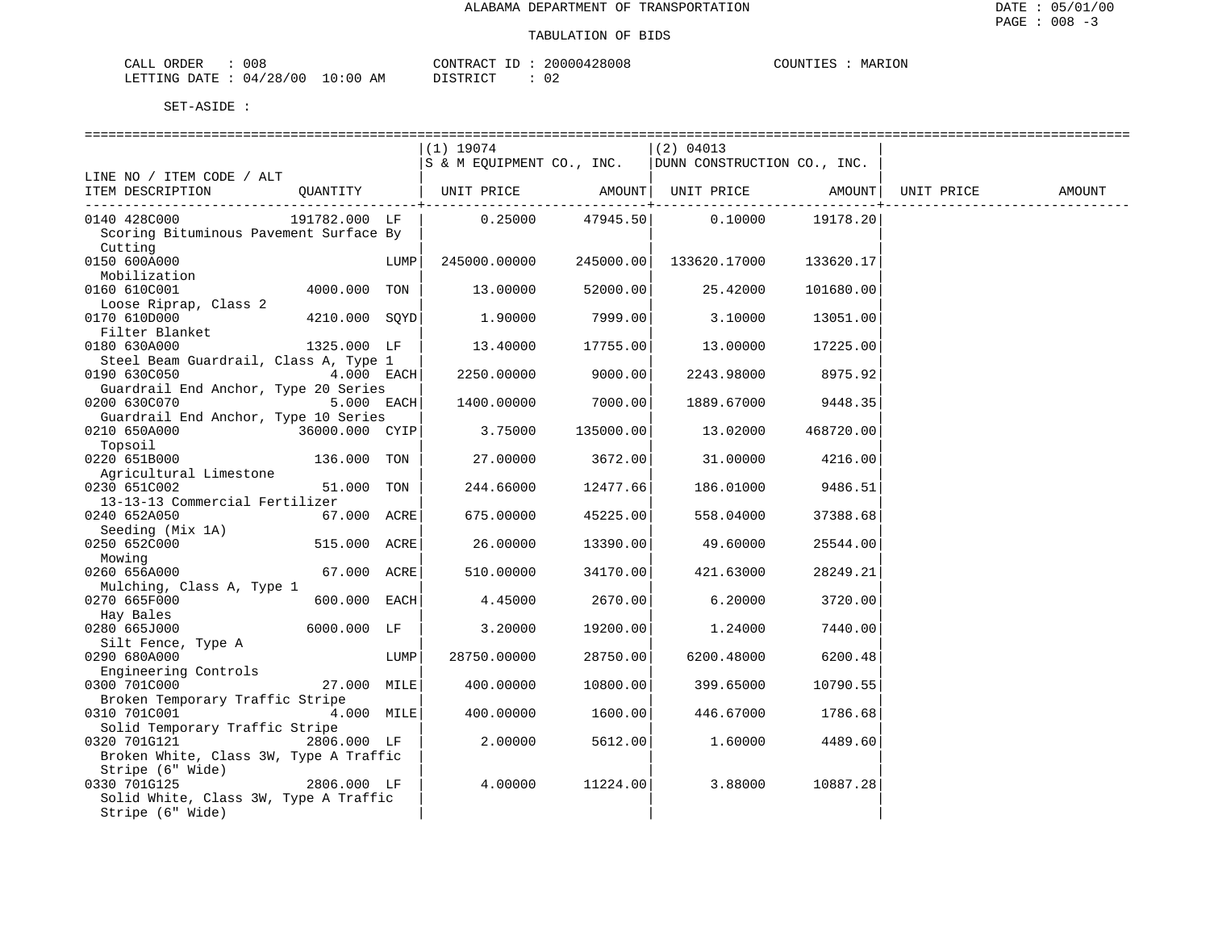| CALL ORDER                      | 008 | CONTRACT I<br>ID: | 20000428008 | COUNTIES | MARION |
|---------------------------------|-----|-------------------|-------------|----------|--------|
| LETTING DATE: 04/28/00 10:00 AM |     | DISTRICT          | 02          |          |        |

|                                        |                |      | ============================== |                 |                             |           |            |        |
|----------------------------------------|----------------|------|--------------------------------|-----------------|-----------------------------|-----------|------------|--------|
|                                        |                |      | $(1)$ 19074                    |                 | $(2)$ 04013                 |           |            |        |
|                                        |                |      | S & M EQUIPMENT CO., INC.      |                 | DUNN CONSTRUCTION CO., INC. |           |            |        |
| LINE NO / ITEM CODE / ALT              |                |      |                                |                 |                             |           |            |        |
| ITEM DESCRIPTION                       |                |      |                                |                 |                             |           | UNIT PRICE | AMOUNT |
|                                        |                |      |                                | ---------+----- |                             |           |            |        |
| 0140 428C000                           | 191782.000 LF  |      |                                |                 | $0.25000$ 47945.50 0.10000  | 19178.20  |            |        |
| Scoring Bituminous Pavement Surface By |                |      |                                |                 |                             |           |            |        |
| Cutting                                |                |      |                                |                 |                             |           |            |        |
| 0150 600A000                           |                | LUMP | 245000.00000                   |                 | 245000.00  133620.17000     | 133620.17 |            |        |
| Mobilization                           |                |      |                                |                 |                             |           |            |        |
| 0160 610C001                           | 4000.000 TON   |      | 13.00000                       | 52000.00        | 25.42000                    | 101680.00 |            |        |
| Loose Riprap, Class 2                  |                |      |                                |                 |                             |           |            |        |
| 0170 610D000                           | 4210.000 SOYD  |      | 1.90000                        | 7999.00         | 3.10000                     | 13051.00  |            |        |
| Filter Blanket                         |                |      |                                |                 |                             |           |            |        |
| 0180 630A000                           | 1325.000 LF    |      | 13.40000                       | 17755.00        | 13.00000                    | 17225.00  |            |        |
| Steel Beam Guardrail, Class A, Type 1  |                |      |                                |                 |                             |           |            |        |
| 0190 630C050                           | $4.000$ EACH   |      | 2250.00000                     | 9000.00         | 2243.98000                  | 8975.92   |            |        |
| Guardrail End Anchor, Type 20 Series   |                |      |                                |                 |                             |           |            |        |
| 0200 630C070                           | $5.000$ EACH   |      | 1400.00000                     | 7000.00         | 1889.67000                  | 9448.35   |            |        |
| Guardrail End Anchor, Type 10 Series   |                |      |                                |                 |                             |           |            |        |
| 0210 650A000                           | 36000.000 CYIP |      | 3.75000                        | 135000.00       | 13.02000                    | 468720.00 |            |        |
| Topsoil                                |                |      |                                |                 |                             |           |            |        |
| 0220 651B000                           | 136.000 TON    |      | 27.00000                       | 3672.00         | 31.00000                    | 4216.00   |            |        |
| Agricultural Limestone                 |                |      |                                |                 |                             |           |            |        |
| 0230 651C002                           | 51.000 TON     |      | 244.66000                      | 12477.66        | 186.01000                   | 9486.51   |            |        |
| 13-13-13 Commercial Fertilizer         |                |      |                                |                 |                             |           |            |        |
| 0240 652A050                           | $67.000$ ACRE  |      | 675.00000                      | 45225.00        | 558.04000                   | 37388.68  |            |        |
| Seeding (Mix 1A)                       |                |      |                                |                 |                             |           |            |        |
| 0250 652C000                           | 515.000 ACRE   |      | 26.00000                       | 13390.00        | 49.60000                    | 25544.00  |            |        |
| Mowing                                 |                |      |                                |                 |                             |           |            |        |
| 0260 656A000                           | 67.000 ACRE    |      | 510.00000                      | 34170.00        | 421.63000                   | 28249.21  |            |        |
| Mulching, Class A, Type 1              |                |      |                                |                 |                             |           |            |        |
| 0270 665F000                           | 600.000 EACH   |      | 4.45000                        | 2670.00         | 6.20000                     | 3720.00   |            |        |
| Hay Bales                              |                |      |                                |                 |                             |           |            |        |
| 0280 665J000                           | 6000.000 LF    |      | 3.20000                        | 19200.00        | 1.24000                     | 7440.00   |            |        |
| Silt Fence, Type A                     |                |      |                                |                 |                             |           |            |        |
| 0290 680A000                           |                | LUMP | 28750.00000                    | 28750.00        | 6200.48000                  | 6200.48   |            |        |
| Engineering Controls                   |                |      |                                |                 |                             |           |            |        |
| 0300 701C000                           | 27.000 MILE    |      | 400.00000                      | 10800.00        | 399.65000                   | 10790.55  |            |        |
| Broken Temporary Traffic Stripe        |                |      |                                |                 |                             |           |            |        |
| 0310 701C001                           | $4.000$ MILE   |      | 400.00000                      | 1600.00         | 446.67000                   | 1786.68   |            |        |
| Solid Temporary Traffic Stripe         |                |      |                                |                 |                             |           |            |        |
| 0320 701G121                           | 2806.000 LF    |      | 2.00000                        | 5612.00         | 1.60000                     | 4489.60   |            |        |
| Broken White, Class 3W, Type A Traffic |                |      |                                |                 |                             |           |            |        |
| Stripe (6" Wide)                       |                |      |                                |                 |                             |           |            |        |
| 0330 701G125                           | 2806.000 LF    |      | 4.00000                        | 11224.00        | 3.88000                     | 10887.28  |            |        |
| Solid White, Class 3W, Type A Traffic  |                |      |                                |                 |                             |           |            |        |
| Stripe (6" Wide)                       |                |      |                                |                 |                             |           |            |        |
|                                        |                |      |                                |                 |                             |           |            |        |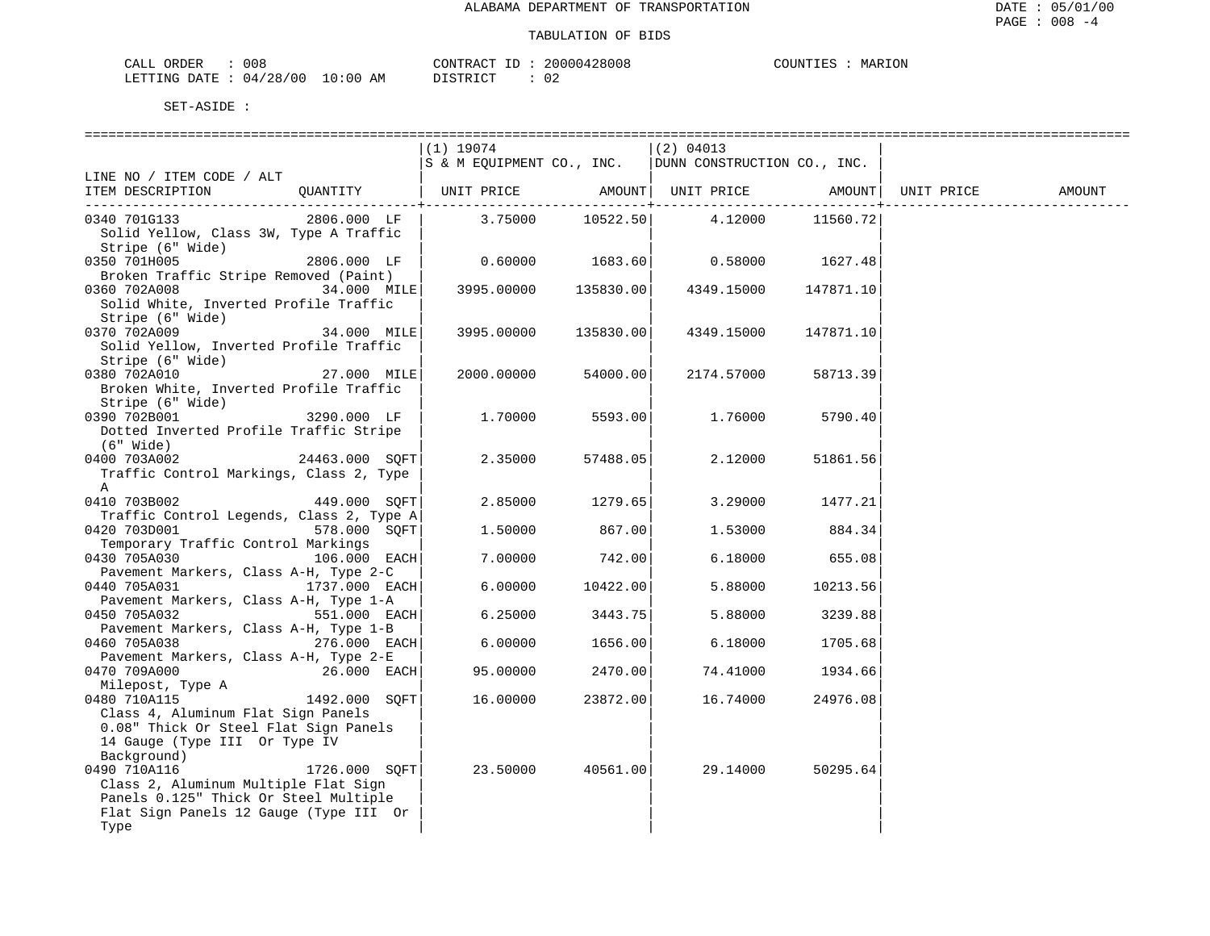| CALL ( | ORDER | 008                       |             | CONTRACT ID :   | 20000428008 | COUNTIES |  | MARION |
|--------|-------|---------------------------|-------------|-----------------|-------------|----------|--|--------|
|        |       | LETTING DATE : $04/28/00$ | 10:00<br>AM | DI STR TAT<br>. | __          |          |  |        |

| $(1)$ 19074<br>$(2)$ 04013<br>$ S \& M$ EQUIPMENT CO., INC. $ DUNN$ CONSTRUCTION CO., INC.<br>LINE NO / ITEM CODE / ALT<br>ITEM DESCRIPTION QUANTITY   UNIT PRICE AMOUNT  UNIT PRICE AMOUNT <br>UNIT PRICE<br>AMOUNT<br>$3.75000$ $10522.50$ $4.12000$<br>2806.000 LF  <br>0340 701G133<br>11560.72<br>Solid Yellow, Class 3W, Type A Traffic<br>Stripe (6" Wide)<br>0350 701H005<br>2806.000 LF  <br>$0.60000$ $1683.60$ 0.58000 $1627.48$<br>Broken Traffic Stripe Removed (Paint)<br>3995.00000 135830.00<br>0360 702A008<br>34.000 MILE<br>4349.15000 147871.10<br>Solid White, Inverted Profile Traffic<br>Stripe (6" Wide)<br>0370 702A009<br>34.000 MILE<br>3995.00000<br>135830.00<br>4349.15000<br>147871.10<br>Solid Yellow, Inverted Profile Traffic<br>Stripe (6" Wide)<br>27.000 MILE<br>54000.00<br>0380 702A010<br>2000.00000<br>2174.57000<br>58713.39<br>Broken White, Inverted Profile Traffic<br>Stripe (6" Wide)<br>0390 702B001 3290.000 LF<br>1.70000<br>5593.00<br>1.76000<br>5790.40<br>Dotted Inverted Profile Traffic Stripe<br>(6" Wide)<br>24463.000 SOFT<br>2.35000<br>0400 703A002<br>57488.05<br>2.12000<br>51861.56<br>Traffic Control Markings, Class 2, Type |
|------------------------------------------------------------------------------------------------------------------------------------------------------------------------------------------------------------------------------------------------------------------------------------------------------------------------------------------------------------------------------------------------------------------------------------------------------------------------------------------------------------------------------------------------------------------------------------------------------------------------------------------------------------------------------------------------------------------------------------------------------------------------------------------------------------------------------------------------------------------------------------------------------------------------------------------------------------------------------------------------------------------------------------------------------------------------------------------------------------------------------------------------------------------------------------------------|
|                                                                                                                                                                                                                                                                                                                                                                                                                                                                                                                                                                                                                                                                                                                                                                                                                                                                                                                                                                                                                                                                                                                                                                                                |
|                                                                                                                                                                                                                                                                                                                                                                                                                                                                                                                                                                                                                                                                                                                                                                                                                                                                                                                                                                                                                                                                                                                                                                                                |
|                                                                                                                                                                                                                                                                                                                                                                                                                                                                                                                                                                                                                                                                                                                                                                                                                                                                                                                                                                                                                                                                                                                                                                                                |
|                                                                                                                                                                                                                                                                                                                                                                                                                                                                                                                                                                                                                                                                                                                                                                                                                                                                                                                                                                                                                                                                                                                                                                                                |
|                                                                                                                                                                                                                                                                                                                                                                                                                                                                                                                                                                                                                                                                                                                                                                                                                                                                                                                                                                                                                                                                                                                                                                                                |
|                                                                                                                                                                                                                                                                                                                                                                                                                                                                                                                                                                                                                                                                                                                                                                                                                                                                                                                                                                                                                                                                                                                                                                                                |
|                                                                                                                                                                                                                                                                                                                                                                                                                                                                                                                                                                                                                                                                                                                                                                                                                                                                                                                                                                                                                                                                                                                                                                                                |
|                                                                                                                                                                                                                                                                                                                                                                                                                                                                                                                                                                                                                                                                                                                                                                                                                                                                                                                                                                                                                                                                                                                                                                                                |
|                                                                                                                                                                                                                                                                                                                                                                                                                                                                                                                                                                                                                                                                                                                                                                                                                                                                                                                                                                                                                                                                                                                                                                                                |
|                                                                                                                                                                                                                                                                                                                                                                                                                                                                                                                                                                                                                                                                                                                                                                                                                                                                                                                                                                                                                                                                                                                                                                                                |
|                                                                                                                                                                                                                                                                                                                                                                                                                                                                                                                                                                                                                                                                                                                                                                                                                                                                                                                                                                                                                                                                                                                                                                                                |
|                                                                                                                                                                                                                                                                                                                                                                                                                                                                                                                                                                                                                                                                                                                                                                                                                                                                                                                                                                                                                                                                                                                                                                                                |
|                                                                                                                                                                                                                                                                                                                                                                                                                                                                                                                                                                                                                                                                                                                                                                                                                                                                                                                                                                                                                                                                                                                                                                                                |
|                                                                                                                                                                                                                                                                                                                                                                                                                                                                                                                                                                                                                                                                                                                                                                                                                                                                                                                                                                                                                                                                                                                                                                                                |
|                                                                                                                                                                                                                                                                                                                                                                                                                                                                                                                                                                                                                                                                                                                                                                                                                                                                                                                                                                                                                                                                                                                                                                                                |
|                                                                                                                                                                                                                                                                                                                                                                                                                                                                                                                                                                                                                                                                                                                                                                                                                                                                                                                                                                                                                                                                                                                                                                                                |
|                                                                                                                                                                                                                                                                                                                                                                                                                                                                                                                                                                                                                                                                                                                                                                                                                                                                                                                                                                                                                                                                                                                                                                                                |
|                                                                                                                                                                                                                                                                                                                                                                                                                                                                                                                                                                                                                                                                                                                                                                                                                                                                                                                                                                                                                                                                                                                                                                                                |
|                                                                                                                                                                                                                                                                                                                                                                                                                                                                                                                                                                                                                                                                                                                                                                                                                                                                                                                                                                                                                                                                                                                                                                                                |
|                                                                                                                                                                                                                                                                                                                                                                                                                                                                                                                                                                                                                                                                                                                                                                                                                                                                                                                                                                                                                                                                                                                                                                                                |
|                                                                                                                                                                                                                                                                                                                                                                                                                                                                                                                                                                                                                                                                                                                                                                                                                                                                                                                                                                                                                                                                                                                                                                                                |
|                                                                                                                                                                                                                                                                                                                                                                                                                                                                                                                                                                                                                                                                                                                                                                                                                                                                                                                                                                                                                                                                                                                                                                                                |
|                                                                                                                                                                                                                                                                                                                                                                                                                                                                                                                                                                                                                                                                                                                                                                                                                                                                                                                                                                                                                                                                                                                                                                                                |
| A                                                                                                                                                                                                                                                                                                                                                                                                                                                                                                                                                                                                                                                                                                                                                                                                                                                                                                                                                                                                                                                                                                                                                                                              |
| $2.85000$ 1279.65<br>0410 703B002<br>449.000 SOFT<br>3.29000 1477.21                                                                                                                                                                                                                                                                                                                                                                                                                                                                                                                                                                                                                                                                                                                                                                                                                                                                                                                                                                                                                                                                                                                           |
| Traffic Control Legends, Class 2, Type A                                                                                                                                                                                                                                                                                                                                                                                                                                                                                                                                                                                                                                                                                                                                                                                                                                                                                                                                                                                                                                                                                                                                                       |
| 867.00<br>0420 703D001<br>578.000 SOFT<br>1,50000<br>1.53000 884.34                                                                                                                                                                                                                                                                                                                                                                                                                                                                                                                                                                                                                                                                                                                                                                                                                                                                                                                                                                                                                                                                                                                            |
| Temporary Traffic Control Markings                                                                                                                                                                                                                                                                                                                                                                                                                                                                                                                                                                                                                                                                                                                                                                                                                                                                                                                                                                                                                                                                                                                                                             |
| 0430 705A030<br>$106.000$ EACH<br>742.00<br>6.18000 655.08<br>7.00000                                                                                                                                                                                                                                                                                                                                                                                                                                                                                                                                                                                                                                                                                                                                                                                                                                                                                                                                                                                                                                                                                                                          |
| Pavement Markers, Class A-H, Type 2-C                                                                                                                                                                                                                                                                                                                                                                                                                                                                                                                                                                                                                                                                                                                                                                                                                                                                                                                                                                                                                                                                                                                                                          |
| $1737.000$ EACH<br>6.00000<br>10422.00<br>0440 705A031<br>5.88000<br>10213.56                                                                                                                                                                                                                                                                                                                                                                                                                                                                                                                                                                                                                                                                                                                                                                                                                                                                                                                                                                                                                                                                                                                  |
| Pavement Markers, Class A-H, Type 1-A<br>0450 705A032<br>551.000 EACH<br>6.25000<br>3443.75<br>5.88000<br>3239.88                                                                                                                                                                                                                                                                                                                                                                                                                                                                                                                                                                                                                                                                                                                                                                                                                                                                                                                                                                                                                                                                              |
| Pavement Markers, Class A-H, Type 1-B                                                                                                                                                                                                                                                                                                                                                                                                                                                                                                                                                                                                                                                                                                                                                                                                                                                                                                                                                                                                                                                                                                                                                          |
| $276.000$ EACH<br>6.00000<br>1656.00<br>0460 705A038<br>6.18000<br>1705.68                                                                                                                                                                                                                                                                                                                                                                                                                                                                                                                                                                                                                                                                                                                                                                                                                                                                                                                                                                                                                                                                                                                     |
| Pavement Markers, Class A-H, Type 2-E                                                                                                                                                                                                                                                                                                                                                                                                                                                                                                                                                                                                                                                                                                                                                                                                                                                                                                                                                                                                                                                                                                                                                          |
| $26.000$ EACH<br>2470.00<br>0470 709A000<br>95.00000<br>74.41000<br>1934.66                                                                                                                                                                                                                                                                                                                                                                                                                                                                                                                                                                                                                                                                                                                                                                                                                                                                                                                                                                                                                                                                                                                    |
| Milepost, Type A                                                                                                                                                                                                                                                                                                                                                                                                                                                                                                                                                                                                                                                                                                                                                                                                                                                                                                                                                                                                                                                                                                                                                                               |
| 0480 710A115 1 1492.000 SQFT<br>23872.00<br>24976.08<br>16.00000<br>16.74000                                                                                                                                                                                                                                                                                                                                                                                                                                                                                                                                                                                                                                                                                                                                                                                                                                                                                                                                                                                                                                                                                                                   |
| Class 4, Aluminum Flat Sign Panels                                                                                                                                                                                                                                                                                                                                                                                                                                                                                                                                                                                                                                                                                                                                                                                                                                                                                                                                                                                                                                                                                                                                                             |
| 0.08" Thick Or Steel Flat Sign Panels                                                                                                                                                                                                                                                                                                                                                                                                                                                                                                                                                                                                                                                                                                                                                                                                                                                                                                                                                                                                                                                                                                                                                          |
| 14 Gauge (Type III Or Type IV                                                                                                                                                                                                                                                                                                                                                                                                                                                                                                                                                                                                                                                                                                                                                                                                                                                                                                                                                                                                                                                                                                                                                                  |
| Background)                                                                                                                                                                                                                                                                                                                                                                                                                                                                                                                                                                                                                                                                                                                                                                                                                                                                                                                                                                                                                                                                                                                                                                                    |
| 0490 710A116<br>23.50000<br>40561.00<br>29.14000<br>50295.64<br>1726.000 SOFT                                                                                                                                                                                                                                                                                                                                                                                                                                                                                                                                                                                                                                                                                                                                                                                                                                                                                                                                                                                                                                                                                                                  |
| Class 2, Aluminum Multiple Flat Sign                                                                                                                                                                                                                                                                                                                                                                                                                                                                                                                                                                                                                                                                                                                                                                                                                                                                                                                                                                                                                                                                                                                                                           |
| Panels 0.125" Thick Or Steel Multiple                                                                                                                                                                                                                                                                                                                                                                                                                                                                                                                                                                                                                                                                                                                                                                                                                                                                                                                                                                                                                                                                                                                                                          |
| Flat Sign Panels 12 Gauge (Type III Or                                                                                                                                                                                                                                                                                                                                                                                                                                                                                                                                                                                                                                                                                                                                                                                                                                                                                                                                                                                                                                                                                                                                                         |
| Type                                                                                                                                                                                                                                                                                                                                                                                                                                                                                                                                                                                                                                                                                                                                                                                                                                                                                                                                                                                                                                                                                                                                                                                           |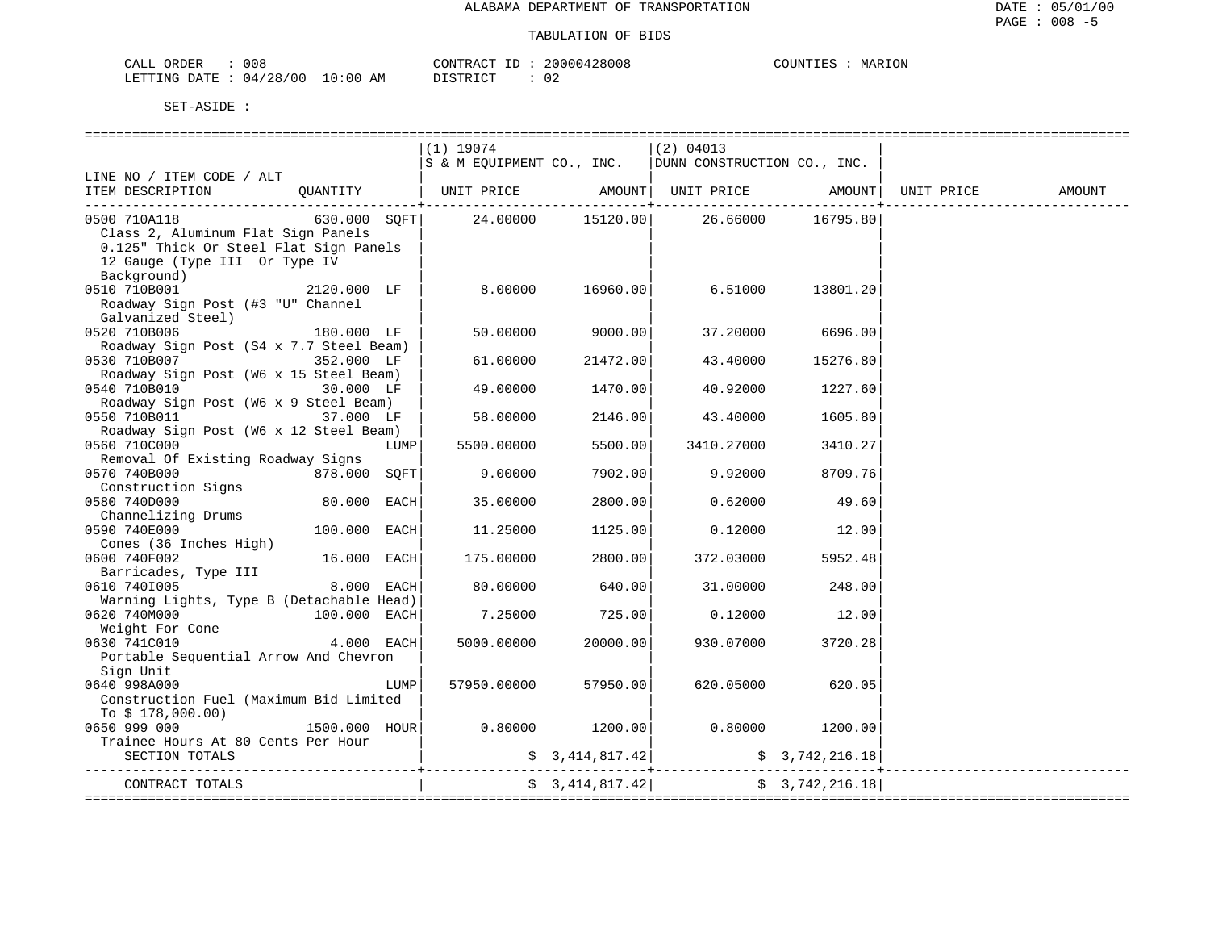| CALL ORDER                      | 008 |          | CONTRACT ID: 20000428008 | MARION<br>COUNTIES |
|---------------------------------|-----|----------|--------------------------|--------------------|
| LETTING DATE: 04/28/00 10:00 AM |     | DISTRICT |                          |                    |

|                                                                                            |              |      | (1) 19074                                                        |                  | $ (2)$ 04013                                                                                                        |                 |  |
|--------------------------------------------------------------------------------------------|--------------|------|------------------------------------------------------------------|------------------|---------------------------------------------------------------------------------------------------------------------|-----------------|--|
|                                                                                            |              |      | $ s \times M$ EQUIPMENT CO., INC. $ DUNN$ CONSTRUCTION CO., INC. |                  |                                                                                                                     |                 |  |
| LINE NO / ITEM CODE / ALT                                                                  |              |      |                                                                  |                  |                                                                                                                     |                 |  |
|                                                                                            |              |      |                                                                  |                  |                                                                                                                     |                 |  |
| ITEM DESCRIPTION QUANTITY   UNIT PRICE AMOUNT  UNIT PRICE AMOUNT  UNIT PRICE AMOUNT AMOUNT |              |      |                                                                  |                  |                                                                                                                     |                 |  |
| 0500 710A118                                                                               |              |      |                                                                  |                  |                                                                                                                     |                 |  |
| Class 2, Aluminum Flat Sign Panels                                                         |              |      |                                                                  |                  |                                                                                                                     |                 |  |
| 0.125" Thick Or Steel Flat Sign Panels                                                     |              |      |                                                                  |                  |                                                                                                                     |                 |  |
| 12 Gauge (Type III Or Type IV                                                              |              |      |                                                                  |                  |                                                                                                                     |                 |  |
| Background)                                                                                |              |      |                                                                  |                  |                                                                                                                     |                 |  |
| 0510 710B001                                                                               | 2120.000 LF  |      |                                                                  | 8.00000 16960.00 | 6.51000                                                                                                             | 13801.20        |  |
| Roadway Sign Post (#3 "U" Channel                                                          |              |      |                                                                  |                  |                                                                                                                     |                 |  |
| Galvanized Steel)                                                                          |              |      |                                                                  |                  |                                                                                                                     |                 |  |
| $180.000$ LF                                                                               |              |      |                                                                  |                  |                                                                                                                     |                 |  |
| 0520 710B006                                                                               |              |      | 50.00000                                                         | 9000.00          | 37.20000                                                                                                            | 6696.00         |  |
| Roadway Sign Post (S4 x 7.7 Steel Beam)                                                    |              |      |                                                                  |                  |                                                                                                                     |                 |  |
| 0530 710B007 352.000 LF                                                                    |              |      | 61.00000                                                         | 21472.00         | 43.40000                                                                                                            | 15276.80        |  |
| Roadway Sign Post (W6 x 15 Steel Beam)                                                     |              |      |                                                                  |                  |                                                                                                                     |                 |  |
| 0540 710B010                                                                               | 30.000 LF    |      | 49.00000                                                         | 1470.00          | 40.92000                                                                                                            | 1227.60         |  |
| Roadway Sign Post (W6 x 9 Steel Beam)                                                      |              |      |                                                                  |                  |                                                                                                                     |                 |  |
| 0550 710B011 37.000 LF                                                                     |              |      | 58.00000                                                         | 2146.00          | 43.40000                                                                                                            | 1605.80         |  |
| Roadway Sign Post (W6 x 12 Steel Beam)                                                     |              |      |                                                                  |                  |                                                                                                                     |                 |  |
| 0560 710C000                                                                               |              | LUMP | 5500.00000                                                       | 5500.00          | 3410.27000                                                                                                          | 3410.27         |  |
| Removal Of Existing Roadway Signs                                                          |              |      |                                                                  |                  |                                                                                                                     |                 |  |
| 0570 740B000<br>878.000 SQFT                                                               |              |      | 9.00000                                                          | 7902.00          | 9.92000                                                                                                             | 8709.76         |  |
| Construction Signs                                                                         |              |      |                                                                  |                  |                                                                                                                     |                 |  |
| 0580 740D000                                                                               | 80.000 EACH  |      | 35.00000                                                         | 2800.00          | 0.62000                                                                                                             | 49.60           |  |
| Channelizing Drums                                                                         |              |      |                                                                  |                  |                                                                                                                     |                 |  |
| 0590 740E000                                                                               | 100.000 EACH |      | 11,25000                                                         | 1125.00          |                                                                                                                     | $0.12000$ 12.00 |  |
| Cones (36 Inches High)                                                                     |              |      |                                                                  |                  |                                                                                                                     |                 |  |
|                                                                                            |              |      |                                                                  |                  |                                                                                                                     |                 |  |
| 0600 740F002                                                                               | 16.000 EACH  |      | 175.00000                                                        | 2800.00          | 372.03000                                                                                                           | 5952.48         |  |
| Barricades, Type III<br>510 7401005                                                        |              |      |                                                                  |                  |                                                                                                                     |                 |  |
| 0610 7401005                                                                               | 8.000 EACH   |      | 80.00000                                                         | 640.00           | 31.00000                                                                                                            | 248.00          |  |
| Warning Lights, Type B (Detachable Head)                                                   |              |      |                                                                  |                  |                                                                                                                     |                 |  |
| 0620 740M000 100.000 EACH                                                                  |              |      |                                                                  | 7.25000 725.00   | 0.12000                                                                                                             | 12.00           |  |
| Weight For Cone                                                                            |              |      |                                                                  |                  |                                                                                                                     |                 |  |
| 0630 741C010                                                                               | $4.000$ EACH |      | 5000.00000                                                       | 20000.00         | 930.07000                                                                                                           | 3720.28         |  |
| Portable Sequential Arrow And Chevron                                                      |              |      |                                                                  |                  |                                                                                                                     |                 |  |
| Sign Unit                                                                                  |              |      |                                                                  |                  |                                                                                                                     |                 |  |
| 0640 998A000                                                                               |              | LUMP | 57950.00000                                                      | 57950.00         | 620.05000                                                                                                           | 620.05          |  |
| Construction Fuel (Maximum Bid Limited                                                     |              |      |                                                                  |                  |                                                                                                                     |                 |  |
| To \$ 178,000.00)                                                                          |              |      |                                                                  |                  |                                                                                                                     |                 |  |
| 0650 999 000                                                                               |              |      | $1500.000$ $HOUR$ 0.80000 $1200.00$                              |                  | 0.80000                                                                                                             | 1200.00         |  |
| Trainee Hours At 80 Cents Per Hour                                                         |              |      |                                                                  |                  |                                                                                                                     |                 |  |
| SECTION TOTALS                                                                             |              |      |                                                                  |                  | $\frac{1}{2}$ 3, 414, 817.42 $\left  \right $ $\frac{1}{2}$ $\frac{1}{2}$ $\frac{1}{2}$ $\frac{1}{2}$ $\frac{1}{2}$ |                 |  |
|                                                                                            |              |      |                                                                  |                  |                                                                                                                     |                 |  |
| CONTRACT TOTALS                                                                            |              |      |                                                                  | \$3,414,817.42]  |                                                                                                                     | \$3,742,216.18] |  |
|                                                                                            |              |      |                                                                  |                  |                                                                                                                     |                 |  |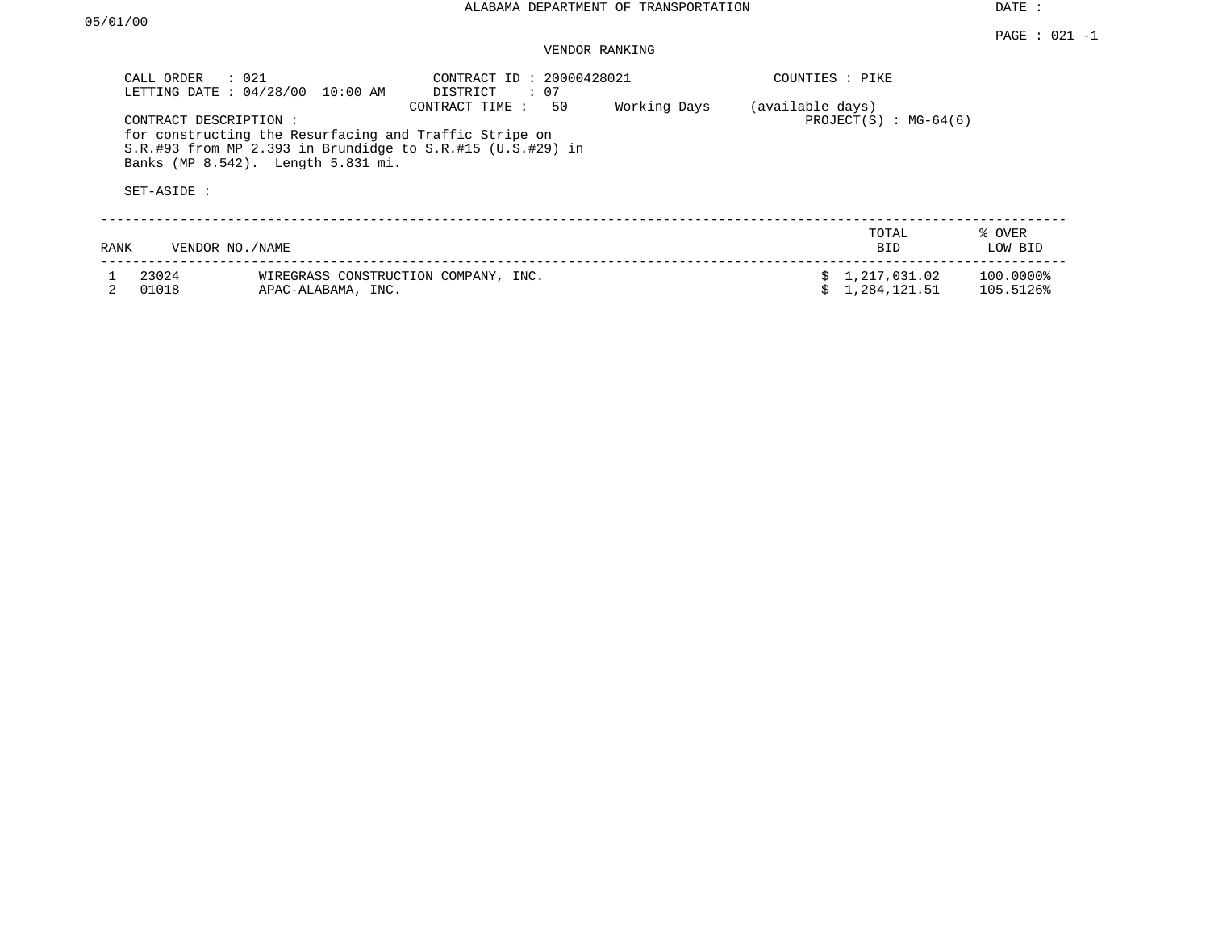# VENDOR RANKING

| CALL ORDER                           | $\therefore$ 021<br>LETTING DATE : 04/28/00 10:00 AM                                         | CONTRACT ID: 20000428021<br>DISTRICT<br>: 07                                       |              | COUNTIES : PIKE  |                                |                        |
|--------------------------------------|----------------------------------------------------------------------------------------------|------------------------------------------------------------------------------------|--------------|------------------|--------------------------------|------------------------|
| CONTRACT DESCRIPTION:<br>SET-ASIDE : | for constructing the Resurfacing and Traffic Stripe on<br>Banks (MP 8.542). Length 5.831 mi. | 50<br>CONTRACT TIME:<br>S.R.#93 from MP 2.393 in Brundidge to S.R.#15 (U.S.#29) in | Working Days | (available days) | PROJECT $(S)$ : MG-64(6)       |                        |
| RANK                                 | VENDOR NO./NAME                                                                              |                                                                                    |              |                  | TOTAL<br><b>BID</b>            | % OVER<br>LOW BID      |
| 23024<br>01018                       | WIREGRASS CONSTRUCTION COMPANY, INC.<br>APAC-ALABAMA, INC.                                   |                                                                                    |              |                  | \$1,217,031.02<br>1,284,121.51 | 100.0000%<br>105.5126% |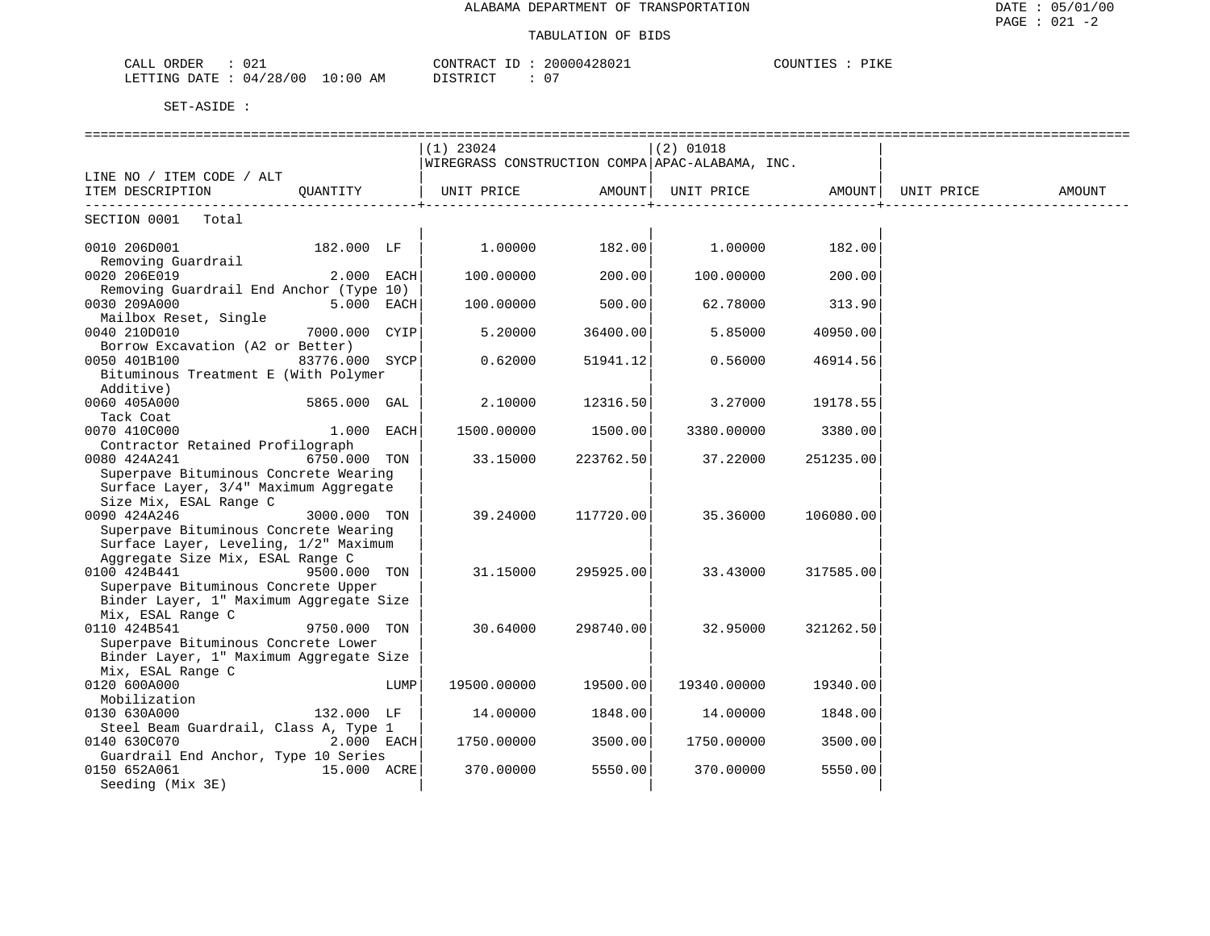| 021<br>ORDER<br>CALL                                                                                                                                 | 20000428021<br>CONTRACT     | COUNTIES<br>PIKE |
|------------------------------------------------------------------------------------------------------------------------------------------------------|-----------------------------|------------------|
| 04/28/00<br>10:00<br>LETTING DATE<br>the contract of the contract of the contract of the contract of the contract of the contract of the contract of | 07<br>די היה דמידי את<br>AΜ |                  |

| $(1)$ 23024<br>$(2)$ 01018<br>WIREGRASS CONSTRUCTION COMPA APAC-ALABAMA, INC.<br>LINE NO / ITEM CODE / ALT<br>OUANTITY<br>UNIT PRICE<br>AMOUNT  <br>UNIT PRICE AMOUNT   UNIT PRICE<br>ITEM DESCRIPTION<br>________________<br>. _ _ _ _ _ _ _ _ _ _ _ _ _ _ _ _ +<br>SECTION 0001 Total<br>$1.00000$ 182.00<br>$1.00000$ 182.00<br>0010 206D001<br>182.000 LF  <br>Removing Guardrail | 0020 206E019 |              |           |        |           |        |        |
|---------------------------------------------------------------------------------------------------------------------------------------------------------------------------------------------------------------------------------------------------------------------------------------------------------------------------------------------------------------------------------------|--------------|--------------|-----------|--------|-----------|--------|--------|
|                                                                                                                                                                                                                                                                                                                                                                                       |              |              |           |        |           |        |        |
|                                                                                                                                                                                                                                                                                                                                                                                       |              |              |           |        |           |        |        |
|                                                                                                                                                                                                                                                                                                                                                                                       |              |              |           |        |           |        | AMOUNT |
|                                                                                                                                                                                                                                                                                                                                                                                       |              |              |           |        |           |        |        |
|                                                                                                                                                                                                                                                                                                                                                                                       |              |              |           |        |           |        |        |
|                                                                                                                                                                                                                                                                                                                                                                                       |              | $2.000$ EACH | 100.00000 | 200.00 | 100.00000 | 200.00 |        |
| Removing Guardrail End Anchor (Type 10)                                                                                                                                                                                                                                                                                                                                               |              |              |           |        |           |        |        |
| 500.00<br>0030 209A000<br>$5.000$ EACH<br>100.00000<br>62.78000<br>313.90                                                                                                                                                                                                                                                                                                             |              |              |           |        |           |        |        |
| Mailbox Reset, Single                                                                                                                                                                                                                                                                                                                                                                 |              |              |           |        |           |        |        |
| 0040 210D010<br>7000.000 CYIP<br>5.20000<br>36400.00<br>5.85000<br>40950.00                                                                                                                                                                                                                                                                                                           |              |              |           |        |           |        |        |
| Borrow Excavation (A2 or Better)                                                                                                                                                                                                                                                                                                                                                      |              |              |           |        |           |        |        |
| 0050 401B100<br>83776.000 SYCP<br>0.62000<br>51941.12<br>0.56000<br>46914.56                                                                                                                                                                                                                                                                                                          |              |              |           |        |           |        |        |
| Bituminous Treatment E (With Polymer                                                                                                                                                                                                                                                                                                                                                  |              |              |           |        |           |        |        |
| Additive)                                                                                                                                                                                                                                                                                                                                                                             |              |              |           |        |           |        |        |
| 0060 405A000<br>2.10000<br>12316.50<br>3.27000<br>19178.55<br>5865.000 GAL                                                                                                                                                                                                                                                                                                            |              |              |           |        |           |        |        |
| Tack Coat                                                                                                                                                                                                                                                                                                                                                                             |              |              |           |        |           |        |        |
| 1500.00<br>0070 410C000<br>$1.000$ EACH<br>1500.00000<br>3380.00000<br>3380.00                                                                                                                                                                                                                                                                                                        |              |              |           |        |           |        |        |
| Contractor Retained Profilograph                                                                                                                                                                                                                                                                                                                                                      |              |              |           |        |           |        |        |
| 0080 424A241<br>6750.000 TON<br>33.15000<br>223762.50<br>37.22000<br>251235.00<br>Superpave Bituminous Concrete Wearing                                                                                                                                                                                                                                                               |              |              |           |        |           |        |        |
| Surface Layer, 3/4" Maximum Aggregate                                                                                                                                                                                                                                                                                                                                                 |              |              |           |        |           |        |        |
| Size Mix, ESAL Range C                                                                                                                                                                                                                                                                                                                                                                |              |              |           |        |           |        |        |
| 0090 424A246<br>3000.000 TON<br>39.24000<br>117720.00<br>35.36000<br>106080.00                                                                                                                                                                                                                                                                                                        |              |              |           |        |           |        |        |
| Superpave Bituminous Concrete Wearing                                                                                                                                                                                                                                                                                                                                                 |              |              |           |        |           |        |        |
| Surface Layer, Leveling, 1/2" Maximum                                                                                                                                                                                                                                                                                                                                                 |              |              |           |        |           |        |        |
| Aggregate Size Mix, ESAL Range C                                                                                                                                                                                                                                                                                                                                                      |              |              |           |        |           |        |        |
| 0100 424B441<br>9500.000 TON<br>31.15000<br>295925.00<br>33.43000<br>317585.00                                                                                                                                                                                                                                                                                                        |              |              |           |        |           |        |        |
| Superpave Bituminous Concrete Upper                                                                                                                                                                                                                                                                                                                                                   |              |              |           |        |           |        |        |
| Binder Layer, 1" Maximum Aggregate Size                                                                                                                                                                                                                                                                                                                                               |              |              |           |        |           |        |        |
| Mix, ESAL Range C                                                                                                                                                                                                                                                                                                                                                                     |              |              |           |        |           |        |        |
| 9750.000 TON<br>0110 424B541<br>30.64000<br>298740.00<br>32.95000<br>321262.50                                                                                                                                                                                                                                                                                                        |              |              |           |        |           |        |        |
| Superpave Bituminous Concrete Lower                                                                                                                                                                                                                                                                                                                                                   |              |              |           |        |           |        |        |
| Binder Layer, 1" Maximum Aggregate Size                                                                                                                                                                                                                                                                                                                                               |              |              |           |        |           |        |        |
| Mix, ESAL Range C                                                                                                                                                                                                                                                                                                                                                                     |              |              |           |        |           |        |        |
| 0120 600A000<br>19500.00000<br>19500.00<br>19340.00000<br>LUMP<br>19340.00                                                                                                                                                                                                                                                                                                            |              |              |           |        |           |        |        |
| Mobilization                                                                                                                                                                                                                                                                                                                                                                          |              |              |           |        |           |        |        |
| 1848.00<br>0130 630A000<br>132.000 LF<br>14.00000<br>14.00000<br>1848.00                                                                                                                                                                                                                                                                                                              |              |              |           |        |           |        |        |
| Steel Beam Guardrail, Class A, Type 1                                                                                                                                                                                                                                                                                                                                                 |              |              |           |        |           |        |        |
| $2.000$ EACH<br>3500.00<br>0140 630C070<br>1750.00000<br>1750.00000<br>3500.00                                                                                                                                                                                                                                                                                                        |              |              |           |        |           |        |        |
| Guardrail End Anchor, Type 10 Series<br>0150 652A061<br>15.000 ACRE<br>370.00000<br>5550.00<br>370.00000<br>5550.00                                                                                                                                                                                                                                                                   |              |              |           |        |           |        |        |
| Seeding (Mix 3E)                                                                                                                                                                                                                                                                                                                                                                      |              |              |           |        |           |        |        |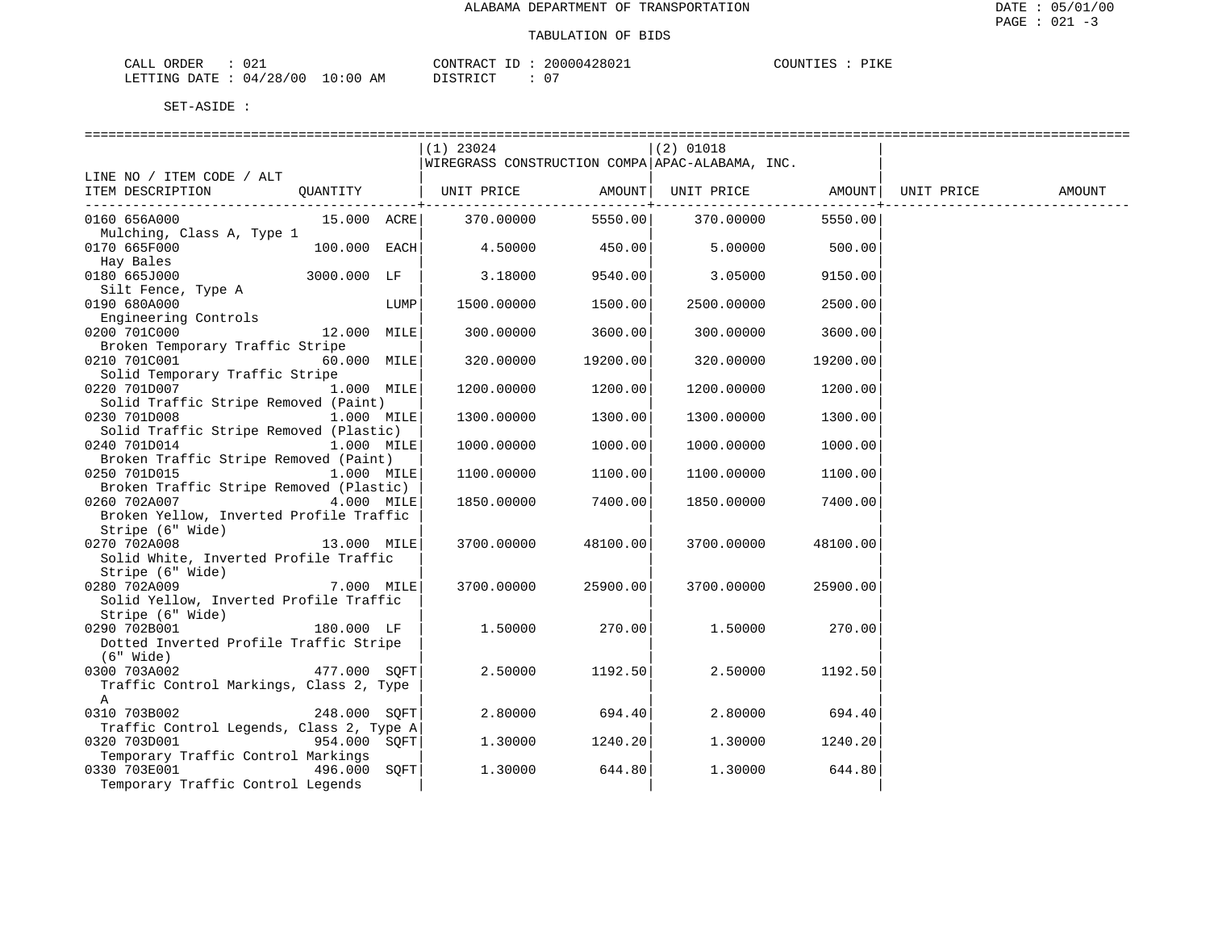| CALL ORDER                      | ∪∠⊥ |          | CONTRACT ID: 20000428021 | COUNTIES : | PIKE |
|---------------------------------|-----|----------|--------------------------|------------|------|
| LETTING DATE: 04/28/00 10:00 AM |     | DISTRICT | $\cap$                   |            |      |

|                                                                                         | $(1)$ 23024 |                       | $(2)$ 01018                                     |                           |        |
|-----------------------------------------------------------------------------------------|-------------|-----------------------|-------------------------------------------------|---------------------------|--------|
|                                                                                         |             |                       | WIREGRASS CONSTRUCTION COMPA APAC-ALABAMA, INC. |                           |        |
| LINE NO / ITEM CODE / ALT                                                               |             |                       |                                                 |                           |        |
| QUANTITY   UNIT PRICE     AMOUNT  UNIT PRICE     AMOUNT  UNIT PRICE<br>ITEM DESCRIPTION |             |                       |                                                 |                           | AMOUNT |
| 0160 656A000<br>15.000 ACRE                                                             | 370.00000   | ------------+-------- | 5550.00 370.00000                               | -------------+<br>5550.00 |        |
| Mulching, Class A, Type 1                                                               |             |                       |                                                 |                           |        |
| $100.000$ EACH<br>0170 665F000                                                          | 4.50000     | 450.00                | 5.00000                                         | 500.00                    |        |
| Hay Bales<br>0180 665J000<br>3000.000 LF                                                |             |                       |                                                 |                           |        |
| Silt Fence, Type A                                                                      | 3.18000     | 9540.00               | 3.05000                                         | 9150.00                   |        |
| 0190 680A000<br>LUMP                                                                    | 1500.00000  | 1500.00               | 2500.00000                                      | 2500.00                   |        |
| Engineering Controls                                                                    |             |                       |                                                 |                           |        |
| 0200 701C000<br>12.000 MILE                                                             | 300.00000   | 3600.00               | 300.00000                                       | 3600.00                   |        |
| Broken Temporary Traffic Stripe                                                         |             |                       |                                                 |                           |        |
| 0210 701C001<br>60.000 MILE                                                             | 320.00000   | 19200.00              | 320.00000                                       | 19200.00                  |        |
| Solid Temporary Traffic Stripe<br>0220 701D007<br>1.000 MILE                            | 1200.00000  | 1200.00               | 1200.00000                                      | 1200.00                   |        |
| Solid Traffic Stripe Removed (Paint)                                                    |             |                       |                                                 |                           |        |
| 0230 701D008<br>1.000 MILE                                                              | 1300.00000  | 1300.00               | 1300.00000                                      | 1300.00                   |        |
| Solid Traffic Stripe Removed (Plastic)                                                  |             |                       |                                                 |                           |        |
| 0240 701D014<br>1.000 MILE                                                              | 1000.00000  | 1000.00               | 1000.00000                                      | 1000.00                   |        |
| Broken Traffic Stripe Removed (Paint)                                                   |             |                       |                                                 |                           |        |
| 0250 701D015<br>1.000 MILE                                                              | 1100.00000  | 1100.00               | 1100.00000                                      | 1100.00                   |        |
| Broken Traffic Stripe Removed (Plastic)                                                 |             |                       |                                                 |                           |        |
| 0260 702A007<br>4.000 MILE                                                              | 1850.00000  | 7400.00               | 1850.00000                                      | 7400.00                   |        |
| Broken Yellow, Inverted Profile Traffic<br>Stripe (6" Wide)                             |             |                       |                                                 |                           |        |
| 0270 702A008<br>13.000 MILE                                                             | 3700.00000  | 48100.00              | 3700.00000                                      | 48100.00                  |        |
| Solid White, Inverted Profile Traffic                                                   |             |                       |                                                 |                           |        |
| Stripe (6" Wide)                                                                        |             |                       |                                                 |                           |        |
| 0280 702A009<br>7.000 MILE                                                              | 3700.00000  | 25900.00              | 3700.00000                                      | 25900.00                  |        |
| Solid Yellow, Inverted Profile Traffic                                                  |             |                       |                                                 |                           |        |
| Stripe (6" Wide)                                                                        |             |                       |                                                 |                           |        |
| 0290 702B001<br>180.000 LF                                                              | 1.50000     | 270.00                | 1.50000                                         | 270.00                    |        |
| Dotted Inverted Profile Traffic Stripe                                                  |             |                       |                                                 |                           |        |
| $(6"$ Wide)<br>477.000 SQFT<br>0300 703A002                                             | 2.50000     | 1192.50               | 2.50000                                         | 1192.50                   |        |
| Traffic Control Markings, Class 2, Type                                                 |             |                       |                                                 |                           |        |
| A                                                                                       |             |                       |                                                 |                           |        |
| 0310 703B002<br>248.000 SOFT                                                            | 2.80000     | 694.40                | 2.80000                                         | 694.40                    |        |
| Traffic Control Legends, Class 2, Type A                                                |             |                       |                                                 |                           |        |
| 0320 703D001<br>954.000 SOFT                                                            | 1,30000     | 1240.20               | 1,30000                                         | 1240.20                   |        |
| Temporary Traffic Control Markings                                                      |             |                       |                                                 |                           |        |
| 0330 703E001<br>496.000 SOFT                                                            | 1,30000     | 644.80                | 1.30000                                         | 644.80                    |        |
| Temporary Traffic Control Legends                                                       |             |                       |                                                 |                           |        |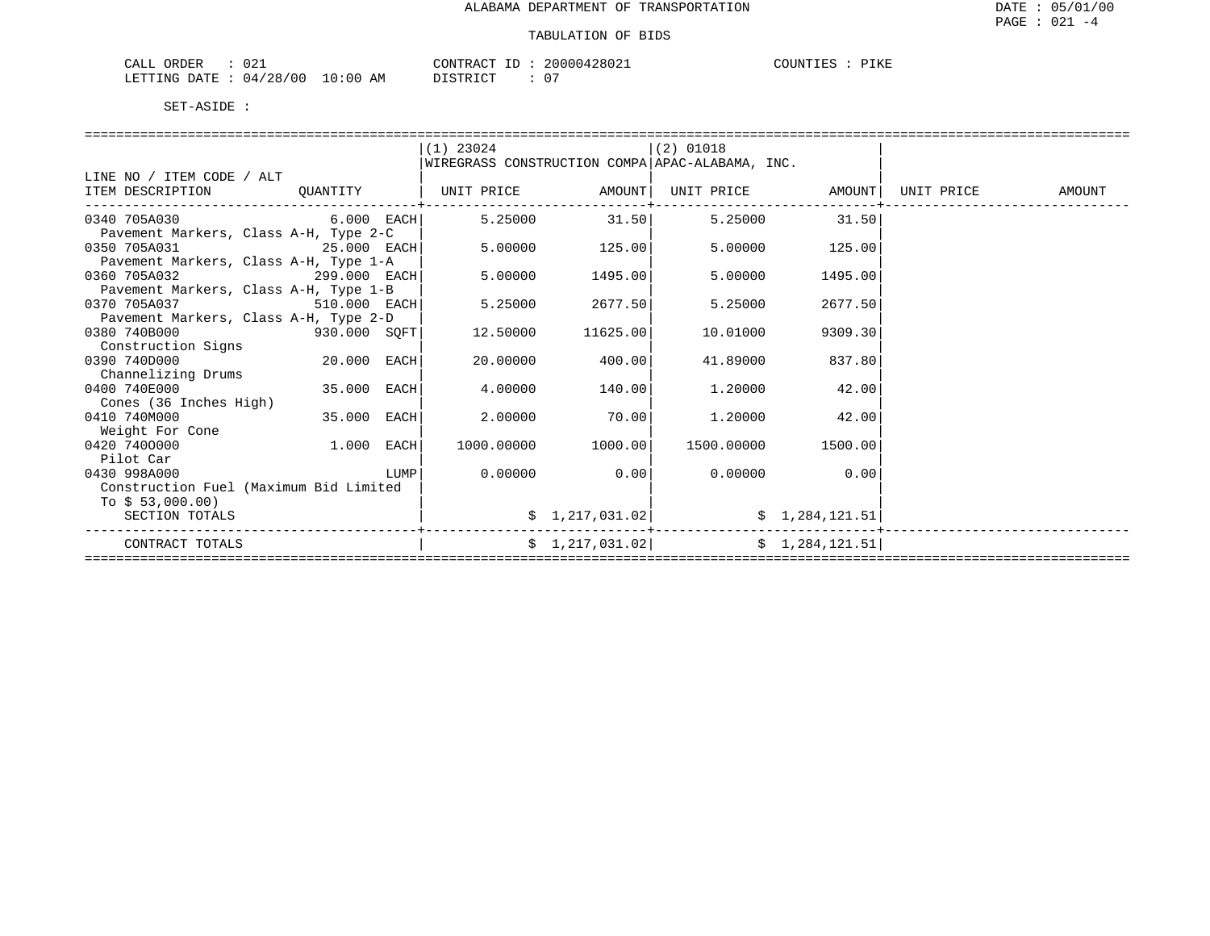| CALL ORDER                      |          | CONTRACT ID: 20000428021 | COUNTIES : PIKE |
|---------------------------------|----------|--------------------------|-----------------|
| LETTING DATE: 04/28/00 10:00 AM | DISTRICT |                          |                 |

|                                        |                | $(1)$ 23024 |                                                 | (2) 01018  |                 |            |        |
|----------------------------------------|----------------|-------------|-------------------------------------------------|------------|-----------------|------------|--------|
|                                        |                |             | WIREGRASS CONSTRUCTION COMPA APAC-ALABAMA, INC. |            |                 |            |        |
| LINE NO / ITEM CODE / ALT              |                |             |                                                 |            |                 |            |        |
| ITEM DESCRIPTION                       | OUANTITY       | UNIT PRICE  | AMOUNT                                          | UNIT PRICE | AMOUNT          | UNIT PRICE | AMOUNT |
| 0340 705A030                           | $6.000$ EACH   | 5.25000     | 31.50                                           | 5.25000    | 31.50           |            |        |
| Pavement Markers, Class A-H, Type 2-C  |                |             |                                                 |            |                 |            |        |
| 0350 705A031                           | 25.000 EACH    | 5.00000     | 125.00                                          | 5.00000    | 125.00          |            |        |
| Pavement Markers, Class A-H, Type 1-A  |                |             |                                                 |            |                 |            |        |
| 0360 705A032                           | 299.000 EACH   | 5,00000     | 1495.00                                         | 5,00000    | 1495.00         |            |        |
| Pavement Markers, Class A-H, Type 1-B  |                |             |                                                 |            |                 |            |        |
| 0370 705A037                           | 510.000 EACH   | 5.25000     | 2677.50                                         | 5.25000    | 2677.50         |            |        |
| Pavement Markers, Class A-H, Type 2-D  |                |             |                                                 |            |                 |            |        |
| 0380 740B000                           | 930.000 SQFT   | 12.50000    | 11625.00                                        | 10.01000   | 9309.30         |            |        |
| Construction Signs                     |                |             |                                                 |            |                 |            |        |
| 0390 740D000                           | 20.000 EACH    | 20.00000    | 400.00                                          | 41.89000   | 837.80          |            |        |
| Channelizing Drums                     |                |             |                                                 |            |                 |            |        |
| 0400 740E000                           | 35.000<br>EACH | 4.00000     | 140.00                                          | 1,20000    | 42.00           |            |        |
| Cones (36 Inches High)                 |                |             |                                                 |            |                 |            |        |
| 0410 740M000                           | 35.000<br>EACH | 2,00000     | 70.00                                           | 1,20000    | 42.00           |            |        |
| Weight For Cone                        |                |             |                                                 |            |                 |            |        |
| 0420 7400000                           | 1.000<br>EACH  | 1000.00000  | 1000.00                                         | 1500.00000 | 1500.00         |            |        |
| Pilot Car                              |                |             |                                                 |            |                 |            |        |
| 0430 998A000                           | LUMP           | 0.00000     | 0.00                                            | 0.00000    | 0.00            |            |        |
| Construction Fuel (Maximum Bid Limited |                |             |                                                 |            |                 |            |        |
| To $$53,000.00)$                       |                |             |                                                 |            |                 |            |        |
| SECTION TOTALS                         |                |             | \$1,217,031.02]                                 |            | \$1,284,121.51  |            |        |
| CONTRACT TOTALS                        |                |             | \$1,217,031.02]                                 |            | \$1,284,121.51] |            |        |
|                                        |                |             |                                                 |            |                 |            |        |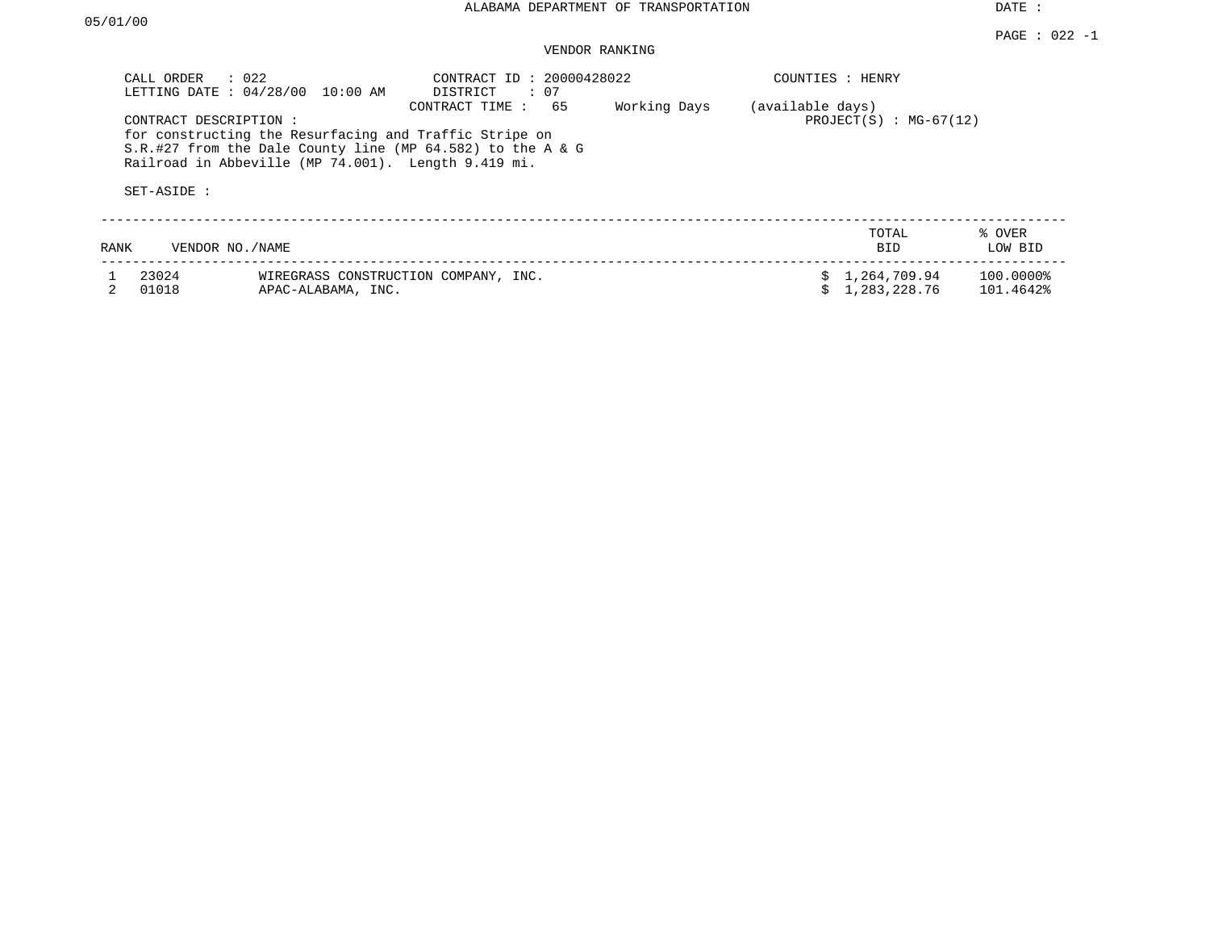# VENDOR RANKING

| CALL ORDER            | $\therefore$ 022<br>LETTING DATE: 04/28/00<br>10:00 AM                                                        | CONTRACT ID: 20000428022<br>DISTRICT<br>: 07                                           |              |                  | COUNTIES : HENRY             |                        |
|-----------------------|---------------------------------------------------------------------------------------------------------------|----------------------------------------------------------------------------------------|--------------|------------------|------------------------------|------------------------|
| CONTRACT DESCRIPTION: | for constructing the Resurfacing and Traffic Stripe on<br>Railroad in Abbeville (MP 74.001). Length 9.419 mi. | CONTRACT TIME :<br>65<br>$S.R.$ #27 from the Dale County line (MP 64.582) to the A & G | Working Days | (available days) | $PROJECT(S) : MG-67(12)$     |                        |
| SET-ASIDE :           |                                                                                                               |                                                                                        |              |                  |                              |                        |
| RANK                  | VENDOR NO./NAME                                                                                               |                                                                                        |              |                  | TOTAL<br><b>BID</b>          | % OVER<br>LOW BID      |
| 23024<br>01018        | APAC-ALABAMA, INC.                                                                                            | WIREGRASS CONSTRUCTION COMPANY, INC.                                                   |              |                  | 1,264,709.94<br>1,283,228.76 | 100.0000%<br>101.4642% |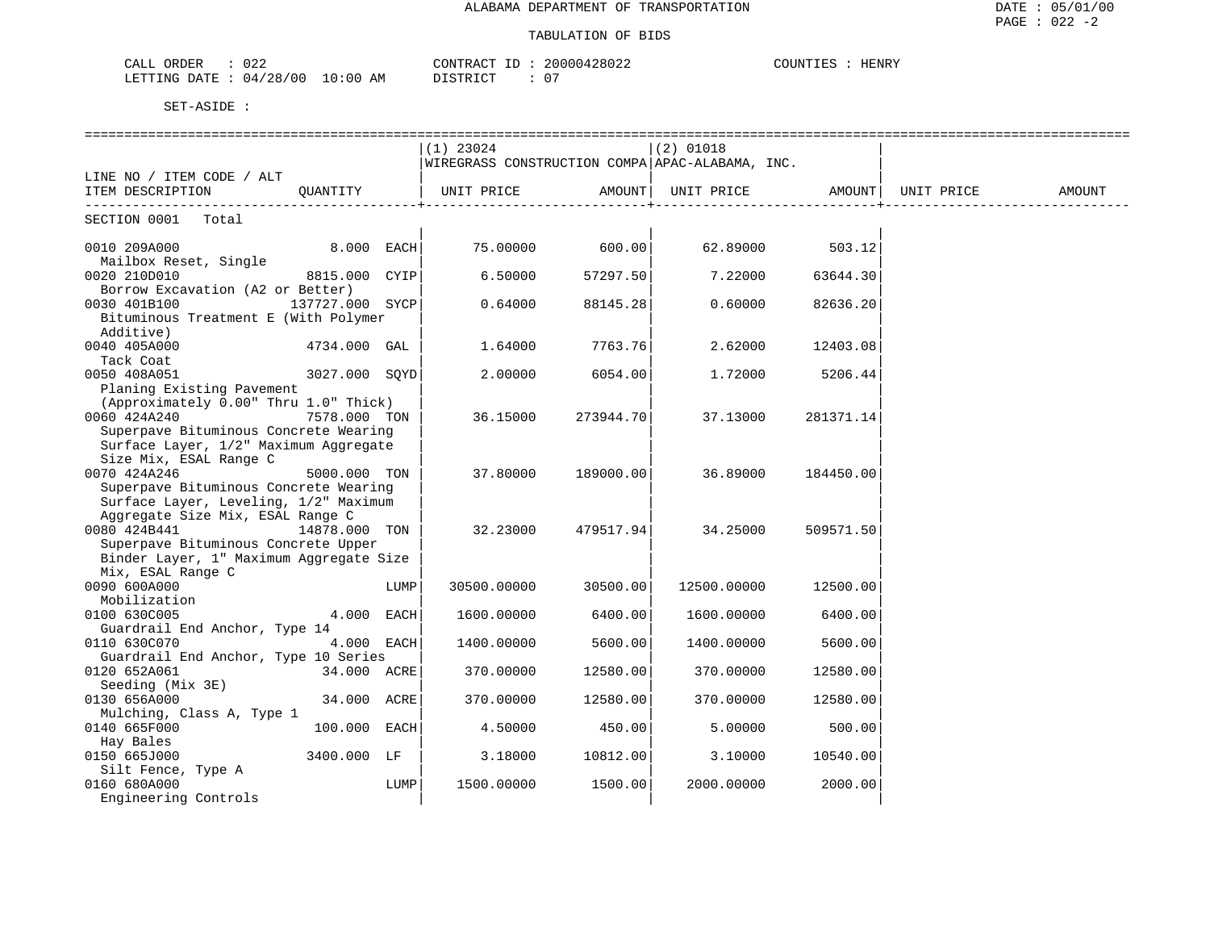### TABULATION OF BIDS

| noc.<br>CALL<br>ORDER<br>- U 44 |            | CONTRACT<br>T <sub>D</sub><br>⊥ப | 20000428022   | COUNTIES<br>HENR? |
|---------------------------------|------------|----------------------------------|---------------|-------------------|
| $04/28/00$ 1.<br>LETTING DATE   | $10:00$ AM | די איד פידי פר                   | $\sim$ $\sim$ |                   |

| $(1)$ 23024<br>$(2)$ 01018<br>WIREGRASS CONSTRUCTION COMPA APAC-ALABAMA, INC.<br>LINE NO / ITEM CODE / ALT<br>UNIT PRICE AMOUNT<br>ITEM DESCRIPTION<br>OUANTITY<br>UNIT PRICE AMOUNT<br>UNIT PRICE<br>AMOUNT<br>SECTION 0001 Total<br>0010 209A000<br>8.000 EACH<br>75.00000<br>600.00<br>62.89000<br>503.12<br>Mailbox Reset, Single<br>0020 210D010<br>8815.000 CYIP<br>6.50000<br>57297.50<br>7.22000<br>63644.30<br>Borrow Excavation (A2 or Better)<br>0030 401B100<br>137727.000 SYCP<br>0.64000<br>88145.28<br>0.60000<br>82636.20<br>Bituminous Treatment E (With Polymer<br>Additive)<br>0040 405A000<br>4734.000 GAL<br>1.64000<br>7763.76<br>2.62000<br>12403.08<br>Tack Coat<br>0050 408A051<br>3027.000 SOYD<br>2.00000<br>6054.00<br>1.72000<br>5206.44<br>Planing Existing Pavement<br>(Approximately 0.00" Thru 1.0" Thick)<br>0060 424A240<br>7578.000 TON<br>36.15000<br>273944.70<br>37.13000<br>281371.14<br>Superpave Bituminous Concrete Wearing<br>Surface Layer, 1/2" Maximum Aggregate<br>Size Mix, ESAL Range C<br>0070 424A246<br>5000.000 TON<br>37.80000<br>189000.00<br>36.89000<br>184450.00<br>Superpave Bituminous Concrete Wearing<br>Surface Layer, Leveling, 1/2" Maximum<br>Aggregate Size Mix, ESAL Range C<br>0080 424B441<br>14878.000 TON<br>32.23000<br>34.25000<br>479517.94<br>509571.50<br>Superpave Bituminous Concrete Upper<br>Binder Layer, 1" Maximum Aggregate Size<br>Mix, ESAL Range C<br>0090 600A000<br>30500.00000<br>30500.00<br>12500.00000<br>LUMP<br>12500.00<br>Mobilization<br>0100 630C005<br>4.000 EACH<br>6400.00<br>1600.00000<br>6400.00<br>1600.00000<br>Guardrail End Anchor, Type 14<br>0110 630C070<br>4.000 EACH<br>1400.00000<br>5600.00<br>1400.00000<br>5600.00<br>Guardrail End Anchor, Type 10 Series<br>0120 652A061<br>34.000 ACRE<br>12580.00<br>12580.00<br>370.00000<br>370.00000<br>Seeding (Mix 3E)<br>0130 656A000<br>34.000 ACRE<br>370.00000<br>12580.00<br>370.00000<br>12580.00<br>Mulching, Class A, Type 1<br>0140 665F000<br>100.000 EACH<br>450.00<br>4.50000<br>5.00000<br>500.00<br>Hay Bales<br>0150 665J000<br>3400.000 LF<br>3.18000<br>10812.00<br>3.10000<br>10540.00<br>Silt Fence, Type A<br>0160 680A000<br>LUMP<br>1500.00000<br>1500.00<br>2000.00000<br>2000.00 |                      |  |  |  |  |
|---------------------------------------------------------------------------------------------------------------------------------------------------------------------------------------------------------------------------------------------------------------------------------------------------------------------------------------------------------------------------------------------------------------------------------------------------------------------------------------------------------------------------------------------------------------------------------------------------------------------------------------------------------------------------------------------------------------------------------------------------------------------------------------------------------------------------------------------------------------------------------------------------------------------------------------------------------------------------------------------------------------------------------------------------------------------------------------------------------------------------------------------------------------------------------------------------------------------------------------------------------------------------------------------------------------------------------------------------------------------------------------------------------------------------------------------------------------------------------------------------------------------------------------------------------------------------------------------------------------------------------------------------------------------------------------------------------------------------------------------------------------------------------------------------------------------------------------------------------------------------------------------------------------------------------------------------------------------------------------------------------------------------------------------------------------------------------------------------------------------------------------------------------------------------------------------------------------------------------------------------------------------------|----------------------|--|--|--|--|
|                                                                                                                                                                                                                                                                                                                                                                                                                                                                                                                                                                                                                                                                                                                                                                                                                                                                                                                                                                                                                                                                                                                                                                                                                                                                                                                                                                                                                                                                                                                                                                                                                                                                                                                                                                                                                                                                                                                                                                                                                                                                                                                                                                                                                                                                           |                      |  |  |  |  |
|                                                                                                                                                                                                                                                                                                                                                                                                                                                                                                                                                                                                                                                                                                                                                                                                                                                                                                                                                                                                                                                                                                                                                                                                                                                                                                                                                                                                                                                                                                                                                                                                                                                                                                                                                                                                                                                                                                                                                                                                                                                                                                                                                                                                                                                                           |                      |  |  |  |  |
|                                                                                                                                                                                                                                                                                                                                                                                                                                                                                                                                                                                                                                                                                                                                                                                                                                                                                                                                                                                                                                                                                                                                                                                                                                                                                                                                                                                                                                                                                                                                                                                                                                                                                                                                                                                                                                                                                                                                                                                                                                                                                                                                                                                                                                                                           |                      |  |  |  |  |
|                                                                                                                                                                                                                                                                                                                                                                                                                                                                                                                                                                                                                                                                                                                                                                                                                                                                                                                                                                                                                                                                                                                                                                                                                                                                                                                                                                                                                                                                                                                                                                                                                                                                                                                                                                                                                                                                                                                                                                                                                                                                                                                                                                                                                                                                           |                      |  |  |  |  |
|                                                                                                                                                                                                                                                                                                                                                                                                                                                                                                                                                                                                                                                                                                                                                                                                                                                                                                                                                                                                                                                                                                                                                                                                                                                                                                                                                                                                                                                                                                                                                                                                                                                                                                                                                                                                                                                                                                                                                                                                                                                                                                                                                                                                                                                                           |                      |  |  |  |  |
|                                                                                                                                                                                                                                                                                                                                                                                                                                                                                                                                                                                                                                                                                                                                                                                                                                                                                                                                                                                                                                                                                                                                                                                                                                                                                                                                                                                                                                                                                                                                                                                                                                                                                                                                                                                                                                                                                                                                                                                                                                                                                                                                                                                                                                                                           |                      |  |  |  |  |
|                                                                                                                                                                                                                                                                                                                                                                                                                                                                                                                                                                                                                                                                                                                                                                                                                                                                                                                                                                                                                                                                                                                                                                                                                                                                                                                                                                                                                                                                                                                                                                                                                                                                                                                                                                                                                                                                                                                                                                                                                                                                                                                                                                                                                                                                           |                      |  |  |  |  |
|                                                                                                                                                                                                                                                                                                                                                                                                                                                                                                                                                                                                                                                                                                                                                                                                                                                                                                                                                                                                                                                                                                                                                                                                                                                                                                                                                                                                                                                                                                                                                                                                                                                                                                                                                                                                                                                                                                                                                                                                                                                                                                                                                                                                                                                                           |                      |  |  |  |  |
|                                                                                                                                                                                                                                                                                                                                                                                                                                                                                                                                                                                                                                                                                                                                                                                                                                                                                                                                                                                                                                                                                                                                                                                                                                                                                                                                                                                                                                                                                                                                                                                                                                                                                                                                                                                                                                                                                                                                                                                                                                                                                                                                                                                                                                                                           |                      |  |  |  |  |
|                                                                                                                                                                                                                                                                                                                                                                                                                                                                                                                                                                                                                                                                                                                                                                                                                                                                                                                                                                                                                                                                                                                                                                                                                                                                                                                                                                                                                                                                                                                                                                                                                                                                                                                                                                                                                                                                                                                                                                                                                                                                                                                                                                                                                                                                           |                      |  |  |  |  |
|                                                                                                                                                                                                                                                                                                                                                                                                                                                                                                                                                                                                                                                                                                                                                                                                                                                                                                                                                                                                                                                                                                                                                                                                                                                                                                                                                                                                                                                                                                                                                                                                                                                                                                                                                                                                                                                                                                                                                                                                                                                                                                                                                                                                                                                                           |                      |  |  |  |  |
|                                                                                                                                                                                                                                                                                                                                                                                                                                                                                                                                                                                                                                                                                                                                                                                                                                                                                                                                                                                                                                                                                                                                                                                                                                                                                                                                                                                                                                                                                                                                                                                                                                                                                                                                                                                                                                                                                                                                                                                                                                                                                                                                                                                                                                                                           |                      |  |  |  |  |
|                                                                                                                                                                                                                                                                                                                                                                                                                                                                                                                                                                                                                                                                                                                                                                                                                                                                                                                                                                                                                                                                                                                                                                                                                                                                                                                                                                                                                                                                                                                                                                                                                                                                                                                                                                                                                                                                                                                                                                                                                                                                                                                                                                                                                                                                           |                      |  |  |  |  |
|                                                                                                                                                                                                                                                                                                                                                                                                                                                                                                                                                                                                                                                                                                                                                                                                                                                                                                                                                                                                                                                                                                                                                                                                                                                                                                                                                                                                                                                                                                                                                                                                                                                                                                                                                                                                                                                                                                                                                                                                                                                                                                                                                                                                                                                                           |                      |  |  |  |  |
|                                                                                                                                                                                                                                                                                                                                                                                                                                                                                                                                                                                                                                                                                                                                                                                                                                                                                                                                                                                                                                                                                                                                                                                                                                                                                                                                                                                                                                                                                                                                                                                                                                                                                                                                                                                                                                                                                                                                                                                                                                                                                                                                                                                                                                                                           |                      |  |  |  |  |
|                                                                                                                                                                                                                                                                                                                                                                                                                                                                                                                                                                                                                                                                                                                                                                                                                                                                                                                                                                                                                                                                                                                                                                                                                                                                                                                                                                                                                                                                                                                                                                                                                                                                                                                                                                                                                                                                                                                                                                                                                                                                                                                                                                                                                                                                           |                      |  |  |  |  |
|                                                                                                                                                                                                                                                                                                                                                                                                                                                                                                                                                                                                                                                                                                                                                                                                                                                                                                                                                                                                                                                                                                                                                                                                                                                                                                                                                                                                                                                                                                                                                                                                                                                                                                                                                                                                                                                                                                                                                                                                                                                                                                                                                                                                                                                                           |                      |  |  |  |  |
|                                                                                                                                                                                                                                                                                                                                                                                                                                                                                                                                                                                                                                                                                                                                                                                                                                                                                                                                                                                                                                                                                                                                                                                                                                                                                                                                                                                                                                                                                                                                                                                                                                                                                                                                                                                                                                                                                                                                                                                                                                                                                                                                                                                                                                                                           |                      |  |  |  |  |
|                                                                                                                                                                                                                                                                                                                                                                                                                                                                                                                                                                                                                                                                                                                                                                                                                                                                                                                                                                                                                                                                                                                                                                                                                                                                                                                                                                                                                                                                                                                                                                                                                                                                                                                                                                                                                                                                                                                                                                                                                                                                                                                                                                                                                                                                           |                      |  |  |  |  |
|                                                                                                                                                                                                                                                                                                                                                                                                                                                                                                                                                                                                                                                                                                                                                                                                                                                                                                                                                                                                                                                                                                                                                                                                                                                                                                                                                                                                                                                                                                                                                                                                                                                                                                                                                                                                                                                                                                                                                                                                                                                                                                                                                                                                                                                                           |                      |  |  |  |  |
|                                                                                                                                                                                                                                                                                                                                                                                                                                                                                                                                                                                                                                                                                                                                                                                                                                                                                                                                                                                                                                                                                                                                                                                                                                                                                                                                                                                                                                                                                                                                                                                                                                                                                                                                                                                                                                                                                                                                                                                                                                                                                                                                                                                                                                                                           |                      |  |  |  |  |
|                                                                                                                                                                                                                                                                                                                                                                                                                                                                                                                                                                                                                                                                                                                                                                                                                                                                                                                                                                                                                                                                                                                                                                                                                                                                                                                                                                                                                                                                                                                                                                                                                                                                                                                                                                                                                                                                                                                                                                                                                                                                                                                                                                                                                                                                           |                      |  |  |  |  |
|                                                                                                                                                                                                                                                                                                                                                                                                                                                                                                                                                                                                                                                                                                                                                                                                                                                                                                                                                                                                                                                                                                                                                                                                                                                                                                                                                                                                                                                                                                                                                                                                                                                                                                                                                                                                                                                                                                                                                                                                                                                                                                                                                                                                                                                                           |                      |  |  |  |  |
|                                                                                                                                                                                                                                                                                                                                                                                                                                                                                                                                                                                                                                                                                                                                                                                                                                                                                                                                                                                                                                                                                                                                                                                                                                                                                                                                                                                                                                                                                                                                                                                                                                                                                                                                                                                                                                                                                                                                                                                                                                                                                                                                                                                                                                                                           |                      |  |  |  |  |
|                                                                                                                                                                                                                                                                                                                                                                                                                                                                                                                                                                                                                                                                                                                                                                                                                                                                                                                                                                                                                                                                                                                                                                                                                                                                                                                                                                                                                                                                                                                                                                                                                                                                                                                                                                                                                                                                                                                                                                                                                                                                                                                                                                                                                                                                           |                      |  |  |  |  |
|                                                                                                                                                                                                                                                                                                                                                                                                                                                                                                                                                                                                                                                                                                                                                                                                                                                                                                                                                                                                                                                                                                                                                                                                                                                                                                                                                                                                                                                                                                                                                                                                                                                                                                                                                                                                                                                                                                                                                                                                                                                                                                                                                                                                                                                                           |                      |  |  |  |  |
|                                                                                                                                                                                                                                                                                                                                                                                                                                                                                                                                                                                                                                                                                                                                                                                                                                                                                                                                                                                                                                                                                                                                                                                                                                                                                                                                                                                                                                                                                                                                                                                                                                                                                                                                                                                                                                                                                                                                                                                                                                                                                                                                                                                                                                                                           |                      |  |  |  |  |
|                                                                                                                                                                                                                                                                                                                                                                                                                                                                                                                                                                                                                                                                                                                                                                                                                                                                                                                                                                                                                                                                                                                                                                                                                                                                                                                                                                                                                                                                                                                                                                                                                                                                                                                                                                                                                                                                                                                                                                                                                                                                                                                                                                                                                                                                           |                      |  |  |  |  |
|                                                                                                                                                                                                                                                                                                                                                                                                                                                                                                                                                                                                                                                                                                                                                                                                                                                                                                                                                                                                                                                                                                                                                                                                                                                                                                                                                                                                                                                                                                                                                                                                                                                                                                                                                                                                                                                                                                                                                                                                                                                                                                                                                                                                                                                                           |                      |  |  |  |  |
|                                                                                                                                                                                                                                                                                                                                                                                                                                                                                                                                                                                                                                                                                                                                                                                                                                                                                                                                                                                                                                                                                                                                                                                                                                                                                                                                                                                                                                                                                                                                                                                                                                                                                                                                                                                                                                                                                                                                                                                                                                                                                                                                                                                                                                                                           |                      |  |  |  |  |
|                                                                                                                                                                                                                                                                                                                                                                                                                                                                                                                                                                                                                                                                                                                                                                                                                                                                                                                                                                                                                                                                                                                                                                                                                                                                                                                                                                                                                                                                                                                                                                                                                                                                                                                                                                                                                                                                                                                                                                                                                                                                                                                                                                                                                                                                           |                      |  |  |  |  |
|                                                                                                                                                                                                                                                                                                                                                                                                                                                                                                                                                                                                                                                                                                                                                                                                                                                                                                                                                                                                                                                                                                                                                                                                                                                                                                                                                                                                                                                                                                                                                                                                                                                                                                                                                                                                                                                                                                                                                                                                                                                                                                                                                                                                                                                                           |                      |  |  |  |  |
|                                                                                                                                                                                                                                                                                                                                                                                                                                                                                                                                                                                                                                                                                                                                                                                                                                                                                                                                                                                                                                                                                                                                                                                                                                                                                                                                                                                                                                                                                                                                                                                                                                                                                                                                                                                                                                                                                                                                                                                                                                                                                                                                                                                                                                                                           |                      |  |  |  |  |
|                                                                                                                                                                                                                                                                                                                                                                                                                                                                                                                                                                                                                                                                                                                                                                                                                                                                                                                                                                                                                                                                                                                                                                                                                                                                                                                                                                                                                                                                                                                                                                                                                                                                                                                                                                                                                                                                                                                                                                                                                                                                                                                                                                                                                                                                           |                      |  |  |  |  |
|                                                                                                                                                                                                                                                                                                                                                                                                                                                                                                                                                                                                                                                                                                                                                                                                                                                                                                                                                                                                                                                                                                                                                                                                                                                                                                                                                                                                                                                                                                                                                                                                                                                                                                                                                                                                                                                                                                                                                                                                                                                                                                                                                                                                                                                                           |                      |  |  |  |  |
|                                                                                                                                                                                                                                                                                                                                                                                                                                                                                                                                                                                                                                                                                                                                                                                                                                                                                                                                                                                                                                                                                                                                                                                                                                                                                                                                                                                                                                                                                                                                                                                                                                                                                                                                                                                                                                                                                                                                                                                                                                                                                                                                                                                                                                                                           |                      |  |  |  |  |
|                                                                                                                                                                                                                                                                                                                                                                                                                                                                                                                                                                                                                                                                                                                                                                                                                                                                                                                                                                                                                                                                                                                                                                                                                                                                                                                                                                                                                                                                                                                                                                                                                                                                                                                                                                                                                                                                                                                                                                                                                                                                                                                                                                                                                                                                           |                      |  |  |  |  |
|                                                                                                                                                                                                                                                                                                                                                                                                                                                                                                                                                                                                                                                                                                                                                                                                                                                                                                                                                                                                                                                                                                                                                                                                                                                                                                                                                                                                                                                                                                                                                                                                                                                                                                                                                                                                                                                                                                                                                                                                                                                                                                                                                                                                                                                                           |                      |  |  |  |  |
|                                                                                                                                                                                                                                                                                                                                                                                                                                                                                                                                                                                                                                                                                                                                                                                                                                                                                                                                                                                                                                                                                                                                                                                                                                                                                                                                                                                                                                                                                                                                                                                                                                                                                                                                                                                                                                                                                                                                                                                                                                                                                                                                                                                                                                                                           |                      |  |  |  |  |
|                                                                                                                                                                                                                                                                                                                                                                                                                                                                                                                                                                                                                                                                                                                                                                                                                                                                                                                                                                                                                                                                                                                                                                                                                                                                                                                                                                                                                                                                                                                                                                                                                                                                                                                                                                                                                                                                                                                                                                                                                                                                                                                                                                                                                                                                           |                      |  |  |  |  |
|                                                                                                                                                                                                                                                                                                                                                                                                                                                                                                                                                                                                                                                                                                                                                                                                                                                                                                                                                                                                                                                                                                                                                                                                                                                                                                                                                                                                                                                                                                                                                                                                                                                                                                                                                                                                                                                                                                                                                                                                                                                                                                                                                                                                                                                                           |                      |  |  |  |  |
|                                                                                                                                                                                                                                                                                                                                                                                                                                                                                                                                                                                                                                                                                                                                                                                                                                                                                                                                                                                                                                                                                                                                                                                                                                                                                                                                                                                                                                                                                                                                                                                                                                                                                                                                                                                                                                                                                                                                                                                                                                                                                                                                                                                                                                                                           |                      |  |  |  |  |
|                                                                                                                                                                                                                                                                                                                                                                                                                                                                                                                                                                                                                                                                                                                                                                                                                                                                                                                                                                                                                                                                                                                                                                                                                                                                                                                                                                                                                                                                                                                                                                                                                                                                                                                                                                                                                                                                                                                                                                                                                                                                                                                                                                                                                                                                           |                      |  |  |  |  |
|                                                                                                                                                                                                                                                                                                                                                                                                                                                                                                                                                                                                                                                                                                                                                                                                                                                                                                                                                                                                                                                                                                                                                                                                                                                                                                                                                                                                                                                                                                                                                                                                                                                                                                                                                                                                                                                                                                                                                                                                                                                                                                                                                                                                                                                                           |                      |  |  |  |  |
|                                                                                                                                                                                                                                                                                                                                                                                                                                                                                                                                                                                                                                                                                                                                                                                                                                                                                                                                                                                                                                                                                                                                                                                                                                                                                                                                                                                                                                                                                                                                                                                                                                                                                                                                                                                                                                                                                                                                                                                                                                                                                                                                                                                                                                                                           |                      |  |  |  |  |
|                                                                                                                                                                                                                                                                                                                                                                                                                                                                                                                                                                                                                                                                                                                                                                                                                                                                                                                                                                                                                                                                                                                                                                                                                                                                                                                                                                                                                                                                                                                                                                                                                                                                                                                                                                                                                                                                                                                                                                                                                                                                                                                                                                                                                                                                           |                      |  |  |  |  |
|                                                                                                                                                                                                                                                                                                                                                                                                                                                                                                                                                                                                                                                                                                                                                                                                                                                                                                                                                                                                                                                                                                                                                                                                                                                                                                                                                                                                                                                                                                                                                                                                                                                                                                                                                                                                                                                                                                                                                                                                                                                                                                                                                                                                                                                                           | Engineering Controls |  |  |  |  |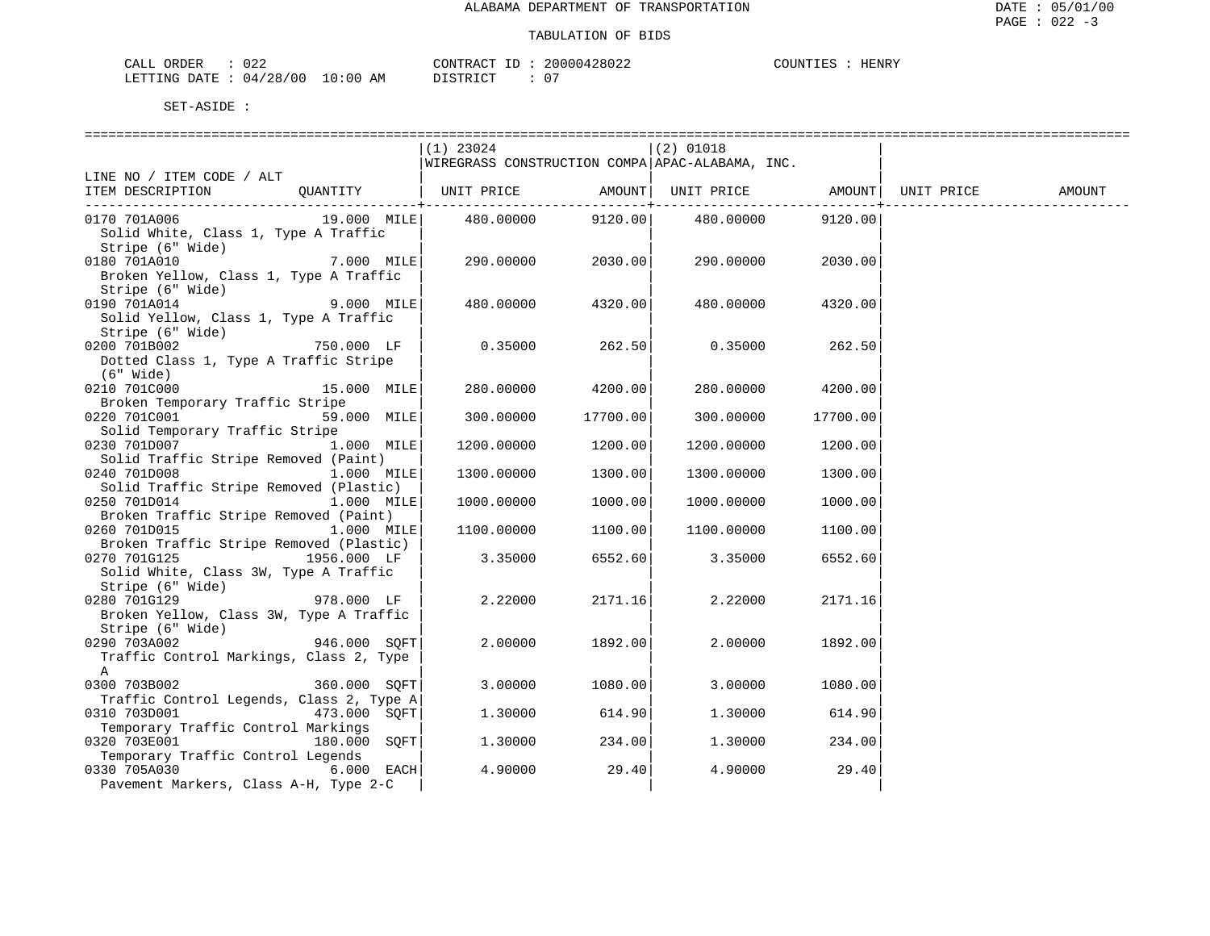| CALI<br>ORDER    | 022      |             | CONTRACT           | ⊇∩∩∩<br>NN428N2 | ∩ਾ™ਾ ਸ਼ | AENRV |
|------------------|----------|-------------|--------------------|-----------------|---------|-------|
| LETTING<br>DATE. | 04/28/00 | 10:00<br>ΑM | יחי א די פידי פידו |                 |         |       |

|                                                        |                       | $(1)$ 23024                                     |                       | $(2)$ 01018                |          |            |        |
|--------------------------------------------------------|-----------------------|-------------------------------------------------|-----------------------|----------------------------|----------|------------|--------|
|                                                        |                       | WIREGRASS CONSTRUCTION COMPA APAC-ALABAMA, INC. |                       |                            |          |            |        |
| LINE NO / ITEM CODE / ALT                              |                       |                                                 |                       |                            |          |            |        |
| ITEM DESCRIPTION                                       | QUANTITY   UNIT PRICE |                                                 | ------------+-------- | AMOUNT   UNIT PRICE AMOUNT |          | UNIT PRICE | AMOUNT |
| 0170 701A006                                           | 19.000 MILE           | 480.00000                                       |                       | 9120.00 480.00000          | 9120.00  |            |        |
| Solid White, Class 1, Type A Traffic                   |                       |                                                 |                       |                            |          |            |        |
| Stripe (6" Wide)                                       |                       |                                                 |                       |                            |          |            |        |
| 0180 701A010                                           | 7.000 MILE            |                                                 | 290.00000 2030.00     | 290.00000                  | 2030.00  |            |        |
| Broken Yellow, Class 1, Type A Traffic                 |                       |                                                 |                       |                            |          |            |        |
| Stripe (6" Wide)                                       |                       |                                                 |                       |                            |          |            |        |
| 0190 701A014                                           | 9.000 MILE            | 480.00000                                       | 4320.00               | 480.00000                  | 4320.00  |            |        |
| Solid Yellow, Class 1, Type A Traffic                  |                       |                                                 |                       |                            |          |            |        |
| Stripe (6" Wide)                                       |                       |                                                 |                       |                            |          |            |        |
| 0200 701B002                                           | 750.000 LF            | 0.35000                                         | 262.50                | 0.35000                    | 262.50   |            |        |
| Dotted Class 1, Type A Traffic Stripe                  |                       |                                                 |                       |                            |          |            |        |
| $(6"$ Wide)                                            |                       |                                                 |                       |                            |          |            |        |
| 0210 701C000                                           | 15.000 MILE           | 280.00000                                       | 4200.00               | 280.00000                  | 4200.00  |            |        |
| Broken Temporary Traffic Stripe                        |                       |                                                 |                       |                            |          |            |        |
| 0220 701C001                                           | 59.000 MILE           | 300.00000                                       | 17700.00              | 300.00000                  | 17700.00 |            |        |
| Solid Temporary Traffic Stripe                         |                       |                                                 |                       |                            |          |            |        |
| 0230 701D007                                           | $1.000$ MILE          | 1200.00000                                      | 1200.00               | 1200.00000                 | 1200.00  |            |        |
| Solid Traffic Stripe Removed (Paint)                   |                       |                                                 |                       |                            |          |            |        |
| 0240 701D008<br>Solid Traffic Stripe Removed (Plastic) | $1.000$ MILE          | 1300.00000                                      | 1300.00               | 1300.00000                 | 1300.00  |            |        |
| 0250 701D014                                           | 1.000 MILE            | 1000.00000                                      | 1000.00               | 1000.00000                 | 1000.00  |            |        |
| Broken Traffic Stripe Removed (Paint)                  |                       |                                                 |                       |                            |          |            |        |
| 0260 701D015                                           | 1.000 MILE            | 1100.00000                                      | 1100.00               | 1100.00000                 | 1100.00  |            |        |
| Broken Traffic Stripe Removed (Plastic)                |                       |                                                 |                       |                            |          |            |        |
| 0270 701G125                                           | 1956.000 LF           | 3.35000                                         | 6552.60               | 3.35000                    | 6552.60  |            |        |
| Solid White, Class 3W, Type A Traffic                  |                       |                                                 |                       |                            |          |            |        |
| Stripe (6" Wide)                                       |                       |                                                 |                       |                            |          |            |        |
| 0280 701G129                                           | 978.000 LF            | 2.22000                                         | 2171.16               | 2.22000                    | 2171.16  |            |        |
| Broken Yellow, Class 3W, Type A Traffic                |                       |                                                 |                       |                            |          |            |        |
| Stripe (6" Wide)                                       |                       |                                                 |                       |                            |          |            |        |
| 0290 703A002                                           | 946.000 SQFT          | 2.00000                                         | 1892.00               | 2.00000                    | 1892.00  |            |        |
| Traffic Control Markings, Class 2, Type                |                       |                                                 |                       |                            |          |            |        |
| A                                                      |                       |                                                 |                       |                            |          |            |        |
| 0300 703B002                                           | 360.000 SQFT          | 3.00000                                         | 1080.00               | 3.00000                    | 1080.00  |            |        |
| Traffic Control Legends, Class 2, Type A               |                       |                                                 |                       |                            |          |            |        |
| 0310 703D001                                           | 473.000 SOFT          | 1,30000                                         | 614.90                | 1.30000                    | 614.90   |            |        |
| Temporary Traffic Control Markings                     |                       |                                                 |                       |                            |          |            |        |
| 0320 703E001                                           | 180.000 SOFT          | 1.30000                                         | 234.00                | 1,30000                    | 234.00   |            |        |
| Temporary Traffic Control Legends                      |                       |                                                 | 29.40                 |                            | 29.40    |            |        |
| 0330 705A030<br>Pavement Markers, Class A-H, Type 2-C  | $6.000$ EACH          | 4.90000                                         |                       | 4.90000                    |          |            |        |
|                                                        |                       |                                                 |                       |                            |          |            |        |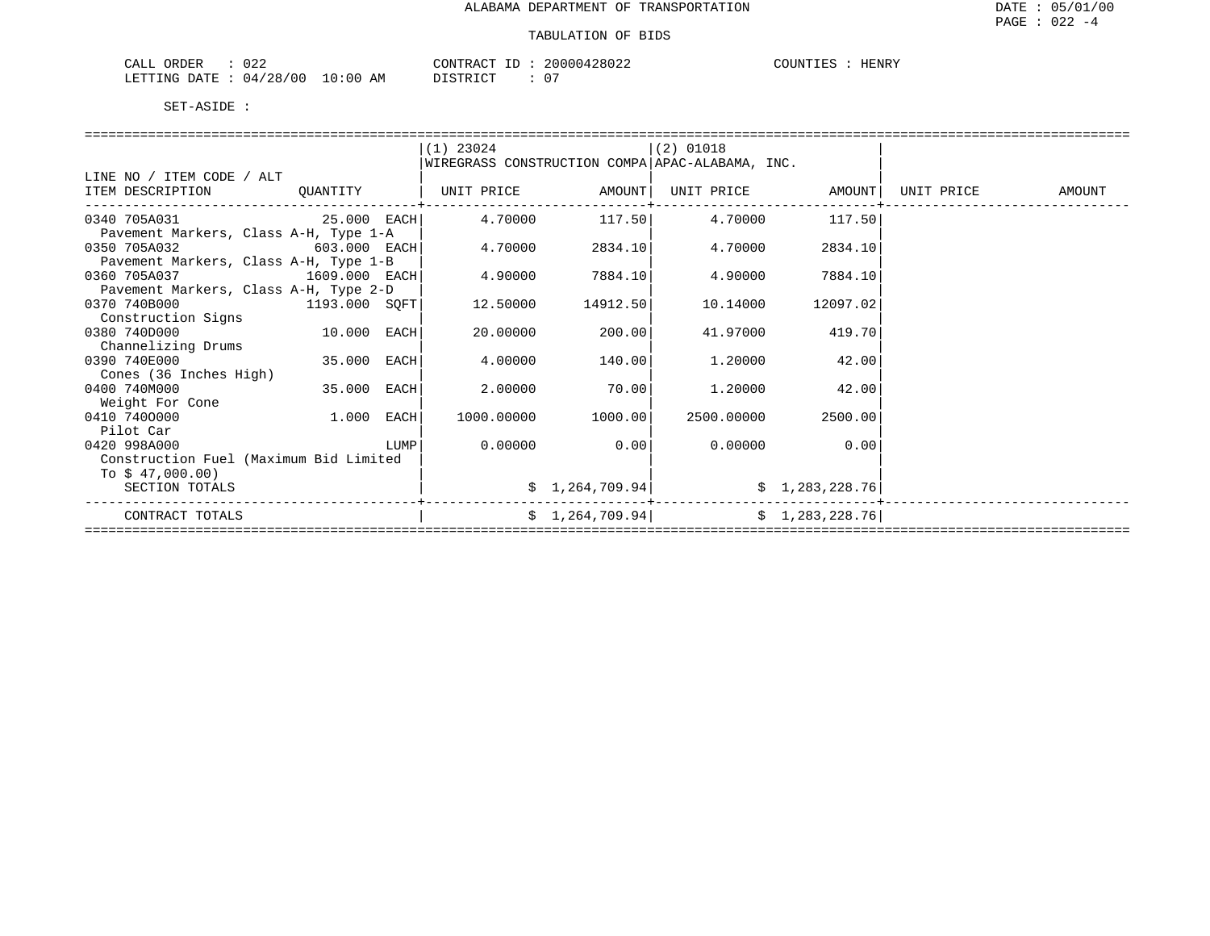| $\sim$ $\sim$<br>ORDER<br>CALL<br>∪∠∠ |             | CONTRACT | 20000428022   | TOUNTIES<br>HENRY |
|---------------------------------------|-------------|----------|---------------|-------------------|
| LETTING DATE : $04/28/00$             | 10:00<br>AM | LSTRICT  | $\sim$ $\sim$ |                   |

|                                        |              |      | $(1)$ 23024                                     |                 | $(2)$ 01018 |                |            |        |
|----------------------------------------|--------------|------|-------------------------------------------------|-----------------|-------------|----------------|------------|--------|
|                                        |              |      | WIREGRASS CONSTRUCTION COMPA APAC-ALABAMA, INC. |                 |             |                |            |        |
| LINE NO / ITEM CODE / ALT              |              |      |                                                 |                 |             |                |            |        |
| ITEM DESCRIPTION                       | QUANTITY     |      | UNIT PRICE                                      | AMOUNT          | UNIT PRICE  | AMOUNT         | UNIT PRICE | AMOUNT |
| 0340 705A031<br>25.000 EACH            |              |      | 4.70000                                         | 117.50          | 4.70000     | 117.50         |            |        |
| Pavement Markers, Class A-H, Type 1-A  |              |      |                                                 |                 |             |                |            |        |
| 0350 705A032<br>603.000 EACH           |              |      | 4.70000                                         | 2834.10         | 4.70000     | 2834.10        |            |        |
| Pavement Markers, Class A-H, Type 1-B  |              |      |                                                 |                 |             |                |            |        |
| 0360 705A037<br>$1609.000$ EACH        |              |      | 4.90000                                         | 7884.10         | 4.90000     | 7884.10        |            |        |
| Pavement Markers, Class A-H, Type 2-D  |              |      |                                                 |                 |             |                |            |        |
| 0370 740B000<br>1193.000 SQFT          |              |      | 12.50000                                        | 14912.50        | 10.14000    | 12097.02       |            |        |
| Construction Signs                     |              |      |                                                 |                 |             |                |            |        |
| 0380 740D000                           | 10.000 EACH  |      | 20,00000                                        | 200.001         | 41.97000    | 419.70         |            |        |
| Channelizing Drums                     |              |      |                                                 |                 |             |                |            |        |
| 0390 740E000                           | 35.000 EACH  |      | 4.00000                                         | 140.00          | 1,20000     | 42.00          |            |        |
| Cones (36 Inches High)                 |              |      |                                                 |                 |             |                |            |        |
| 0400 740M000                           | 35.000 EACH  |      | 2,00000                                         | 70.00           | 1,20000     | 42.00          |            |        |
| Weight For Cone                        |              |      |                                                 |                 |             |                |            |        |
| 0410 7400000                           | $1.000$ EACH |      | 1000.00000                                      | 1000.00         | 2500.00000  | 2500.00        |            |        |
| Pilot Car                              |              |      |                                                 |                 |             |                |            |        |
| 0420 998A000                           |              | LUMP | 0.00000                                         | 0.00            | 0.00000     | 0.00           |            |        |
| Construction Fuel (Maximum Bid Limited |              |      |                                                 |                 |             |                |            |        |
| To $$47,000.00)$                       |              |      |                                                 |                 |             |                |            |        |
| SECTION TOTALS                         |              |      |                                                 | \$1,264,709.94] |             | \$1,283,228.76 |            |        |
| CONTRACT TOTALS                        |              |      |                                                 | \$1,264,709.94] |             | \$1,283,228.76 |            |        |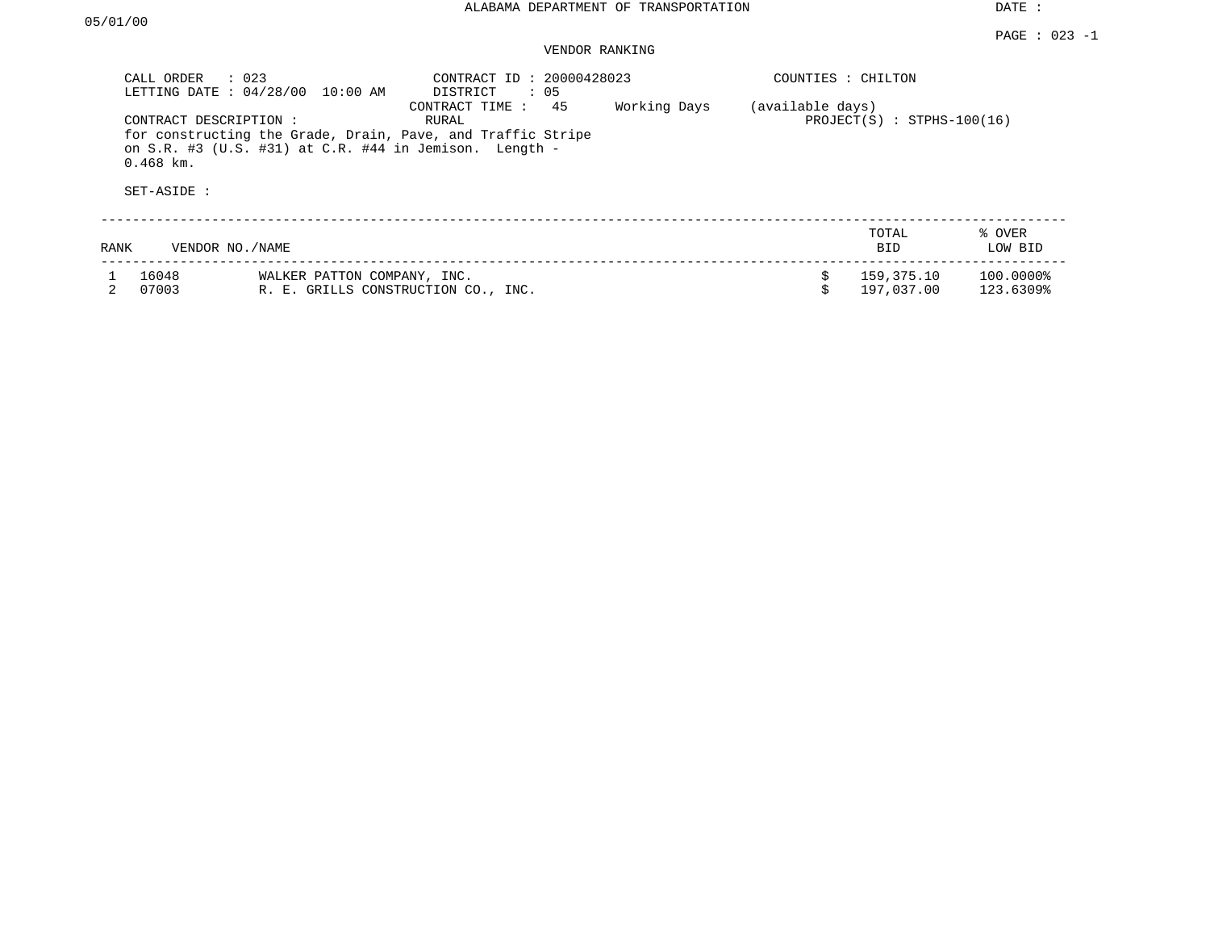| CALL ORDER<br>LETTING DATE : 04/28/00                | $\therefore$ 023<br>10:00 AM                                       | CONTRACT ID: 20000428023<br>$\therefore$ 05<br>DISTRICT                                      |              | COUNTIES : CHILTON |                              |                        |
|------------------------------------------------------|--------------------------------------------------------------------|----------------------------------------------------------------------------------------------|--------------|--------------------|------------------------------|------------------------|
| CONTRACT DESCRIPTION :<br>$0.468$ km.<br>SET-ASIDE : | on S.R. #3 (U.S. #31) at C.R. #44 in Jemison. Length -             | 45<br>CONTRACT TIME:<br>RURAL<br>for constructing the Grade, Drain, Pave, and Traffic Stripe | Working Days | (available days)   | $PROJECT(S) : STPHS-100(16)$ |                        |
|                                                      |                                                                    |                                                                                              |              |                    | TOTAL                        | % OVER                 |
| RANK                                                 | VENDOR NO. / NAME                                                  |                                                                                              |              |                    | <b>BID</b>                   | LOW BID                |
| 16048<br>07003                                       | WALKER PATTON COMPANY, INC.<br>R. E. GRILLS CONSTRUCTION CO., INC. |                                                                                              |              |                    | 159,375.10<br>197,037,00     | 100.0000%<br>123.6309% |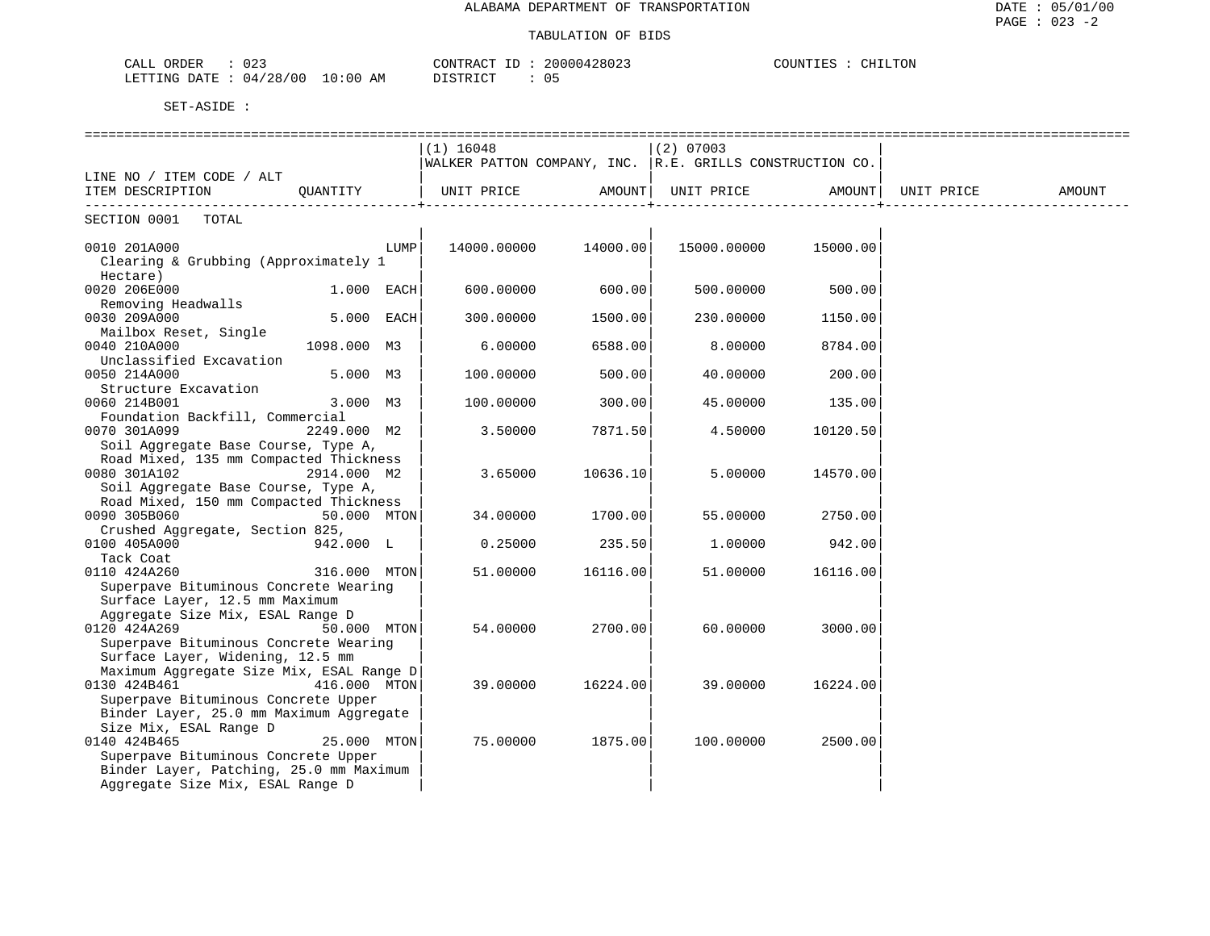| $\sim$ $\sim$<br>ORDER<br>CALI<br>しとこ                      | د م م م ۱<br>$\cap$ ר מידיז ה $\cap$<br>2000042<br>.002   | 1. Pr.<br>≖≖≖⇔≖ |
|------------------------------------------------------------|-----------------------------------------------------------|-----------------|
| /28/00<br>LETTING<br>DATE<br>:00<br>AΜ<br>10.<br>14<br>. . | $\sim$<br>. ⊶<br>$\overline{\phantom{a}}$<br>$\mathbf{u}$ |                 |

|                                                                                 | -----------------------------<br>$(1)$ 16048                |                      | $(2)$ 07003          |          |            |        |
|---------------------------------------------------------------------------------|-------------------------------------------------------------|----------------------|----------------------|----------|------------|--------|
|                                                                                 | WALKER PATTON COMPANY, INC. $ R.E.$ GRILLS CONSTRUCTION CO. |                      |                      |          |            |        |
| LINE NO / ITEM CODE / ALT<br>ITEM DESCRIPTION                                   |                                                             |                      |                      |          |            |        |
| OUANTITY                                                                        | UNIT PRICE                                                  |                      |                      |          | UNIT PRICE | AMOUNT |
| SECTION 0001 TOTAL                                                              |                                                             |                      |                      |          |            |        |
| 0010 201A000<br>LUMP                                                            |                                                             | 14000.00000 14000.00 | 15000.00000 15000.00 |          |            |        |
| Clearing & Grubbing (Approximately 1<br>Hectare)                                |                                                             |                      |                      |          |            |        |
| 0020 206E000<br>$1.000$ EACH                                                    | 600.00000                                                   | 600.00               | 500.00000            | 500.00   |            |        |
| Removing Headwalls                                                              |                                                             |                      |                      |          |            |        |
| 5.000 EACH<br>0030 209A000                                                      | 300.00000                                                   | 1500.00              | 230.00000            | 1150.00  |            |        |
| Mailbox Reset, Single<br>1098.000 M3<br>0040 210A000<br>Unclassified Excavation | 6.00000                                                     | 6588.00              | 8,00000              | 8784.00  |            |        |
| 5.000 M3<br>0050 214A000                                                        | 100.00000                                                   | 500.00               | 40.00000             | 200.00   |            |        |
| Structure Excavation                                                            |                                                             |                      |                      |          |            |        |
| 3.000 M3<br>0060 214B001<br>Foundation Backfill, Commercial                     | 100.00000                                                   | 300.00               | 45.00000             | 135.00   |            |        |
| 0070 301A099<br>2249.000 M2                                                     | 3.50000                                                     | 7871.50              | 4.50000              | 10120.50 |            |        |
| Soil Aggregate Base Course, Type A,                                             |                                                             |                      |                      |          |            |        |
| Road Mixed, 135 mm Compacted Thickness<br>0080 301A102<br>2914.000 M2           | 3.65000                                                     | 10636.10             | 5.00000              | 14570.00 |            |        |
| Soil Aggregate Base Course, Type A,                                             |                                                             |                      |                      |          |            |        |
| Road Mixed, 150 mm Compacted Thickness                                          |                                                             |                      |                      |          |            |        |
| 0090 305B060<br>50.000 MTON                                                     | 34.00000                                                    | 1700.00              | 55.00000             | 2750.00  |            |        |
| Crushed Aggregate, Section 825,<br>0100 405A000<br>942.000 L                    | 0.25000                                                     | 235.50               | 1,00000              | 942.00   |            |        |
| Tack Coat                                                                       |                                                             |                      |                      |          |            |        |
| 0110 424A260<br>316.000 MTON<br>Superpave Bituminous Concrete Wearing           | 51.00000                                                    | 16116.00             | 51.00000             | 16116.00 |            |        |
| Surface Layer, 12.5 mm Maximum                                                  |                                                             |                      |                      |          |            |        |
| Aggregate Size Mix, ESAL Range D                                                |                                                             |                      |                      |          |            |        |
| 0120 424A269<br>50.000 MTON                                                     | 54.00000                                                    | 2700.00              | 60.00000             | 3000.00  |            |        |
| Superpave Bituminous Concrete Wearing<br>Surface Layer, Widening, 12.5 mm       |                                                             |                      |                      |          |            |        |
| Maximum Aggregate Size Mix, ESAL Range D                                        |                                                             |                      |                      |          |            |        |
| 0130 424B461<br>416.000 MTON                                                    | 39.00000                                                    | 16224.00             | 39.00000             | 16224.00 |            |        |
| Superpave Bituminous Concrete Upper                                             |                                                             |                      |                      |          |            |        |
| Binder Layer, 25.0 mm Maximum Aggregate                                         |                                                             |                      |                      |          |            |        |
| Size Mix, ESAL Range D<br>0140 424B465<br>25.000 MTON                           | 75.00000                                                    | 1875.00              | 100.00000            | 2500.00  |            |        |
| Superpave Bituminous Concrete Upper                                             |                                                             |                      |                      |          |            |        |
| Binder Layer, Patching, 25.0 mm Maximum                                         |                                                             |                      |                      |          |            |        |
| Aggregate Size Mix, ESAL Range D                                                |                                                             |                      |                      |          |            |        |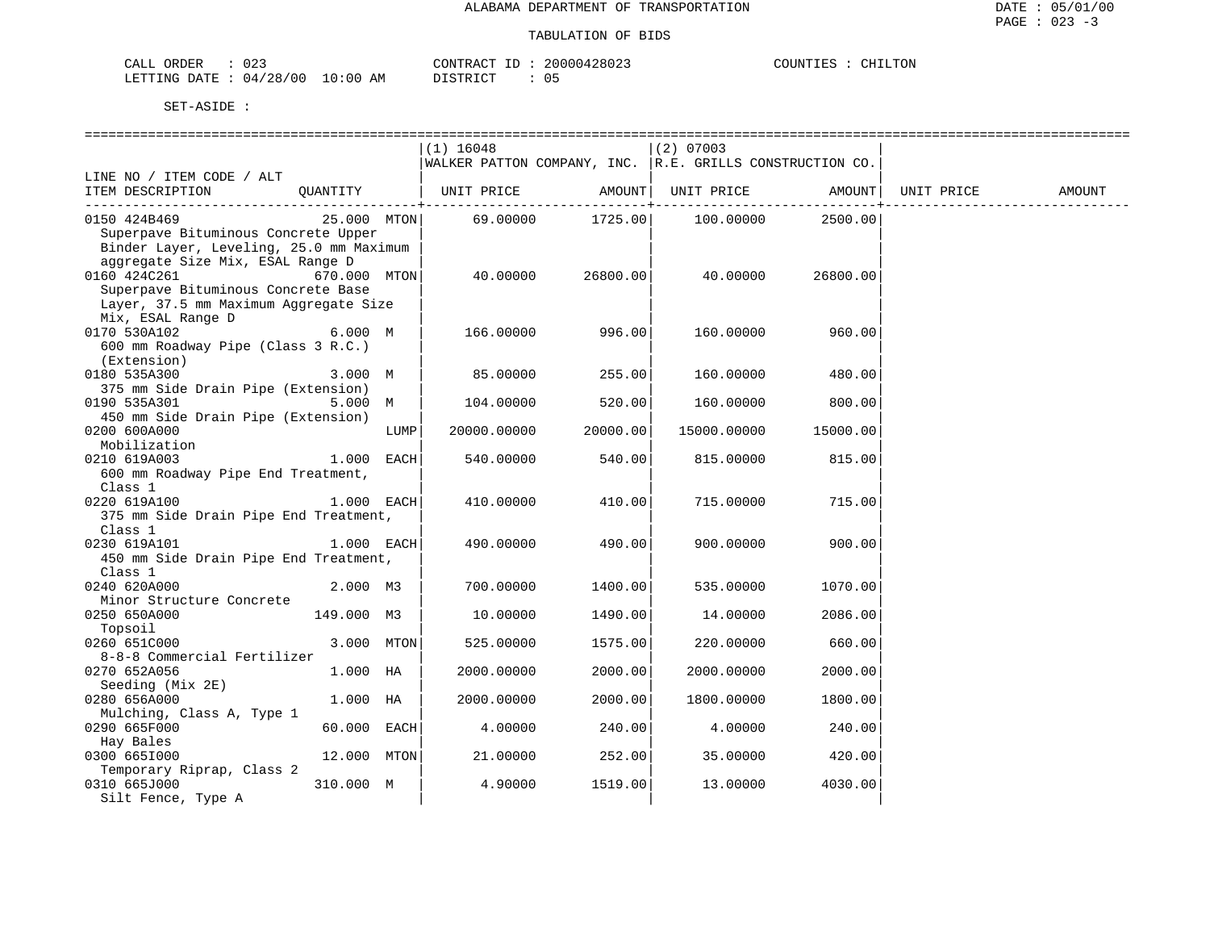| ORDER<br>CALI | $\sim$<br>UZ. |               | TONTRACT     | TГ | 20000428023 | COUNTIES | LLTON<br>UL. |
|---------------|---------------|---------------|--------------|----|-------------|----------|--------------|
| LETTING DATE  | 04/28/00      | LO : 00<br>ΑM | דת לידי את ה |    |             |          |              |

|                                         |              |      | $(1)$ 16048                                              |          | $(2)$ 07003          |              |            |        |
|-----------------------------------------|--------------|------|----------------------------------------------------------|----------|----------------------|--------------|------------|--------|
|                                         |              |      | WALKER PATTON COMPANY, INC. R.E. GRILLS CONSTRUCTION CO. |          |                      |              |            |        |
| LINE NO / ITEM CODE / ALT               |              |      |                                                          |          |                      |              |            |        |
| ITEM DESCRIPTION                        | OUANTITY     |      | UNIT PRICE                                               |          | AMOUNT   UNIT PRICE  | AMOUNT       | UNIT PRICE | AMOUNT |
|                                         |              |      |                                                          |          | -------+------------ | ------------ |            |        |
| 0150 424B469                            | 25.000 MTON  |      | 69.00000                                                 |          |                      | 2500.00      |            |        |
| Superpave Bituminous Concrete Upper     |              |      |                                                          |          |                      |              |            |        |
| Binder Layer, Leveling, 25.0 mm Maximum |              |      |                                                          |          |                      |              |            |        |
| aggregate Size Mix, ESAL Range D        |              |      |                                                          |          |                      |              |            |        |
| 0160 424C261                            | 670.000 MTON |      | 40.00000                                                 | 26800.00 | 40.00000             | 26800.00     |            |        |
| Superpave Bituminous Concrete Base      |              |      |                                                          |          |                      |              |            |        |
| Layer, 37.5 mm Maximum Aggregate Size   |              |      |                                                          |          |                      |              |            |        |
| Mix, ESAL Range D                       |              |      |                                                          |          |                      |              |            |        |
| 0170 530A102                            | 6.000 M      |      | 166.00000                                                | 996.00   | 160.00000            | 960.00       |            |        |
| 600 mm Roadway Pipe (Class 3 R.C.)      |              |      |                                                          |          |                      |              |            |        |
| (Extension)                             |              |      |                                                          |          |                      |              |            |        |
| 0180 535A300                            | 3.000 M      |      | 85.00000                                                 | 255.00   | 160.00000            | 480.00       |            |        |
| 375 mm Side Drain Pipe (Extension)      |              |      |                                                          |          |                      |              |            |        |
| 0190 535A301                            | 5.000 M      |      | 104.00000                                                | 520.00   | 160.00000            | 800.00       |            |        |
| 450 mm Side Drain Pipe (Extension)      |              |      |                                                          |          |                      |              |            |        |
| 0200 600A000                            |              | LUMP | 20000.00000                                              | 20000.00 | 15000.00000          | 15000.00     |            |        |
| Mobilization                            |              |      |                                                          |          |                      |              |            |        |
| 0210 619A003                            | 1.000 EACH   |      | 540.00000                                                | 540.00   | 815.00000            | 815.00       |            |        |
| 600 mm Roadway Pipe End Treatment,      |              |      |                                                          |          |                      |              |            |        |
|                                         |              |      |                                                          |          |                      |              |            |        |
| Class 1<br>0220 619A100                 | 1.000 EACH   |      | 410.00000                                                | 410.00   | 715.00000            | 715.00       |            |        |
|                                         |              |      |                                                          |          |                      |              |            |        |
| 375 mm Side Drain Pipe End Treatment,   |              |      |                                                          |          |                      |              |            |        |
| Class 1                                 |              |      |                                                          |          |                      |              |            |        |
| 0230 619A101                            | 1.000 EACH   |      | 490.00000                                                | 490.00   | 900.00000            | 900.00       |            |        |
| 450 mm Side Drain Pipe End Treatment,   |              |      |                                                          |          |                      |              |            |        |
| Class 1                                 |              |      |                                                          |          |                      |              |            |        |
| 0240 620A000                            | 2.000 M3     |      | 700.00000                                                | 1400.00  | 535.00000            | 1070.00      |            |        |
| Minor Structure Concrete                |              |      |                                                          |          |                      |              |            |        |
| 0250 650A000                            | 149.000 M3   |      | 10.00000                                                 | 1490.00  | 14.00000             | 2086.00      |            |        |
| Topsoil                                 |              |      |                                                          |          |                      |              |            |        |
| 0260 651C000                            | 3.000 MTON   |      | 525.00000                                                | 1575.00  | 220.00000            | 660.00       |            |        |
| 8-8-8 Commercial Fertilizer             |              |      |                                                          |          |                      |              |            |        |
| 0270 652A056                            | 1.000 HA     |      | 2000.00000                                               | 2000.00  | 2000.00000           | 2000.00      |            |        |
| Seeding (Mix 2E)                        |              |      |                                                          |          |                      |              |            |        |
| 0280 656A000                            | 1.000 HA     |      | 2000.00000                                               | 2000.00  | 1800.00000           | 1800.00      |            |        |
| Mulching, Class A, Type 1               |              |      |                                                          |          |                      |              |            |        |
| 0290 665F000                            | 60.000 EACH  |      | 4.00000                                                  | 240.00   | 4.00000              | 240.00       |            |        |
| Hay Bales                               |              |      |                                                          |          |                      |              |            |        |
| 0300 6651000                            | 12.000 MTON  |      | 21.00000                                                 | 252.00   | 35.00000             | 420.00       |            |        |
| Temporary Riprap, Class 2               |              |      |                                                          |          |                      |              |            |        |
| 0310 665J000                            | 310.000 M    |      | 4.90000                                                  | 1519.00  | 13.00000             | 4030.00      |            |        |
| Silt Fence, Type A                      |              |      |                                                          |          |                      |              |            |        |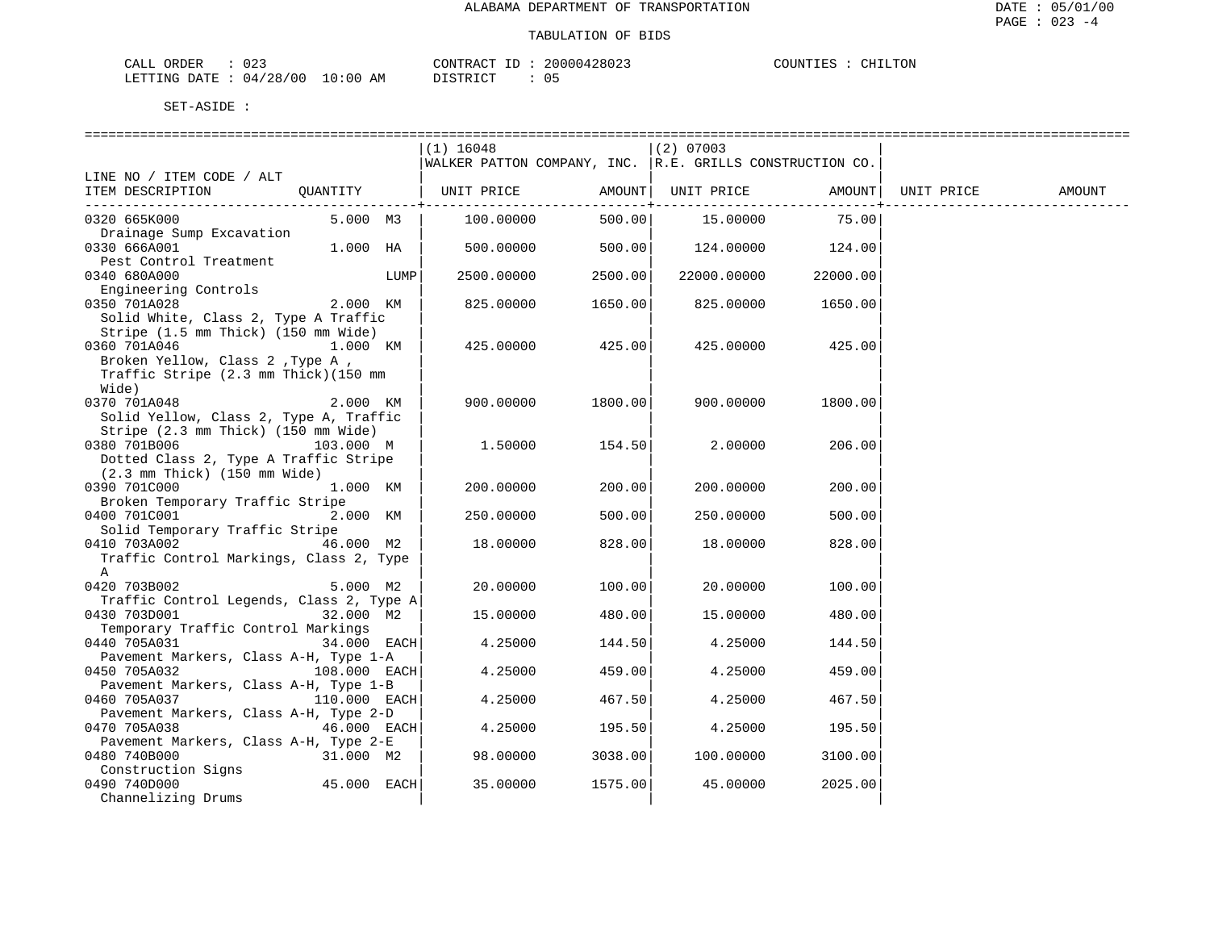| 023<br>CALL ORDER                |          | CONTRACT ID: 20000428023 | COUNTIES : CHILTON |
|----------------------------------|----------|--------------------------|--------------------|
| LETTING DATE : 04/28/00 10:00 AM | DISTRICT |                          |                    |

|                                                                                           |              |      | $(1)$ 16048<br>WALKER PATTON COMPANY, INC. R.E. GRILLS CONSTRUCTION CO. |                               | $(2)$ 07003 |          |            |        |
|-------------------------------------------------------------------------------------------|--------------|------|-------------------------------------------------------------------------|-------------------------------|-------------|----------|------------|--------|
| LINE NO / ITEM CODE / ALT                                                                 |              |      |                                                                         |                               |             |          |            |        |
| ITEM DESCRIPTION                                                                          | QUANTITY     |      | UNIT PRICE                                                              | AMOUNT                        | UNIT PRICE  | AMOUNT   | UNIT PRICE | AMOUNT |
| 0320 665K000                                                                              | 5.000 M3     |      | 100.00000                                                               | . - - - - - - - - +<br>500.00 | 15.00000    | 75.00    |            |        |
| Drainage Sump Excavation<br>0330 666A001                                                  | 1.000 HA     |      | 500.00000                                                               | 500.00                        | 124.00000   | 124.00   |            |        |
| Pest Control Treatment<br>0340 680A000                                                    |              | LUMP | 2500.00000                                                              | 2500.00                       | 22000.00000 | 22000.00 |            |        |
| Engineering Controls<br>0350 701A028                                                      | 2.000 KM     |      | 825.00000                                                               | 1650.00                       | 825.00000   | 1650.00  |            |        |
| Solid White, Class 2, Type A Traffic<br>Stripe (1.5 mm Thick) (150 mm Wide)               |              |      |                                                                         |                               |             |          |            |        |
| 0360 701A046<br>Broken Yellow, Class 2, Type A,                                           | 1.000 KM     |      | 425.00000                                                               | 425.00                        | 425.00000   | 425.00   |            |        |
| Traffic Stripe (2.3 mm Thick)(150 mm<br>Wide)                                             |              |      |                                                                         |                               |             |          |            |        |
| 0370 701A048<br>Solid Yellow, Class 2, Type A, Traffic                                    | 2.000 KM     |      | 900.00000                                                               | 1800.00                       | 900.00000   | 1800.00  |            |        |
| Stripe (2.3 mm Thick) (150 mm Wide)<br>0380 701B006                                       | 103.000 M    |      | 1,50000                                                                 | 154.50                        | 2.00000     | 206.00   |            |        |
| Dotted Class 2, Type A Traffic Stripe<br>$(2.3 \text{ mm}$ Thick) $(150 \text{ mm}$ Wide) |              |      |                                                                         |                               |             |          |            |        |
| 0390 701C000<br>Broken Temporary Traffic Stripe                                           | 1.000 KM     |      | 200.00000                                                               | 200.00                        | 200.00000   | 200.00   |            |        |
| 0400 701C001<br>Solid Temporary Traffic Stripe                                            | 2.000 KM     |      | 250.00000                                                               | 500.00                        | 250.00000   | 500.00   |            |        |
| 0410 703A002<br>Traffic Control Markings, Class 2, Type                                   | 46.000 M2    |      | 18.00000                                                                | 828.00                        | 18.00000    | 828.00   |            |        |
| A<br>0420 703B002<br>Traffic Control Legends, Class 2, Type A                             | 5.000 M2     |      | 20.00000                                                                | 100.00                        | 20.00000    | 100.00   |            |        |
| 0430 703D001<br>Temporary Traffic Control Markings                                        | 32.000 M2    |      | 15.00000                                                                | 480.00                        | 15.00000    | 480.00   |            |        |
| 0440 705A031<br>Pavement Markers, Class A-H, Type 1-A                                     | 34.000 EACH  |      | 4.25000                                                                 | 144.50                        | 4.25000     | 144.50   |            |        |
| 0450 705A032                                                                              | 108.000 EACH |      | 4.25000                                                                 | 459.00                        | 4.25000     | 459.00   |            |        |
| Pavement Markers, Class A-H, Type 1-B<br>0460 705A037                                     | 110.000 EACH |      | 4.25000                                                                 | 467.50                        | 4.25000     | 467.50   |            |        |
| Pavement Markers, Class A-H, Type 2-D<br>0470 705A038                                     | 46.000 EACH  |      | 4.25000                                                                 | 195.50                        | 4.25000     | 195.50   |            |        |
| Pavement Markers, Class A-H, Type 2-E<br>0480 740B000                                     | 31.000 M2    |      | 98.00000                                                                | 3038.00                       | 100.00000   | 3100.00  |            |        |
| Construction Signs<br>0490 740D000<br>Channelizing Drums                                  | 45.000 EACH  |      | 35.00000                                                                | 1575.00                       | 45.00000    | 2025.00  |            |        |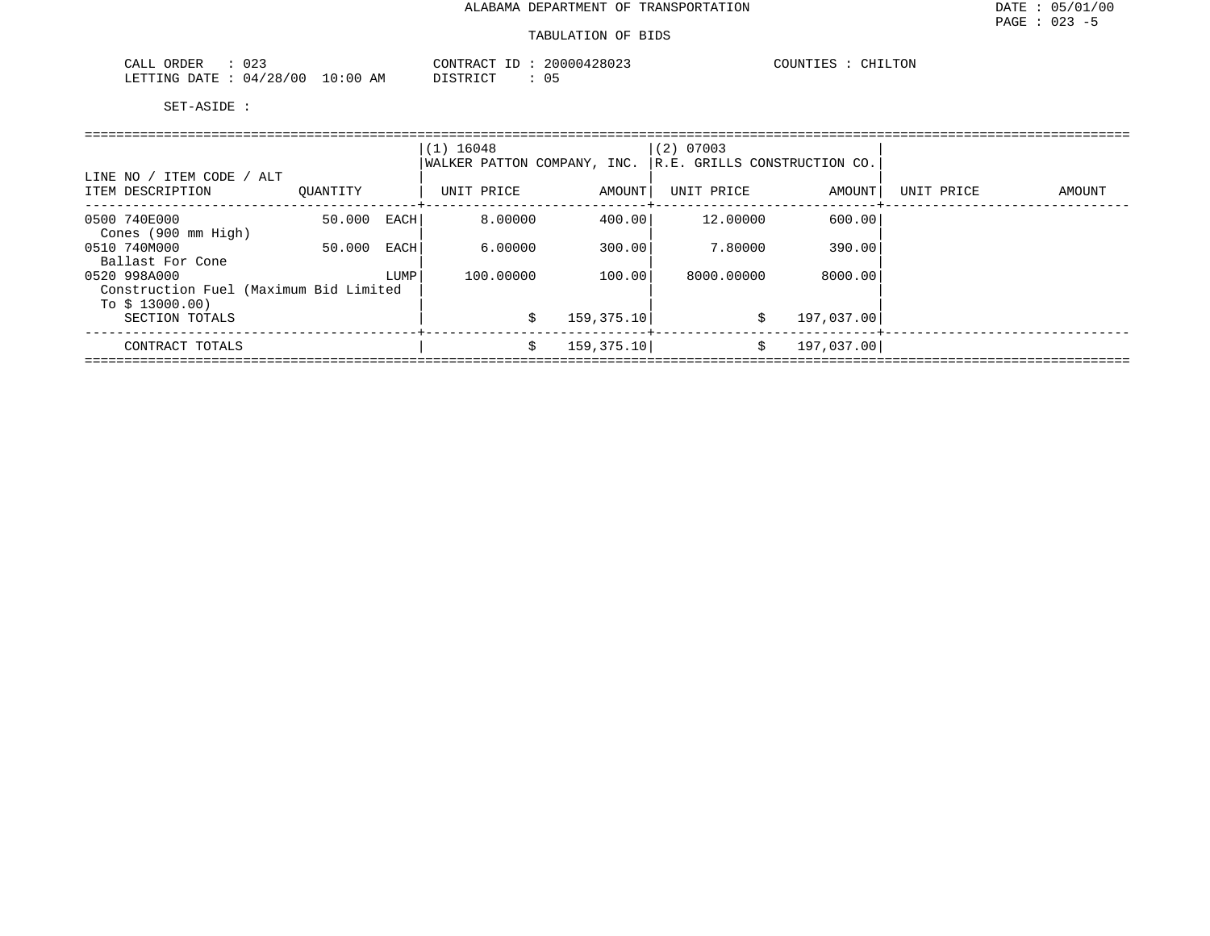| $\cap$ $\cap$ $\cap$<br>ORDER<br>CALL<br>. U 4                                                                                                 |             | CONTRACT<br>$-1$ | 20000428023<br>00000 | COUNTIES<br>LLTON.<br><b>CHT1</b> |
|------------------------------------------------------------------------------------------------------------------------------------------------|-------------|------------------|----------------------|-----------------------------------|
| 04/28/00<br>'ETTING<br>DATE<br>the contract of the contract of the contract of the contract of the contract of the contract of the contract of | 10:00<br>AΜ | חר פידיפות       |                      |                                   |

|                                                           |          |      | $(1)$ 16048<br>WALKER PATTON COMPANY, INC. |             | $(2)$ 07003<br>R.E. GRILLS CONSTRUCTION CO. |            |            |        |
|-----------------------------------------------------------|----------|------|--------------------------------------------|-------------|---------------------------------------------|------------|------------|--------|
| LINE NO / ITEM CODE / ALT<br>ITEM DESCRIPTION             | OUANTITY |      | UNIT PRICE                                 | AMOUNT      | UNIT PRICE                                  | AMOUNT     | UNIT PRICE | AMOUNT |
| 0500 740E000<br>Cones (900 mm High)                       | 50.000   | EACH | 8,00000                                    | 400.00      | 12,00000                                    | 600.00     |            |        |
| 0510 740M000<br>Ballast For Cone                          | 50.000   | EACH | 6.00000                                    | 300.00      | 7.80000                                     | 390.00     |            |        |
| 0520 998A000                                              |          | LUMP | 100.00000                                  | 100.00      | 8000.00000                                  | 8000.00    |            |        |
| Construction Fuel (Maximum Bid Limited<br>To $$13000.00)$ |          |      |                                            |             |                                             |            |            |        |
| SECTION TOTALS                                            |          |      | Ŝ.                                         | 159, 375.10 | Ŝ.                                          | 197,037.00 |            |        |
| CONTRACT TOTALS                                           |          |      | Ŝ.                                         | 159, 375.10 | \$                                          | 197,037.00 |            |        |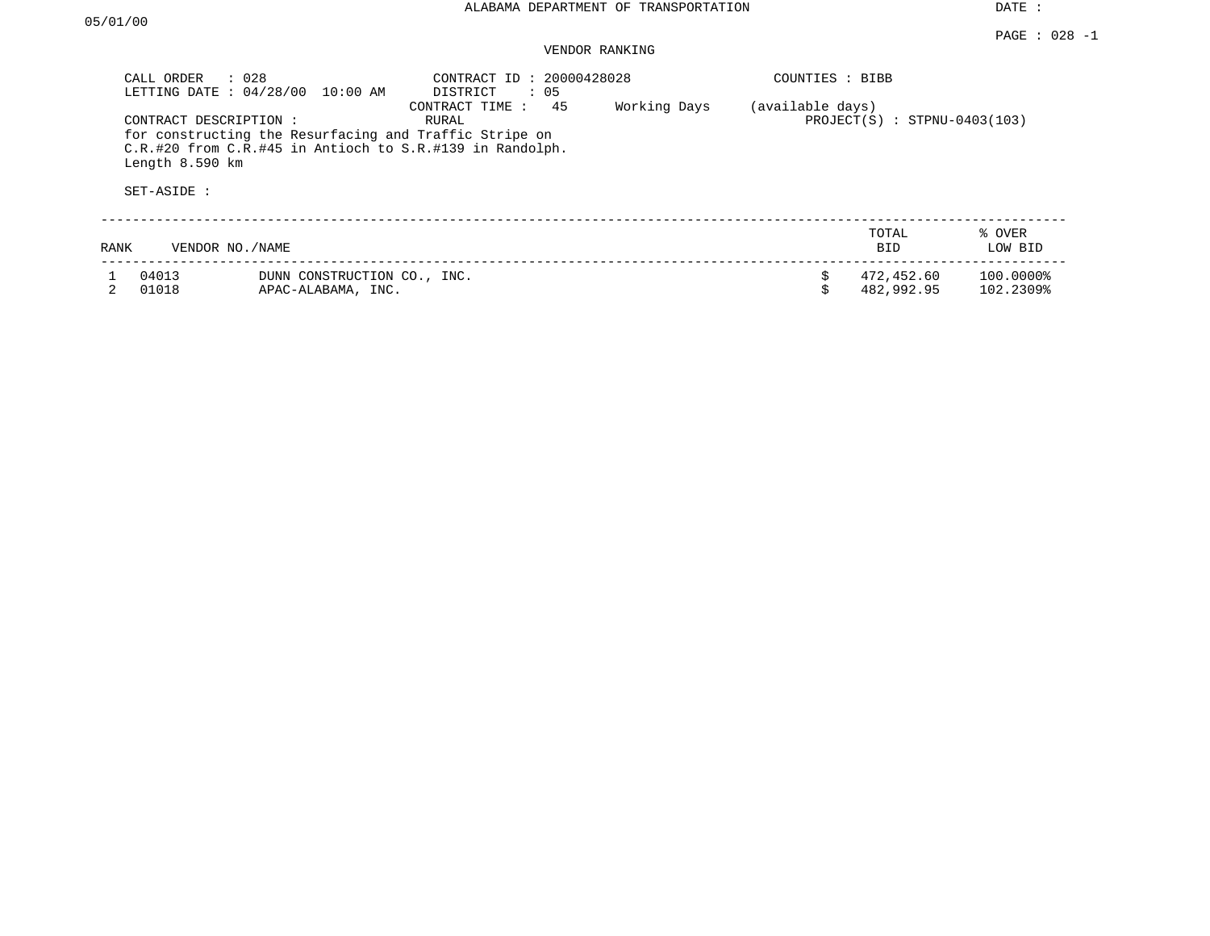#### PAGE : 028 -1 VENDOR RANKING

| CALL ORDER                     | $\therefore$ 028<br>LETTING DATE : 04/28/00<br>$10:00$ AM                                                                                    | CONTRACT ID: 20000428028<br>$\therefore$ 05<br>DISTRICT |              | COUNTIES : BIBB  |                                |                        |
|--------------------------------|----------------------------------------------------------------------------------------------------------------------------------------------|---------------------------------------------------------|--------------|------------------|--------------------------------|------------------------|
| Length 8.590 km<br>SET-ASIDE : | CONTRACT DESCRIPTION :<br>for constructing the Resurfacing and Traffic Stripe on<br>C.R.#20 from C.R.#45 in Antioch to S.R.#139 in Randolph. | 45<br>CONTRACT TIME:<br>RURAL                           | Working Days | (available days) | $PROJECT(S) : STPNU-0403(103)$ |                        |
| RANK                           | VENDOR NO. / NAME                                                                                                                            |                                                         |              |                  | TOTAL<br><b>BID</b>            | % OVER<br>LOW BID      |
| 04013<br>01018                 | DUNN CONSTRUCTION CO., INC.<br>APAC-ALABAMA, INC.                                                                                            |                                                         |              | \$<br>Ŝ.         | 472,452.60<br>482,992.95       | 100.0000%<br>102.2309% |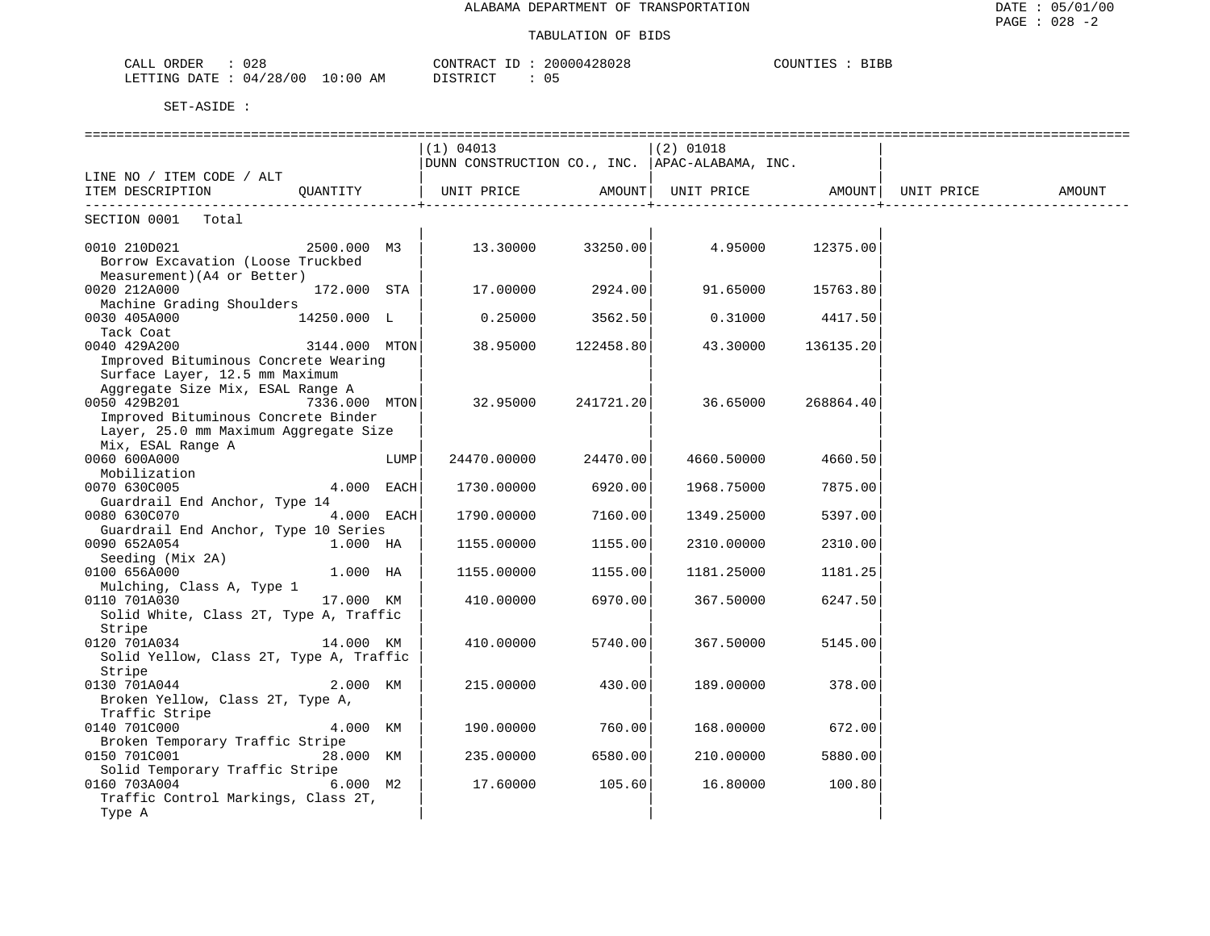| 028<br>ORDER<br>CALL       |            | CONTRACT ID | 20000428028 | COUNTIES<br><b>BIBB</b> |
|----------------------------|------------|-------------|-------------|-------------------------|
| : 04/28/00<br>LETTING DATE | $10:00$ AM | DISTRICT    |             |                         |

|                                                                 |               |      | (1) 04013                                              |                  | $(2)$ 01018                                |                                |        |
|-----------------------------------------------------------------|---------------|------|--------------------------------------------------------|------------------|--------------------------------------------|--------------------------------|--------|
|                                                                 |               |      | $ $ DUNN CONSTRUCTION CO., INC. $ $ APAC-ALABAMA, INC. |                  |                                            |                                |        |
| LINE NO / ITEM CODE / ALT                                       |               |      |                                                        |                  |                                            |                                |        |
| ITEM DESCRIPTION                                                | OUANTITY      |      | UNIT PRICE                                             | AMOUNT           |                                            | UNIT PRICE AMOUNT   UNIT PRICE | AMOUNT |
| SECTION 0001 Total                                              |               |      |                                                        |                  |                                            |                                |        |
|                                                                 |               |      |                                                        |                  |                                            |                                |        |
| 2500.000 M3<br>0010 210D021                                     |               |      |                                                        |                  | $13.30000$ $33250.00$ $4.95000$ $12375.00$ |                                |        |
| Borrow Excavation (Loose Truckbed<br>Measurement)(A4 or Better) |               |      |                                                        |                  |                                            |                                |        |
| 0020 212A000                                                    | 172.000 STA   |      |                                                        | 17.00000 2924.00 |                                            | 91.65000 15763.80              |        |
| Machine Grading Shoulders                                       |               |      |                                                        |                  |                                            |                                |        |
| 0030 405A000<br>14250.000 L                                     |               |      | 0.25000                                                | 3562.50          |                                            | 0.31000 4417.50                |        |
| Tack Coat                                                       |               |      |                                                        |                  |                                            |                                |        |
| 0040 429A200                                                    | 3144.000 MTON |      | 38.95000                                               | 122458.80        | 43.30000                                   | 136135.20                      |        |
| Improved Bituminous Concrete Wearing                            |               |      |                                                        |                  |                                            |                                |        |
| Surface Layer, 12.5 mm Maximum                                  |               |      |                                                        |                  |                                            |                                |        |
| Aggregate Size Mix, ESAL Range A                                |               |      |                                                        |                  |                                            |                                |        |
| 0050 429B201                                                    | 7336.000 MTON |      | 32.95000                                               |                  | 241721.20 36.65000                         | 268864.40                      |        |
| Improved Bituminous Concrete Binder                             |               |      |                                                        |                  |                                            |                                |        |
| Layer, 25.0 mm Maximum Aggregate Size                           |               |      |                                                        |                  |                                            |                                |        |
| Mix, ESAL Range A                                               |               |      |                                                        |                  |                                            |                                |        |
| 0060 600A000                                                    |               | LUMP | 24470.00000                                            | 24470.00         | 4660.50000                                 | 4660.50                        |        |
| Mobilization                                                    |               |      |                                                        |                  |                                            |                                |        |
| 0070 630C005                                                    | 4.000 EACH    |      | 1730.00000                                             | 6920.00          | 1968.75000                                 | 7875.00                        |        |
| Guardrail End Anchor, Type 14                                   |               |      |                                                        |                  |                                            |                                |        |
| 0080 630C070                                                    | 4.000 EACH    |      | 1790.00000                                             | 7160.00          | 1349.25000                                 | 5397.00                        |        |
| Guardrail End Anchor, Type 10 Series                            |               |      |                                                        |                  |                                            |                                |        |
| 0090 652A054                                                    | 1.000 HA      |      | 1155.00000                                             | 1155.00          | 2310.00000                                 | 2310.00                        |        |
| Seeding (Mix 2A)                                                |               |      |                                                        |                  |                                            |                                |        |
| 0100 656A000                                                    | 1.000 HA      |      | 1155.00000                                             | 1155.00          | 1181.25000                                 | 1181.25                        |        |
| Mulching, Class A, Type 1                                       |               |      |                                                        |                  |                                            |                                |        |
| 17.000 KM<br>0110 701A030                                       |               |      | 410.00000                                              | 6970.00          | 367.50000                                  | 6247.50                        |        |
| Solid White, Class 2T, Type A, Traffic                          |               |      |                                                        |                  |                                            |                                |        |
| Stripe                                                          |               |      |                                                        |                  |                                            |                                |        |
| 0120 701A034                                                    | 14.000 KM     |      | 410.00000                                              | 5740.00          | 367.50000                                  | 5145.00                        |        |
| Solid Yellow, Class 2T, Type A, Traffic                         |               |      |                                                        |                  |                                            |                                |        |
| Stripe                                                          |               |      |                                                        |                  |                                            |                                |        |
| 0130 701A044                                                    | 2.000 KM      |      | 215.00000                                              | 430.00           | 189.00000                                  | 378.00                         |        |
| Broken Yellow, Class 2T, Type A,                                |               |      |                                                        |                  |                                            |                                |        |
| Traffic Stripe                                                  |               |      |                                                        |                  |                                            |                                |        |
| 0140 701C000                                                    | 4.000 KM      |      | 190.00000                                              | 760.00           | 168.00000                                  | 672.00                         |        |
| Broken Temporary Traffic Stripe                                 |               |      |                                                        |                  |                                            |                                |        |
| 0150 701C001                                                    | 28.000 KM     |      | 235.00000                                              | 6580.00          | 210.00000                                  | 5880.00                        |        |
| Solid Temporary Traffic Stripe                                  |               |      |                                                        |                  |                                            |                                |        |
| 0160 703A004                                                    | $6.000$ M2    |      | 17.60000                                               | 105.60           | 16.80000                                   | 100.80                         |        |
| Traffic Control Markings, Class 2T,                             |               |      |                                                        |                  |                                            |                                |        |
| Type A                                                          |               |      |                                                        |                  |                                            |                                |        |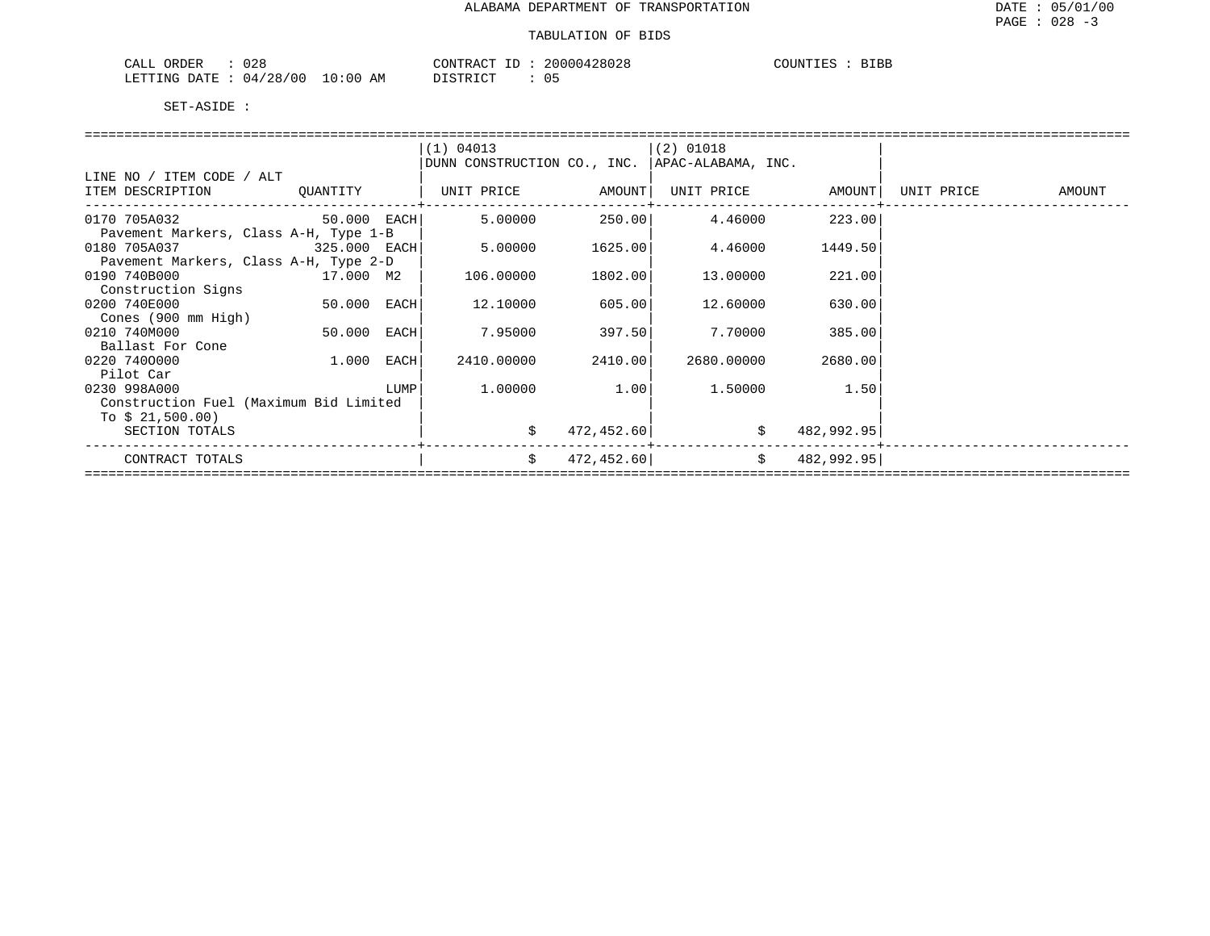| 028<br>$\sim$ $\sim$ $\sim$<br>ORDER<br>ـ ىلىلەت |             | CONTRACT<br>ID                     | 20000428028 | COUNTIES<br><b>BIBB</b> |
|--------------------------------------------------|-------------|------------------------------------|-------------|-------------------------|
| 04/28/00<br>LETTING DATE                         | 10:00<br>ΆM | חי חים דרו<br><i>⊔</i> ⊥∟ ⊥⊥∖⊥ ⊂ ⊥ | ◡ ◡         |                         |

|                                        |              |      | (1) 04013                                        |            | $(2)$ 01018    |                   |                   |
|----------------------------------------|--------------|------|--------------------------------------------------|------------|----------------|-------------------|-------------------|
|                                        |              |      | DUNN CONSTRUCTION CO., INC.   APAC-ALABAMA, INC. |            |                |                   |                   |
| LINE NO / ITEM CODE / ALT              |              |      |                                                  |            |                |                   |                   |
| ITEM DESCRIPTION QUANTITY              |              |      | UNIT PRICE AMOUNT                                |            |                | UNIT PRICE AMOUNT | UNIT PRICE AMOUNT |
|                                        |              |      |                                                  |            |                |                   |                   |
| 0170 705A032 50.000 EACH               |              |      | 5.00000                                          |            | 250.00 4.46000 | 223.00            |                   |
| Pavement Markers, Class A-H, Type 1-B  |              |      |                                                  |            |                |                   |                   |
|                                        |              |      |                                                  |            |                |                   |                   |
| 0180 705A037                           | 325.000 EACH |      | 5.00000                                          | 1625.00    | 4.46000        | 1449.50           |                   |
| Pavement Markers, Class A-H, Type 2-D  |              |      |                                                  |            |                |                   |                   |
| 0190 740B000                           | 17.000 M2    |      | 106.00000                                        | 1802.00    | 13.00000       | 221.00            |                   |
| Construction Signs                     |              |      |                                                  |            |                |                   |                   |
| 0200 740E000                           | 50.000 EACH  |      | 12.10000                                         | 605.00     | 12.60000       | 630.00            |                   |
| Cones (900 mm High)                    |              |      |                                                  |            |                |                   |                   |
| 0210 740M000                           | 50.000       | EACH | 7.95000                                          | 397.50     | 7.70000        | 385.00            |                   |
| Ballast For Cone                       |              |      |                                                  |            |                |                   |                   |
| 0220 7400000                           | 1.000        | EACH | 2410.00000                                       | 2410.00    | 2680.00000     | 2680.00           |                   |
| Pilot Car                              |              |      |                                                  |            |                |                   |                   |
| 0230 998A000                           |              | LUMP | 1.00000                                          | 1.00       | 1.50000        | 1.50              |                   |
| Construction Fuel (Maximum Bid Limited |              |      |                                                  |            |                |                   |                   |
|                                        |              |      |                                                  |            |                |                   |                   |
| To $$21,500.00)$                       |              |      |                                                  |            |                |                   |                   |
| SECTION TOTALS                         |              |      | \$                                               | 472,452.60 |                | \$<br>482,992.95  |                   |
|                                        |              |      |                                                  |            |                |                   |                   |
| CONTRACT TOTALS                        |              |      | \$                                               | 472,452.60 |                | \$ 482,992.95]    |                   |
|                                        |              |      |                                                  |            |                |                   |                   |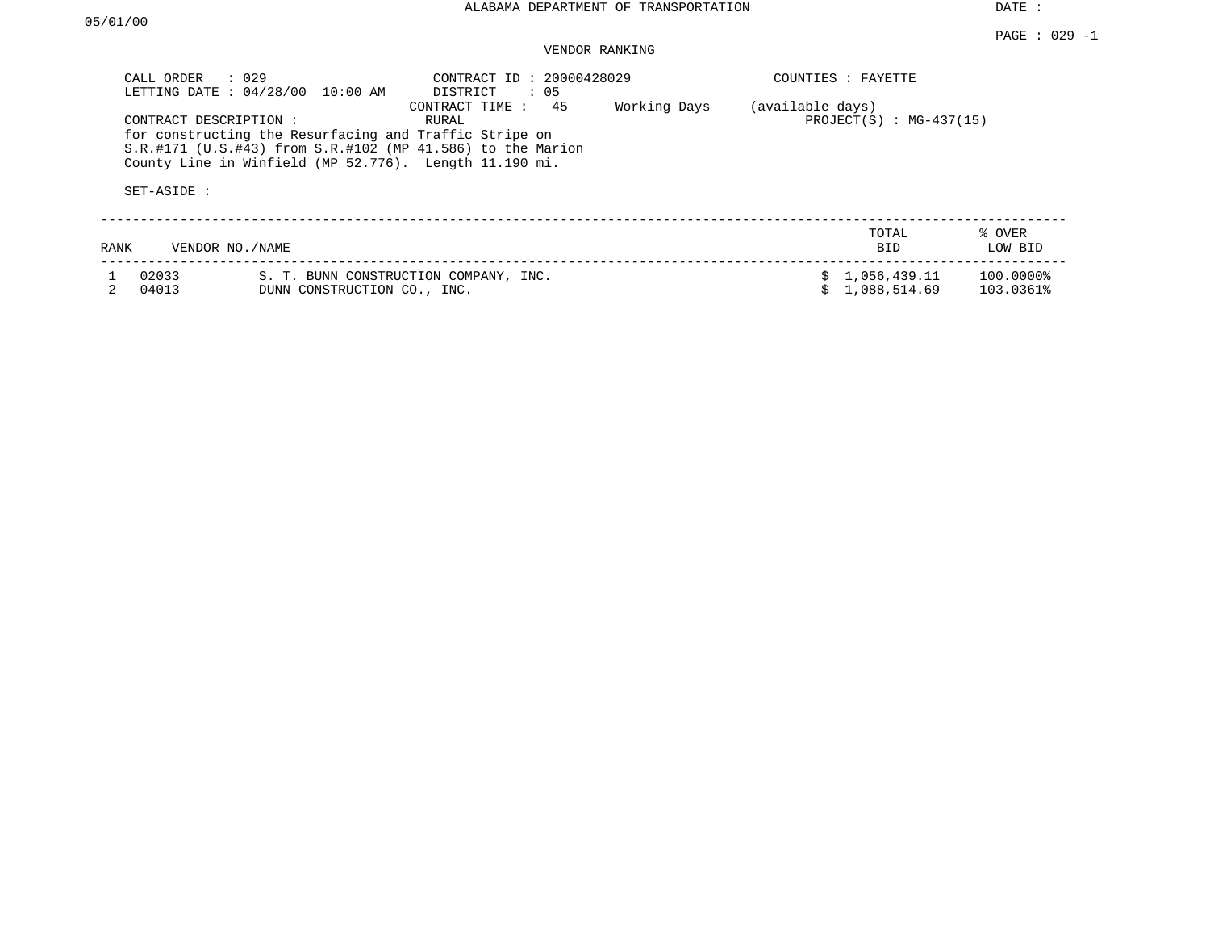| CALL ORDER                           | $\therefore$ 029<br>LETTING DATE : 04/28/00 10:00 AM                                                                                                                           | CONTRACT ID: 20000428029<br>DISTRICT<br>: 05 |              |                  | COUNTIES : FAYETTE           |                        |
|--------------------------------------|--------------------------------------------------------------------------------------------------------------------------------------------------------------------------------|----------------------------------------------|--------------|------------------|------------------------------|------------------------|
| CONTRACT DESCRIPTION:<br>SET-ASIDE : | for constructing the Resurfacing and Traffic Stripe on<br>S.R.#171 (U.S.#43) from S.R.#102 (MP 41.586) to the Marion<br>County Line in Winfield (MP 52.776). Length 11.190 mi. | CONTRACT TIME : 45<br>RURAL                  | Working Days | (available days) | $PROJECT(S) : MG-437(15)$    |                        |
| RANK                                 | VENDOR NO./NAME                                                                                                                                                                |                                              |              |                  | TOTAL<br><b>BID</b>          | % OVER<br>LOW BID      |
| 02033<br>04013                       | DUNN CONSTRUCTION CO., INC.                                                                                                                                                    | S. T. BUNN CONSTRUCTION COMPANY, INC.        |              |                  | 1,056,439.11<br>1,088,514.69 | 100.0000%<br>103.0361% |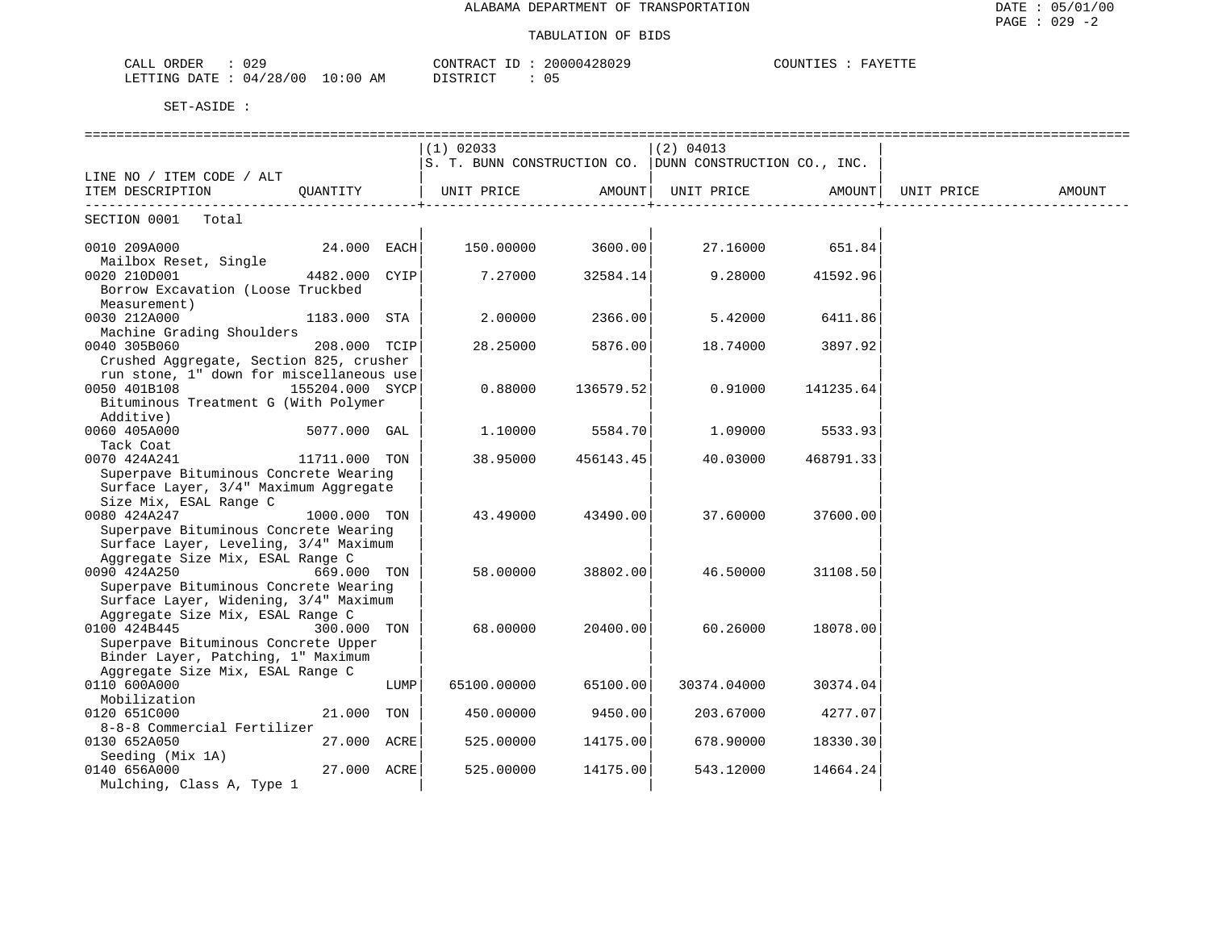| ORDER<br>CALL<br>۳ ۵ ت       | CONTRACT                             | 20000<br>,,,, | COUNTIES<br><b>A SZELMANE</b> |
|------------------------------|--------------------------------------|---------------|-------------------------------|
| LETTING DATE<br>/00<br>04/28 | DISTRITAT<br>10:00<br>ΑM<br>———————— | 05            |                               |

|                                          |                 |      | $(1)$ 02033                                                   |           | (2) 04013   |           |            |        |
|------------------------------------------|-----------------|------|---------------------------------------------------------------|-----------|-------------|-----------|------------|--------|
|                                          |                 |      | $ S.$ T. BUNN CONSTRUCTION CO. $ DUNN$ CONSTRUCTION CO., INC. |           |             |           |            |        |
| LINE NO / ITEM CODE / ALT                |                 |      |                                                               |           |             |           |            |        |
| ITEM DESCRIPTION                         | OUANTITY        |      | UNIT PRICE                                                    | AMOUNT    | UNIT PRICE  | AMOUNT    | UNIT PRICE | AMOUNT |
|                                          |                 |      |                                                               |           |             |           |            |        |
| SECTION 0001<br>Total                    |                 |      |                                                               |           |             |           |            |        |
|                                          |                 |      |                                                               |           |             |           |            |        |
| 0010 209A000                             | 24.000 EACH     |      | 150.00000                                                     | 3600.00   | 27.16000    | 651.84    |            |        |
| Mailbox Reset, Single                    |                 |      |                                                               |           |             |           |            |        |
| 0020 210D001                             | 4482.000        | CYIP | 7.27000                                                       | 32584.14  | 9.28000     | 41592.96  |            |        |
| Borrow Excavation (Loose Truckbed        |                 |      |                                                               |           |             |           |            |        |
| Measurement)                             |                 |      |                                                               |           |             |           |            |        |
| 0030 212A000                             | 1183.000 STA    |      | 2.00000                                                       | 2366.00   | 5.42000     | 6411.86   |            |        |
| Machine Grading Shoulders                |                 |      |                                                               |           |             |           |            |        |
| 0040 305B060                             | 208.000 TCIP    |      | 28.25000                                                      | 5876.00   | 18.74000    | 3897.92   |            |        |
| Crushed Aggregate, Section 825, crusher  |                 |      |                                                               |           |             |           |            |        |
| run stone, 1" down for miscellaneous use |                 |      |                                                               |           |             |           |            |        |
| 0050 401B108                             | 155204.000 SYCP |      | 0.88000                                                       | 136579.52 | 0.91000     | 141235.64 |            |        |
| Bituminous Treatment G (With Polymer     |                 |      |                                                               |           |             |           |            |        |
| Additive)                                |                 |      |                                                               |           |             |           |            |        |
| 0060 405A000                             | 5077.000 GAL    |      | 1,10000                                                       | 5584.70   | 1,09000     | 5533.93   |            |        |
| Tack Coat                                |                 |      |                                                               |           |             |           |            |        |
| 0070 424A241                             | 11711.000 TON   |      | 38.95000                                                      | 456143.45 | 40.03000    | 468791.33 |            |        |
| Superpave Bituminous Concrete Wearing    |                 |      |                                                               |           |             |           |            |        |
| Surface Layer, 3/4" Maximum Aggregate    |                 |      |                                                               |           |             |           |            |        |
| Size Mix, ESAL Range C                   |                 |      |                                                               |           |             |           |            |        |
| 0080 424A247                             | 1000.000 TON    |      | 43.49000                                                      | 43490.00  | 37.60000    | 37600.00  |            |        |
| Superpave Bituminous Concrete Wearing    |                 |      |                                                               |           |             |           |            |        |
| Surface Layer, Leveling, 3/4" Maximum    |                 |      |                                                               |           |             |           |            |        |
| Aggregate Size Mix, ESAL Range C         |                 |      |                                                               |           |             |           |            |        |
| 0090 424A250                             | 669.000 TON     |      | 58.00000                                                      | 38802.00  | 46.50000    | 31108.50  |            |        |
| Superpave Bituminous Concrete Wearing    |                 |      |                                                               |           |             |           |            |        |
| Surface Layer, Widening, 3/4" Maximum    |                 |      |                                                               |           |             |           |            |        |
| Aggregate Size Mix, ESAL Range C         |                 |      |                                                               |           |             |           |            |        |
| 0100 424B445                             | 300.000 TON     |      | 68,00000                                                      | 20400.00  | 60.26000    | 18078.00  |            |        |
| Superpave Bituminous Concrete Upper      |                 |      |                                                               |           |             |           |            |        |
| Binder Layer, Patching, 1" Maximum       |                 |      |                                                               |           |             |           |            |        |
| Aggregate Size Mix, ESAL Range C         |                 |      |                                                               |           |             |           |            |        |
| 0110 600A000                             |                 | LUMP | 65100.00000                                                   | 65100.00  | 30374.04000 | 30374.04  |            |        |
| Mobilization                             |                 |      |                                                               |           |             |           |            |        |
| 0120 651C000                             | 21.000          | TON  | 450.00000                                                     | 9450.00   | 203.67000   | 4277.07   |            |        |
| 8-8-8 Commercial Fertilizer              |                 |      |                                                               |           |             |           |            |        |
| 0130 652A050                             | 27.000 ACRE     |      | 525.00000                                                     | 14175.00  | 678.90000   | 18330.30  |            |        |
| Seeding (Mix 1A)                         |                 |      |                                                               |           |             |           |            |        |
| 0140 656A000                             | 27.000 ACRE     |      | 525.00000                                                     | 14175.00  | 543.12000   | 14664.24  |            |        |
| Mulching, Class A, Type 1                |                 |      |                                                               |           |             |           |            |        |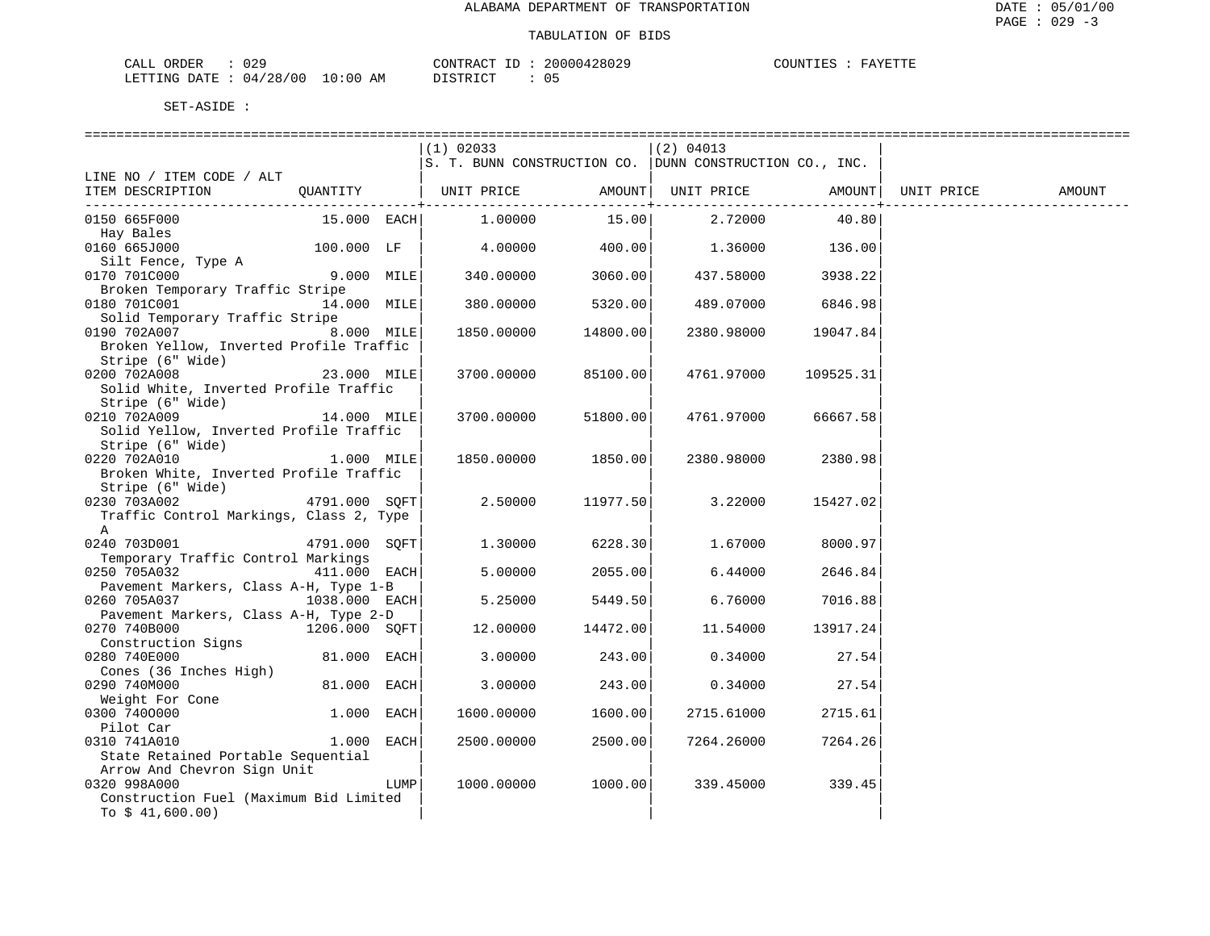| CALL ORDER                      | 029 | CONTRACT ID : | 20000428029 | COUNTIES : | FAYETTE |
|---------------------------------|-----|---------------|-------------|------------|---------|
| LETTING DATE: 04/28/00 10:00 AM |     | DISTRICT      |             |            |         |

|                                                                                   |                |              | $(1)$ 02033                                                   |          | (2) 04013         |                    |            |        |
|-----------------------------------------------------------------------------------|----------------|--------------|---------------------------------------------------------------|----------|-------------------|--------------------|------------|--------|
|                                                                                   |                |              | $ S. T. BUNN$ CONSTRUCTION CO. $ DUNN$ CONSTRUCTION CO., INC. |          |                   |                    |            |        |
| LINE NO / ITEM CODE / ALT                                                         |                |              |                                                               |          |                   |                    |            |        |
| ITEM DESCRIPTION $QUANTITY$   UNIT PRICE AMOUNT   UNIT PRICE AMOUNT               |                |              |                                                               |          |                   |                    | UNIT PRICE | AMOUNT |
|                                                                                   |                |              |                                                               |          |                   |                    |            |        |
| 0150 665F000                                                                      |                |              | 15.000 EACH 1.00000                                           |          | 15.00 2.72000     | 40.80              |            |        |
| Hay Bales                                                                         |                |              |                                                               |          |                   |                    |            |        |
| 0160 665J000 $136.00$ $100.000$ $1$ $F$   $4.00000$ $400.00$   $1.36000$ $136.00$ |                |              |                                                               |          |                   |                    |            |        |
| Silt Fence, Type A                                                                |                |              |                                                               |          |                   |                    |            |        |
| 0170 701C000                                                                      | 9.000 MILE     |              | $340.00000$ 3060.00                                           |          | 437.58000 3938.22 |                    |            |        |
| Broken Temporary Traffic Stripe                                                   |                |              |                                                               |          |                   |                    |            |        |
| 0180 701C001                                                                      | 14.000 MILE    |              | 380.00000                                                     | 5320.00  | 489.07000 6846.98 |                    |            |        |
| Solid Temporary Traffic Stripe                                                    |                |              |                                                               |          |                   |                    |            |        |
| 0190 702A007                                                                      | 8.000 MILE     |              | 1850.00000                                                    | 14800.00 | 2380.98000        | 19047.84           |            |        |
| Broken Yellow, Inverted Profile Traffic                                           |                |              |                                                               |          |                   |                    |            |        |
| Stripe (6" Wide)                                                                  |                |              |                                                               |          |                   |                    |            |        |
| 23.000 MILE<br>0200 702A008                                                       |                |              | 3700.00000                                                    | 85100.00 | 4761.97000        | 109525.31          |            |        |
| Solid White, Inverted Profile Traffic                                             |                |              |                                                               |          |                   |                    |            |        |
| Stripe (6" Wide)                                                                  |                |              |                                                               |          |                   |                    |            |        |
| 0210 702A009                                                                      | 14.000 MILE    |              | 3700.00000                                                    | 51800.00 | 4761.97000        | 66667.58           |            |        |
| Solid Yellow, Inverted Profile Traffic                                            |                |              |                                                               |          |                   |                    |            |        |
| Stripe (6" Wide)                                                                  |                |              |                                                               |          |                   |                    |            |        |
| 0220 702A010                                                                      |                | $1.000$ MILE | 1850.00000                                                    | 1850.00  |                   | 2380.98000 2380.98 |            |        |
| Broken White, Inverted Profile Traffic                                            |                |              |                                                               |          |                   |                    |            |        |
| Stripe (6" Wide)                                                                  |                |              |                                                               |          |                   |                    |            |        |
| 0230 703A002 4791.000 SQFT                                                        |                |              | 2.50000                                                       | 11977.50 | 3.22000           | 15427.02           |            |        |
| Traffic Control Markings, Class 2, Type                                           |                |              |                                                               |          |                   |                    |            |        |
| $\mathbb{A}$                                                                      |                |              |                                                               |          |                   |                    |            |        |
| 0240 703D001                                                                      | 4791.000 SOFT  |              | 1.30000                                                       | 6228.30  | 1.67000           | 8000.97            |            |        |
| Temporary Traffic Control Markings                                                |                |              |                                                               |          |                   |                    |            |        |
| 0250 705A032                                                                      | $411.000$ EACH |              | 5.00000                                                       | 2055.00  | 6.44000           | 2646.84            |            |        |
| Pavement Markers, Class A-H, Type 1-B                                             |                |              |                                                               |          |                   |                    |            |        |
| 0260 705A037                                                                      | 1038.000 EACH  |              | 5.25000                                                       | 5449.50  | 6.76000           | 7016.88            |            |        |
| Pavement Markers, Class A-H, Type 2-D                                             |                |              |                                                               |          |                   |                    |            |        |
| 0270 740B000                                                                      | 1206.000 SQFT  |              | 12.00000                                                      | 14472.00 | 11.54000          | 13917.24           |            |        |
| Construction Signs                                                                |                |              |                                                               |          |                   |                    |            |        |
| 0280 740E000                                                                      | 81.000 EACH    |              | 3.00000                                                       | 243.00   | 0.34000           | 27.54              |            |        |
| Cones (36 Inches High)                                                            |                |              |                                                               |          |                   |                    |            |        |
| 0290 740M000                                                                      | 81.000 EACH    |              | 3.00000                                                       | 243.00   | 0.34000           | 27.54              |            |        |
|                                                                                   |                |              |                                                               |          |                   |                    |            |        |
| Weight For Cone<br>0300 7400000                                                   | $1.000$ EACH   |              | 1600.00000                                                    | 1600.00  | 2715.61000        | 2715.61            |            |        |
| Pilot Car                                                                         |                |              |                                                               |          |                   |                    |            |        |
| 0310 741A010                                                                      | 1.000          | EACH         | 2500.00000                                                    | 2500.00  | 7264.26000        | 7264.26            |            |        |
|                                                                                   |                |              |                                                               |          |                   |                    |            |        |
| State Retained Portable Sequential                                                |                |              |                                                               |          |                   |                    |            |        |
| Arrow And Chevron Sign Unit                                                       |                |              |                                                               |          |                   |                    |            |        |
| 0320 998A000                                                                      |                | LUMP         | 1000.00000                                                    | 1000.00  | 339.45000         | 339.45             |            |        |
| Construction Fuel (Maximum Bid Limited                                            |                |              |                                                               |          |                   |                    |            |        |
| To $$41,600.00)$                                                                  |                |              |                                                               |          |                   |                    |            |        |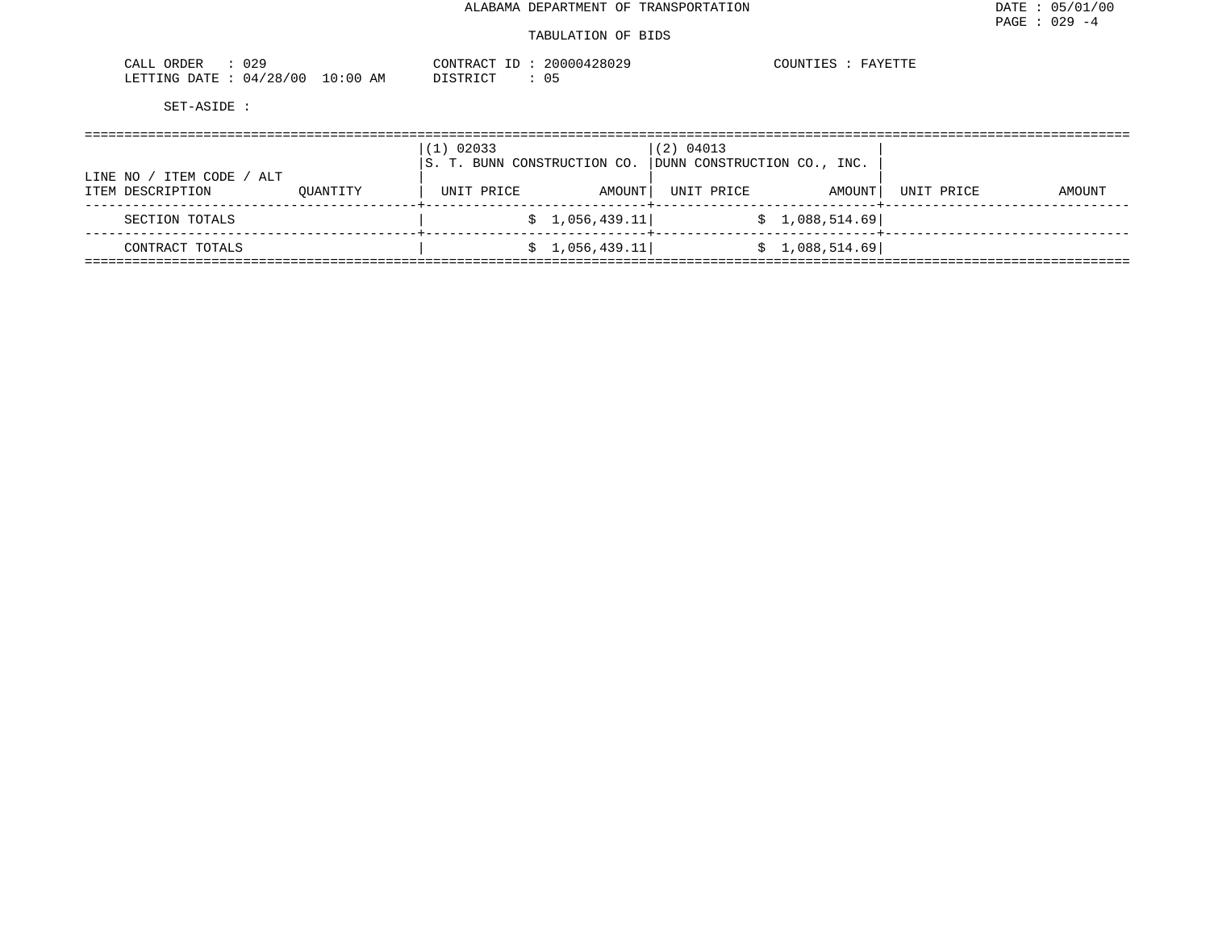#### TABULATION OF BIDS

| 029<br>ື<br>.<br>◡▴◟◡∸                                                       | $\gamma$ ONTRAC<br>ח ה<br>1 7 9 0 A 7 0<br>-2002 <sup>-11</sup><br>$\sim$ $\sim$ $\sim$ | $\sim$ $\sim$ $\sim$<br>חדת<br>$\cdots$ |  |
|------------------------------------------------------------------------------|-----------------------------------------------------------------------------------------|-----------------------------------------|--|
| 100<br>100<br>LETTING<br>DATF<br>. . O O<br>$\overline{ }$<br>14.<br>AР<br>. | $T^{\prime}$<br>פידים<br>◡ ◡                                                            |                                         |  |

|                                                   |          | 02033<br>IS. T. BUNN CONSTRUCTION CO. |                 | (2) 04013<br>DUNN CONSTRUCTION CO., INC. |                 |            |        |
|---------------------------------------------------|----------|---------------------------------------|-----------------|------------------------------------------|-----------------|------------|--------|
| ITEM CODE<br>/ ALT<br>LINE NO<br>ITEM DESCRIPTION | OUANTITY | UNIT PRICE                            | AMOUNT          | UNIT PRICE                               | AMOUNT          | UNIT PRICE | AMOUNT |
| SECTION TOTALS                                    |          |                                       | \$1,056,439.11] |                                          | \$1,088,514.69] |            |        |
| CONTRACT TOTALS                                   |          |                                       | \$1,056,439.11] |                                          | \$1,088,514.69] |            |        |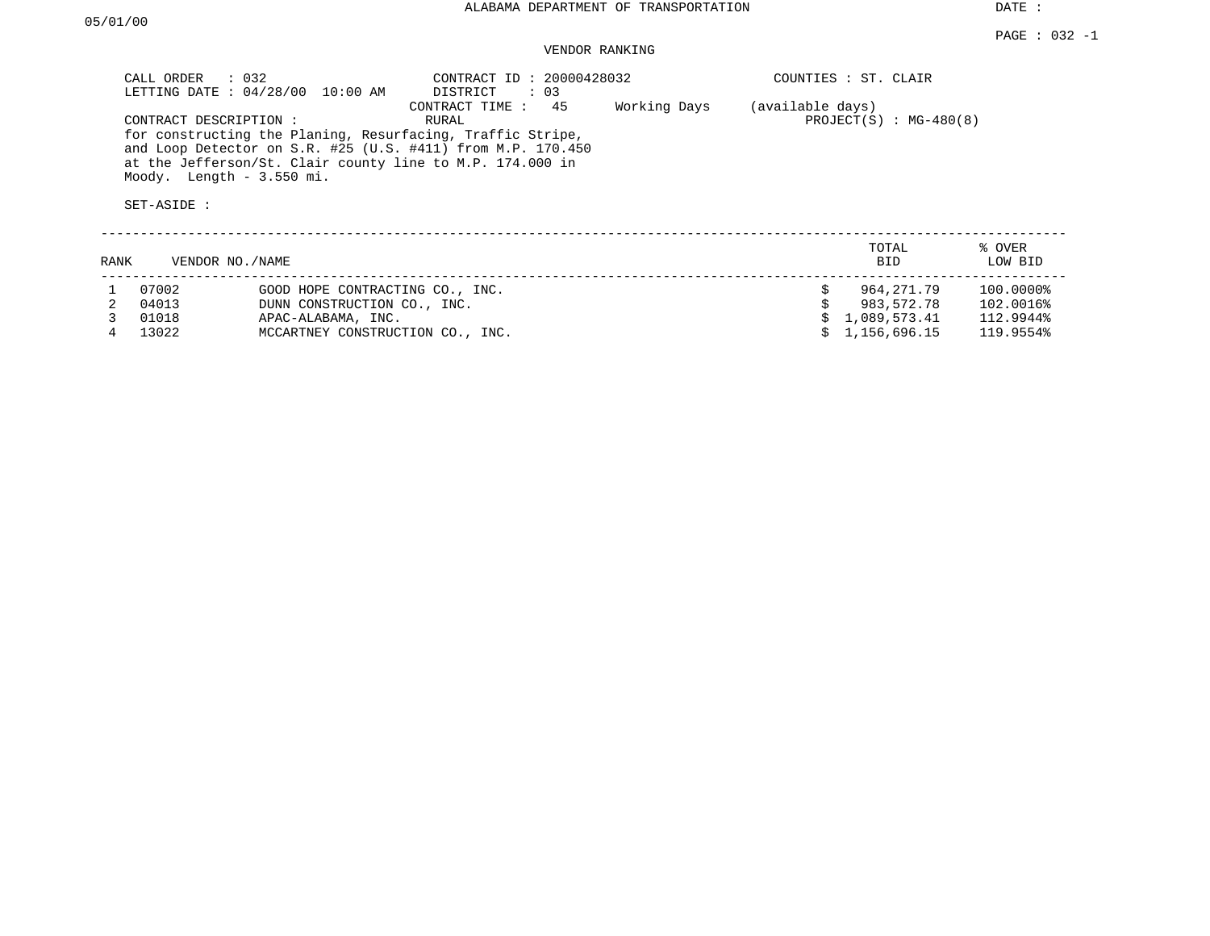| CALL ORDER : 032<br>LETTING DATE : 04/28/00 10:00 AM                                                                                                                                                                                         | CONTRACT ID: 20000428032<br>$\therefore$ 03<br>DISTRICT |              | COUNTIES : ST. CLAIR |                              |
|----------------------------------------------------------------------------------------------------------------------------------------------------------------------------------------------------------------------------------------------|---------------------------------------------------------|--------------|----------------------|------------------------------|
| CONTRACT DESCRIPTION:<br>for constructing the Planing, Resurfacing, Traffic Stripe,<br>and Loop Detector on S.R. #25 (U.S. #411) from M.P. 170.450<br>at the Jefferson/St. Clair county line to M.P. 174.000 in<br>Moody. Length - 3.550 mi. | 45<br>CONTRACT TIME:<br>RURAL                           | Working Days | (available days)     | PROJECT $(S)$ : MG-480 $(8)$ |
| SET-ASIDE:                                                                                                                                                                                                                                   |                                                         |              |                      |                              |
|                                                                                                                                                                                                                                              |                                                         |              |                      |                              |

| RANK | VENDOR NO./NAME |                                  | TOTAL<br><b>BID</b> | % OVER<br>LOW BID |
|------|-----------------|----------------------------------|---------------------|-------------------|
|      | 07002           | GOOD HOPE CONTRACTING CO., INC.  | 964,271.79          | 100.0000%         |
|      | 04013           | DUNN CONSTRUCTION CO., INC.      | 983,572.78          | 102.0016%         |
|      | 01018           | APAC-ALABAMA, INC.               | \$1,089,573.41      | 112.9944%         |
|      | 13022           | MCCARTNEY CONSTRUCTION CO., INC. | \$1,156,696.15      | 119.9554%         |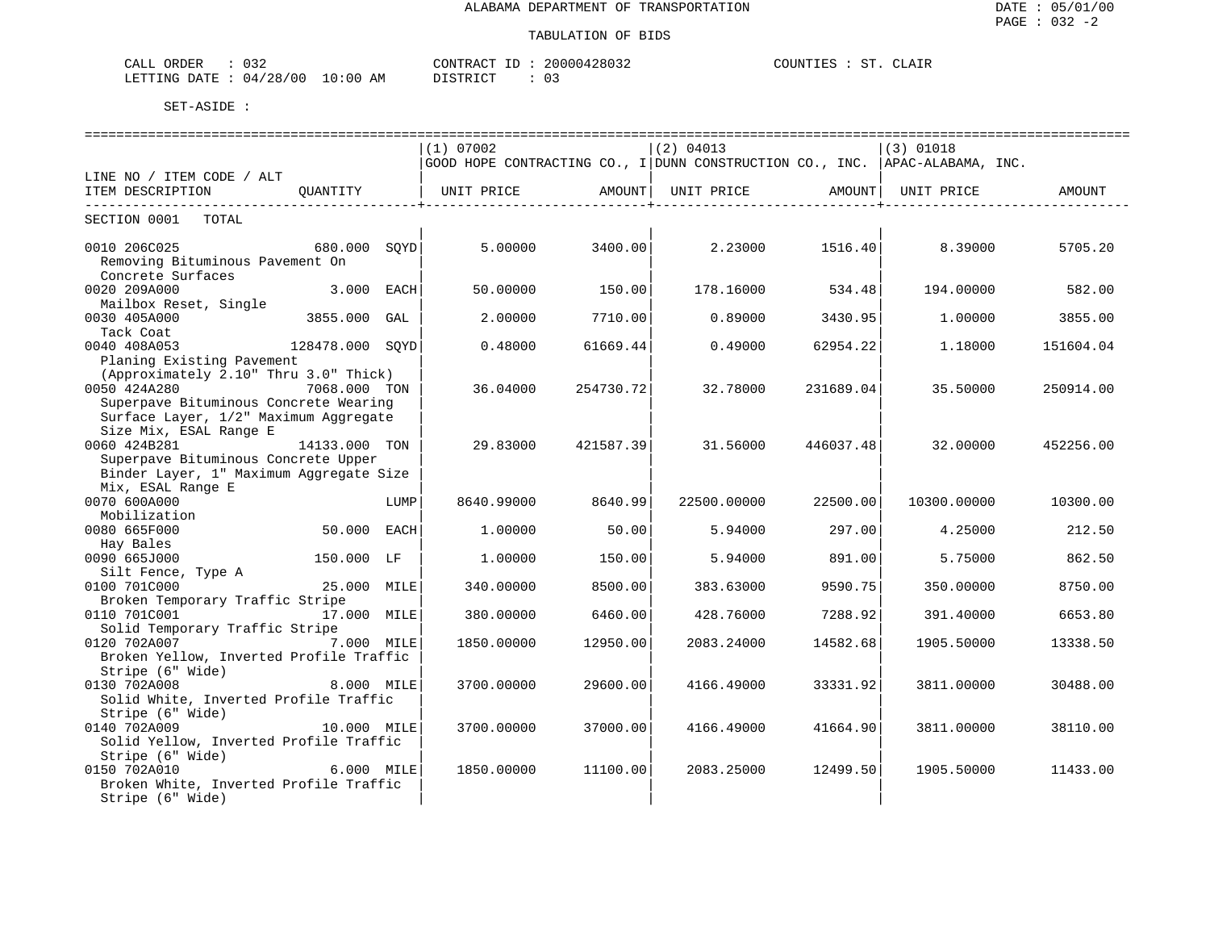| ORDER<br>CALL            |             | CONTRACT<br>TD.                 | 20000428032 | ST.<br>COUNTI<br>'F.S | CLATF |
|--------------------------|-------------|---------------------------------|-------------|-----------------------|-------|
| 04/28/00<br>LETTING DATE | 10:00<br>AΜ | <b>DICTOIOT</b><br>' ש<br>∸∸∽∸∽ |             |                       |       |

|                                                                  |                  |      | (1) 07002                                                                    |           | $(2)$ 04013 |                                     | $(3)$ 01018 |           |
|------------------------------------------------------------------|------------------|------|------------------------------------------------------------------------------|-----------|-------------|-------------------------------------|-------------|-----------|
|                                                                  |                  |      | GOOD HOPE CONTRACTING CO., I DUNN CONSTRUCTION CO., INC.  APAC-ALABAMA, INC. |           |             |                                     |             |           |
| LINE NO / ITEM CODE / ALT                                        |                  |      |                                                                              |           |             |                                     |             |           |
| ITEM DESCRIPTION OUANTITY   UNIT PRICE AMOUNT  UNIT PRICE AMOUNT |                  |      |                                                                              |           |             |                                     | UNIT PRICE  | AMOUNT    |
| --------------------------                                       |                  |      |                                                                              |           |             | . _ _ _ _ _ _ _ _ _ _ _ _ _ _ _ _ _ |             |           |
| SECTION 0001 TOTAL                                               |                  |      |                                                                              |           |             |                                     |             |           |
| 0010 206C025                                                     | 680.000 SOYD     |      | 5.00000                                                                      | 3400.00   |             | 2.23000 1516.40                     | 8.39000     | 5705.20   |
| Removing Bituminous Pavement On                                  |                  |      |                                                                              |           |             |                                     |             |           |
| Concrete Surfaces                                                |                  |      |                                                                              |           |             |                                     |             |           |
| 0020 209A000                                                     | 3.000 EACH       |      | 50.00000                                                                     | 150.00    | 178.16000   | 534.48                              | 194.00000   | 582.00    |
| Mailbox Reset, Single                                            |                  |      |                                                                              |           |             |                                     |             |           |
| 0030 405A000                                                     | 3855.000 GAL     |      | 2,00000                                                                      | 7710.00   | 0.89000     | 3430.95                             | 1,00000     | 3855.00   |
| Tack Coat                                                        |                  |      |                                                                              |           |             |                                     |             |           |
| 128478.000 SQYD<br>0040 408A053                                  |                  |      | 0.48000                                                                      | 61669.44  | 0.49000     | 62954.22                            | 1.18000     | 151604.04 |
| Planing Existing Pavement                                        |                  |      |                                                                              |           |             |                                     |             |           |
| (Approximately 2.10" Thru 3.0" Thick)                            |                  |      |                                                                              |           |             |                                     |             |           |
| 0050 424A280                                                     | 7068.000 TON     |      | 36.04000                                                                     | 254730.72 | 32.78000    | 231689.04                           | 35.50000    | 250914.00 |
| Superpave Bituminous Concrete Wearing                            |                  |      |                                                                              |           |             |                                     |             |           |
| Surface Layer, 1/2" Maximum Aggregate                            |                  |      |                                                                              |           |             |                                     |             |           |
| Size Mix, ESAL Range E                                           |                  |      |                                                                              |           |             |                                     |             |           |
| 0060 424B281                                                     | 14133.000 TON    |      | 29.83000                                                                     |           | 31.56000    | 446037.48                           | 32.00000    | 452256.00 |
|                                                                  |                  |      |                                                                              | 421587.39 |             |                                     |             |           |
| Superpave Bituminous Concrete Upper                              |                  |      |                                                                              |           |             |                                     |             |           |
| Binder Layer, 1" Maximum Aggregate Size                          |                  |      |                                                                              |           |             |                                     |             |           |
| Mix, ESAL Range E                                                |                  |      |                                                                              |           |             |                                     |             |           |
| 0070 600A000                                                     |                  | LUMP | 8640.99000                                                                   | 8640.99   | 22500.00000 | 22500.00                            | 10300.00000 | 10300.00  |
| Mobilization                                                     |                  |      |                                                                              |           |             |                                     |             |           |
| 50.000 EACH<br>0080 665F000                                      |                  |      | 1,00000                                                                      | 50.00     | 5.94000     | 297.00                              | 4.25000     | 212.50    |
| Hay Bales                                                        |                  |      |                                                                              |           |             |                                     |             |           |
| 0090 665J000                                                     | 150.000 LF       |      | 1,00000                                                                      | 150.00    | 5.94000     | 891.00                              | 5.75000     | 862.50    |
| Silt Fence, Type A                                               |                  |      |                                                                              |           |             |                                     |             |           |
| 0100 701C000                                                     | A<br>25.000 MILE |      | 340.00000                                                                    | 8500.00   | 383.63000   | 9590.75                             | 350.00000   | 8750.00   |
| Broken Temporary Traffic Stripe                                  |                  |      |                                                                              |           |             |                                     |             |           |
| 0110 701C001                                                     | 17.000 MILE      |      | 380.00000                                                                    | 6460.00   | 428.76000   | 7288.92                             | 391.40000   | 6653.80   |
| Solid Temporary Traffic Stripe                                   |                  |      |                                                                              |           |             |                                     |             |           |
| 0120 702A007                                                     | 7.000 MILE       |      | 1850.00000                                                                   | 12950.00  | 2083.24000  | 14582.68                            | 1905.50000  | 13338.50  |
| Broken Yellow, Inverted Profile Traffic                          |                  |      |                                                                              |           |             |                                     |             |           |
| Stripe (6" Wide)                                                 |                  |      |                                                                              |           |             |                                     |             |           |
| 0130 702A008                                                     | 8.000 MILE       |      | 3700.00000                                                                   | 29600.00  | 4166.49000  | 33331.92                            | 3811,00000  | 30488.00  |
| Solid White, Inverted Profile Traffic                            |                  |      |                                                                              |           |             |                                     |             |           |
| Stripe (6" Wide)                                                 |                  |      |                                                                              |           |             |                                     |             |           |
| 0140 702A009                                                     | 10.000 MILE      |      | 3700.00000                                                                   | 37000.00  | 4166.49000  | 41664.90                            | 3811,00000  | 38110.00  |
| Solid Yellow, Inverted Profile Traffic                           |                  |      |                                                                              |           |             |                                     |             |           |
| Stripe (6" Wide)                                                 |                  |      |                                                                              |           |             |                                     |             |           |
| 0150 702A010                                                     | 6.000 MILE       |      | 1850.00000                                                                   | 11100.00  | 2083.25000  | 12499.50                            | 1905.50000  | 11433.00  |
| Broken White, Inverted Profile Traffic                           |                  |      |                                                                              |           |             |                                     |             |           |
| Stripe (6" Wide)                                                 |                  |      |                                                                              |           |             |                                     |             |           |
|                                                                  |                  |      |                                                                              |           |             |                                     |             |           |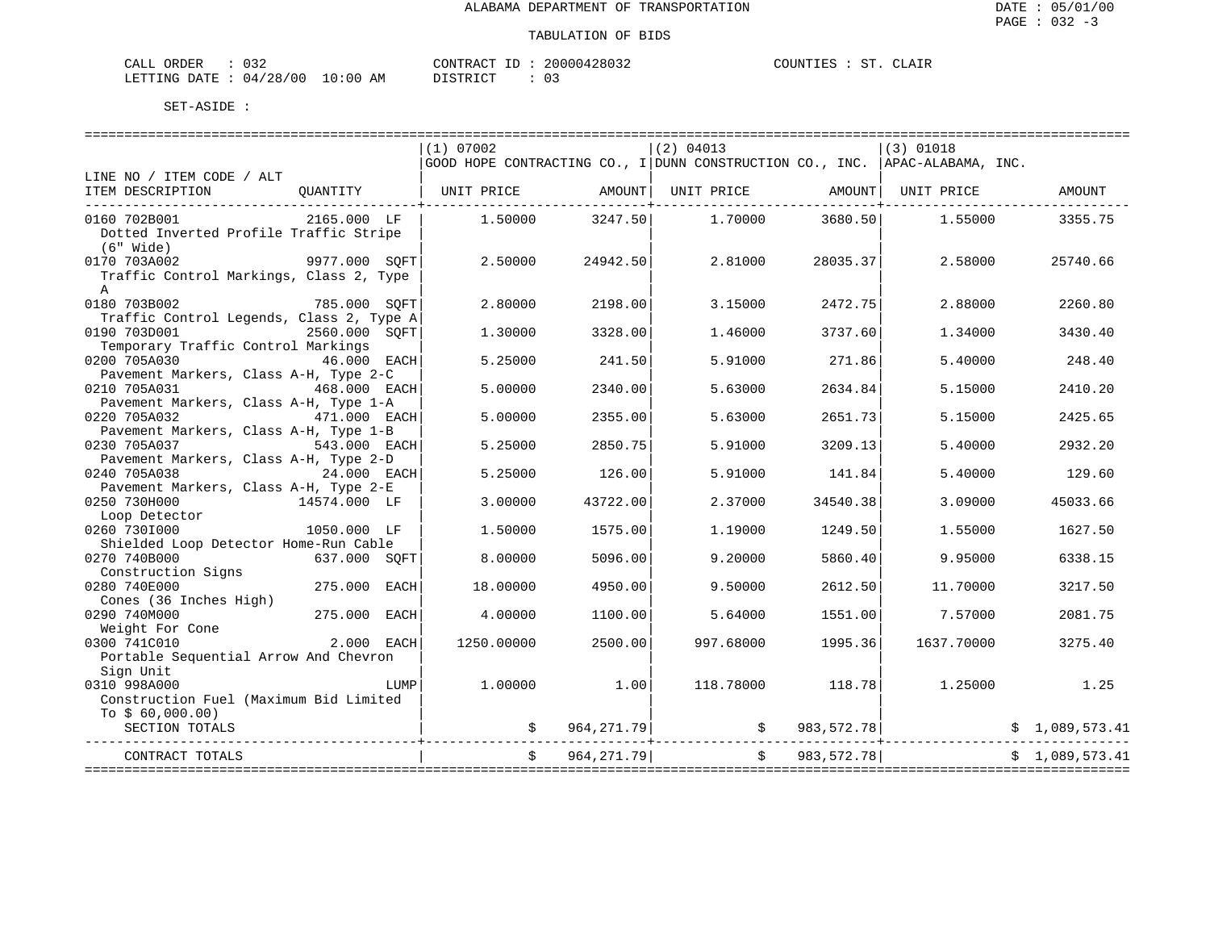| CALL ORDER                       | 032 |  | CONTRACT ID : | 20000428032 | COUNTIES : |  | ST. CLAIR |
|----------------------------------|-----|--|---------------|-------------|------------|--|-----------|
| LETTING DATE : 04/28/00 10:00 AM |     |  | DISTRICT      |             |            |  |           |

| (1) 07002<br>$(2)$ 04013<br>$(3)$ 01018<br>GOOD HOPE CONTRACTING CO., I DUNN CONSTRUCTION CO., INC. APAC-ALABAMA, INC.<br>QUANTITY   UNIT PRICE      AMOUNT  UNIT PRICE     AMOUNT  UNIT PRICE<br>AMOUNT<br>ITEM DESCRIPTION<br>------------------------------<br>0160 702B001<br>2165.000 LF<br>$1.50000$ $3247.50$<br>1.70000<br>3680.50<br>1.55000<br>3355.75<br>Dotted Inverted Profile Traffic Stripe<br>(6" Wide)<br>9977.000 SQFT<br>2.50000<br>24942.50<br>2.81000<br>28035.37<br>2.58000<br>25740.66<br>Traffic Control Markings, Class 2, Type<br>$\mathsf{A}$<br>785.000 SQFT<br>0180 703B002<br>2.80000<br>2198.00<br>3.15000<br>2472.75<br>2.88000<br>2260.80<br>Traffic Control Legends, Class 2, Type A<br>0190 703D001<br>2560.000 SOFT<br>1.30000<br>3328.00<br>3737.60<br>3430.40<br>1.46000<br>1.34000<br>Temporary Traffic Control Markings<br>0200 705A030<br>46.000 EACH<br>5.25000<br>241.50<br>5.91000<br>271.86<br>5.40000<br>248.40<br>Pavement Markers, Class A-H, Type 2-C<br>0210 705A031<br>5.00000<br>2340.00<br>2634.84<br>2410.20<br>468.000 EACH<br>5.63000<br>5.15000<br>Pavement Markers, Class A-H, Type 1-A<br>2355.00<br>2425.65<br>0220 705A032<br>471.000 EACH<br>5.00000<br>5.63000<br>2651.73<br>5.15000<br>Pavement Markers, Class A-H, Type 1-B<br>0230 705A037<br>2850.75<br>3209.13<br>2932.20<br>543.000 EACH<br>5.25000<br>5.91000<br>5.40000<br>Pavement Markers, Class A-H, Type 2-D<br>0240 705A038<br>24.000 EACH<br>5.25000<br>126.00<br>5.91000<br>141.84<br>5.40000<br>129.60<br>Pavement Markers, Class A-H, Type 2-E<br>43722.00<br>0250 730H000<br>14574.000 LF<br>3,00000<br>2.37000<br>34540.38<br>3.09000<br>45033.66<br>Loop Detector<br>1050.000 LF<br>0260 7301000<br>1575.00<br>1249.50<br>1.55000<br>1627.50<br>1.50000<br>1,19000<br>Shielded Loop Detector Home-Run Cable<br>0270 740B000<br>637.000 SOFT<br>8,00000<br>5096.00<br>9,20000<br>5860.40<br>9.95000<br>6338.15<br>Construction Signs<br>275.000 EACH<br>0280 740E000<br>18,00000<br>4950.00<br>9.50000<br>2612.50<br>11.70000<br>3217.50<br>Cones (36 Inches High)<br>275.000 EACH<br>0290 740M000<br>4.00000<br>1100.00<br>1551.00<br>7.57000<br>2081.75<br>5.64000<br>Weight For Cone<br>0300 741C010<br>$2.000$ EACH<br>1250.00000<br>2500.00<br>997.68000<br>1995.36<br>1637.70000<br>3275.40<br>Portable Sequential Arrow And Chevron<br>Sign Unit<br>0310 998A000<br>1.00000<br>1.00<br>118.78000<br>118.78<br>1.25000 1.25<br>LUMP<br>Construction Fuel (Maximum Bid Limited<br>To $$60,000.00)$<br>$\sin \frac{1}{2}$ 573.41 $\sin \frac{1}{2}$ 583,572.78 $\sin \frac{1}{2}$ 5 1,089,573.41<br>SECTION TOTALS |                           |  |                                       |  |  |
|----------------------------------------------------------------------------------------------------------------------------------------------------------------------------------------------------------------------------------------------------------------------------------------------------------------------------------------------------------------------------------------------------------------------------------------------------------------------------------------------------------------------------------------------------------------------------------------------------------------------------------------------------------------------------------------------------------------------------------------------------------------------------------------------------------------------------------------------------------------------------------------------------------------------------------------------------------------------------------------------------------------------------------------------------------------------------------------------------------------------------------------------------------------------------------------------------------------------------------------------------------------------------------------------------------------------------------------------------------------------------------------------------------------------------------------------------------------------------------------------------------------------------------------------------------------------------------------------------------------------------------------------------------------------------------------------------------------------------------------------------------------------------------------------------------------------------------------------------------------------------------------------------------------------------------------------------------------------------------------------------------------------------------------------------------------------------------------------------------------------------------------------------------------------------------------------------------------------------------------------------------------------------------------------------------------------------------------------------------------------------------------------------------------------------------------------------------------------------------------------------------------------------------------------------------------------------------------------------------------------------------------------------------|---------------------------|--|---------------------------------------|--|--|
|                                                                                                                                                                                                                                                                                                                                                                                                                                                                                                                                                                                                                                                                                                                                                                                                                                                                                                                                                                                                                                                                                                                                                                                                                                                                                                                                                                                                                                                                                                                                                                                                                                                                                                                                                                                                                                                                                                                                                                                                                                                                                                                                                                                                                                                                                                                                                                                                                                                                                                                                                                                                                                                          |                           |  |                                       |  |  |
|                                                                                                                                                                                                                                                                                                                                                                                                                                                                                                                                                                                                                                                                                                                                                                                                                                                                                                                                                                                                                                                                                                                                                                                                                                                                                                                                                                                                                                                                                                                                                                                                                                                                                                                                                                                                                                                                                                                                                                                                                                                                                                                                                                                                                                                                                                                                                                                                                                                                                                                                                                                                                                                          |                           |  |                                       |  |  |
|                                                                                                                                                                                                                                                                                                                                                                                                                                                                                                                                                                                                                                                                                                                                                                                                                                                                                                                                                                                                                                                                                                                                                                                                                                                                                                                                                                                                                                                                                                                                                                                                                                                                                                                                                                                                                                                                                                                                                                                                                                                                                                                                                                                                                                                                                                                                                                                                                                                                                                                                                                                                                                                          | LINE NO / ITEM CODE / ALT |  |                                       |  |  |
|                                                                                                                                                                                                                                                                                                                                                                                                                                                                                                                                                                                                                                                                                                                                                                                                                                                                                                                                                                                                                                                                                                                                                                                                                                                                                                                                                                                                                                                                                                                                                                                                                                                                                                                                                                                                                                                                                                                                                                                                                                                                                                                                                                                                                                                                                                                                                                                                                                                                                                                                                                                                                                                          |                           |  |                                       |  |  |
|                                                                                                                                                                                                                                                                                                                                                                                                                                                                                                                                                                                                                                                                                                                                                                                                                                                                                                                                                                                                                                                                                                                                                                                                                                                                                                                                                                                                                                                                                                                                                                                                                                                                                                                                                                                                                                                                                                                                                                                                                                                                                                                                                                                                                                                                                                                                                                                                                                                                                                                                                                                                                                                          |                           |  |                                       |  |  |
|                                                                                                                                                                                                                                                                                                                                                                                                                                                                                                                                                                                                                                                                                                                                                                                                                                                                                                                                                                                                                                                                                                                                                                                                                                                                                                                                                                                                                                                                                                                                                                                                                                                                                                                                                                                                                                                                                                                                                                                                                                                                                                                                                                                                                                                                                                                                                                                                                                                                                                                                                                                                                                                          |                           |  |                                       |  |  |
|                                                                                                                                                                                                                                                                                                                                                                                                                                                                                                                                                                                                                                                                                                                                                                                                                                                                                                                                                                                                                                                                                                                                                                                                                                                                                                                                                                                                                                                                                                                                                                                                                                                                                                                                                                                                                                                                                                                                                                                                                                                                                                                                                                                                                                                                                                                                                                                                                                                                                                                                                                                                                                                          |                           |  |                                       |  |  |
|                                                                                                                                                                                                                                                                                                                                                                                                                                                                                                                                                                                                                                                                                                                                                                                                                                                                                                                                                                                                                                                                                                                                                                                                                                                                                                                                                                                                                                                                                                                                                                                                                                                                                                                                                                                                                                                                                                                                                                                                                                                                                                                                                                                                                                                                                                                                                                                                                                                                                                                                                                                                                                                          |                           |  |                                       |  |  |
|                                                                                                                                                                                                                                                                                                                                                                                                                                                                                                                                                                                                                                                                                                                                                                                                                                                                                                                                                                                                                                                                                                                                                                                                                                                                                                                                                                                                                                                                                                                                                                                                                                                                                                                                                                                                                                                                                                                                                                                                                                                                                                                                                                                                                                                                                                                                                                                                                                                                                                                                                                                                                                                          | 0170 703A002              |  |                                       |  |  |
|                                                                                                                                                                                                                                                                                                                                                                                                                                                                                                                                                                                                                                                                                                                                                                                                                                                                                                                                                                                                                                                                                                                                                                                                                                                                                                                                                                                                                                                                                                                                                                                                                                                                                                                                                                                                                                                                                                                                                                                                                                                                                                                                                                                                                                                                                                                                                                                                                                                                                                                                                                                                                                                          |                           |  |                                       |  |  |
|                                                                                                                                                                                                                                                                                                                                                                                                                                                                                                                                                                                                                                                                                                                                                                                                                                                                                                                                                                                                                                                                                                                                                                                                                                                                                                                                                                                                                                                                                                                                                                                                                                                                                                                                                                                                                                                                                                                                                                                                                                                                                                                                                                                                                                                                                                                                                                                                                                                                                                                                                                                                                                                          |                           |  |                                       |  |  |
|                                                                                                                                                                                                                                                                                                                                                                                                                                                                                                                                                                                                                                                                                                                                                                                                                                                                                                                                                                                                                                                                                                                                                                                                                                                                                                                                                                                                                                                                                                                                                                                                                                                                                                                                                                                                                                                                                                                                                                                                                                                                                                                                                                                                                                                                                                                                                                                                                                                                                                                                                                                                                                                          |                           |  |                                       |  |  |
|                                                                                                                                                                                                                                                                                                                                                                                                                                                                                                                                                                                                                                                                                                                                                                                                                                                                                                                                                                                                                                                                                                                                                                                                                                                                                                                                                                                                                                                                                                                                                                                                                                                                                                                                                                                                                                                                                                                                                                                                                                                                                                                                                                                                                                                                                                                                                                                                                                                                                                                                                                                                                                                          |                           |  |                                       |  |  |
|                                                                                                                                                                                                                                                                                                                                                                                                                                                                                                                                                                                                                                                                                                                                                                                                                                                                                                                                                                                                                                                                                                                                                                                                                                                                                                                                                                                                                                                                                                                                                                                                                                                                                                                                                                                                                                                                                                                                                                                                                                                                                                                                                                                                                                                                                                                                                                                                                                                                                                                                                                                                                                                          |                           |  |                                       |  |  |
|                                                                                                                                                                                                                                                                                                                                                                                                                                                                                                                                                                                                                                                                                                                                                                                                                                                                                                                                                                                                                                                                                                                                                                                                                                                                                                                                                                                                                                                                                                                                                                                                                                                                                                                                                                                                                                                                                                                                                                                                                                                                                                                                                                                                                                                                                                                                                                                                                                                                                                                                                                                                                                                          |                           |  |                                       |  |  |
|                                                                                                                                                                                                                                                                                                                                                                                                                                                                                                                                                                                                                                                                                                                                                                                                                                                                                                                                                                                                                                                                                                                                                                                                                                                                                                                                                                                                                                                                                                                                                                                                                                                                                                                                                                                                                                                                                                                                                                                                                                                                                                                                                                                                                                                                                                                                                                                                                                                                                                                                                                                                                                                          |                           |  |                                       |  |  |
|                                                                                                                                                                                                                                                                                                                                                                                                                                                                                                                                                                                                                                                                                                                                                                                                                                                                                                                                                                                                                                                                                                                                                                                                                                                                                                                                                                                                                                                                                                                                                                                                                                                                                                                                                                                                                                                                                                                                                                                                                                                                                                                                                                                                                                                                                                                                                                                                                                                                                                                                                                                                                                                          |                           |  |                                       |  |  |
|                                                                                                                                                                                                                                                                                                                                                                                                                                                                                                                                                                                                                                                                                                                                                                                                                                                                                                                                                                                                                                                                                                                                                                                                                                                                                                                                                                                                                                                                                                                                                                                                                                                                                                                                                                                                                                                                                                                                                                                                                                                                                                                                                                                                                                                                                                                                                                                                                                                                                                                                                                                                                                                          |                           |  |                                       |  |  |
|                                                                                                                                                                                                                                                                                                                                                                                                                                                                                                                                                                                                                                                                                                                                                                                                                                                                                                                                                                                                                                                                                                                                                                                                                                                                                                                                                                                                                                                                                                                                                                                                                                                                                                                                                                                                                                                                                                                                                                                                                                                                                                                                                                                                                                                                                                                                                                                                                                                                                                                                                                                                                                                          |                           |  |                                       |  |  |
|                                                                                                                                                                                                                                                                                                                                                                                                                                                                                                                                                                                                                                                                                                                                                                                                                                                                                                                                                                                                                                                                                                                                                                                                                                                                                                                                                                                                                                                                                                                                                                                                                                                                                                                                                                                                                                                                                                                                                                                                                                                                                                                                                                                                                                                                                                                                                                                                                                                                                                                                                                                                                                                          |                           |  |                                       |  |  |
|                                                                                                                                                                                                                                                                                                                                                                                                                                                                                                                                                                                                                                                                                                                                                                                                                                                                                                                                                                                                                                                                                                                                                                                                                                                                                                                                                                                                                                                                                                                                                                                                                                                                                                                                                                                                                                                                                                                                                                                                                                                                                                                                                                                                                                                                                                                                                                                                                                                                                                                                                                                                                                                          |                           |  |                                       |  |  |
|                                                                                                                                                                                                                                                                                                                                                                                                                                                                                                                                                                                                                                                                                                                                                                                                                                                                                                                                                                                                                                                                                                                                                                                                                                                                                                                                                                                                                                                                                                                                                                                                                                                                                                                                                                                                                                                                                                                                                                                                                                                                                                                                                                                                                                                                                                                                                                                                                                                                                                                                                                                                                                                          |                           |  |                                       |  |  |
|                                                                                                                                                                                                                                                                                                                                                                                                                                                                                                                                                                                                                                                                                                                                                                                                                                                                                                                                                                                                                                                                                                                                                                                                                                                                                                                                                                                                                                                                                                                                                                                                                                                                                                                                                                                                                                                                                                                                                                                                                                                                                                                                                                                                                                                                                                                                                                                                                                                                                                                                                                                                                                                          |                           |  |                                       |  |  |
|                                                                                                                                                                                                                                                                                                                                                                                                                                                                                                                                                                                                                                                                                                                                                                                                                                                                                                                                                                                                                                                                                                                                                                                                                                                                                                                                                                                                                                                                                                                                                                                                                                                                                                                                                                                                                                                                                                                                                                                                                                                                                                                                                                                                                                                                                                                                                                                                                                                                                                                                                                                                                                                          |                           |  |                                       |  |  |
|                                                                                                                                                                                                                                                                                                                                                                                                                                                                                                                                                                                                                                                                                                                                                                                                                                                                                                                                                                                                                                                                                                                                                                                                                                                                                                                                                                                                                                                                                                                                                                                                                                                                                                                                                                                                                                                                                                                                                                                                                                                                                                                                                                                                                                                                                                                                                                                                                                                                                                                                                                                                                                                          |                           |  |                                       |  |  |
|                                                                                                                                                                                                                                                                                                                                                                                                                                                                                                                                                                                                                                                                                                                                                                                                                                                                                                                                                                                                                                                                                                                                                                                                                                                                                                                                                                                                                                                                                                                                                                                                                                                                                                                                                                                                                                                                                                                                                                                                                                                                                                                                                                                                                                                                                                                                                                                                                                                                                                                                                                                                                                                          |                           |  |                                       |  |  |
|                                                                                                                                                                                                                                                                                                                                                                                                                                                                                                                                                                                                                                                                                                                                                                                                                                                                                                                                                                                                                                                                                                                                                                                                                                                                                                                                                                                                                                                                                                                                                                                                                                                                                                                                                                                                                                                                                                                                                                                                                                                                                                                                                                                                                                                                                                                                                                                                                                                                                                                                                                                                                                                          |                           |  |                                       |  |  |
|                                                                                                                                                                                                                                                                                                                                                                                                                                                                                                                                                                                                                                                                                                                                                                                                                                                                                                                                                                                                                                                                                                                                                                                                                                                                                                                                                                                                                                                                                                                                                                                                                                                                                                                                                                                                                                                                                                                                                                                                                                                                                                                                                                                                                                                                                                                                                                                                                                                                                                                                                                                                                                                          |                           |  |                                       |  |  |
|                                                                                                                                                                                                                                                                                                                                                                                                                                                                                                                                                                                                                                                                                                                                                                                                                                                                                                                                                                                                                                                                                                                                                                                                                                                                                                                                                                                                                                                                                                                                                                                                                                                                                                                                                                                                                                                                                                                                                                                                                                                                                                                                                                                                                                                                                                                                                                                                                                                                                                                                                                                                                                                          |                           |  |                                       |  |  |
|                                                                                                                                                                                                                                                                                                                                                                                                                                                                                                                                                                                                                                                                                                                                                                                                                                                                                                                                                                                                                                                                                                                                                                                                                                                                                                                                                                                                                                                                                                                                                                                                                                                                                                                                                                                                                                                                                                                                                                                                                                                                                                                                                                                                                                                                                                                                                                                                                                                                                                                                                                                                                                                          |                           |  |                                       |  |  |
|                                                                                                                                                                                                                                                                                                                                                                                                                                                                                                                                                                                                                                                                                                                                                                                                                                                                                                                                                                                                                                                                                                                                                                                                                                                                                                                                                                                                                                                                                                                                                                                                                                                                                                                                                                                                                                                                                                                                                                                                                                                                                                                                                                                                                                                                                                                                                                                                                                                                                                                                                                                                                                                          |                           |  |                                       |  |  |
|                                                                                                                                                                                                                                                                                                                                                                                                                                                                                                                                                                                                                                                                                                                                                                                                                                                                                                                                                                                                                                                                                                                                                                                                                                                                                                                                                                                                                                                                                                                                                                                                                                                                                                                                                                                                                                                                                                                                                                                                                                                                                                                                                                                                                                                                                                                                                                                                                                                                                                                                                                                                                                                          |                           |  |                                       |  |  |
|                                                                                                                                                                                                                                                                                                                                                                                                                                                                                                                                                                                                                                                                                                                                                                                                                                                                                                                                                                                                                                                                                                                                                                                                                                                                                                                                                                                                                                                                                                                                                                                                                                                                                                                                                                                                                                                                                                                                                                                                                                                                                                                                                                                                                                                                                                                                                                                                                                                                                                                                                                                                                                                          |                           |  |                                       |  |  |
|                                                                                                                                                                                                                                                                                                                                                                                                                                                                                                                                                                                                                                                                                                                                                                                                                                                                                                                                                                                                                                                                                                                                                                                                                                                                                                                                                                                                                                                                                                                                                                                                                                                                                                                                                                                                                                                                                                                                                                                                                                                                                                                                                                                                                                                                                                                                                                                                                                                                                                                                                                                                                                                          |                           |  |                                       |  |  |
|                                                                                                                                                                                                                                                                                                                                                                                                                                                                                                                                                                                                                                                                                                                                                                                                                                                                                                                                                                                                                                                                                                                                                                                                                                                                                                                                                                                                                                                                                                                                                                                                                                                                                                                                                                                                                                                                                                                                                                                                                                                                                                                                                                                                                                                                                                                                                                                                                                                                                                                                                                                                                                                          |                           |  |                                       |  |  |
|                                                                                                                                                                                                                                                                                                                                                                                                                                                                                                                                                                                                                                                                                                                                                                                                                                                                                                                                                                                                                                                                                                                                                                                                                                                                                                                                                                                                                                                                                                                                                                                                                                                                                                                                                                                                                                                                                                                                                                                                                                                                                                                                                                                                                                                                                                                                                                                                                                                                                                                                                                                                                                                          |                           |  |                                       |  |  |
|                                                                                                                                                                                                                                                                                                                                                                                                                                                                                                                                                                                                                                                                                                                                                                                                                                                                                                                                                                                                                                                                                                                                                                                                                                                                                                                                                                                                                                                                                                                                                                                                                                                                                                                                                                                                                                                                                                                                                                                                                                                                                                                                                                                                                                                                                                                                                                                                                                                                                                                                                                                                                                                          |                           |  |                                       |  |  |
|                                                                                                                                                                                                                                                                                                                                                                                                                                                                                                                                                                                                                                                                                                                                                                                                                                                                                                                                                                                                                                                                                                                                                                                                                                                                                                                                                                                                                                                                                                                                                                                                                                                                                                                                                                                                                                                                                                                                                                                                                                                                                                                                                                                                                                                                                                                                                                                                                                                                                                                                                                                                                                                          |                           |  |                                       |  |  |
|                                                                                                                                                                                                                                                                                                                                                                                                                                                                                                                                                                                                                                                                                                                                                                                                                                                                                                                                                                                                                                                                                                                                                                                                                                                                                                                                                                                                                                                                                                                                                                                                                                                                                                                                                                                                                                                                                                                                                                                                                                                                                                                                                                                                                                                                                                                                                                                                                                                                                                                                                                                                                                                          |                           |  |                                       |  |  |
|                                                                                                                                                                                                                                                                                                                                                                                                                                                                                                                                                                                                                                                                                                                                                                                                                                                                                                                                                                                                                                                                                                                                                                                                                                                                                                                                                                                                                                                                                                                                                                                                                                                                                                                                                                                                                                                                                                                                                                                                                                                                                                                                                                                                                                                                                                                                                                                                                                                                                                                                                                                                                                                          |                           |  |                                       |  |  |
|                                                                                                                                                                                                                                                                                                                                                                                                                                                                                                                                                                                                                                                                                                                                                                                                                                                                                                                                                                                                                                                                                                                                                                                                                                                                                                                                                                                                                                                                                                                                                                                                                                                                                                                                                                                                                                                                                                                                                                                                                                                                                                                                                                                                                                                                                                                                                                                                                                                                                                                                                                                                                                                          |                           |  |                                       |  |  |
|                                                                                                                                                                                                                                                                                                                                                                                                                                                                                                                                                                                                                                                                                                                                                                                                                                                                                                                                                                                                                                                                                                                                                                                                                                                                                                                                                                                                                                                                                                                                                                                                                                                                                                                                                                                                                                                                                                                                                                                                                                                                                                                                                                                                                                                                                                                                                                                                                                                                                                                                                                                                                                                          |                           |  |                                       |  |  |
|                                                                                                                                                                                                                                                                                                                                                                                                                                                                                                                                                                                                                                                                                                                                                                                                                                                                                                                                                                                                                                                                                                                                                                                                                                                                                                                                                                                                                                                                                                                                                                                                                                                                                                                                                                                                                                                                                                                                                                                                                                                                                                                                                                                                                                                                                                                                                                                                                                                                                                                                                                                                                                                          |                           |  | . _ _ _ _ _ _ _ _ _ _ _ _ _ _ _ _ _ _ |  |  |
| \$983,572.78]<br>\$964, 271.79]<br>\$1,089,573.41<br>CONTRACT TOTALS                                                                                                                                                                                                                                                                                                                                                                                                                                                                                                                                                                                                                                                                                                                                                                                                                                                                                                                                                                                                                                                                                                                                                                                                                                                                                                                                                                                                                                                                                                                                                                                                                                                                                                                                                                                                                                                                                                                                                                                                                                                                                                                                                                                                                                                                                                                                                                                                                                                                                                                                                                                     |                           |  |                                       |  |  |
|                                                                                                                                                                                                                                                                                                                                                                                                                                                                                                                                                                                                                                                                                                                                                                                                                                                                                                                                                                                                                                                                                                                                                                                                                                                                                                                                                                                                                                                                                                                                                                                                                                                                                                                                                                                                                                                                                                                                                                                                                                                                                                                                                                                                                                                                                                                                                                                                                                                                                                                                                                                                                                                          |                           |  |                                       |  |  |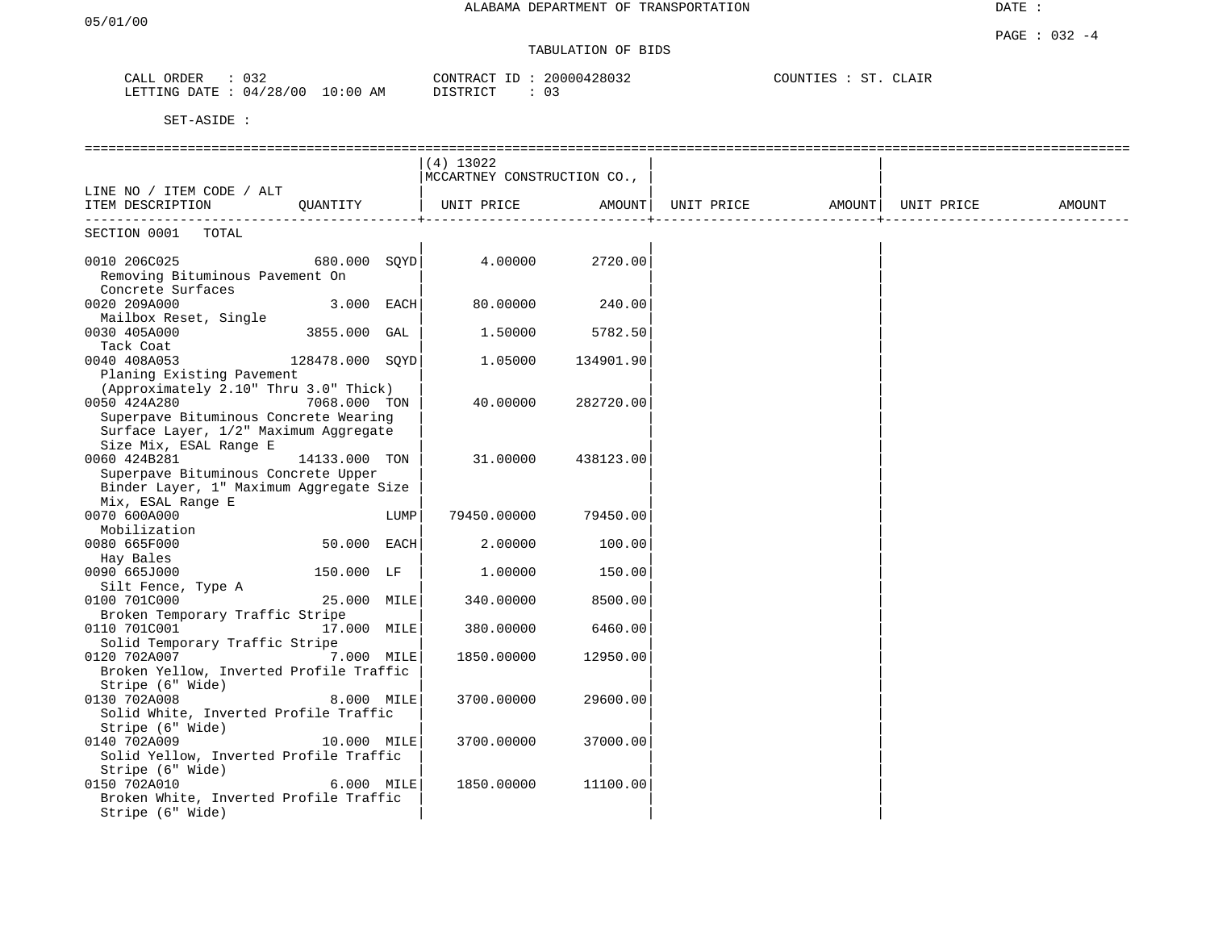# TABULATION OF BIDS

| ORDER<br>CALL  | 032        |            | CONTRACT ID | 20000428032 | COUNTIES | <b>RTP</b><br>. | CLAIR |  |
|----------------|------------|------------|-------------|-------------|----------|-----------------|-------|--|
| LETTING DATE : | : 04/28/00 | $10:00$ AM | DISTRICT    | 03          |          |                 |       |  |

|                                         |                 |      | $(4)$ 13022                 |           |  |        |
|-----------------------------------------|-----------------|------|-----------------------------|-----------|--|--------|
|                                         |                 |      | MCCARTNEY CONSTRUCTION CO., |           |  |        |
| LINE NO / ITEM CODE / ALT               |                 |      |                             |           |  |        |
| ITEM DESCRIPTION QUANTITY               |                 |      |                             |           |  | AMOUNT |
|                                         |                 |      |                             |           |  |        |
| SECTION 0001 TOTAL                      |                 |      |                             |           |  |        |
|                                         |                 |      |                             |           |  |        |
| 0010 206C025                            |                 |      |                             |           |  |        |
| Removing Bituminous Pavement On         |                 |      |                             |           |  |        |
| Concrete Surfaces                       |                 |      |                             |           |  |        |
| 0020 209A000                            | $3.000$ EACH    |      | 80.00000                    | 240.00    |  |        |
| Mailbox Reset, Single                   |                 |      |                             |           |  |        |
| 0030 405A000                            | 3855.000 GAL    |      | 1.50000                     | 5782.50   |  |        |
| Tack Coat                               |                 |      |                             |           |  |        |
| 0040 408A053                            | 128478.000 SOYD |      | 1.05000                     | 134901.90 |  |        |
| Planing Existing Pavement               |                 |      |                             |           |  |        |
| (Approximately 2.10" Thru 3.0" Thick)   |                 |      |                             |           |  |        |
| 0050 424A280                            | 7068.000 TON    |      | 40.00000                    | 282720.00 |  |        |
| Superpave Bituminous Concrete Wearing   |                 |      |                             |           |  |        |
| Surface Layer, 1/2" Maximum Aggregate   |                 |      |                             |           |  |        |
| Size Mix, ESAL Range E                  |                 |      |                             |           |  |        |
| 0060 424B281                            | 14133.000 TON   |      | 31.00000                    | 438123.00 |  |        |
| Superpave Bituminous Concrete Upper     |                 |      |                             |           |  |        |
| Binder Layer, 1" Maximum Aggregate Size |                 |      |                             |           |  |        |
| Mix, ESAL Range E                       |                 |      |                             |           |  |        |
| 0070 600A000                            |                 | LUMP | 79450.00000                 | 79450.001 |  |        |
|                                         |                 |      |                             |           |  |        |
| Mobilization                            |                 |      |                             |           |  |        |
| 0080 665F000                            | 50.000 EACH     |      | 2.00000                     | 100.00    |  |        |
| Hay Bales                               |                 |      |                             |           |  |        |
| 0090 665J000                            | 150.000 LF      |      | 1.00000                     | 150.00    |  |        |
| Silt Fence, Type A                      |                 |      |                             |           |  |        |
| 0100 701C000                            | 25.000 MILE     |      | 340.00000                   | 8500.00   |  |        |
| Broken Temporary Traffic Stripe         |                 |      |                             |           |  |        |
| 0110 701C001                            | 17.000 MILE     |      | 380.00000                   | 6460.00   |  |        |
| Solid Temporary Traffic Stripe          |                 |      |                             |           |  |        |
| 0120 702A007                            | 7.000 MILE      |      | 1850.00000                  | 12950.00  |  |        |
| Broken Yellow, Inverted Profile Traffic |                 |      |                             |           |  |        |
| Stripe (6" Wide)                        |                 |      |                             |           |  |        |
| 0130 702A008                            | 8.000 MILE      |      | 3700.00000                  | 29600.00  |  |        |
| Solid White, Inverted Profile Traffic   |                 |      |                             |           |  |        |
| Stripe (6" Wide)                        |                 |      |                             |           |  |        |
| 0140 702A009                            | 10.000 MILE     |      | 3700.00000                  | 37000.00  |  |        |
| Solid Yellow, Inverted Profile Traffic  |                 |      |                             |           |  |        |
| Stripe (6" Wide)                        |                 |      |                             |           |  |        |
| 0150 702A010                            | 6.000 MILE      |      | 1850.00000                  | 11100.00  |  |        |
| Broken White, Inverted Profile Traffic  |                 |      |                             |           |  |        |
| Stripe (6" Wide)                        |                 |      |                             |           |  |        |
|                                         |                 |      |                             |           |  |        |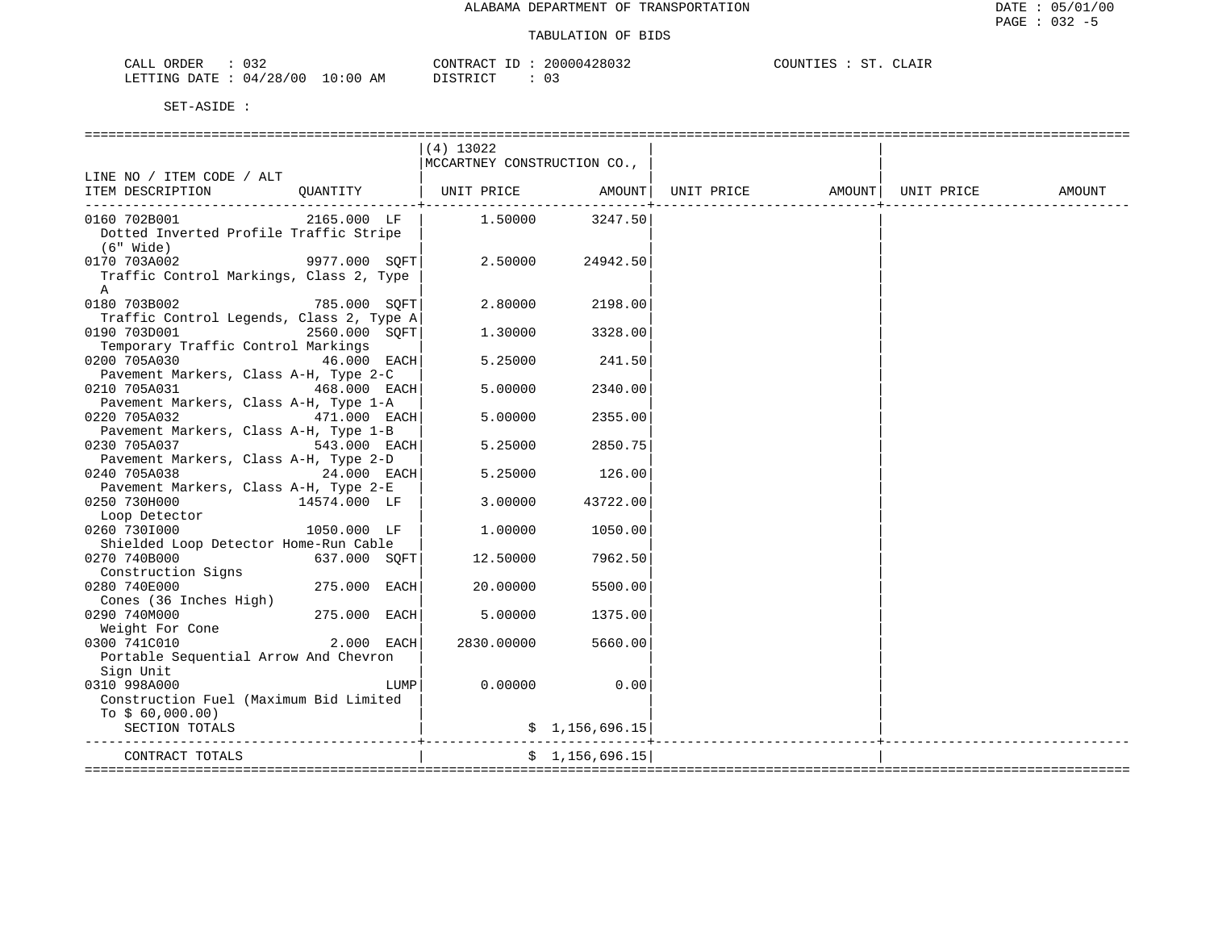ST. CLAIR

| CALL ORDER                      | 032 |          | CONTRACT ID: 20000428032 | COUNTIES : ST. CLAIR |  |  |
|---------------------------------|-----|----------|--------------------------|----------------------|--|--|
| LETTING DATE: 04/28/00 10:00 AM |     | DISTRICT |                          |                      |  |  |

|                                          | $(4)$ 13022                   |                 |  |                    |        |
|------------------------------------------|-------------------------------|-----------------|--|--------------------|--------|
|                                          | MCCARTNEY CONSTRUCTION CO.,   |                 |  |                    |        |
| LINE NO / ITEM CODE / ALT                |                               |                 |  |                    |        |
| QUANTITY<br>ITEM DESCRIPTION             | UNIT PRICE AMOUNT  UNIT PRICE |                 |  | AMOUNT  UNIT PRICE | AMOUNT |
| -----------------------------------      |                               |                 |  |                    |        |
| 2165.000 LF<br>0160 702B001              |                               | 1.50000 3247.50 |  |                    |        |
| Dotted Inverted Profile Traffic Stripe   |                               |                 |  |                    |        |
| (6" Wide)                                |                               |                 |  |                    |        |
| 9977.000 SOFT<br>0170 703A002            | 2.50000                       | 24942.50        |  |                    |        |
| Traffic Control Markings, Class 2, Type  |                               |                 |  |                    |        |
| A                                        |                               |                 |  |                    |        |
| $785.000$ SQFT<br>0180 703B002           | 2.80000                       | 2198.00         |  |                    |        |
| Traffic Control Legends, Class 2, Type A |                               |                 |  |                    |        |
| 0190 703D001<br>2560.000 SOFT            | 1,30000                       | 3328.00         |  |                    |        |
| Temporary Traffic Control Markings       |                               |                 |  |                    |        |
| 0200 705A030<br>46.000 EACH              | 5.25000                       | 241.50          |  |                    |        |
|                                          |                               |                 |  |                    |        |
| Pavement Markers, Class A-H, Type 2-C    |                               |                 |  |                    |        |
| 0210 705A031<br>$468.000$ EACH           | 5.00000                       | 2340.00         |  |                    |        |
| Pavement Markers, Class A-H, Type 1-A    |                               |                 |  |                    |        |
| 0220 705A032<br>471.000 EACH             | 5.00000                       | 2355.00         |  |                    |        |
| Pavement Markers, Class A-H, Type 1-B    |                               |                 |  |                    |        |
| 543.000 EACH<br>0230 705A037             | 5.25000                       | 2850.75         |  |                    |        |
| Pavement Markers, Class A-H, Type 2-D    |                               |                 |  |                    |        |
| $24.000$ EACH<br>0240 705A038            | 5.25000                       | 126.00          |  |                    |        |
| Pavement Markers, Class A-H, Type 2-E    |                               |                 |  |                    |        |
| 0250 730H000<br>14574.000 LF             | 3.00000                       | 43722.00        |  |                    |        |
| Loop Detector                            |                               |                 |  |                    |        |
| $1050.000$ LF<br>0260 7301000            | 1,00000                       | 1050.00         |  |                    |        |
| Shielded Loop Detector Home-Run Cable    |                               |                 |  |                    |        |
| 0270 740B000<br>637.000 SOFT             | 12.50000                      | 7962.50         |  |                    |        |
| Construction Signs                       |                               |                 |  |                    |        |
| 0280 740E000<br>275.000 EACH             | 20,00000                      | 5500.00         |  |                    |        |
| Cones (36 Inches High)                   |                               |                 |  |                    |        |
| 0290 740M000<br>275.000 EACH             | 5,00000                       | 1375.00         |  |                    |        |
| Weight For Cone                          |                               |                 |  |                    |        |
| 0300 741C010<br>$2.000$ EACH             | 2830.00000                    | 5660.00         |  |                    |        |
| Portable Sequential Arrow And Chevron    |                               |                 |  |                    |        |
| Sign Unit                                |                               |                 |  |                    |        |
| 0310 998A000                             | 0.00000<br>LUMP               | 0.00            |  |                    |        |
| Construction Fuel (Maximum Bid Limited   |                               |                 |  |                    |        |
| To $$60,000.00)$                         |                               |                 |  |                    |        |
| SECTION TOTALS                           |                               | \$1,156,696.15  |  |                    |        |
|                                          |                               |                 |  |                    |        |
| CONTRACT TOTALS                          |                               | \$1,156,696.15  |  |                    |        |
|                                          |                               |                 |  |                    |        |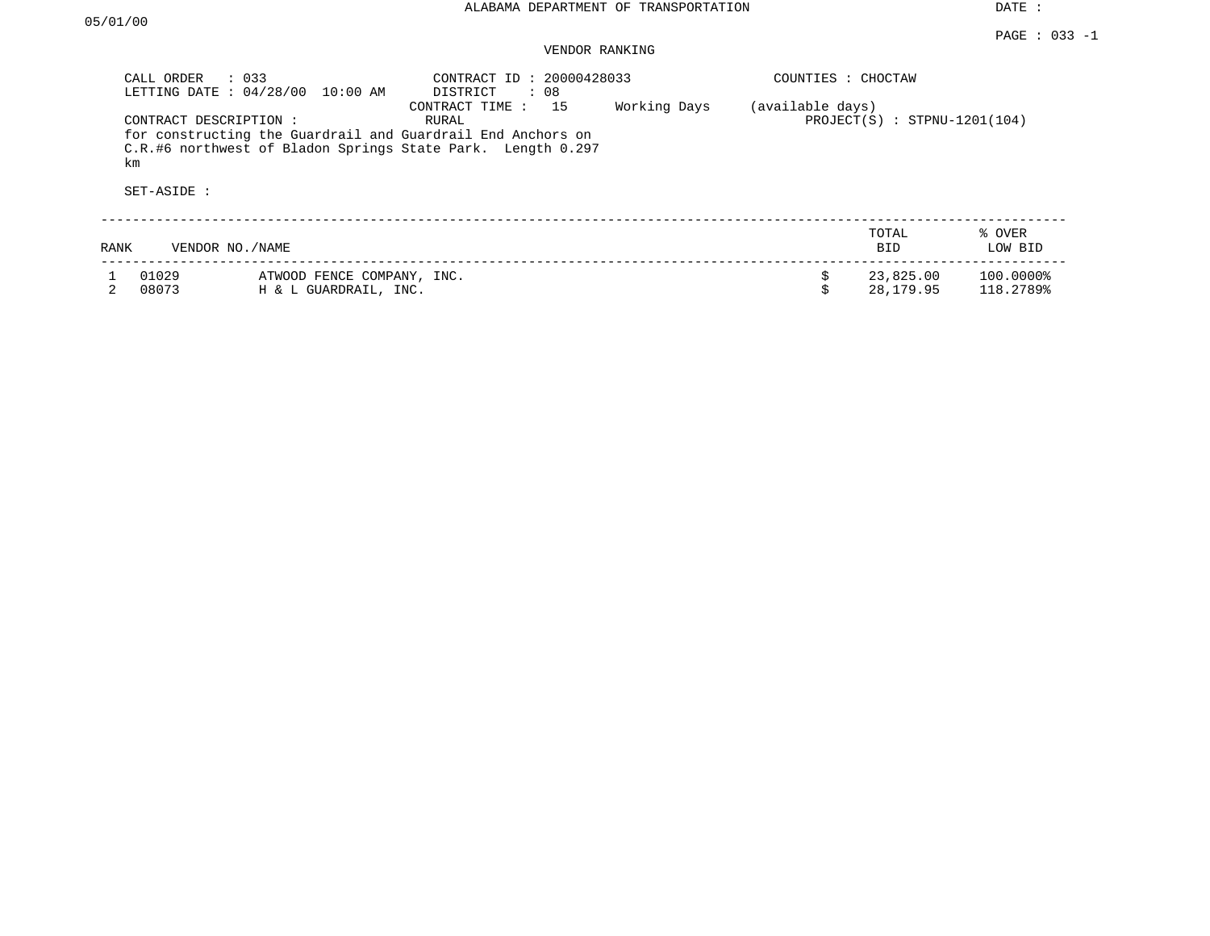| CALL ORDER                   | $\therefore$ 033<br>LETTING DATE: 04/28/00<br>10:00 AM | CONTRACT ID: 20000428033<br>DISTRICT<br>: 08                                                                                                              |              | COUNTIES : CHOCTAW |                                |                        |
|------------------------------|--------------------------------------------------------|-----------------------------------------------------------------------------------------------------------------------------------------------------------|--------------|--------------------|--------------------------------|------------------------|
| CONTRACT DESCRIPTION :<br>km |                                                        | CONTRACT TIME : 15<br>RURAL<br>for constructing the Guardrail and Guardrail End Anchors on<br>C.R.#6 northwest of Bladon Springs State Park. Length 0.297 | Working Days | (available days)   | $PROJECT(S)$ : STPNU-1201(104) |                        |
| SET-ASIDE :                  |                                                        |                                                                                                                                                           |              |                    |                                |                        |
| RANK                         | VENDOR NO. / NAME                                      |                                                                                                                                                           |              |                    | TOTAL<br><b>BID</b>            | % OVER<br>LOW BID      |
| 01029<br>08073               | ATWOOD FENCE COMPANY, INC.<br>H & L GUARDRAIL, INC.    |                                                                                                                                                           |              | \$<br>Ś            | 23,825.00<br>28,179.95         | 100.0000%<br>118.2789% |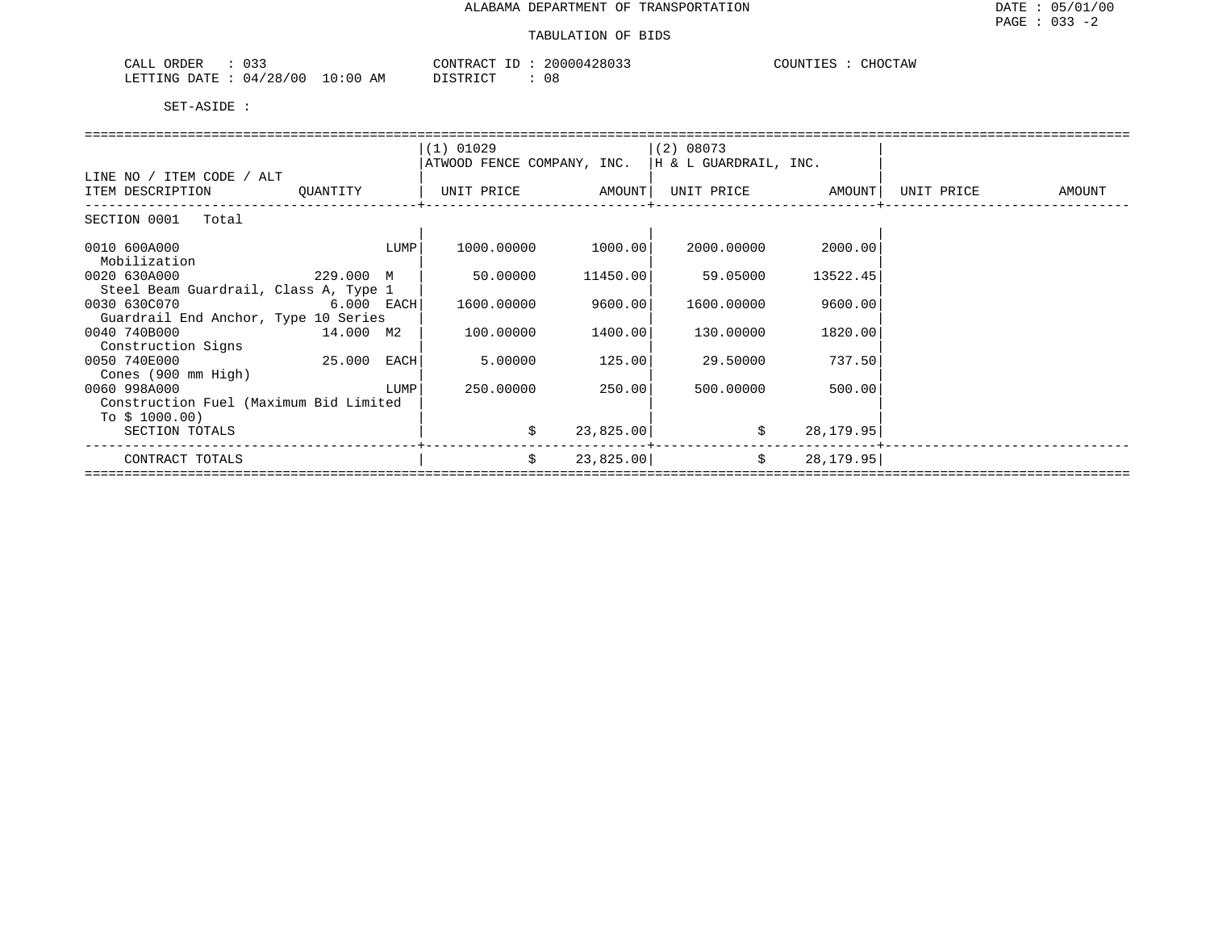| <u>__</u><br>ORDER<br>U33<br>للتنعب | $\bigcap$ NTRA $\bigcap$ | 428033 | $T$ רדאדזר $\Gamma$<br>$\ldots$ CHOCT <sup>7</sup><br>AW |
|-------------------------------------|--------------------------|--------|----------------------------------------------------------|
| 04/28/00<br>ETTING DATE             | 0:00<br>AΜ<br>-----      | U O    |                                                          |

|                                        |          |      | $(1)$ 01029                                          |                    | (2) 08073  |           |            |                             |
|----------------------------------------|----------|------|------------------------------------------------------|--------------------|------------|-----------|------------|-----------------------------|
|                                        |          |      | ATWOOD FENCE COMPANY, INC. $ H \& L$ GUARDRAIL, INC. |                    |            |           |            |                             |
| LINE NO / ITEM CODE / ALT              |          |      |                                                      |                    |            |           |            |                             |
|                                        |          |      | UNIT PRICE AMOUNT  UNIT PRICE AMOUNT                 |                    |            |           | UNIT PRICE | <b>EXAMPLE THE PROPERTY</b> |
| ITEM DESCRIPTION                       | QUANTITY |      |                                                      |                    |            |           |            |                             |
| SECTION 0001 Total                     |          |      |                                                      |                    |            |           |            |                             |
|                                        |          |      |                                                      |                    |            |           |            |                             |
| 0010 600A000                           |          | LUMP |                                                      | 1000.00000 1000.00 | 2000.00000 | 2000.00   |            |                             |
|                                        |          |      |                                                      |                    |            |           |            |                             |
| Mobilization                           |          |      |                                                      |                    |            |           |            |                             |
| 0020 630A000<br>229.000 M              |          |      | 50.00000                                             | 11450.00           | 59.05000   | 13522.45  |            |                             |
| Steel Beam Guardrail, Class A, Type 1  |          |      |                                                      |                    |            |           |            |                             |
| 0030 630C070 6.000 EACH                |          |      | 1600.00000                                           | 9600.00            | 1600.00000 | 9600.00   |            |                             |
| Guardrail End Anchor, Type 10 Series   |          |      |                                                      |                    |            |           |            |                             |
| 0040 740B000<br>$14.000$ M2            |          |      | 100.00000                                            | 1400.00            | 130.00000  | 1820.00   |            |                             |
| Construction Signs                     |          |      |                                                      |                    |            |           |            |                             |
| 25.000 EACH<br>0050 740E000            |          |      | 5.00000                                              | 125.00             | 29.50000   | 737.50    |            |                             |
| Cones (900 mm High)                    |          |      |                                                      |                    |            |           |            |                             |
| 0060 998A000                           |          | LUMP | 250.00000                                            | 250.00             | 500.00000  | 500.00    |            |                             |
| Construction Fuel (Maximum Bid Limited |          |      |                                                      |                    |            |           |            |                             |
|                                        |          |      |                                                      |                    |            |           |            |                             |
| To $$1000.00)$                         |          |      |                                                      |                    |            |           |            |                             |
| SECTION TOTALS                         |          |      | \$                                                   | 23,825.00          | \$         | 28,179.95 |            |                             |
|                                        |          |      |                                                      |                    |            |           |            |                             |
| CONTRACT TOTALS                        |          |      | \$                                                   | 23,825.00          | $\ddot{s}$ | 28,179.95 |            |                             |
|                                        |          |      |                                                      |                    |            |           |            |                             |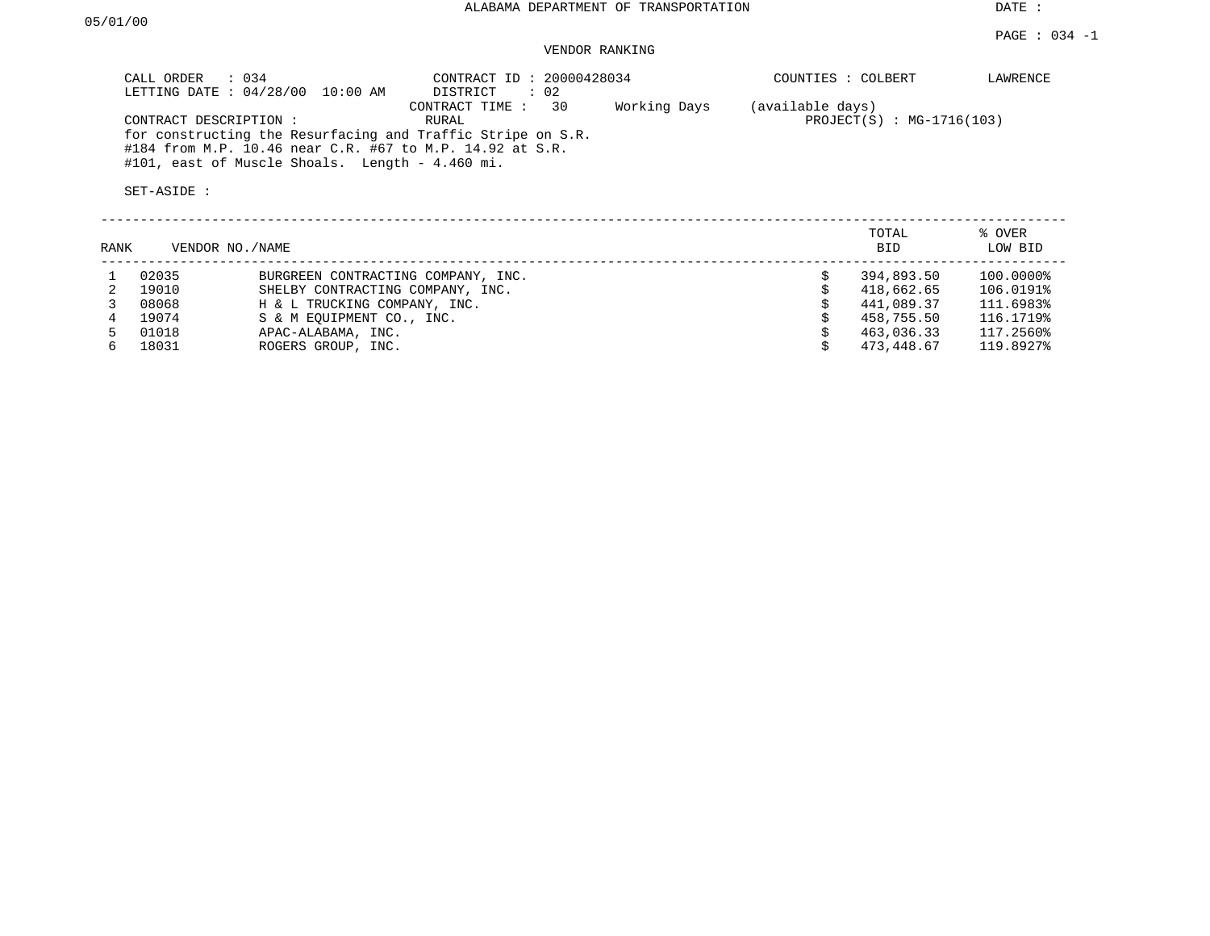| CALL ORDER : 034<br>LETTING DATE: 04/28/00<br>10:00 AM                                                                                                                     | CONTRACT ID: 20000428034<br>$\therefore$ 02<br>DISTRICT |              | COUNTIES : COLBERT                              | LAWRENCE |
|----------------------------------------------------------------------------------------------------------------------------------------------------------------------------|---------------------------------------------------------|--------------|-------------------------------------------------|----------|
| CONTRACT DESCRIPTION:                                                                                                                                                      | 30<br>CONTRACT TIME :<br>RURAL                          | Working Days | (available days)<br>$PROJECT(S) : MG-1716(103)$ |          |
| for constructing the Resurfacing and Traffic Stripe on S.R.<br>#184 from M.P. 10.46 near C.R. #67 to M.P. 14.92 at S.R.<br>#101, east of Muscle Shoals. Length - 4.460 mi. |                                                         |              |                                                 |          |
| SET-ASIDE :                                                                                                                                                                |                                                         |              |                                                 |          |

| RANK | VENDOR NO./NAME |                                    | TOTAL<br><b>BID</b> | % OVER<br>LOW BID |
|------|-----------------|------------------------------------|---------------------|-------------------|
|      | 02035           | BURGREEN CONTRACTING COMPANY, INC. | 394,893.50          | 100.0000%         |
|      | 19010           | SHELBY CONTRACTING COMPANY, INC.   | 418,662.65          | 106.0191%         |
|      | 08068           | H & L TRUCKING COMPANY, INC.       | 441,089.37          | 111.6983%         |
|      | 19074           | S & M EOUIPMENT CO., INC.          | 458,755.50          | 116.1719%         |
|      | 01018           | APAC-ALABAMA, INC.                 | 463,036.33          | 117.2560%         |
| 6.   | 18031           | ROGERS GROUP, INC.                 | 473,448.67          | 119.8927%         |
|      |                 |                                    |                     |                   |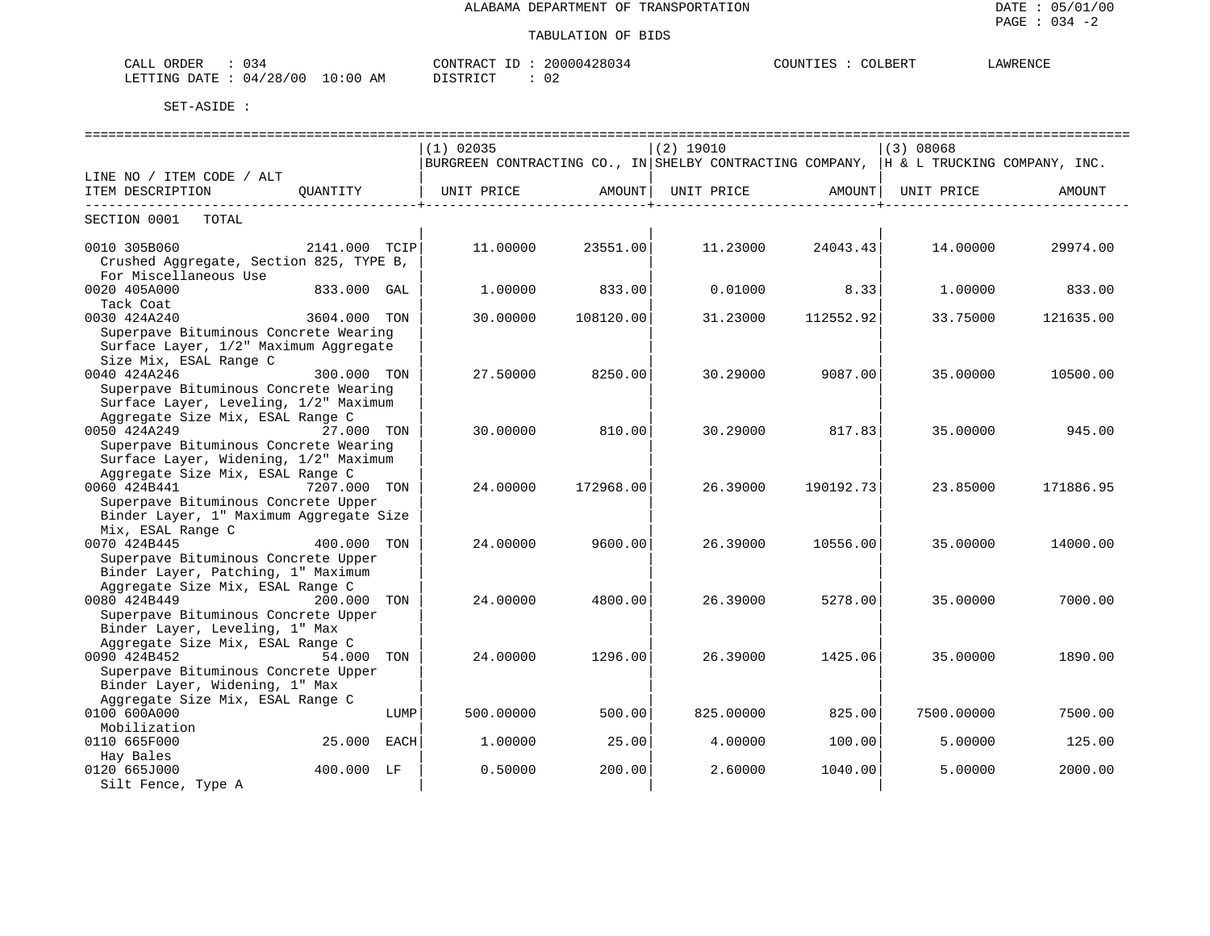| $7\lambda$<br>ORDEE<br>$\sim$<br>ـ ب                                             | $\bigcap_{\Lambda}$<br>$\sim$<br>,,,, | 7077777<br>. . | AWRENCE |
|----------------------------------------------------------------------------------|---------------------------------------|----------------|---------|
| ייד∆ו<br>$\sqrt{2}$<br>⊥ INC<br>n n<br>(14<br>$\sim$ $\sim$<br>.1111<br><b>A</b> | STR.<br>◡▵                            |                |         |

|                                                                                |               |      |                                                                                           |           | ========================= |           | ================== |           |
|--------------------------------------------------------------------------------|---------------|------|-------------------------------------------------------------------------------------------|-----------|---------------------------|-----------|--------------------|-----------|
|                                                                                |               |      | $(1)$ 02035                                                                               |           | $(2)$ 19010               |           | (3) 08068          |           |
|                                                                                |               |      | BURGREEN CONTRACTING CO., IN SHELBY CONTRACTING COMPANY, $ $ H & L TRUCKING COMPANY, INC. |           |                           |           |                    |           |
| LINE NO / ITEM CODE / ALT                                                      |               |      |                                                                                           |           |                           |           |                    |           |
| ITEM DESCRIPTION                                                               | OUANTITY      |      | UNIT PRICE                                                                                | AMOUNT    | UNIT PRICE                | AMOUNT    | UNIT PRICE         | AMOUNT    |
| SECTION 0001<br>TOTAL                                                          |               |      |                                                                                           |           |                           |           |                    |           |
|                                                                                |               |      |                                                                                           |           |                           |           |                    |           |
| 0010 305B060                                                                   | 2141.000 TCIP |      | 11,00000                                                                                  | 23551.00  | 11,23000                  | 24043.43  | 14.00000           | 29974.00  |
| Crushed Aggregate, Section 825, TYPE B,                                        |               |      |                                                                                           |           |                           |           |                    |           |
| For Miscellaneous Use                                                          |               |      |                                                                                           |           |                           |           |                    |           |
| 0020 405A000                                                                   | 833.000 GAL   |      | 1,00000                                                                                   | 833.00    | 0.01000                   | 8.33      | 1.00000            | 833.00    |
| Tack Coat                                                                      |               |      |                                                                                           |           |                           |           |                    |           |
| 0030 424A240                                                                   | 3604.000 TON  |      | 30,00000                                                                                  | 108120.00 | 31,23000                  | 112552.92 | 33.75000           | 121635.00 |
| Superpave Bituminous Concrete Wearing                                          |               |      |                                                                                           |           |                           |           |                    |           |
| Surface Layer, 1/2" Maximum Aggregate                                          |               |      |                                                                                           |           |                           |           |                    |           |
| Size Mix, ESAL Range C                                                         |               |      |                                                                                           |           |                           |           |                    |           |
| 0040 424A246                                                                   | 300.000 TON   |      | 27.50000                                                                                  | 8250.00   | 30.29000                  | 9087.00   | 35,00000           | 10500.00  |
| Superpave Bituminous Concrete Wearing<br>Surface Layer, Leveling, 1/2" Maximum |               |      |                                                                                           |           |                           |           |                    |           |
| Aggregate Size Mix, ESAL Range C                                               |               |      |                                                                                           |           |                           |           |                    |           |
| 0050 424A249                                                                   | 27.000 TON    |      | 30.00000                                                                                  | 810.00    | 30.29000                  | 817.83    | 35.00000           | 945.00    |
| Superpave Bituminous Concrete Wearing                                          |               |      |                                                                                           |           |                           |           |                    |           |
| Surface Layer, Widening, 1/2" Maximum                                          |               |      |                                                                                           |           |                           |           |                    |           |
| Aggregate Size Mix, ESAL Range C                                               |               |      |                                                                                           |           |                           |           |                    |           |
| 0060 424B441                                                                   | 7207.000 TON  |      | 24.00000                                                                                  | 172968.00 | 26.39000                  | 190192.73 | 23.85000           | 171886.95 |
| Superpave Bituminous Concrete Upper                                            |               |      |                                                                                           |           |                           |           |                    |           |
| Binder Layer, 1" Maximum Aggregate Size                                        |               |      |                                                                                           |           |                           |           |                    |           |
| Mix, ESAL Range C                                                              |               |      |                                                                                           |           |                           |           |                    |           |
| 0070 424B445                                                                   | 400.000 TON   |      | 24,00000                                                                                  | 9600.00   | 26.39000                  | 10556.00  | 35,00000           | 14000.00  |
| Superpave Bituminous Concrete Upper                                            |               |      |                                                                                           |           |                           |           |                    |           |
| Binder Layer, Patching, 1" Maximum                                             |               |      |                                                                                           |           |                           |           |                    |           |
| Aggregate Size Mix, ESAL Range C                                               |               |      |                                                                                           |           |                           |           |                    |           |
| 0080 424B449                                                                   | 200.000 TON   |      | 24,00000                                                                                  | 4800.00   | 26.39000                  | 5278.00   | 35,00000           | 7000.00   |
| Superpave Bituminous Concrete Upper<br>Binder Layer, Leveling, 1" Max          |               |      |                                                                                           |           |                           |           |                    |           |
| Aggregate Size Mix, ESAL Range C                                               |               |      |                                                                                           |           |                           |           |                    |           |
| 0090 424B452                                                                   | 54.000 TON    |      | 24.00000                                                                                  | 1296.00   | 26.39000                  | 1425.06   | 35.00000           | 1890.00   |
| Superpave Bituminous Concrete Upper                                            |               |      |                                                                                           |           |                           |           |                    |           |
| Binder Layer, Widening, 1" Max                                                 |               |      |                                                                                           |           |                           |           |                    |           |
| Aggregate Size Mix, ESAL Range C                                               |               |      |                                                                                           |           |                           |           |                    |           |
| 0100 600A000                                                                   |               | LUMP | 500.00000                                                                                 | 500.00    | 825.00000                 | 825.00    | 7500.00000         | 7500.00   |
| Mobilization                                                                   |               |      |                                                                                           |           |                           |           |                    |           |
| 0110 665F000                                                                   | 25.000 EACH   |      | 1,00000                                                                                   | 25.00     | 4.00000                   | 100.00    | 5.00000            | 125.00    |
| Hay Bales                                                                      |               |      |                                                                                           |           |                           |           |                    |           |
| 0120 665J000                                                                   | 400.000 LF    |      | 0.50000                                                                                   | 200.00    | 2.60000                   | 1040.00   | 5.00000            | 2000.00   |
| Silt Fence, Type A                                                             |               |      |                                                                                           |           |                           |           |                    |           |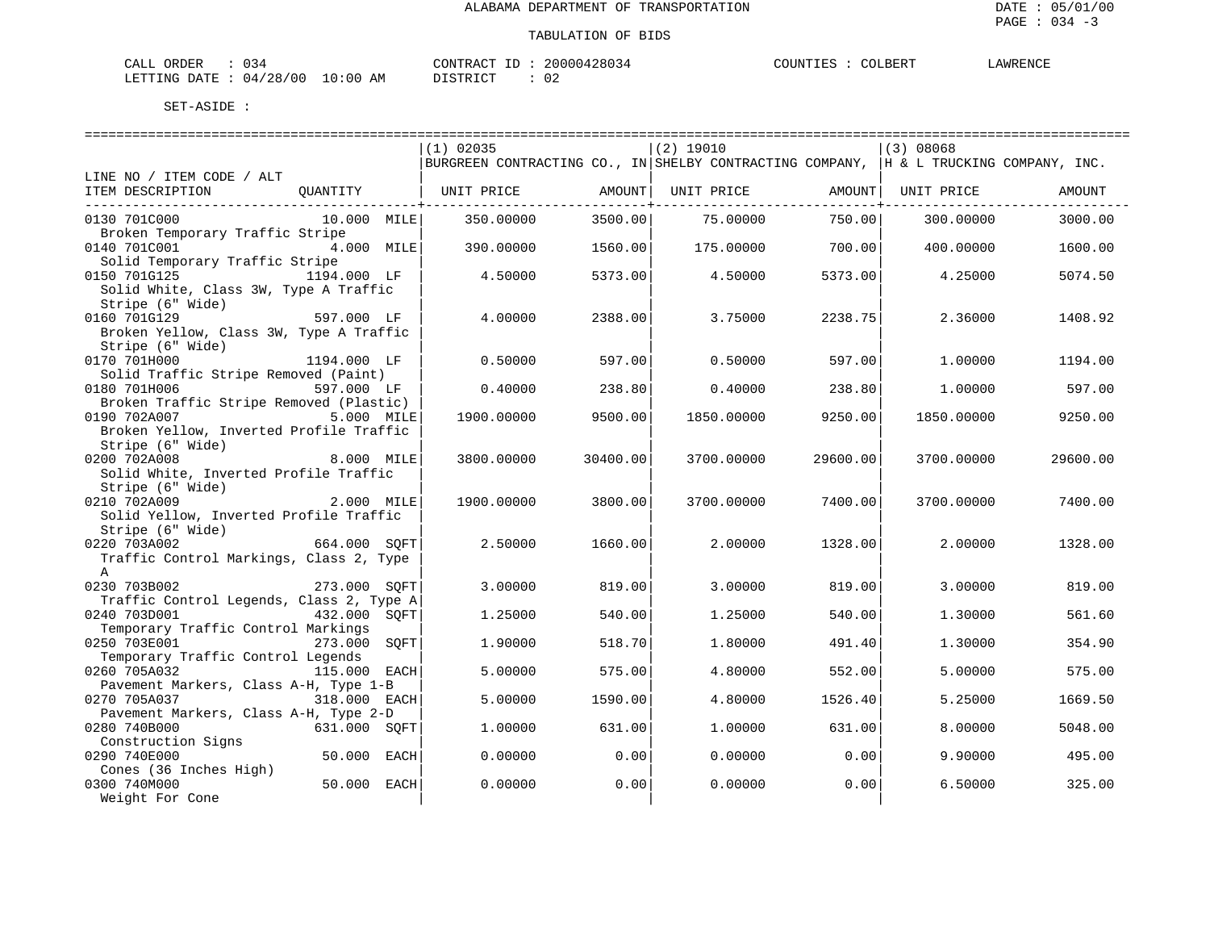| ٦A<br>ORDEF<br>.                                                                                             | 70M<br>$\cdots$ | <b>ARENCT</b><br>TUINT<br>BER'i<br>. . |
|--------------------------------------------------------------------------------------------------------------|-----------------|----------------------------------------|
| יידי∆רו<br>00 /<br><sup>n</sup><br>⊤NG<br>n n<br>) : N N<br>$\mathbf{114}$<br>AМ<br>$\overline{\phantom{a}}$ | .               |                                        |

|                                          |              |      | $(1)$ 02035                                                                           |          | $(2)$ 19010 |              | (3) 08068  |          |
|------------------------------------------|--------------|------|---------------------------------------------------------------------------------------|----------|-------------|--------------|------------|----------|
|                                          |              |      | BURGREEN CONTRACTING CO., IN SHELBY CONTRACTING COMPANY, H & L TRUCKING COMPANY, INC. |          |             |              |            |          |
| LINE NO / ITEM CODE / ALT                |              |      |                                                                                       |          |             |              |            |          |
| ITEM DESCRIPTION                         | OUANTITY     |      | UNIT PRICE                                                                            | AMOUNT   | UNIT PRICE  | AMOUNT       | UNIT PRICE | AMOUNT   |
|                                          |              |      |                                                                                       |          |             | -----------+ |            |          |
| 0130 701C000                             | 10.000 MILE  |      | 350.00000                                                                             | 3500.00  | 75.00000    | 750.00       | 300,00000  | 3000.00  |
| Broken Temporary Traffic Stripe          |              |      |                                                                                       |          |             |              |            |          |
| 0140 701C001                             | 4.000 MILE   |      | 390.00000                                                                             | 1560.00  | 175.00000   | 700.00       | 400.00000  | 1600.00  |
| Solid Temporary Traffic Stripe           |              |      |                                                                                       |          |             |              |            |          |
| 0150 701G125                             | 1194.000 LF  |      | 4.50000                                                                               | 5373.00  | 4.50000     | 5373.00      | 4.25000    | 5074.50  |
| Solid White, Class 3W, Type A Traffic    |              |      |                                                                                       |          |             |              |            |          |
| Stripe (6" Wide)                         |              |      |                                                                                       |          |             |              |            |          |
| 0160 701G129                             | 597.000 LF   |      | 4.00000                                                                               | 2388.00  | 3.75000     | 2238.75      | 2.36000    | 1408.92  |
| Broken Yellow, Class 3W, Type A Traffic  |              |      |                                                                                       |          |             |              |            |          |
| Stripe (6" Wide)                         |              |      |                                                                                       |          |             |              |            |          |
| 0170 701H000                             | 1194.000 LF  |      | 0.50000                                                                               | 597.00   | 0.50000     | 597.00       | 1,00000    | 1194.00  |
| Solid Traffic Stripe Removed (Paint)     |              |      |                                                                                       |          |             |              |            |          |
| 0180 701H006                             | 597.000 LF   |      | 0.40000                                                                               | 238.80   | 0.40000     | 238.80       | 1,00000    | 597.00   |
| Broken Traffic Stripe Removed (Plastic)  |              |      |                                                                                       |          |             |              |            |          |
| 0190 702A007                             | 5.000 MILE   |      | 1900.00000                                                                            | 9500.00  | 1850.00000  | 9250.00      | 1850.00000 | 9250.00  |
| Broken Yellow, Inverted Profile Traffic  |              |      |                                                                                       |          |             |              |            |          |
| Stripe (6" Wide)                         |              |      |                                                                                       |          |             |              |            |          |
|                                          |              |      |                                                                                       |          |             |              |            |          |
| 0200 702A008                             | 8.000 MILE   |      | 3800.00000                                                                            | 30400.00 | 3700.00000  | 29600.00     | 3700.00000 | 29600.00 |
| Solid White, Inverted Profile Traffic    |              |      |                                                                                       |          |             |              |            |          |
| Stripe (6" Wide)                         |              |      |                                                                                       |          |             |              |            |          |
| 0210 702A009                             | 2.000 MILE   |      | 1900.00000                                                                            | 3800.00  | 3700.00000  | 7400.00      | 3700.00000 | 7400.00  |
| Solid Yellow, Inverted Profile Traffic   |              |      |                                                                                       |          |             |              |            |          |
| Stripe (6" Wide)                         |              |      |                                                                                       |          |             |              |            |          |
| 0220 703A002                             | 664.000 SOFT |      | 2.50000                                                                               | 1660.00  | 2.00000     | 1328.00      | 2,00000    | 1328.00  |
| Traffic Control Markings, Class 2, Type  |              |      |                                                                                       |          |             |              |            |          |
| $\mathbb A$                              |              |      |                                                                                       |          |             |              |            |          |
| 0230 703B002                             | 273.000 SOFT |      | 3.00000                                                                               | 819.00   | 3.00000     | 819.00       | 3.00000    | 819.00   |
| Traffic Control Legends, Class 2, Type A |              |      |                                                                                       |          |             |              |            |          |
| 0240 703D001                             | 432.000 SOFT |      | 1.25000                                                                               | 540.00   | 1,25000     | 540.00       | 1,30000    | 561.60   |
| Temporary Traffic Control Markings       |              |      |                                                                                       |          |             |              |            |          |
| 0250 703E001                             | 273.000      | SOFT | 1,90000                                                                               | 518.70   | 1.80000     | 491.40       | 1,30000    | 354.90   |
| Temporary Traffic Control Legends        |              |      |                                                                                       |          |             |              |            |          |
| 0260 705A032                             | 115.000 EACH |      | 5.00000                                                                               | 575.00   | 4.80000     | 552.00       | 5.00000    | 575.00   |
| Pavement Markers, Class A-H, Type 1-B    |              |      |                                                                                       |          |             |              |            |          |
| 0270 705A037                             | 318.000 EACH |      | 5.00000                                                                               | 1590.00  | 4.80000     | 1526.40      | 5.25000    | 1669.50  |
| Pavement Markers, Class A-H, Type 2-D    |              |      |                                                                                       |          |             |              |            |          |
| 0280 740B000                             | 631.000 SOFT |      | 1,00000                                                                               | 631.00   | 1,00000     | 631.00       | 8,00000    | 5048.00  |
| Construction Signs                       |              |      |                                                                                       |          |             |              |            |          |
| 0290 740E000                             | 50.000       | EACH | 0.00000                                                                               | 0.00     | 0.00000     | 0.00         | 9,90000    | 495.00   |
| Cones (36 Inches High)                   |              |      |                                                                                       |          |             |              |            |          |
| 0300 740M000                             | 50.000 EACH  |      | 0.00000                                                                               | 0.00     | 0.00000     | 0.00         | 6.50000    | 325.00   |
| Weight For Cone                          |              |      |                                                                                       |          |             |              |            |          |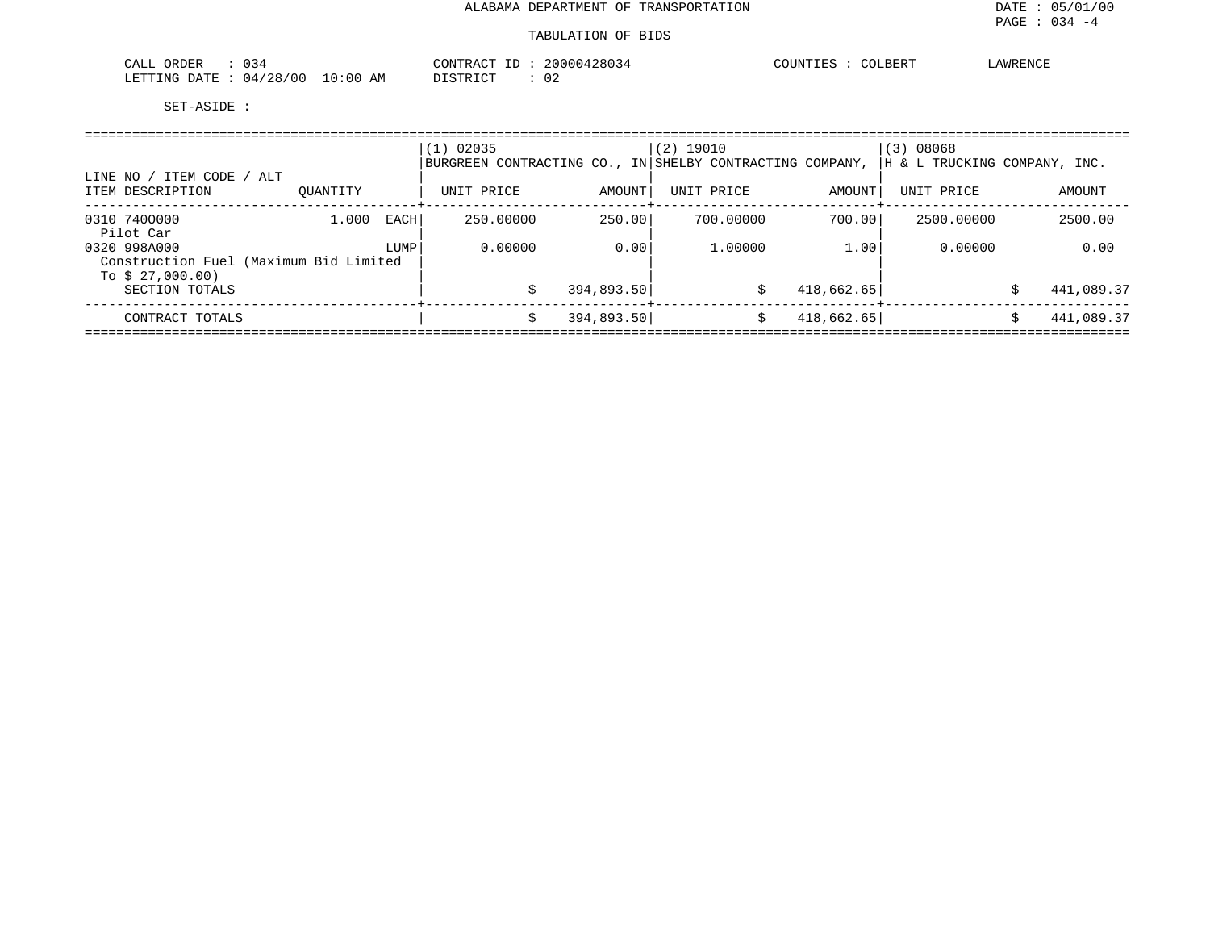| 034<br>CALL<br>ORDER                    | 20000428034<br>CONTRACT ID: | COUNTIES :<br>COLBERT | AWRENCE |
|-----------------------------------------|-----------------------------|-----------------------|---------|
| LETTING DATE : 04/28/00 3<br>$10:00$ AM | DISTRICT                    |                       |         |

| ITEM CODE / ALT<br>LINE NO                                                 |          |      | 02035<br>1)<br>BURGREEN CONTRACTING CO., IN SHELBY CONTRACTING COMPANY, |            | $(2)$ 19010 |            | (3) 08068<br> H & L TRUCKING COMPANY, INC. |   |            |
|----------------------------------------------------------------------------|----------|------|-------------------------------------------------------------------------|------------|-------------|------------|--------------------------------------------|---|------------|
| ITEM DESCRIPTION                                                           | OUANTITY |      | UNIT PRICE                                                              | AMOUNT     | UNIT PRICE  | AMOUNT     | UNIT PRICE                                 |   | AMOUNT     |
| 0310 7400000<br>Pilot Car                                                  | 1,000    | EACH | 250,00000                                                               | 250.00     | 700,00000   | 700.00     | 2500.00000                                 |   | 2500.00    |
| 0320 998A000<br>Construction Fuel (Maximum Bid Limited<br>To $$27,000.00)$ |          | LUMP | 0.00000                                                                 | 0.00       | 1,00000     | 1.00       | 0.00000                                    |   | 0.00       |
| SECTION TOTALS                                                             |          |      |                                                                         | 394,893.50 | S           | 418,662.65 |                                            | Ŝ | 441,089.37 |
| CONTRACT TOTALS                                                            |          |      |                                                                         | 394,893.50 | S           | 418,662.65 |                                            |   | 441,089.37 |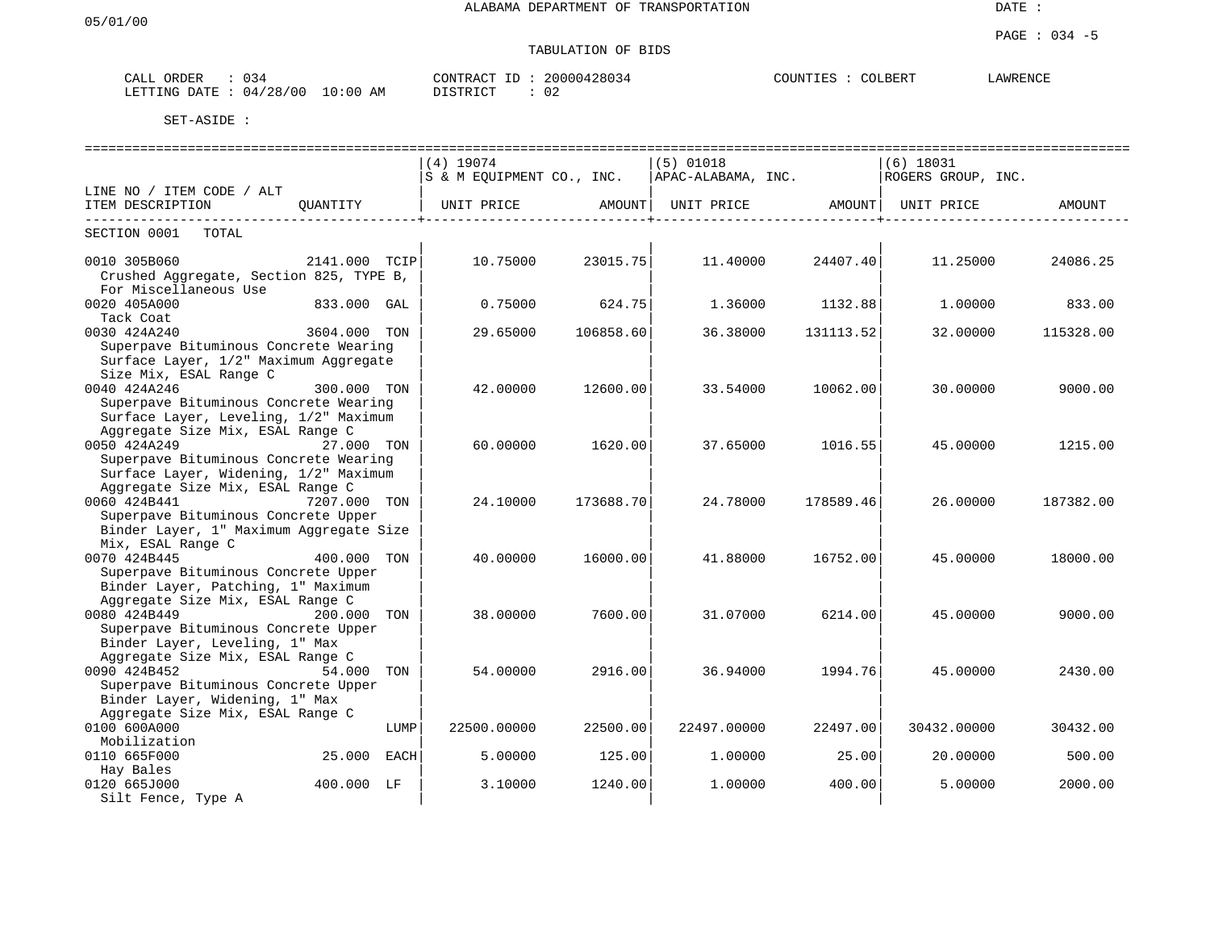# TABULATION OF BIDS

| $\bigcap \mathbb{R}^n$<br>ORDER<br>لمسلطات<br>しっせ                 | $\bigcap_{\Lambda}$<br>חיר ת חיד<br>ח ה<br>החחי<br>, , , , | BERT | <b>AMDEMOT</b><br>w <del>⊳</del><br>$\cdot$ $\rightarrow$ |
|-------------------------------------------------------------------|------------------------------------------------------------|------|-----------------------------------------------------------|
| 700<br>ING<br>: 00<br>הדרד ג<br>nmm <sup>.</sup><br>ΆM<br>04<br>. | $\cap$<br>$\neg$ $\tau$ $\land$ $\pi$<br>U 4               |      |                                                           |

|                                                                                |               |      |                                                     |           | ============================== |                               |                    | --------------------------------- |
|--------------------------------------------------------------------------------|---------------|------|-----------------------------------------------------|-----------|--------------------------------|-------------------------------|--------------------|-----------------------------------|
|                                                                                |               |      | $(4)$ 19074                                         |           | $(5)$ 01018                    |                               | $(6)$ 18031        |                                   |
|                                                                                |               |      | $ S \& M$ EQUIPMENT CO., INC. $ APAC-ALABAMA, INC.$ |           |                                |                               | ROGERS GROUP, INC. |                                   |
| LINE NO / ITEM CODE / ALT                                                      |               |      |                                                     |           |                                |                               |                    |                                   |
| ITEM DESCRIPTION                                                               |               |      | OUANTITY   UNIT PRICE   AMOUNT                      |           |                                | UNIT PRICE AMOUNT  UNIT PRICE |                    | AMOUNT                            |
| SECTION 0001<br>TOTAL                                                          |               |      |                                                     |           |                                |                               |                    |                                   |
| 0010 305B060                                                                   | 2141.000 TCIP |      | 10.75000                                            | 23015.75  | 11.40000                       | 24407.40                      | 11.25000           | 24086.25                          |
| Crushed Aggregate, Section 825, TYPE B,                                        |               |      |                                                     |           |                                |                               |                    |                                   |
| For Miscellaneous Use                                                          |               |      |                                                     |           |                                |                               |                    |                                   |
| 0020 405A000                                                                   | 833.000 GAL   |      | 0.75000                                             | 624.75    | 1.36000                        | 1132.88                       | 1,00000            | 833.00                            |
| Tack Coat                                                                      |               |      |                                                     |           |                                |                               |                    |                                   |
| 0030 424A240                                                                   | 3604.000 TON  |      | 29.65000                                            | 106858.60 | 36.38000                       | 131113.52                     | 32.00000           | 115328.00                         |
| Superpave Bituminous Concrete Wearing                                          |               |      |                                                     |           |                                |                               |                    |                                   |
| Surface Layer, 1/2" Maximum Aggregate                                          |               |      |                                                     |           |                                |                               |                    |                                   |
| Size Mix, ESAL Range C                                                         |               |      |                                                     |           |                                |                               |                    |                                   |
| 0040 424A246                                                                   | 300.000 TON   |      | 42.00000                                            | 12600.00  | 33.54000                       | 10062.00                      | 30.00000           | 9000.00                           |
| Superpave Bituminous Concrete Wearing                                          |               |      |                                                     |           |                                |                               |                    |                                   |
| Surface Layer, Leveling, 1/2" Maximum<br>Aggregate Size Mix, ESAL Range C      |               |      |                                                     |           |                                |                               |                    |                                   |
|                                                                                |               |      |                                                     |           |                                |                               |                    |                                   |
| 0050 424A249<br>27.000 TON                                                     |               |      | 60.00000                                            | 1620.00   | 37.65000                       | 1016.55                       | 45.00000           | 1215.00                           |
| Superpave Bituminous Concrete Wearing<br>Surface Layer, Widening, 1/2" Maximum |               |      |                                                     |           |                                |                               |                    |                                   |
| Aggregate Size Mix, ESAL Range C                                               |               |      |                                                     |           |                                |                               |                    |                                   |
| 0060 424B441<br>7207.000 TON                                                   |               |      | 24.10000                                            | 173688.70 | 24.78000                       | 178589.46                     | 26,00000           | 187382.00                         |
| Superpave Bituminous Concrete Upper                                            |               |      |                                                     |           |                                |                               |                    |                                   |
| Binder Layer, 1" Maximum Aggregate Size                                        |               |      |                                                     |           |                                |                               |                    |                                   |
| Mix, ESAL Range C                                                              |               |      |                                                     |           |                                |                               |                    |                                   |
| 400.000 TON<br>0070 424B445                                                    |               |      | 40.00000                                            | 16000.00  | 41.88000                       | 16752.00                      | 45.00000           | 18000.00                          |
| Superpave Bituminous Concrete Upper                                            |               |      |                                                     |           |                                |                               |                    |                                   |
| Binder Layer, Patching, 1" Maximum                                             |               |      |                                                     |           |                                |                               |                    |                                   |
| Aggregate Size Mix, ESAL Range C                                               |               |      |                                                     |           |                                |                               |                    |                                   |
| 0080 424B449                                                                   | 200.000 TON   |      | 38.00000                                            | 7600.00   | 31.07000                       | 6214.00                       | 45.00000           | 9000.00                           |
| Superpave Bituminous Concrete Upper                                            |               |      |                                                     |           |                                |                               |                    |                                   |
| Binder Layer, Leveling, 1" Max                                                 |               |      |                                                     |           |                                |                               |                    |                                   |
| Aggregate Size Mix, ESAL Range C                                               |               |      |                                                     |           |                                |                               |                    |                                   |
| 0090 424B452                                                                   | 54.000 TON    |      | 54.00000                                            | 2916.00   | 36.94000                       | 1994.76                       | 45.00000           | 2430.00                           |
| Superpave Bituminous Concrete Upper                                            |               |      |                                                     |           |                                |                               |                    |                                   |
| Binder Layer, Widening, 1" Max                                                 |               |      |                                                     |           |                                |                               |                    |                                   |
| Aggregate Size Mix, ESAL Range C                                               |               |      |                                                     |           |                                |                               |                    |                                   |
| 0100 600A000                                                                   |               | LUMP | 22500.00000                                         | 22500.00  | 22497.00000                    | 22497.00                      | 30432.00000        | 30432.00                          |
| Mobilization                                                                   |               |      |                                                     |           |                                |                               |                    |                                   |
| 0110 665F000                                                                   | 25.000 EACH   |      | 5.00000                                             | 125.00    | 1,00000                        | 25.00                         | 20.00000           | 500.00                            |
| Hay Bales                                                                      |               |      |                                                     |           |                                |                               |                    |                                   |
| 0120 665J000                                                                   | 400.000 LF    |      | 3.10000                                             | 1240.00   | 1,00000                        | 400.00                        | 5.00000            | 2000.00                           |
| Silt Fence, Type A                                                             |               |      |                                                     |           |                                |                               |                    |                                   |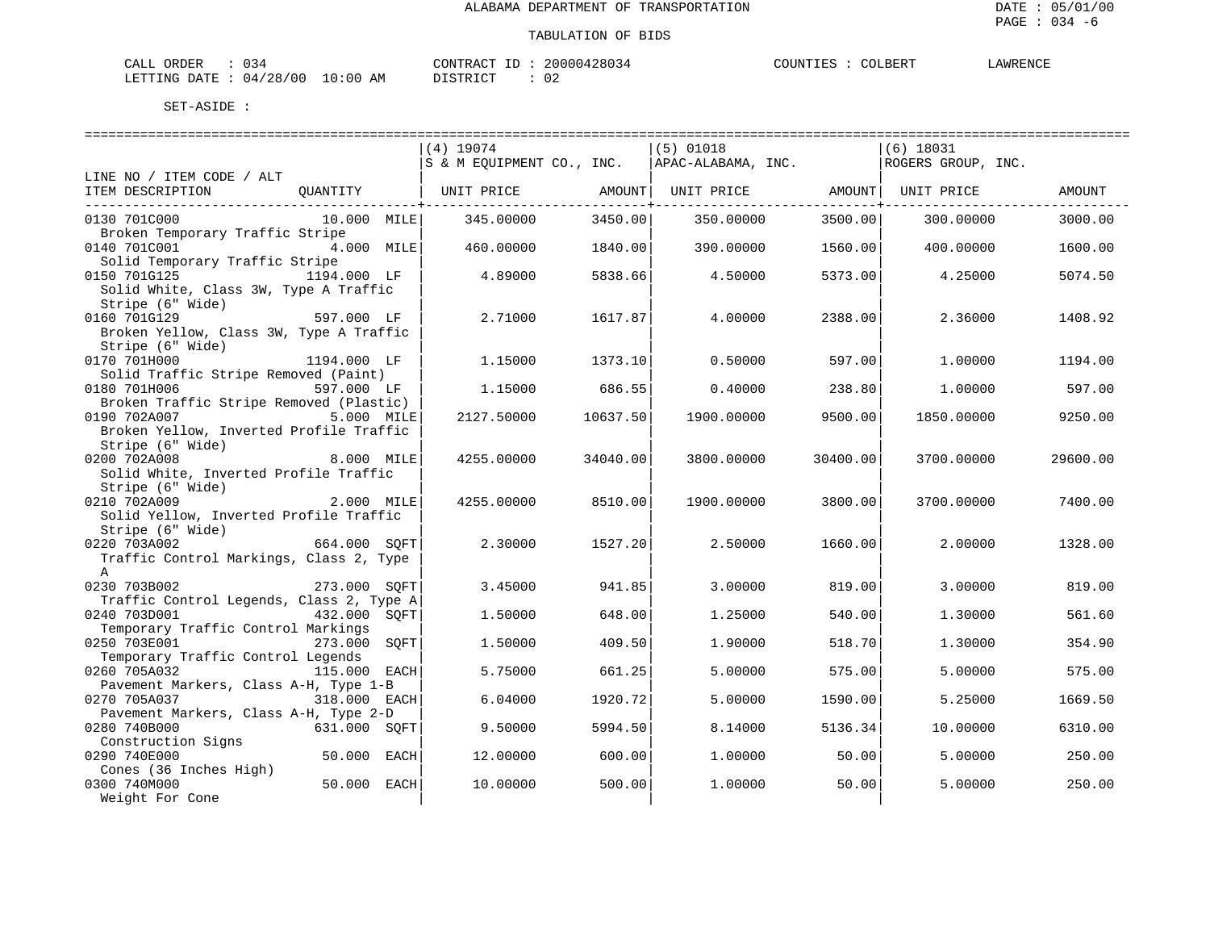| 034<br>CALL ORDER                       | 20000428034<br>CONTRACT ID | LAWRENCE<br>COUNTIES :<br>COLBERT |  |
|-----------------------------------------|----------------------------|-----------------------------------|--|
| $10:00$ AM<br>LETTING DATE : $04/28/00$ | DISTRICT<br><u>ົດ</u>      |                                   |  |

|                                                            |               |      | =============================== |          | ============================== |          | ============================== |          |
|------------------------------------------------------------|---------------|------|---------------------------------|----------|--------------------------------|----------|--------------------------------|----------|
|                                                            |               |      | $(4)$ 19074                     |          | $(5)$ 01018                    |          | $(6)$ 18031                    |          |
|                                                            |               |      | S & M EQUIPMENT CO., INC.       |          | APAC-ALABAMA, INC.             |          | ROGERS GROUP, INC.             |          |
| LINE NO / ITEM CODE / ALT                                  |               |      |                                 |          |                                |          |                                |          |
| ITEM DESCRIPTION                                           | OUANTITY      |      | UNIT PRICE AMOUNT               |          | UNIT PRICE AMOUNT              |          | UNIT PRICE                     | AMOUNT   |
|                                                            |               |      |                                 |          |                                |          |                                |          |
| 0130 701C000                                               | $10.000$ MILE |      | 345.00000                       | 3450.00  | 350.00000                      | 3500.00  | 300,00000                      | 3000.00  |
| Broken Temporary Traffic Stripe                            |               |      |                                 |          |                                |          |                                |          |
| 0140 701C001                                               | 4.000 MILE    |      | 460.00000                       | 1840.00  | 390.00000                      | 1560.00  | 400.00000                      | 1600.00  |
| Solid Temporary Traffic Stripe                             |               |      |                                 |          |                                |          |                                |          |
| 0150 701G125                                               | 1194.000 LF   |      | 4.89000                         | 5838.66  | 4.50000                        | 5373.00  | 4.25000                        | 5074.50  |
| Solid White, Class 3W, Type A Traffic                      |               |      |                                 |          |                                |          |                                |          |
| Stripe (6" Wide)                                           |               |      |                                 |          |                                |          |                                |          |
| 0160 701G129                                               | 597.000 LF    |      | 2.71000                         | 1617.87  | 4.00000                        | 2388.00  | 2.36000                        | 1408.92  |
| Broken Yellow, Class 3W, Type A Traffic                    |               |      |                                 |          |                                |          |                                |          |
| Stripe (6" Wide)                                           |               |      |                                 |          |                                |          |                                |          |
| 0170 701H000                                               | 1194.000 LF   |      | 1.15000                         | 1373.10  | 0.50000                        | 597.00   | 1,00000                        | 1194.00  |
| Solid Traffic Stripe Removed (Paint)                       |               |      |                                 |          |                                |          |                                |          |
| 0180 701H006                                               | 597.000 LF    |      | 1,15000                         | 686.55   | 0.40000                        | 238.80   | 1,00000                        | 597.00   |
| Broken Traffic Stripe Removed (Plastic)                    |               |      |                                 |          |                                |          |                                |          |
| 0190 702A007                                               | 5.000 MILE    |      | 2127.50000                      | 10637.50 | 1900.00000                     | 9500.00  | 1850.00000                     | 9250.00  |
| Broken Yellow, Inverted Profile Traffic                    |               |      |                                 |          |                                |          |                                |          |
| Stripe (6" Wide)                                           |               |      |                                 |          |                                |          |                                |          |
| 0200 702A008                                               | 8.000 MILE    |      | 4255.00000                      | 34040.00 | 3800.00000                     | 30400.00 | 3700.00000                     | 29600.00 |
| Solid White, Inverted Profile Traffic                      |               |      |                                 |          |                                |          |                                |          |
| Stripe (6" Wide)                                           |               |      |                                 |          |                                |          |                                |          |
| 0210 702A009                                               | 2.000 MILE    |      | 4255.00000                      | 8510.00  | 1900.00000                     | 3800.00  | 3700.00000                     | 7400.00  |
| Solid Yellow, Inverted Profile Traffic<br>Stripe (6" Wide) |               |      |                                 |          |                                |          |                                |          |
| 0220 703A002                                               | 664.000 SQFT  |      | 2.30000                         | 1527.20  | 2.50000                        | 1660.00  | 2,00000                        | 1328.00  |
| Traffic Control Markings, Class 2, Type                    |               |      |                                 |          |                                |          |                                |          |
| A                                                          |               |      |                                 |          |                                |          |                                |          |
| 0230 703B002                                               | 273.000 SOFT  |      | 3.45000                         | 941.85   | 3.00000                        | 819.00   | 3,00000                        | 819.00   |
| Traffic Control Legends, Class 2, Type A                   |               |      |                                 |          |                                |          |                                |          |
| 0240 703D001                                               | 432.000 SOFT  |      | 1.50000                         | 648.00   | 1.25000                        | 540.00   | 1,30000                        | 561.60   |
| Temporary Traffic Control Markings                         |               |      |                                 |          |                                |          |                                |          |
| 0250 703E001                                               | 273.000       | SOFT | 1,50000                         | 409.50   | 1.90000                        | 518.70   | 1.30000                        | 354.90   |
| Temporary Traffic Control Legends                          |               |      |                                 |          |                                |          |                                |          |
| 0260 705A032                                               | 115.000 EACH  |      | 5.75000                         | 661.25   | 5.00000                        | 575.00   | 5.00000                        | 575.00   |
| Pavement Markers, Class A-H, Type 1-B                      |               |      |                                 |          |                                |          |                                |          |
| 0270 705A037                                               | 318.000 EACH  |      | 6.04000                         | 1920.72  | 5.00000                        | 1590.00  | 5.25000                        | 1669.50  |
| Pavement Markers, Class A-H, Type 2-D                      |               |      |                                 |          |                                |          |                                |          |
| 0280 740B000                                               | 631.000 SOFT  |      | 9.50000                         | 5994.50  | 8.14000                        | 5136.34  | 10.00000                       | 6310.00  |
| Construction Signs                                         |               |      |                                 |          |                                |          |                                |          |
| 0290 740E000                                               | 50.000 EACH   |      | 12.00000                        | 600.00   | 1,00000                        | 50.00    | 5,00000                        | 250.00   |
| Cones (36 Inches High)                                     |               |      |                                 |          |                                |          |                                |          |
| 0300 740M000                                               | 50.000 EACH   |      | 10.00000                        | 500.00   | 1,00000                        | 50.00    | 5,00000                        | 250.00   |
| Weight For Cone                                            |               |      |                                 |          |                                |          |                                |          |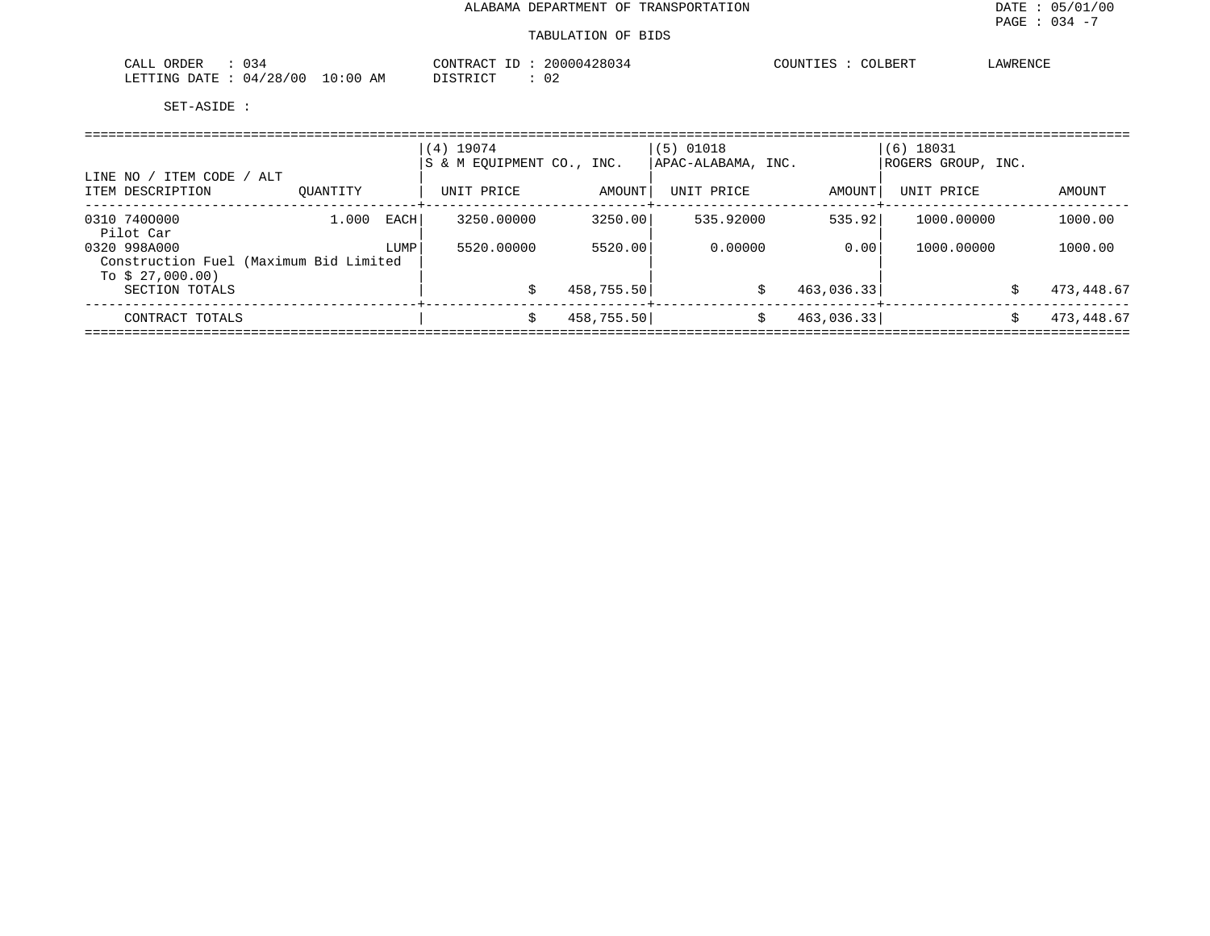| $\sim$ $\sim$<br>ORDER<br>⊬⊥ىطب<br>∪ ני                                                        | $\cap$ $\cap$ $\cap$<br>Ά( | ירי<br>$\cap$ $\cap$ $\cap$ $\cap$ $\cap$ $\cap$ $\cap$ $\cap$<br>∴AWR <sup>r</sup><br>. |
|------------------------------------------------------------------------------------------------|----------------------------|------------------------------------------------------------------------------------------|
| LETTING<br>$\sim$ $\sim$<br>DA TUR<br>$\overline{\phantom{a}}$<br>777<br>114<br>ט נ<br>AM<br>. | ◡▵                         |                                                                                          |

| / ITEM CODE<br>LINE NO /                                                      | / ALT    |      | $(4)$ 19074<br>S & M EOUIPMENT CO., INC. |            | $(5)$ 01018<br>APAC-ALABAMA, INC. |            | $(6)$ 18031<br> ROGERS GROUP, INC. |   |            |
|-------------------------------------------------------------------------------|----------|------|------------------------------------------|------------|-----------------------------------|------------|------------------------------------|---|------------|
| ITEM DESCRIPTION                                                              | OUANTITY |      | UNIT PRICE                               | AMOUNT     | UNIT PRICE                        | AMOUNT     | UNIT PRICE                         |   | AMOUNT     |
| 0310 7400000<br>Pilot Car                                                     | 1,000    | EACH | 3250.00000                               | 3250.00    | 535.92000                         | 535.92     | 1000.00000                         |   | 1000.00    |
| 0320 998A000<br>Construction Fuel (Maximum Bid Limited<br>To \$ $27.000.00$ ) |          | LUMP | 5520.00000                               | 5520.00    | 0.00000                           | 0.001      | 1000.00000                         |   | 1000.00    |
| SECTION TOTALS                                                                |          |      |                                          | 458,755.50 | S                                 | 463,036.33 |                                    | Ŝ | 473,448.67 |
| CONTRACT TOTALS                                                               |          |      |                                          | 458,755.50 | \$                                | 463,036.33 |                                    | Ŝ | 473,448.67 |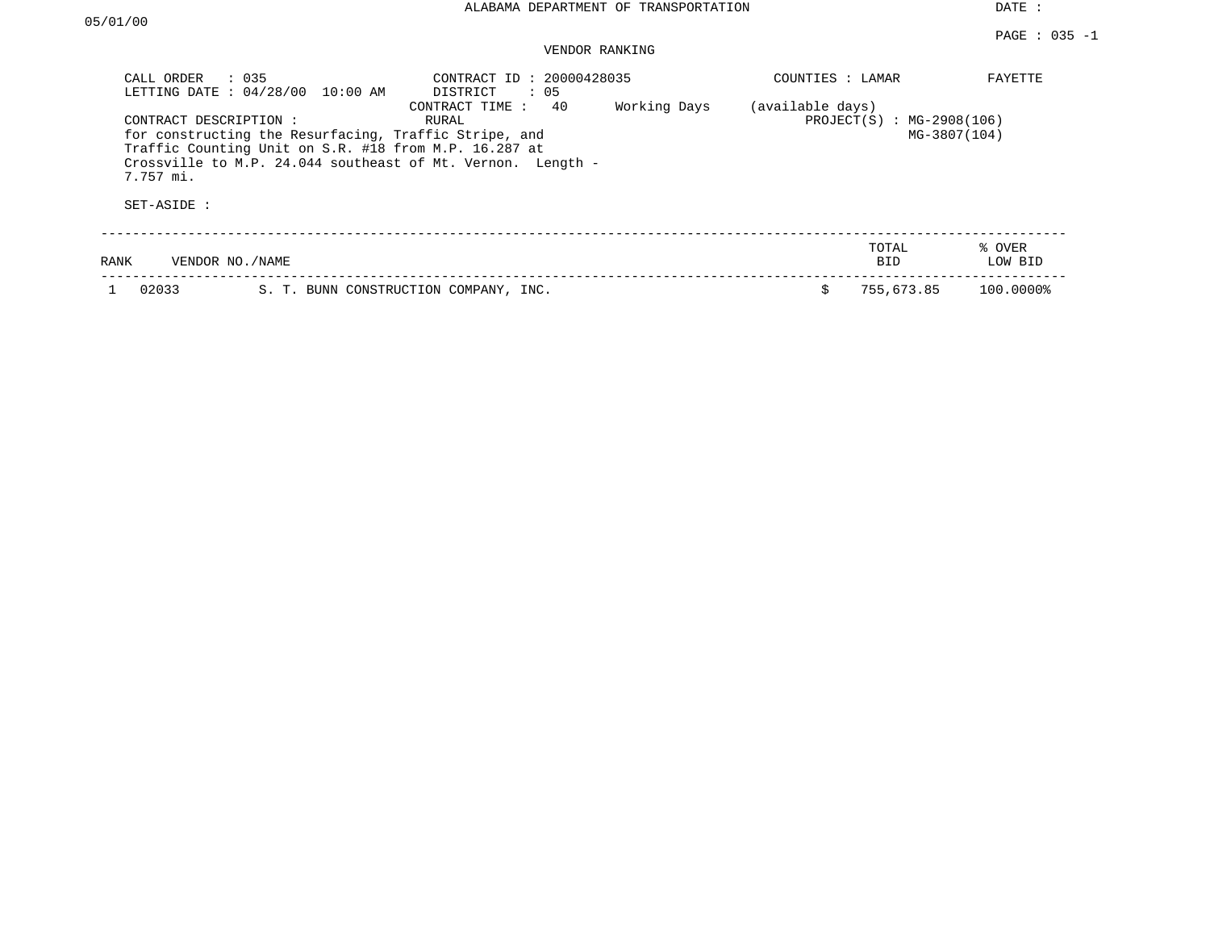| CALL ORDER                                        | $\therefore$ 035<br>LETTING DATE : 04/28/00 10:00 AM                                                           | CONTRACT ID: 20000428035<br>DISTRICT<br>$\therefore$ 05                                       |              | COUNTIES : LAMAR |                                             | FAYETTE           |
|---------------------------------------------------|----------------------------------------------------------------------------------------------------------------|-----------------------------------------------------------------------------------------------|--------------|------------------|---------------------------------------------|-------------------|
| CONTRACT DESCRIPTION:<br>7.757 mi.<br>SET-ASIDE : | for constructing the Resurfacing, Traffic Stripe, and<br>Traffic Counting Unit on S.R. #18 from M.P. 16.287 at | 40<br>CONTRACT TIME :<br>RURAL<br>Crossville to M.P. 24.044 southeast of Mt. Vernon. Length - | Working Days | (available days) | $PROJECT(S) : MG-2908(106)$<br>MG-3807(104) |                   |
| <b>RANK</b>                                       | VENDOR NO./NAME                                                                                                |                                                                                               |              |                  | TOTAL<br><b>BID</b>                         | % OVER<br>LOW BID |
| 02033                                             |                                                                                                                | S. T. BUNN CONSTRUCTION COMPANY, INC.                                                         |              | Ŝ.               | 755,673.85                                  | 100.0000%         |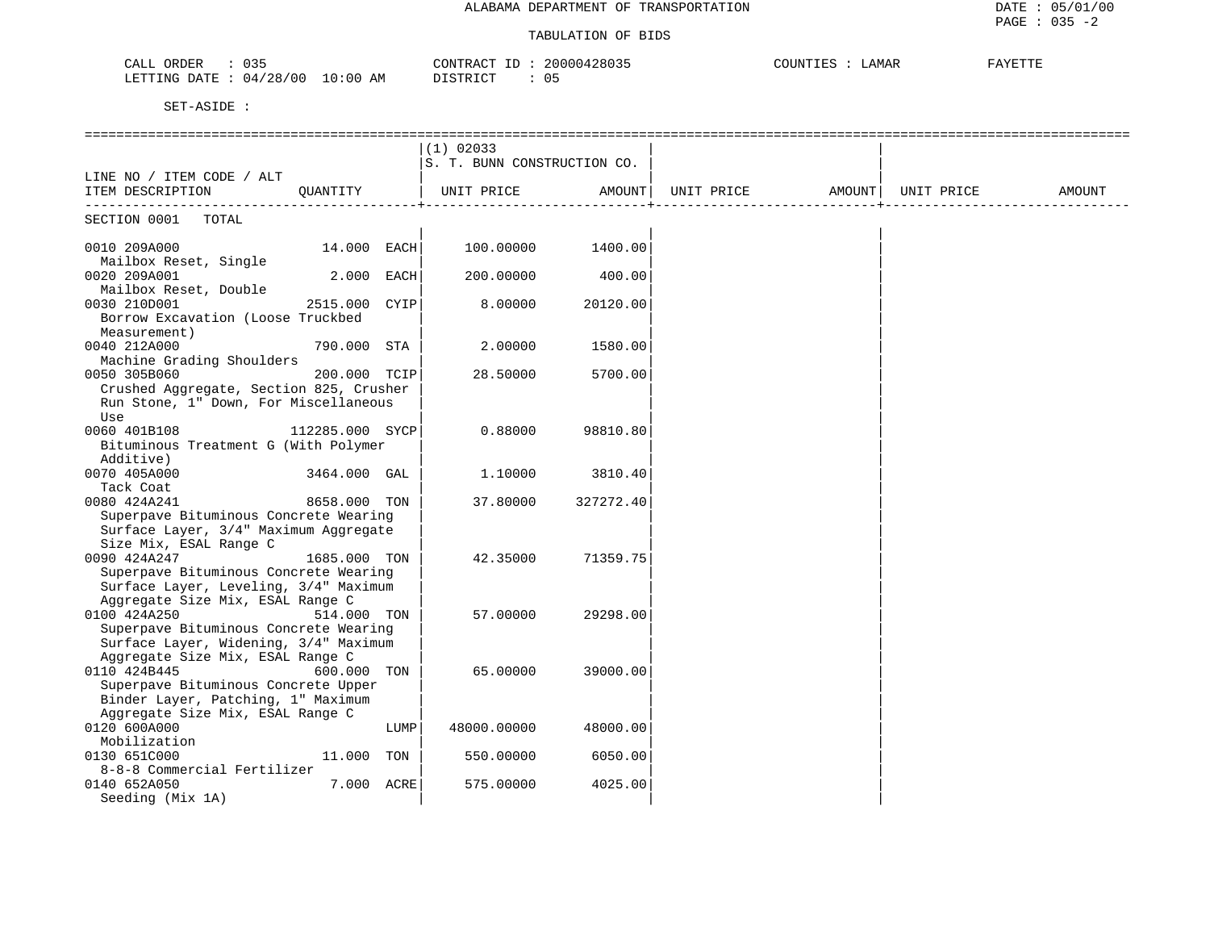| 035<br>$C\Delta T$<br>ORDER<br>$10:00$ AM<br>04/28/00<br>LETTING DATE | CONTRACT<br>TD.<br>20000428035<br>05<br>DI STR TOT | COUNTILES<br><b>_AMAR</b> | חידיה לא ג |
|-----------------------------------------------------------------------|----------------------------------------------------|---------------------------|------------|
|                                                                       |                                                    |                           |            |

|                                                                           |                 |      | $(1)$ 02033                 |                   |            |                    |        |
|---------------------------------------------------------------------------|-----------------|------|-----------------------------|-------------------|------------|--------------------|--------|
|                                                                           |                 |      | S. T. BUNN CONSTRUCTION CO. |                   |            |                    |        |
| LINE NO / ITEM CODE / ALT                                                 |                 |      |                             |                   |            |                    |        |
| ITEM DESCRIPTION QUANTITY                                                 |                 |      | UNIT PRICE AMOUNT           |                   | UNIT PRICE | AMOUNT  UNIT PRICE | AMOUNT |
|                                                                           |                 |      |                             |                   |            |                    |        |
| SECTION 0001 TOTAL                                                        |                 |      |                             |                   |            |                    |        |
|                                                                           |                 |      |                             |                   |            |                    |        |
| 0010 209A000                                                              | 14.000 EACH     |      |                             | 100.00000 1400.00 |            |                    |        |
| Mailbox Reset, Single                                                     |                 |      |                             |                   |            |                    |        |
| 0020 209A001                                                              | 2.000 EACH      |      | 200.00000                   | 400.00            |            |                    |        |
| Mailbox Reset, Double                                                     |                 |      |                             |                   |            |                    |        |
| 0030 210D001                                                              | 2515.000 CYIP   |      | 8.00000                     | 20120.00          |            |                    |        |
| Borrow Excavation (Loose Truckbed                                         |                 |      |                             |                   |            |                    |        |
| Measurement)                                                              |                 |      |                             |                   |            |                    |        |
| 0040 212A000                                                              | 790.000 STA     |      | 2.00000                     | 1580.00           |            |                    |        |
| Machine Grading Shoulders                                                 |                 |      |                             |                   |            |                    |        |
| 0050 305B060                                                              | 200.000 TCIP    |      | 28.50000                    | 5700.00           |            |                    |        |
| Crushed Aggregate, Section 825, Crusher                                   |                 |      |                             |                   |            |                    |        |
| Run Stone, 1" Down, For Miscellaneous                                     |                 |      |                             |                   |            |                    |        |
| Use                                                                       |                 |      |                             |                   |            |                    |        |
| 0060 401B108                                                              | 112285.000 SYCP |      | 0.88000                     | 98810.80          |            |                    |        |
| Bituminous Treatment G (With Polymer                                      |                 |      |                             |                   |            |                    |        |
| Additive)                                                                 |                 |      |                             |                   |            |                    |        |
| 0070 405A000                                                              | 3464.000 GAL    |      | 1.10000                     | 3810.40           |            |                    |        |
| Tack Coat                                                                 |                 |      |                             |                   |            |                    |        |
| 0080 424A241                                                              | 8658.000 TON    |      | 37.80000                    | 327272.40         |            |                    |        |
| Superpave Bituminous Concrete Wearing                                     |                 |      |                             |                   |            |                    |        |
| Surface Layer, 3/4" Maximum Aggregate                                     |                 |      |                             |                   |            |                    |        |
| Size Mix, ESAL Range C                                                    |                 |      |                             |                   |            |                    |        |
| 0090 424A247                                                              | 1685.000 TON    |      | 42.35000                    | 71359.75          |            |                    |        |
| Superpave Bituminous Concrete Wearing                                     |                 |      |                             |                   |            |                    |        |
| Surface Layer, Leveling, 3/4" Maximum                                     |                 |      |                             |                   |            |                    |        |
| Aggregate Size Mix, ESAL Range C                                          |                 |      |                             |                   |            |                    |        |
| 0100 424A250                                                              | 514.000 TON     |      | 57.00000                    | 29298.00          |            |                    |        |
| Superpave Bituminous Concrete Wearing                                     |                 |      |                             |                   |            |                    |        |
| Surface Layer, Widening, 3/4" Maximum                                     |                 |      |                             |                   |            |                    |        |
| Aggregate Size Mix, ESAL Range C                                          |                 |      |                             |                   |            |                    |        |
| 0110 424B445                                                              | 600.000 TON     |      | 65.00000                    | 39000.00          |            |                    |        |
| Superpave Bituminous Concrete Upper<br>Binder Layer, Patching, 1" Maximum |                 |      |                             |                   |            |                    |        |
| Aggregate Size Mix, ESAL Range C                                          |                 |      |                             |                   |            |                    |        |
| 0120 600A000                                                              |                 | LUMP | 48000.00000                 | 48000.00          |            |                    |        |
| Mobilization                                                              |                 |      |                             |                   |            |                    |        |
| 0130 651C000                                                              | 11.000 TON      |      | 550.00000                   | 6050.00           |            |                    |        |
| 8-8-8 Commercial Fertilizer                                               |                 |      |                             |                   |            |                    |        |
| 0140 652A050                                                              | 7.000 ACRE      |      | 575.00000                   | 4025.00           |            |                    |        |
| Seeding (Mix 1A)                                                          |                 |      |                             |                   |            |                    |        |
|                                                                           |                 |      |                             |                   |            |                    |        |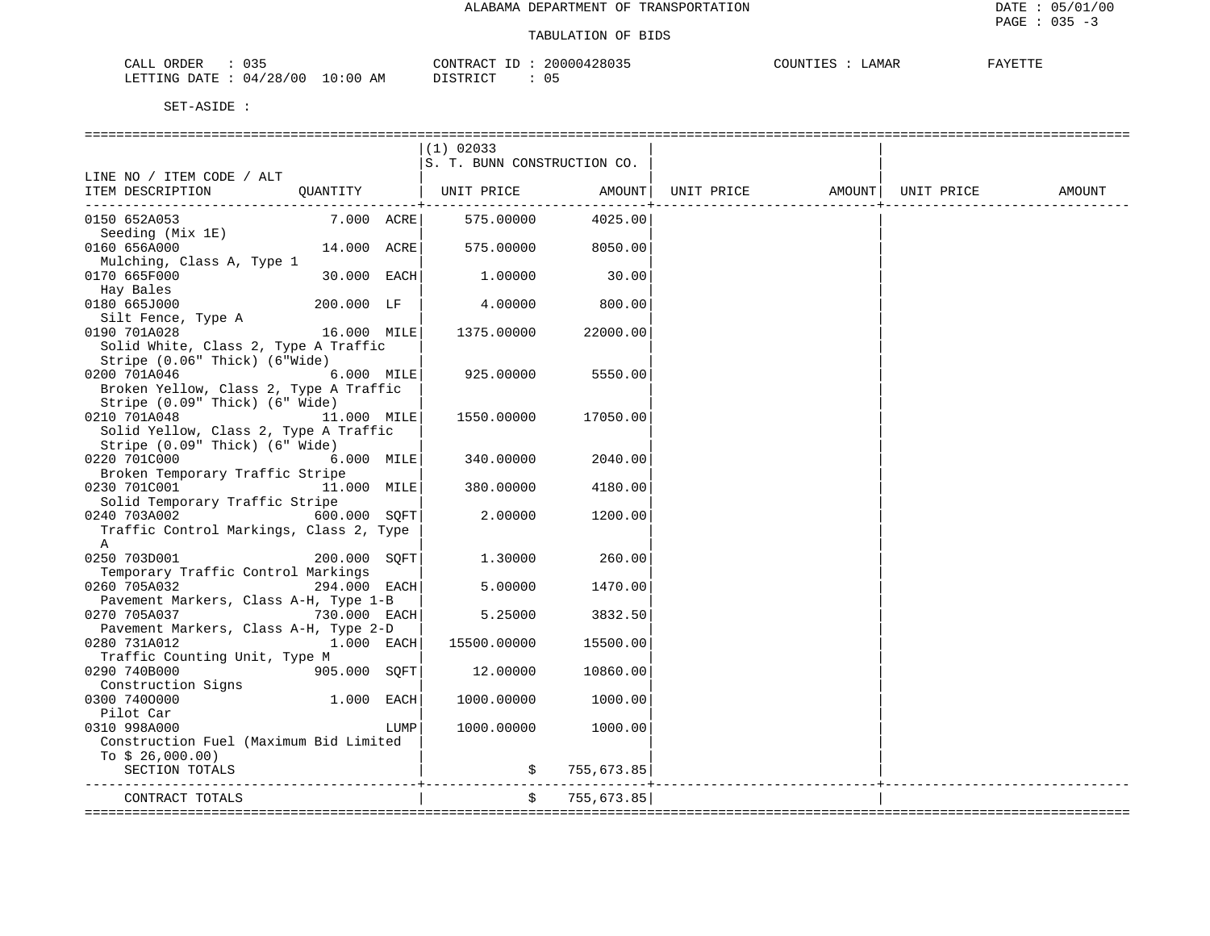| 035<br>CALL ORDER                    | 20000428035<br>CONTRACT ID | COUNTIES<br>LAMAR<br>FAYETTE |  |
|--------------------------------------|----------------------------|------------------------------|--|
| 10:00 AM<br>LETTING DATE: $04/28/00$ | DISTRICT                   |                              |  |

|                                                                              |              |      | $(1)$ 02033                 |              |                      |        |
|------------------------------------------------------------------------------|--------------|------|-----------------------------|--------------|----------------------|--------|
|                                                                              |              |      | S. T. BUNN CONSTRUCTION CO. |              |                      |        |
| LINE NO / ITEM CODE / ALT                                                    |              |      |                             |              |                      |        |
| ITEM DESCRIPTION QUANTITY   UNIT PRICE AMOUNT  UNIT PRICE AMOUNT  UNIT PRICE |              |      |                             |              | -------------------- | AMOUNT |
| 0150 652A053                                                                 | 7.000 ACRE   |      | 575.00000                   | 4025.00      |                      |        |
| Seeding (Mix 1E)                                                             |              |      |                             |              |                      |        |
| 0160 656A000                                                                 | 14.000 ACRE  |      | 575.00000                   | 8050.00      |                      |        |
| Mulching, Class A, Type 1                                                    |              |      |                             |              |                      |        |
| 0170 665F000                                                                 | 30.000 EACH  |      | 1.00000                     | 30.00        |                      |        |
| Hay Bales                                                                    |              |      |                             |              |                      |        |
| 0180 665J000                                                                 | 200.000 LF   |      | 4.00000                     | 800.00       |                      |        |
| Silt Fence, Type A                                                           |              |      |                             |              |                      |        |
| 16.000 MILE<br>0190 701A028                                                  |              |      | 1375.00000                  | 22000.00     |                      |        |
| Solid White, Class 2, Type A Traffic                                         |              |      |                             |              |                      |        |
| Stripe (0.06" Thick) (6"Wide)                                                |              |      |                             |              |                      |        |
| 0200 701A046                                                                 | 6.000 MILE   |      | 925,00000                   | 5550.00      |                      |        |
| Broken Yellow, Class 2, Type A Traffic                                       |              |      |                             |              |                      |        |
| Stripe (0.09" Thick) (6" Wide)                                               |              |      |                             |              |                      |        |
| 0210 701A048                                                                 | 11.000 MILE  |      | 1550.00000                  | 17050.00     |                      |        |
| Solid Yellow, Class 2, Type A Traffic                                        |              |      |                             |              |                      |        |
| Stripe (0.09" Thick) (6" Wide)                                               |              |      |                             |              |                      |        |
| 0220 701C000                                                                 | $6.000$ MILE |      | 340.00000                   | 2040.00      |                      |        |
| Broken Temporary Traffic Stripe<br>0230 701C001                              | 11.000 MILE  |      | 380.00000                   | 4180.00      |                      |        |
| Solid Temporary Traffic Stripe                                               |              |      |                             |              |                      |        |
| 600.000 SOFT<br>0240 703A002                                                 |              |      | 2.00000                     | 1200.00      |                      |        |
| Traffic Control Markings, Class 2, Type                                      |              |      |                             |              |                      |        |
| A                                                                            |              |      |                             |              |                      |        |
| 0250 703D001                                                                 | 200.000 SOFT |      | 1.30000                     | 260.00       |                      |        |
| Temporary Traffic Control Markings                                           |              |      |                             |              |                      |        |
| 0260 705A032                                                                 | 294.000 EACH |      | 5,00000                     | 1470.00      |                      |        |
| Pavement Markers, Class A-H, Type 1-B                                        |              |      |                             |              |                      |        |
| 0270 705A037                                                                 | 730.000 EACH |      | 5.25000                     | 3832.50      |                      |        |
| Pavement Markers, Class A-H, Type 2-D                                        |              |      |                             |              |                      |        |
| 0280 731A012                                                                 | $1.000$ EACH |      | 15500.00000                 | 15500.00     |                      |        |
| Traffic Counting Unit, Type M                                                |              |      |                             |              |                      |        |
| 0290 740B000                                                                 | 905.000 SQFT |      | 12.00000                    | 10860.00     |                      |        |
| Construction Signs<br>0300 7400000                                           | 1.000 EACH   |      | 1000.00000                  | 1000.00      |                      |        |
| Pilot Car                                                                    |              |      |                             |              |                      |        |
| 0310 998A000                                                                 |              | LUMP | 1000.00000                  | 1000.00      |                      |        |
| Construction Fuel (Maximum Bid Limited                                       |              |      |                             |              |                      |        |
| To $$26,000.00)$                                                             |              |      |                             |              |                      |        |
| SECTION TOTALS                                                               |              |      |                             | \$755,673.85 |                      |        |
|                                                                              |              |      |                             |              |                      |        |
| CONTRACT TOTALS                                                              |              |      | \$                          | 755,673.85   |                      |        |
|                                                                              |              |      |                             |              |                      |        |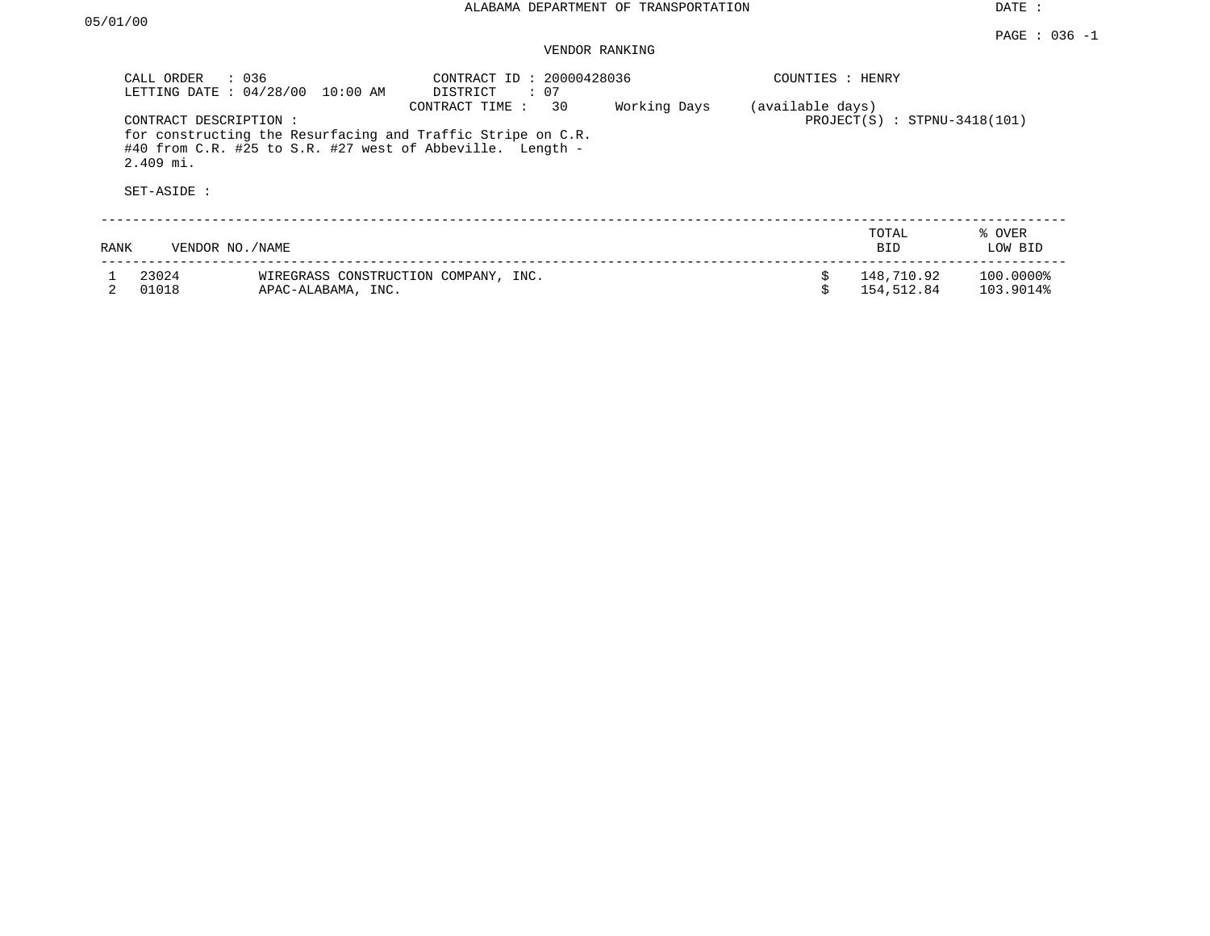|      | : 036<br>CALL ORDER<br>LETTING DATE: 04/28/00        | 10:00 AM                                                   | CONTRACT ID: 20000428036<br>: 07<br>DISTRICT                                                                                                     |              | COUNTIES : HENRY |                                |                        |
|------|------------------------------------------------------|------------------------------------------------------------|--------------------------------------------------------------------------------------------------------------------------------------------------|--------------|------------------|--------------------------------|------------------------|
|      | CONTRACT DESCRIPTION :<br>$2.409$ mi.<br>SET-ASIDE : |                                                            | 30<br>CONTRACT TIME:<br>for constructing the Resurfacing and Traffic Stripe on C.R.<br>#40 from C.R. #25 to S.R. #27 west of Abbeville. Length - | Working Days | (available days) | $PROJECT(S)$ : STPNU-3418(101) |                        |
| RANK | VENDOR NO. / NAME                                    |                                                            |                                                                                                                                                  |              |                  | TOTAL<br><b>BID</b>            | % OVER<br>LOW BID      |
|      | 23024<br>01018                                       | WIREGRASS CONSTRUCTION COMPANY, INC.<br>APAC-ALABAMA, INC. |                                                                                                                                                  |              | \$               | 148,710.92<br>154,512.84       | 100.0000%<br>103.9014% |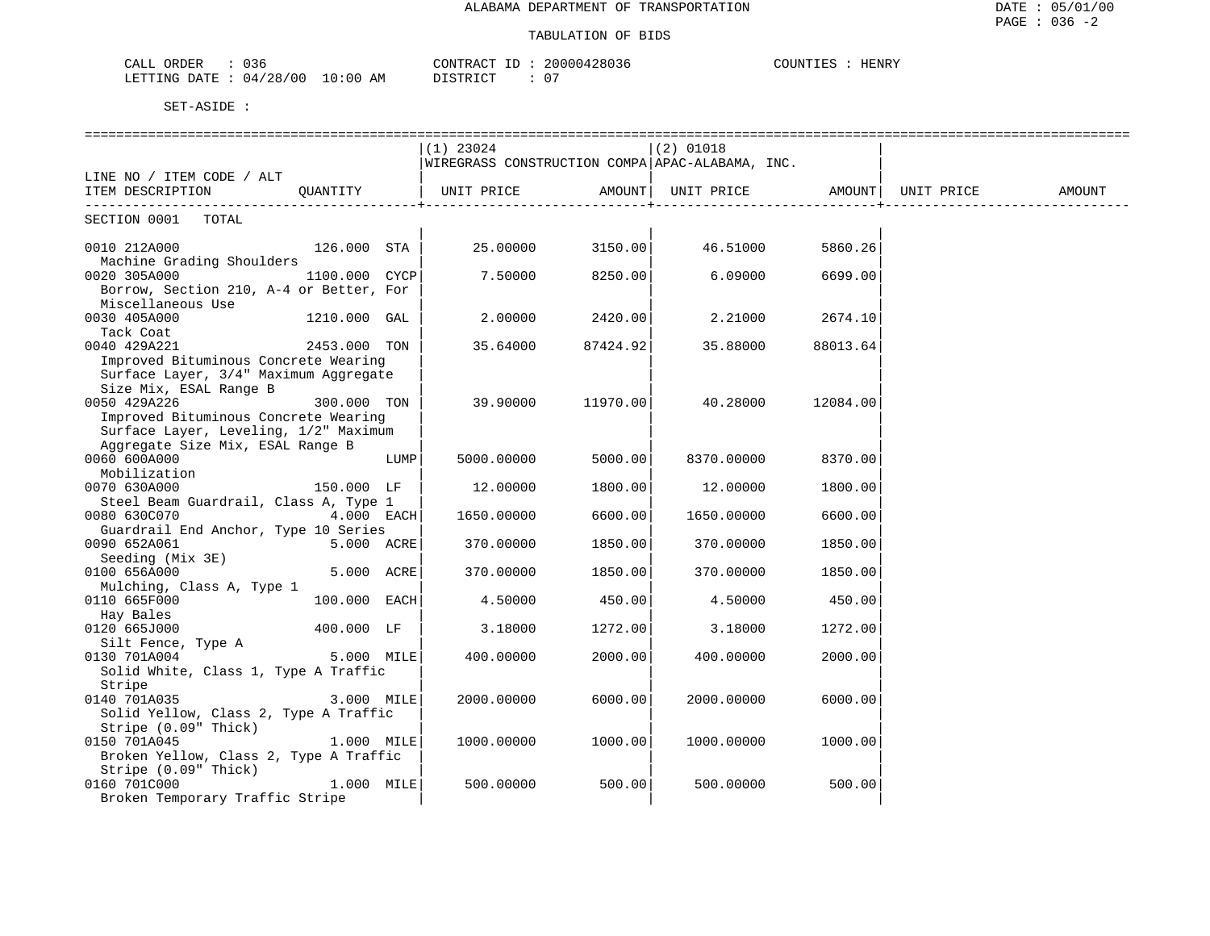| . . <i>.</i><br>ORDER<br>ىلىلەت<br>りろや |               | CONTRACT  | 20000428036 | ים דידיπוזר∩י<br>HENRY |
|----------------------------------------|---------------|-----------|-------------|------------------------|
| 04/28/00<br>LETTING DATE               | LO : 00<br>AΜ | DI STRICT |             |                        |

|                                         |                   |      | $(1)$ 23024 |          | $(2)$ 01018                                        |                    |  |        |
|-----------------------------------------|-------------------|------|-------------|----------|----------------------------------------------------|--------------------|--|--------|
|                                         |                   |      |             |          | WIREGRASS CONSTRUCTION COMPA APAC-ALABAMA, INC.    |                    |  |        |
| LINE NO / ITEM CODE / ALT               |                   |      |             |          |                                                    |                    |  |        |
| ITEM DESCRIPTION QUANTITY               |                   |      |             |          | UNIT PRICE AMOUNT   UNIT PRICE AMOUNT   UNIT PRICE |                    |  | AMOUNT |
| SECTION 0001 TOTAL                      |                   |      |             |          |                                                    | ----------------+- |  |        |
|                                         |                   |      |             |          |                                                    |                    |  |        |
| 0010 212A000                            | 126.000 STA       |      | 25.00000    | 3150.00  | 46.51000                                           | 5860.26            |  |        |
| Machine Grading Shoulders               |                   |      |             |          |                                                    |                    |  |        |
| 0020 305A000                            | 1100.000 CYCP     |      | 7.50000     | 8250.00  | 6.09000                                            | 6699.00            |  |        |
| Borrow, Section 210, A-4 or Better, For |                   |      |             |          |                                                    |                    |  |        |
| Miscellaneous Use                       |                   |      |             |          |                                                    |                    |  |        |
| 0030 405A000                            | 1210.000 GAL      |      | 2.00000     | 2420.00  | 2.21000                                            | 2674.10            |  |        |
| Tack Coat                               |                   |      |             |          |                                                    |                    |  |        |
| 0040 429A221                            | 2453.000 TON      |      | 35.64000    | 87424.92 | 35.88000                                           | 88013.64           |  |        |
| Improved Bituminous Concrete Wearing    |                   |      |             |          |                                                    |                    |  |        |
| Surface Layer, 3/4" Maximum Aggregate   |                   |      |             |          |                                                    |                    |  |        |
| Size Mix, ESAL Range B                  |                   |      |             |          |                                                    |                    |  |        |
| 0050 429A226                            | 300.000 TON       |      | 39.90000    | 11970.00 | 40.28000                                           | 12084.00           |  |        |
| Improved Bituminous Concrete Wearing    |                   |      |             |          |                                                    |                    |  |        |
| Surface Layer, Leveling, 1/2" Maximum   |                   |      |             |          |                                                    |                    |  |        |
| Aggregate Size Mix, ESAL Range B        |                   |      |             |          |                                                    |                    |  |        |
| 0060 600A000                            |                   | LUMP | 5000.00000  | 5000.00  | 8370.00000                                         | 8370.00            |  |        |
| Mobilization                            |                   |      |             |          |                                                    |                    |  |        |
| 0070 630A000                            | 150.000 LF        |      | 12.00000    | 1800.00  | 12.00000                                           | 1800.00            |  |        |
| Steel Beam Guardrail, Class A, Type 1   |                   |      |             |          |                                                    |                    |  |        |
| 0080 630C070                            | $4.000$ EACH      |      | 1650.00000  | 6600.00  | 1650.00000                                         | 6600.00            |  |        |
| Guardrail End Anchor, Type 10 Series    |                   |      |             |          |                                                    |                    |  |        |
| 0090 652A061                            | <b>5.000 ACRE</b> |      | 370.00000   | 1850.00  | 370.00000                                          | 1850.00            |  |        |
| Seeding (Mix 3E)                        |                   |      |             |          |                                                    |                    |  |        |
| 0100 656A000                            | 5.000 ACRE        |      | 370.00000   | 1850.00  | 370.00000                                          | 1850.00            |  |        |
| Mulching, Class A, Type 1               |                   |      |             |          |                                                    |                    |  |        |
| 0110 665F000                            | 100.000 EACH      |      | 4.50000     | 450.00   | 4.50000                                            | 450.00             |  |        |
| Hay Bales                               |                   |      |             |          |                                                    |                    |  |        |
| 0120 665J000                            | 400.000 LF        |      | 3.18000     | 1272.00  | 3.18000                                            | 1272.00            |  |        |
| Silt Fence, Type A                      |                   |      |             |          |                                                    |                    |  |        |
| 11 5.000 MILE<br>0130 701A004           |                   |      | 400.00000   | 2000.00  | 400.00000                                          | 2000.00            |  |        |
| Solid White, Class 1, Type A Traffic    |                   |      |             |          |                                                    |                    |  |        |
| Stripe                                  |                   |      |             |          |                                                    |                    |  |        |
| 0140 701A035                            | 3.000 MILE        |      | 2000.00000  | 6000.00  | 2000.00000                                         | 6000.00            |  |        |
| Solid Yellow, Class 2, Type A Traffic   |                   |      |             |          |                                                    |                    |  |        |
| Stripe (0.09" Thick)                    |                   |      |             |          |                                                    |                    |  |        |
| 0150 701A045                            | $1.000$ MILE      |      | 1000.00000  | 1000.00  | 1000.00000                                         | 1000.00            |  |        |
| Broken Yellow, Class 2, Type A Traffic  |                   |      |             |          |                                                    |                    |  |        |
| Stripe (0.09" Thick)                    |                   |      |             |          |                                                    |                    |  |        |
| 0160 701C000                            | 1.000 MILE        |      | 500.00000   | 500.00   | 500.00000                                          | 500.00             |  |        |
| Broken Temporary Traffic Stripe         |                   |      |             |          |                                                    |                    |  |        |
|                                         |                   |      |             |          |                                                    |                    |  |        |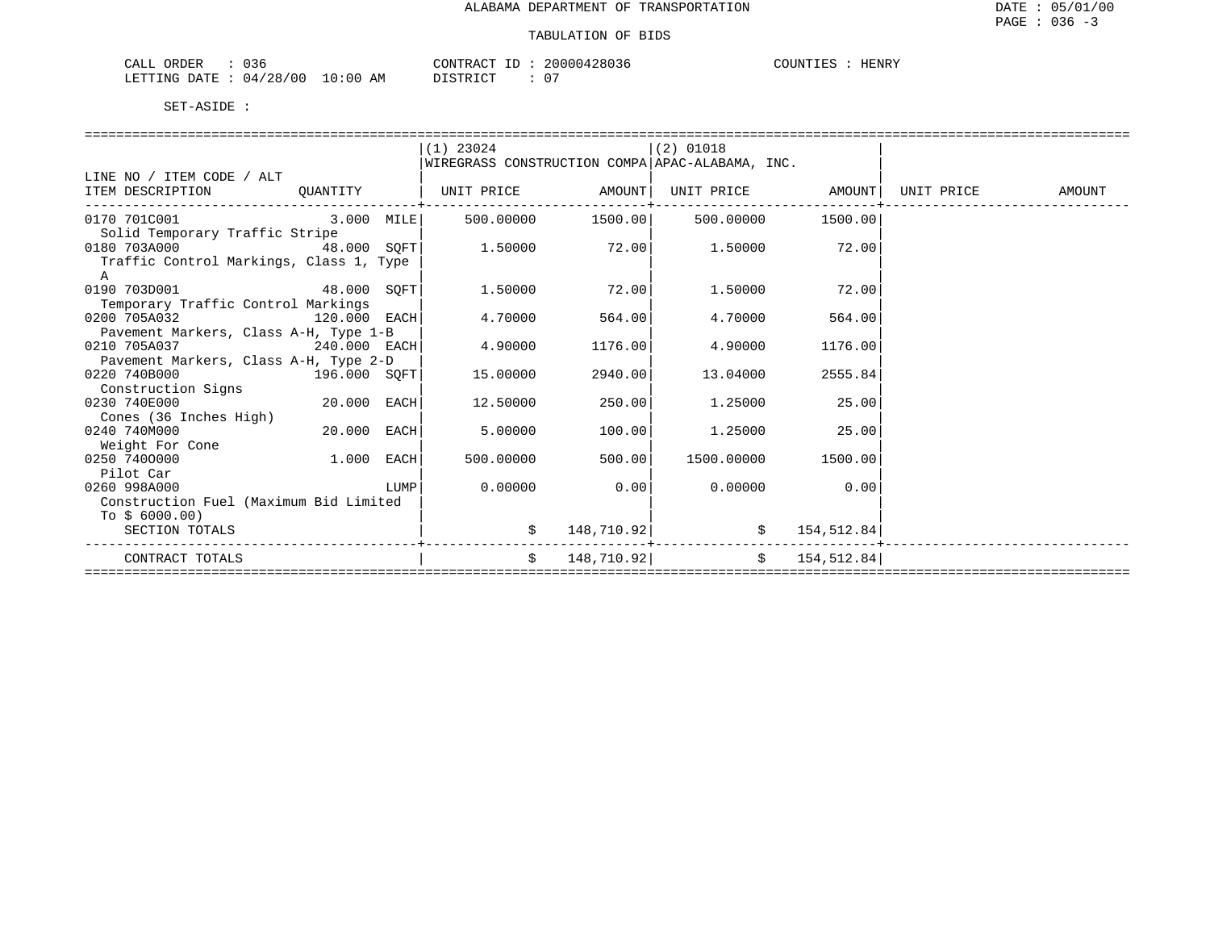| 036<br>CALL ORDER                |          | CONTRACT ID: 20000428036 | COUNTIES<br>HENRY |
|----------------------------------|----------|--------------------------|-------------------|
| LETTING DATE : 04/28/00 10:00 AM | DISTRICT |                          |                   |

|                                         |               |      | $(1)$ 23024                                     |                   | $(2)$ 01018  |                   |            |        |
|-----------------------------------------|---------------|------|-------------------------------------------------|-------------------|--------------|-------------------|------------|--------|
|                                         |               |      | WIREGRASS CONSTRUCTION COMPA APAC-ALABAMA, INC. |                   |              |                   |            |        |
| LINE NO / ITEM CODE / ALT               |               |      |                                                 |                   |              |                   |            |        |
| ITEM DESCRIPTION                        | OUANTITY      |      | UNIT PRICE AMOUNT                               |                   |              | UNIT PRICE AMOUNT | UNIT PRICE | AMOUNT |
| 0170 701C001                            | 3.000 MILE    |      |                                                 | 500.00000 1500.00 | 500.00000    | 1500.00           |            |        |
| Solid Temporary Traffic Stripe          |               |      |                                                 |                   |              |                   |            |        |
| 0180 703A000<br>48.000 SOFT             |               |      | 1.50000                                         | 72.00             | 1.50000      | 72.00             |            |        |
| Traffic Control Markings, Class 1, Type |               |      |                                                 |                   |              |                   |            |        |
| $\mathbf{A}$                            |               |      |                                                 |                   |              |                   |            |        |
| 0190 703D001<br>48.000 SOFT             |               |      | 1.50000                                         | 72.00             | 1.50000      | 72.00             |            |        |
| Temporary Traffic Control Markings      |               |      |                                                 |                   |              |                   |            |        |
| 0200 705A032                            | 120.000 EACH  |      | 4.70000                                         | 564.00            | 4.70000      | 564.00            |            |        |
| Pavement Markers, Class A-H, Type 1-B   |               |      |                                                 |                   |              |                   |            |        |
| 0210 705A037<br>240.000 EACH            |               |      | 4.90000                                         | 1176.00           | 4.90000      | 1176.00           |            |        |
| Pavement Markers, Class A-H, Type 2-D   |               |      |                                                 |                   |              |                   |            |        |
| 0220 740B000                            | 196.000 SOFT  |      | 15.00000                                        | 2940.00           | 13.04000     | 2555.84           |            |        |
| Construction Signs                      |               |      |                                                 |                   |              |                   |            |        |
| 0230 740E000                            | $20.000$ EACH |      | 12.50000                                        | 250.00            | 1.25000      | 25.00             |            |        |
| Cones (36 Inches High)                  |               |      |                                                 |                   |              |                   |            |        |
| 0240 740M000                            | 20.000 EACH   |      | 5.00000                                         | 100.00            | 1.25000      | 25.00             |            |        |
| Weight For Cone                         |               |      |                                                 |                   |              |                   |            |        |
| 0250 7400000                            | $1.000$ EACH  |      | 500.00000                                       | 500.00            | 1500.00000   | 1500.00           |            |        |
| Pilot Car                               |               |      |                                                 |                   |              |                   |            |        |
| 0260 998A000                            |               | LUMP | 0.00000                                         | 0.00              | 0.00000      | 0.00              |            |        |
| Construction Fuel (Maximum Bid Limited  |               |      |                                                 |                   |              |                   |            |        |
| To $$6000.00)$                          |               |      |                                                 |                   |              |                   |            |        |
| SECTION TOTALS                          |               |      | \$                                              | 148,710.92        | \$           | 154,512.84        |            |        |
| CONTRACT TOTALS                         |               |      | \$                                              | 148,710.92        | $\mathsf{S}$ | 154,512.84        |            |        |
|                                         |               |      |                                                 |                   |              |                   |            |        |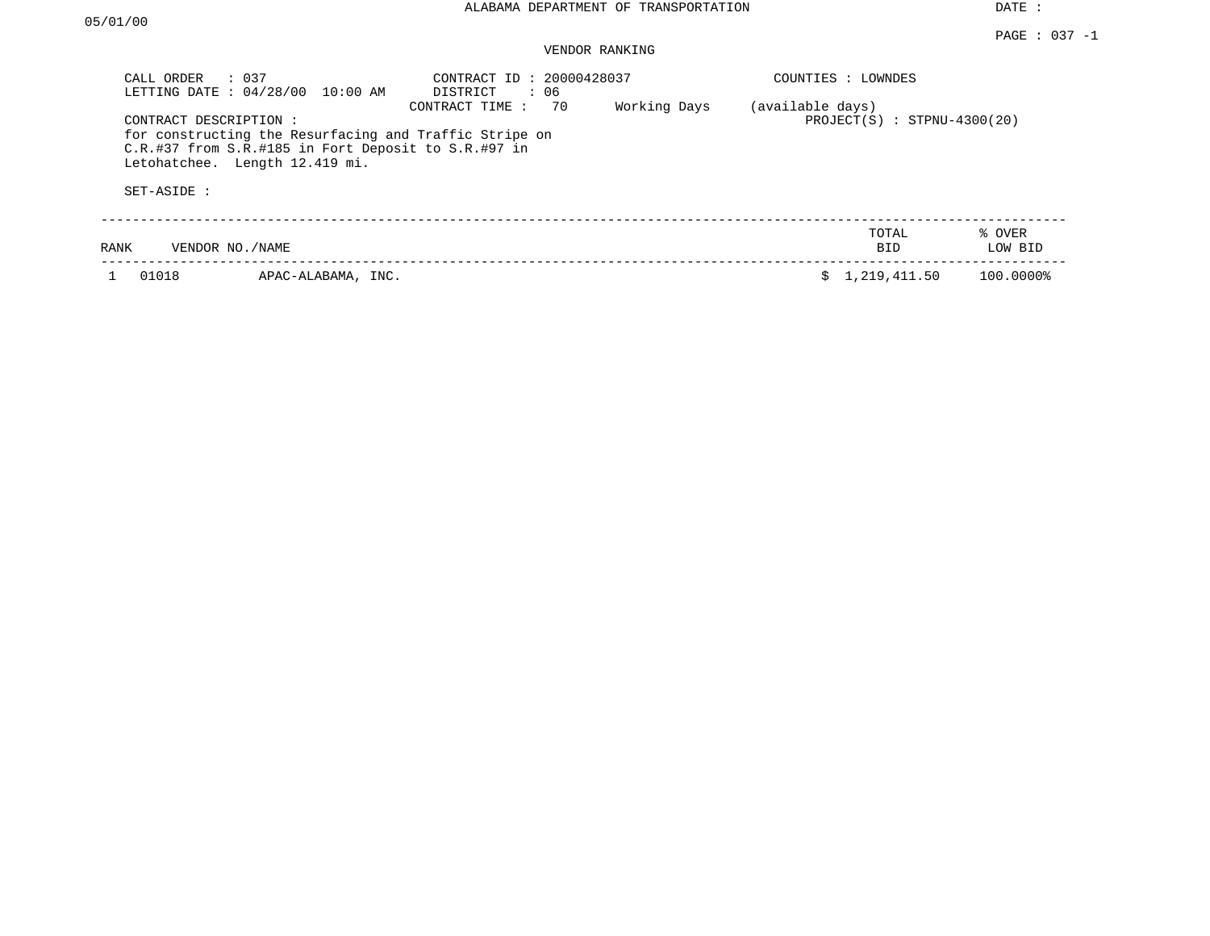| CALL ORDER<br>$\therefore$ 0.37<br>LETTING DATE: 04/28/00<br>10:00 AM                                                                                                                            | CONTRACT ID: 20000428037<br>: 06<br>DISTRICT | COUNTIES : LOWNDES                                |  |  |  |
|--------------------------------------------------------------------------------------------------------------------------------------------------------------------------------------------------|----------------------------------------------|---------------------------------------------------|--|--|--|
| CONTRACT DESCRIPTION :<br>for constructing the Resurfacing and Traffic Stripe on<br>$C.R.$ #37 from $S.R.$ #185 in Fort Deposit to $S.R.$ #97 in<br>Letohatchee. Length 12.419 mi.<br>SET-ASIDE: | Working Days<br>CONTRACT TIME: 70            | (available days)<br>$PROJECT(S) : STPNU-4300(20)$ |  |  |  |
|                                                                                                                                                                                                  |                                              | % OVER<br>TOTAL                                   |  |  |  |
| RANK<br>VENDOR NO. / NAME                                                                                                                                                                        |                                              | LOW BID<br><b>BID</b>                             |  |  |  |
| 01018<br>APAC-ALABAMA, INC.                                                                                                                                                                      |                                              | 1,219,411.50<br>100.0000%<br>S.                   |  |  |  |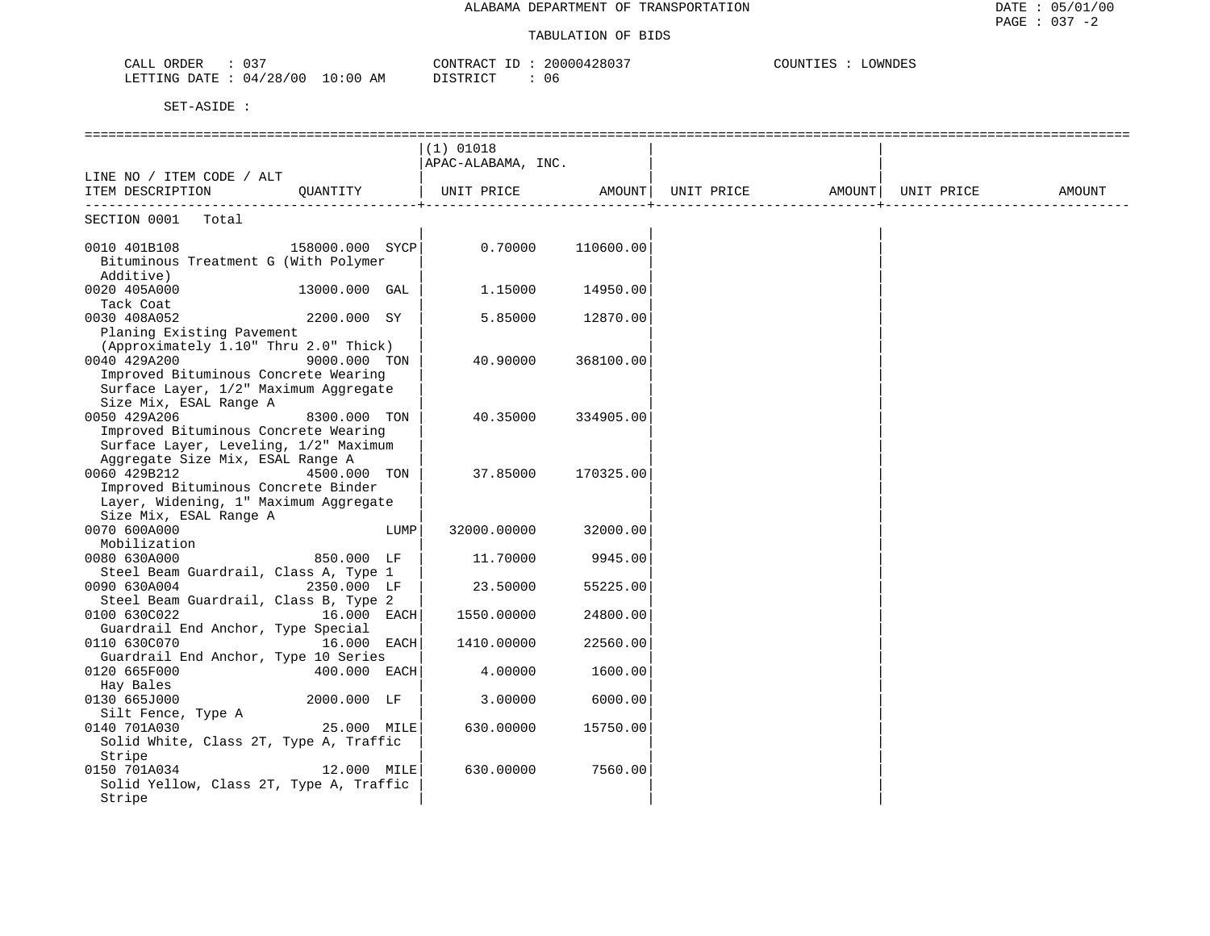| $\sim$ $\sim$ $\sim$<br>$\sim$ $\sim$ $\sim$<br>ORDER<br>$\prec$<br>۰ لىلمى<br>ັບ                                                                                                       | הרגר<br>החת ה<br>ח מו<br>200004 | OWNDES |
|-----------------------------------------------------------------------------------------------------------------------------------------------------------------------------------------|---------------------------------|--------|
| 100<br>28/00<br>ETTING<br>AΜ<br>DATE<br>:00<br>íΩ<br>$\overline{14}$<br>the contract of the contract of the contract of the contract of the contract of the contract of the contract of | $T \cap T$<br>U6                |        |

|                                                   |                 |      | $(1)$ 01018        |           |                   |            |        |
|---------------------------------------------------|-----------------|------|--------------------|-----------|-------------------|------------|--------|
|                                                   |                 |      | APAC-ALABAMA, INC. |           |                   |            |        |
| LINE NO / ITEM CODE / ALT                         |                 |      |                    |           |                   |            |        |
| ITEM DESCRIPTION                                  | QUANTITY        |      | UNIT PRICE         | AMOUNT    | UNIT PRICE AMOUNT | UNIT PRICE | AMOUNT |
| ---------------------------<br>SECTION 0001 Total |                 |      |                    |           |                   |            |        |
| 0010 401B108                                      | 158000.000 SYCP |      | 0.70000            | 110600.00 |                   |            |        |
| Bituminous Treatment G (With Polymer              |                 |      |                    |           |                   |            |        |
| Additive)                                         |                 |      |                    |           |                   |            |        |
| 0020 405A000                                      | 13000.000 GAL   |      | 1,15000            | 14950.00  |                   |            |        |
| Tack Coat                                         |                 |      |                    |           |                   |            |        |
| 0030 408A052                                      | 2200.000 SY     |      | 5.85000            | 12870.00  |                   |            |        |
| Planing Existing Pavement                         |                 |      |                    |           |                   |            |        |
| (Approximately 1.10" Thru 2.0" Thick)             |                 |      |                    |           |                   |            |        |
| 0040 429A200                                      | 9000.000 TON    |      | 40.90000           | 368100.00 |                   |            |        |
| Improved Bituminous Concrete Wearing              |                 |      |                    |           |                   |            |        |
| Surface Layer, 1/2" Maximum Aggregate             |                 |      |                    |           |                   |            |        |
| Size Mix, ESAL Range A                            |                 |      |                    |           |                   |            |        |
| 0050 429A206                                      | 8300.000 TON    |      | 40.35000           | 334905.00 |                   |            |        |
| Improved Bituminous Concrete Wearing              |                 |      |                    |           |                   |            |        |
| Surface Layer, Leveling, 1/2" Maximum             |                 |      |                    |           |                   |            |        |
| Aggregate Size Mix, ESAL Range A                  |                 |      |                    |           |                   |            |        |
| 0060 429B212                                      | 4500.000 TON    |      | 37.85000           | 170325.00 |                   |            |        |
| Improved Bituminous Concrete Binder               |                 |      |                    |           |                   |            |        |
| Layer, Widening, 1" Maximum Aggregate             |                 |      |                    |           |                   |            |        |
| Size Mix, ESAL Range A                            |                 |      |                    |           |                   |            |        |
| 0070 600A000                                      |                 | LUMP | 32000.00000        | 32000.00  |                   |            |        |
| Mobilization                                      |                 |      |                    |           |                   |            |        |
| 0080 630A000                                      | 850.000 LF      |      | 11.70000           | 9945.00   |                   |            |        |
| Steel Beam Guardrail, Class A, Type 1             |                 |      |                    |           |                   |            |        |
| 0090 630A004                                      | 2350.000 LF     |      | 23.50000           | 55225.00  |                   |            |        |
| Steel Beam Guardrail, Class B, Type 2             |                 |      |                    |           |                   |            |        |
| 0100 630C022                                      | 16.000 EACH     |      | 1550.00000         | 24800.00  |                   |            |        |
| Guardrail End Anchor, Type Special                |                 |      |                    |           |                   |            |        |
| 0110 630C070                                      | 16.000 EACH     |      | 1410.00000         | 22560.00  |                   |            |        |
| Guardrail End Anchor, Type 10 Series              |                 |      |                    |           |                   |            |        |
| 0120 665F000                                      | $400.000$ EACH  |      | 4.00000            | 1600.00   |                   |            |        |
| Hay Bales                                         |                 |      |                    |           |                   |            |        |
| 0130 665J000                                      | 2000.000 LF     |      | 3.00000            | 6000.00   |                   |            |        |
| Silt Fence, Type A                                |                 |      |                    |           |                   |            |        |
| 0140 701A030                                      | 25.000 MILE     |      | 630.00000          | 15750.00  |                   |            |        |
| Solid White, Class 2T, Type A, Traffic            |                 |      |                    |           |                   |            |        |
| Stripe                                            |                 |      |                    |           |                   |            |        |
| 0150 701A034                                      | 12.000 MILE     |      | 630.00000          | 7560.00   |                   |            |        |
| Solid Yellow, Class 2T, Type A, Traffic           |                 |      |                    |           |                   |            |        |
| Stripe                                            |                 |      |                    |           |                   |            |        |
|                                                   |                 |      |                    |           |                   |            |        |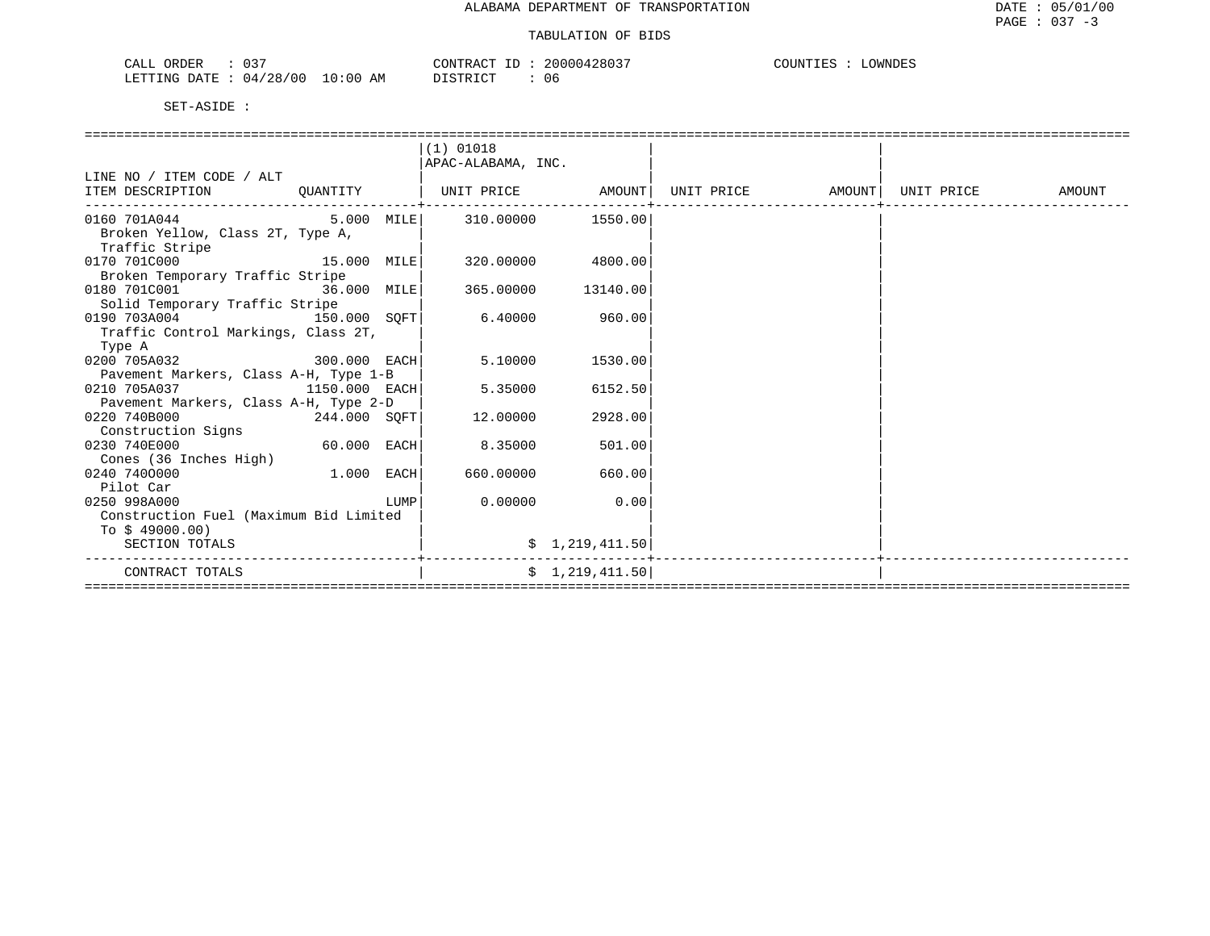| 037<br>CALL<br>ORDER         | CONTRAC <sup>.</sup><br>112                 | 20000428037 | OWNDES |
|------------------------------|---------------------------------------------|-------------|--------|
| 04/28/00<br>LETTING<br>DATE. | 10:00<br>ידי <i>ח</i> יד איד פרו<br>AΜ<br>. | -06         |        |

|                                           |                                                                                                                      | $(1)$ 01018        |                    |                   |            |        |
|-------------------------------------------|----------------------------------------------------------------------------------------------------------------------|--------------------|--------------------|-------------------|------------|--------|
|                                           |                                                                                                                      | APAC-ALABAMA, INC. |                    |                   |            |        |
| LINE NO / ITEM CODE / ALT                 |                                                                                                                      |                    |                    |                   |            |        |
| ITEM DESCRIPTION                          | QUANTITY                                                                                                             | UNIT PRICE AMOUNT  |                    | UNIT PRICE AMOUNT | UNIT PRICE | AMOUNT |
|                                           |                                                                                                                      |                    |                    |                   |            |        |
| 0160 701A044 5.000 MILE 310.00000 1550.00 |                                                                                                                      |                    |                    |                   |            |        |
| Broken Yellow, Class 2T, Type A,          |                                                                                                                      |                    |                    |                   |            |        |
| Traffic Stripe                            |                                                                                                                      |                    |                    |                   |            |        |
| 15.000 MILE<br>0170 701C000               |                                                                                                                      |                    | 320.00000 4800.00  |                   |            |        |
| Broken Temporary Traffic Stripe           |                                                                                                                      |                    |                    |                   |            |        |
| 0180 701C001 36.000 MILE                  |                                                                                                                      |                    | 365.00000 13140.00 |                   |            |        |
| Solid Temporary Traffic Stripe            |                                                                                                                      |                    |                    |                   |            |        |
| 0190 703A004 150.000 SOFT                 |                                                                                                                      | 6.40000            | 960.00             |                   |            |        |
| Traffic Control Markings, Class 2T,       |                                                                                                                      |                    |                    |                   |            |        |
| Type A                                    |                                                                                                                      |                    |                    |                   |            |        |
| 300.000 EACH<br>0200 705A032              |                                                                                                                      | 5.10000            | 1530.00            |                   |            |        |
| Pavement Markers, Class A-H, Type 1-B     |                                                                                                                      |                    |                    |                   |            |        |
| 0210 705A037<br>1150.000 EACH             |                                                                                                                      | 5.35000            | 6152.50            |                   |            |        |
| Pavement Markers, Class A-H, Type 2-D     |                                                                                                                      |                    |                    |                   |            |        |
| 0220 740B000<br>244.000 SOFT              |                                                                                                                      | 12.00000           | 2928.00            |                   |            |        |
| Construction Signs                        |                                                                                                                      |                    |                    |                   |            |        |
| 0230 740E000                              | $60.000$ EACH                                                                                                        | 8.35000            | 501.00             |                   |            |        |
| Cones (36 Inches High)                    |                                                                                                                      |                    |                    |                   |            |        |
| 0240 7400000                              | $1.000$ EACH                                                                                                         | 660.00000          | 660.00             |                   |            |        |
| Pilot Car                                 |                                                                                                                      |                    |                    |                   |            |        |
| 0250 998A000                              | <b>EXECUTE IN THE EXECUTIVE IN THE EXECUTIVE IN THE EXECUTIVE IN THE EXECUTIVE IN THE EXECUTIVE IN THE EXECUTIVE</b> | 0.00000            | 0.00               |                   |            |        |
| Construction Fuel (Maximum Bid Limited    |                                                                                                                      |                    |                    |                   |            |        |
| To $$49000.00)$                           |                                                                                                                      |                    |                    |                   |            |        |
| SECTION TOTALS                            |                                                                                                                      |                    | \$1,219,411.50     |                   |            |        |
| CONTRACT TOTALS                           |                                                                                                                      |                    | \$1,219,411.50     |                   |            |        |
|                                           |                                                                                                                      |                    |                    |                   |            |        |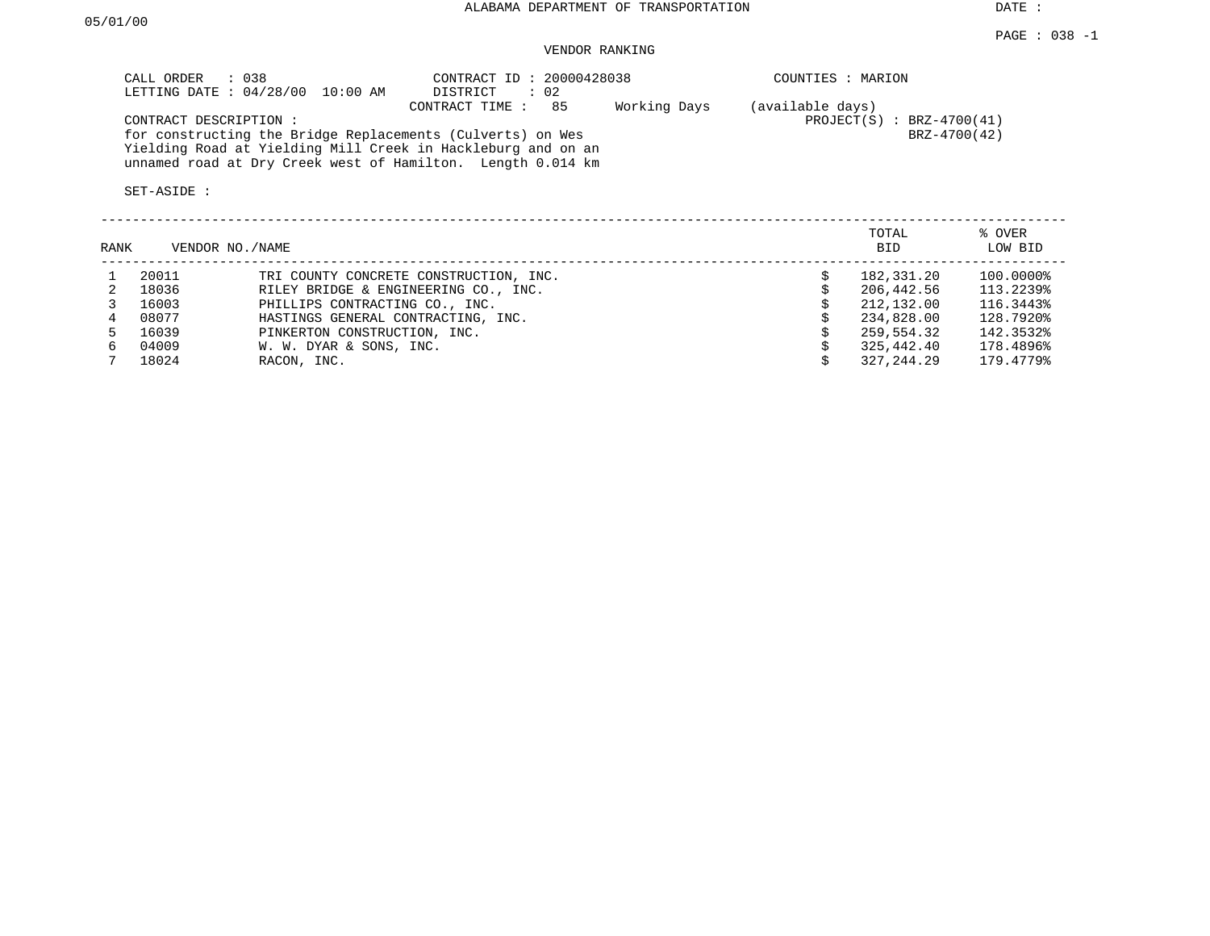## VENDOR RANKING

| CONTRACT ID: 20000428038<br>CALL ORDER : 038<br>LETTING DATE : 04/28/00 10:00 AM<br>DISTRICT                               | : 02               | COUNTIES : MARION                               |
|----------------------------------------------------------------------------------------------------------------------------|--------------------|-------------------------------------------------|
| CONTRACT TIME :<br>CONTRACT DESCRIPTION:                                                                                   | Working Days<br>85 | (available days)<br>$PROJECT(S)$ : BRZ-4700(41) |
| for constructing the Bridge Replacements (Culverts) on Wes<br>Yielding Road at Yielding Mill Creek in Hackleburg and on an |                    | BRZ-4700(42)                                    |
| unnamed road at Dry Creek west of Hamilton. Length 0.014 km                                                                |                    |                                                 |
| SET-ASIDE :                                                                                                                |                    |                                                 |

| RANK | VENDOR NO./NAME |                                        | TOTAL<br><b>BID</b> | % OVER<br>LOW BID |
|------|-----------------|----------------------------------------|---------------------|-------------------|
|      | 20011           | TRI COUNTY CONCRETE CONSTRUCTION, INC. | 182,331.20          | 100.0000%         |
|      | 18036           | RILEY BRIDGE & ENGINEERING CO., INC.   | 206,442.56          | 113.2239%         |
|      | 16003           | PHILLIPS CONTRACTING CO., INC.         | 212,132.00          | 116.3443%         |
|      | 08077           | HASTINGS GENERAL CONTRACTING, INC.     | 234,828.00          | 128.7920%         |
|      | 16039           | PINKERTON CONSTRUCTION, INC.           | 259,554.32          | 142.3532%         |
| б.   | 04009           | W. W. DYAR & SONS, INC.                | 325,442.40          | 178.4896%         |
|      | 18024           | RACON, INC.                            | 327,244.29          | 179.4779%         |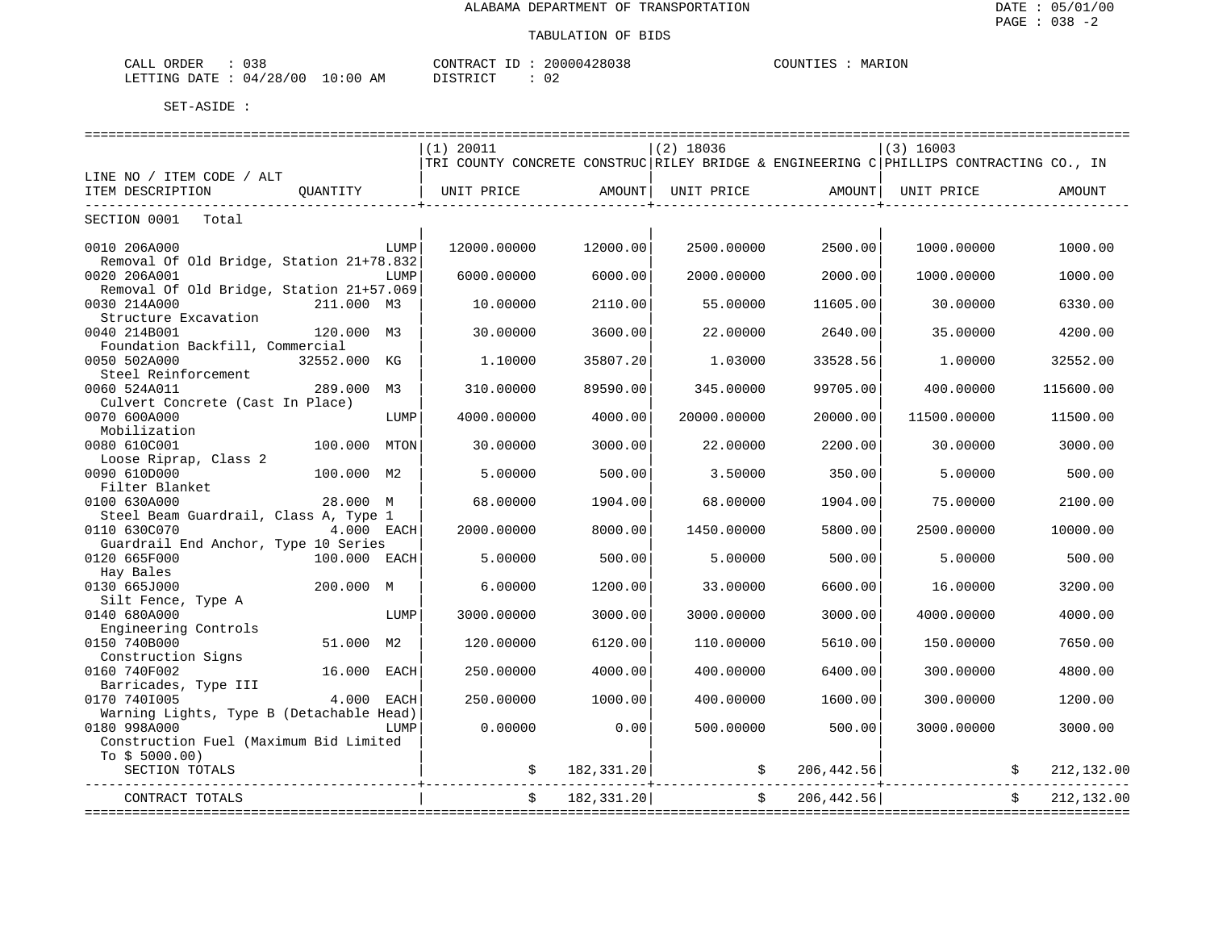| CALL ORDER : 038                |          | CONTRACT ID: 20000428038 | COUNTIES : MARION |
|---------------------------------|----------|--------------------------|-------------------|
| LETTING DATE: 04/28/00 10:00 AM | DISTRICT |                          |                   |

|                                                          |              |      | $(1)$ 20011                                                                            |            | $(2)$ 18036 |             | $(3)$ 16003               |             |
|----------------------------------------------------------|--------------|------|----------------------------------------------------------------------------------------|------------|-------------|-------------|---------------------------|-------------|
|                                                          |              |      | TRI COUNTY CONCRETE CONSTRUC RILEY BRIDGE & ENGINEERING C PHILLIPS CONTRACTING CO., IN |            |             |             |                           |             |
| LINE NO / ITEM CODE / ALT                                |              |      |                                                                                        |            |             |             |                           |             |
| ITEM DESCRIPTION                                         | OUANTITY     |      | UNIT PRICE                                                                             | AMOUNT     | UNIT PRICE  | AMOUNT      | UNIT PRICE                | AMOUNT      |
| SECTION 0001 Total                                       |              |      |                                                                                        |            |             |             |                           |             |
|                                                          |              |      |                                                                                        |            |             |             |                           |             |
| 0010 206A000                                             |              | LUMP | 12000.00000                                                                            | 12000.00   | 2500.00000  | 2500.00     | 1000.00000                | 1000.00     |
| Removal Of Old Bridge, Station 21+78.832<br>0020 206A001 |              | LUMP | 6000.00000                                                                             | 6000.00    | 2000.00000  | 2000.00     | 1000.00000                | 1000.00     |
| Removal Of Old Bridge, Station 21+57.069                 |              |      |                                                                                        |            |             |             |                           |             |
| 0030 214A000                                             | 211.000 M3   |      | 10.00000                                                                               | 2110.00    | 55,00000    | 11605.00    | 30.00000                  | 6330.00     |
| Structure Excavation                                     |              |      |                                                                                        |            |             |             |                           |             |
| 0040 214B001                                             | 120.000 M3   |      | 30.00000                                                                               | 3600.00    | 22,00000    | 2640.00     | 35.00000                  | 4200.00     |
| Foundation Backfill, Commercial                          |              |      |                                                                                        |            |             |             |                           |             |
| 0050 502A000                                             | 32552.000 KG |      | 1,10000                                                                                | 35807.20   | 1,03000     | 33528.56    | 1.00000                   | 32552.00    |
| Steel Reinforcement                                      |              |      |                                                                                        |            |             |             |                           |             |
| 0060 524A011                                             | 289.000      | М3   | 310.00000                                                                              | 89590.00   | 345.00000   | 99705.00    | 400.00000                 | 115600.00   |
| Culvert Concrete (Cast In Place)                         |              |      |                                                                                        |            |             |             |                           |             |
| 0070 600A000                                             |              | LUMP | 4000.00000                                                                             | 4000.00    | 20000.00000 | 20000.00    | 11500.00000               | 11500.00    |
| Mobilization                                             |              |      |                                                                                        |            |             |             |                           |             |
| 0080 610C001                                             | 100.000      | MTON | 30.00000                                                                               | 3000.00    | 22.00000    | 2200.00     | 30.00000                  | 3000.00     |
| Loose Riprap, Class 2                                    |              |      |                                                                                        |            |             |             |                           |             |
| 0090 610D000                                             | 100.000 M2   |      | 5.00000                                                                                | 500.00     | 3.50000     | 350.00      | 5.00000                   | 500.00      |
| Filter Blanket                                           |              |      |                                                                                        |            |             |             |                           |             |
| 0100 630A000                                             | 28.000 M     |      | 68.00000                                                                               | 1904.00    | 68.00000    | 1904.00     | 75.00000                  | 2100.00     |
| Steel Beam Guardrail, Class A, Type 1                    |              |      |                                                                                        |            |             |             |                           |             |
| 0110 630C070                                             | 4.000 EACH   |      | 2000.00000                                                                             | 8000.00    | 1450.00000  | 5800.00     | 2500.00000                | 10000.00    |
| Guardrail End Anchor, Type 10 Series                     |              |      |                                                                                        |            |             |             |                           |             |
| 0120 665F000                                             | 100.000 EACH |      | 5.00000                                                                                | 500.00     | 5.00000     | 500.00      | 5.00000                   | 500.00      |
| Hay Bales                                                |              |      |                                                                                        |            |             |             |                           |             |
| 0130 665J000                                             | 200.000 M    |      | 6.00000                                                                                | 1200.00    | 33.00000    | 6600.00     | 16.00000                  | 3200.00     |
| Silt Fence, Type A                                       |              |      |                                                                                        |            |             |             |                           |             |
| 0140 680A000                                             |              | LUMP | 3000.00000                                                                             | 3000.00    | 3000.00000  | 3000.00     | 4000.00000                | 4000.00     |
| Engineering Controls                                     |              |      |                                                                                        |            |             |             |                           |             |
| 0150 740B000                                             | 51.000       | M2   | 120.00000                                                                              | 6120.00    | 110.00000   | 5610.00     | 150.00000                 | 7650.00     |
| Construction Signs<br>0160 740F002                       | 16.000       | EACH | 250.00000                                                                              | 4000.00    | 400.00000   | 6400.00     | 300.00000                 | 4800.00     |
| Barricades, Type III                                     |              |      |                                                                                        |            |             |             |                           |             |
| 0170 7401005                                             | 4.000        | EACH | 250.00000                                                                              | 1000.00    | 400.00000   | 1600.00     | 300.00000                 | 1200.00     |
| Warning Lights, Type B (Detachable Head)                 |              |      |                                                                                        |            |             |             |                           |             |
| 0180 998A000                                             |              | LUMP | 0.00000                                                                                | 0.00       | 500.00000   | 500.00      | 3000.00000                | 3000.00     |
| Construction Fuel (Maximum Bid Limited                   |              |      |                                                                                        |            |             |             |                           |             |
| To $$5000.00)$                                           |              |      |                                                                                        |            |             |             |                           |             |
| SECTION TOTALS                                           |              |      |                                                                                        | 182,331.20 |             | 206, 442.56 |                           | 212,132.00  |
|                                                          |              |      |                                                                                        |            |             |             |                           |             |
| CONTRACT TOTALS                                          |              |      |                                                                                        | 182,331.20 |             | 206,442.56  |                           | 212, 132.00 |
|                                                          |              |      |                                                                                        |            |             |             | ========================= |             |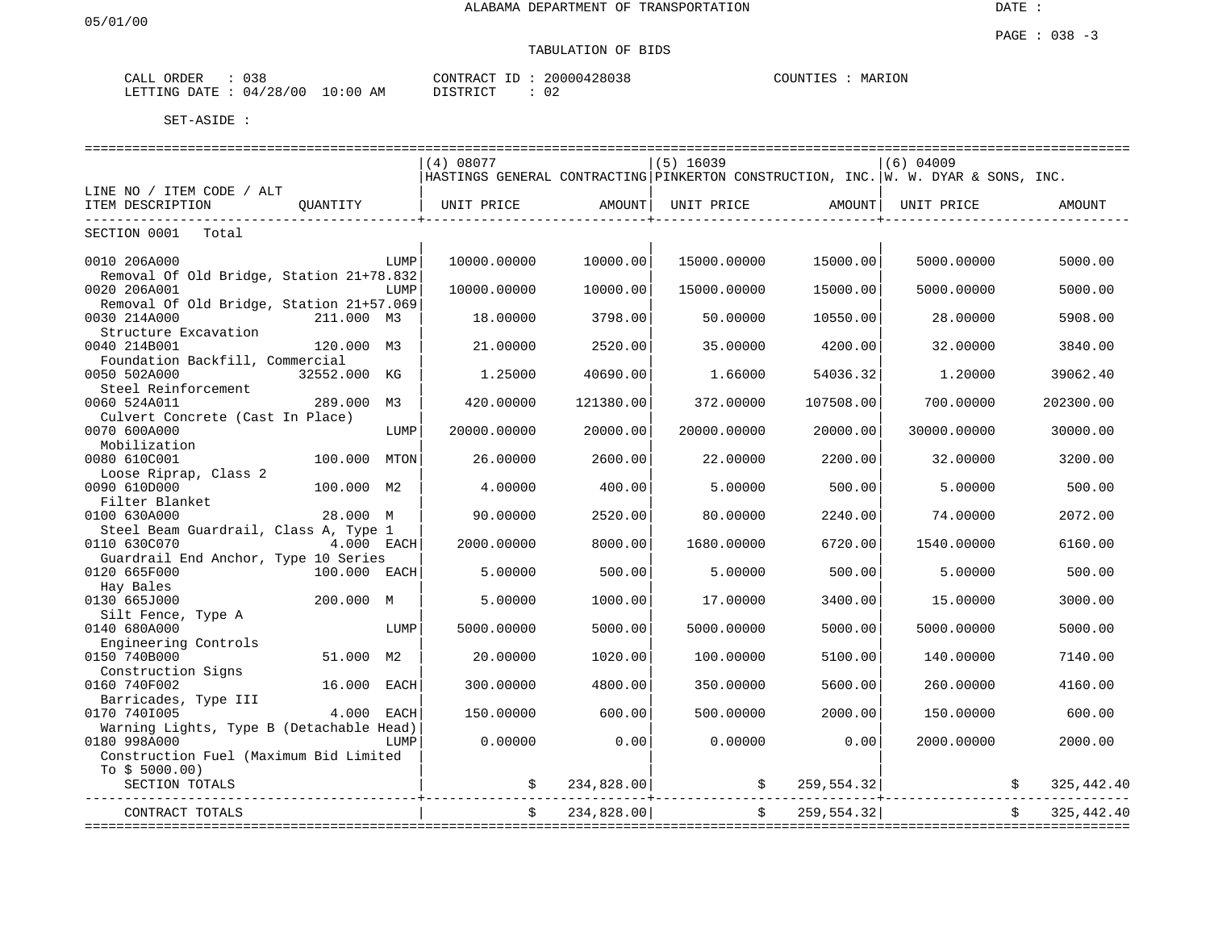| ORDER<br>CALL | 038      |             | CONTRACT | 20000428038  | MARION<br>COUNTIES |
|---------------|----------|-------------|----------|--------------|--------------------|
| LETTING DATE  | 04/28/00 | 10:00<br>AΜ | DISTRICT | $\sim$<br>∪∠ |                    |

|                                          |                 | (4) 08077                                                                         |            | $(5)$ 16039 |            | $(6)$ 04009                |             |
|------------------------------------------|-----------------|-----------------------------------------------------------------------------------|------------|-------------|------------|----------------------------|-------------|
|                                          |                 | HASTINGS GENERAL CONTRACTING PINKERTON CONSTRUCTION, INC. W. W. DYAR & SONS, INC. |            |             |            |                            |             |
| LINE NO / ITEM CODE / ALT                |                 |                                                                                   |            |             |            |                            |             |
| ITEM DESCRIPTION                         | OUANTITY        | UNIT PRICE                                                                        | AMOUNT     | UNIT PRICE  | AMOUNT     | UNIT PRICE                 | AMOUNT      |
|                                          |                 |                                                                                   |            |             |            |                            |             |
| SECTION 0001 Total                       |                 |                                                                                   |            |             |            |                            |             |
|                                          |                 |                                                                                   |            |             |            |                            |             |
| 0010 206A000                             | LUMP            | 10000.00000                                                                       | 10000.00   | 15000.00000 | 15000.00   | 5000.00000                 | 5000.00     |
| Removal Of Old Bridge, Station 21+78.832 |                 |                                                                                   |            |             |            |                            |             |
| 0020 206A001                             | LUMP            | 10000.00000                                                                       | 10000.00   | 15000.00000 | 15000.00   | 5000.00000                 | 5000.00     |
| Removal Of Old Bridge, Station 21+57.069 |                 |                                                                                   |            |             |            |                            |             |
| 0030 214A000                             | 211.000 M3      | 18.00000                                                                          | 3798.00    | 50.00000    | 10550.00   | 28.00000                   | 5908.00     |
| Structure Excavation                     |                 |                                                                                   |            |             |            |                            |             |
| 0040 214B001                             | 120.000 M3      | 21.00000                                                                          | 2520.00    | 35.00000    | 4200.00    | 32.00000                   | 3840.00     |
| Foundation Backfill, Commercial          |                 |                                                                                   |            |             |            |                            |             |
| 0050 502A000                             | 32552.000 KG    | 1.25000                                                                           | 40690.00   | 1.66000     | 54036.32   | 1,20000                    | 39062.40    |
| Steel Reinforcement                      |                 |                                                                                   |            |             |            |                            |             |
| 0060 524A011                             | 289.000<br>M3   | 420.00000                                                                         | 121380.00  | 372.00000   | 107508.00  | 700.00000                  | 202300.00   |
| Culvert Concrete (Cast In Place)         |                 |                                                                                   |            |             |            |                            |             |
| 0070 600A000                             | LUMP            | 20000.00000                                                                       | 20000.00   | 20000.00000 | 20000.00   | 30000.00000                | 30000.00    |
| Mobilization                             |                 |                                                                                   |            |             |            |                            |             |
| 0080 610C001                             | 100.000<br>MTON | 26.00000                                                                          | 2600.00    | 22.00000    | 2200.00    | 32.00000                   | 3200.00     |
| Loose Riprap, Class 2                    |                 |                                                                                   |            |             |            |                            |             |
| 0090 610D000                             | 100.000 M2      | 4.00000                                                                           | 400.00     | 5.00000     | 500.00     | 5.00000                    | 500.00      |
| Filter Blanket                           |                 |                                                                                   |            |             |            |                            |             |
| 0100 630A000                             | 28.000 M        | 90.00000                                                                          | 2520.00    | 80,00000    | 2240.00    | 74.00000                   | 2072.00     |
| Steel Beam Guardrail, Class A, Type 1    |                 |                                                                                   |            |             |            |                            |             |
| 0110 630C070                             | 4.000 EACH      | 2000.00000                                                                        | 8000.00    | 1680.00000  | 6720.00    | 1540.00000                 | 6160.00     |
| Guardrail End Anchor, Type 10 Series     |                 |                                                                                   |            |             |            |                            |             |
| 0120 665F000                             | 100.000 EACH    | 5.00000                                                                           | 500.00     | 5.00000     | 500.00     | 5.00000                    | 500.00      |
| Hay Bales                                |                 |                                                                                   |            |             |            |                            |             |
| 0130 665J000                             | 200.000 M       | 5.00000                                                                           | 1000.00    | 17.00000    | 3400.00    | 15.00000                   | 3000.00     |
| Silt Fence, Type A                       |                 |                                                                                   |            |             |            |                            |             |
| 0140 680A000                             | LUMP            | 5000.00000                                                                        | 5000.00    | 5000.00000  | 5000.00    | 5000.00000                 | 5000.00     |
| Engineering Controls                     |                 |                                                                                   |            |             |            |                            |             |
| 0150 740B000                             | 51.000 M2       | 20.00000                                                                          | 1020.00    | 100.00000   | 5100.00    | 140.00000                  | 7140.00     |
| Construction Signs                       |                 |                                                                                   |            |             |            |                            |             |
| 0160 740F002                             | 16.000<br>EACH  | 300,00000                                                                         | 4800.00    | 350.00000   | 5600.00    | 260,00000                  | 4160.00     |
| Barricades, Type III                     |                 |                                                                                   |            |             |            |                            |             |
| 0170 7401005                             | 4.000<br>EACH   | 150.00000                                                                         | 600.00     | 500.00000   | 2000.00    | 150.00000                  | 600.00      |
| Warning Lights, Type B (Detachable Head) |                 |                                                                                   |            |             |            |                            |             |
| 0180 998A000                             | LUMP            | 0.00000                                                                           | 0.00       | 0.00000     | 0.00       | 2000.00000                 | 2000.00     |
| Construction Fuel (Maximum Bid Limited   |                 |                                                                                   |            |             |            |                            |             |
| To $$5000.00)$                           |                 |                                                                                   |            |             |            |                            |             |
| SECTION TOTALS                           |                 |                                                                                   | 234,828.00 |             | 259,554.32 |                            | 325, 442.40 |
|                                          |                 |                                                                                   |            |             |            |                            |             |
| CONTRACT TOTALS                          |                 |                                                                                   | 234,828,00 |             | 259,554.32 |                            | 325, 442.40 |
|                                          |                 |                                                                                   |            |             |            | ========================== |             |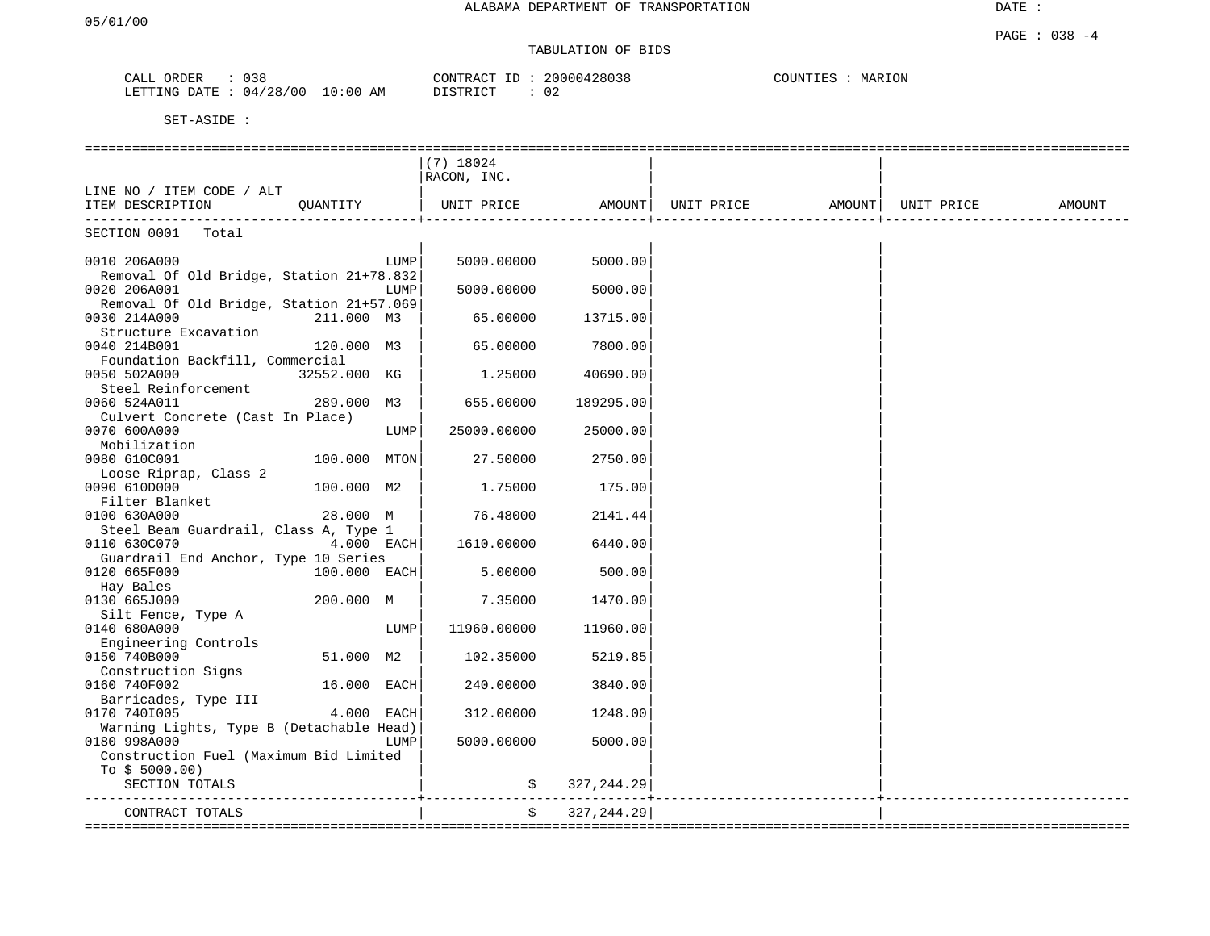| ひろと<br>' A I<br>بلططت                | CONTR<br>$\cdots$ $\lambda$ $\sim$ $\cdots$      | 428038<br>n n n n n | <b>DAT</b><br>JUN'<br>KT NIA<br>MAR |
|--------------------------------------|--------------------------------------------------|---------------------|-------------------------------------|
| /00<br>'28<br>LETTING<br>חימת<br>04. | - 0<br>DI STR TOT<br>AM<br>፡ 00<br>, + + + + + + |                     |                                     |

|                                                       |              |      | $(7)$ 18024 |             |            |                     |        |
|-------------------------------------------------------|--------------|------|-------------|-------------|------------|---------------------|--------|
|                                                       |              |      | RACON, INC. |             |            |                     |        |
| LINE NO / ITEM CODE / ALT                             |              |      |             |             |            |                     |        |
| ITEM DESCRIPTION                                      | OUANTITY     |      | UNIT PRICE  | AMOUNT      | UNIT PRICE | AMOUNT   UNIT PRICE | AMOUNT |
|                                                       |              |      |             |             |            |                     |        |
| SECTION 0001 Total                                    |              |      |             |             |            |                     |        |
|                                                       |              |      |             |             |            |                     |        |
| 0010 206A000                                          |              | LUMP | 5000.00000  | 5000.00     |            |                     |        |
| Removal Of Old Bridge, Station 21+78.832              |              |      |             |             |            |                     |        |
| 0020 206A001                                          |              | LUMP | 5000.00000  | 5000.00     |            |                     |        |
| Removal Of Old Bridge, Station 21+57.069              |              |      |             |             |            |                     |        |
| 0030 214A000                                          | 211.000 M3   |      | 65.00000    | 13715.00    |            |                     |        |
| Structure Excavation                                  |              |      |             |             |            |                     |        |
| 0040 214B001                                          | 120.000 M3   |      | 65.00000    | 7800.00     |            |                     |        |
| Foundation Backfill, Commercial                       |              |      |             |             |            |                     |        |
| 0050 502A000                                          | 32552.000 KG |      | 1.25000     | 40690.00    |            |                     |        |
| Steel Reinforcement                                   |              |      |             |             |            |                     |        |
| 0060 524A011                                          | 289.000 M3   |      | 655.00000   | 189295.00   |            |                     |        |
| Culvert Concrete (Cast In Place)                      |              |      |             |             |            |                     |        |
| 0070 600A000                                          |              | LUMP | 25000.00000 | 25000.00    |            |                     |        |
| Mobilization                                          |              |      |             |             |            |                     |        |
| 0080 610C001                                          | 100.000 MTON |      | 27.50000    | 2750.00     |            |                     |        |
| Loose Riprap, Class 2                                 |              |      |             |             |            |                     |        |
| 0090 610D000                                          | 100.000 M2   |      | 1.75000     | 175.00      |            |                     |        |
| Filter Blanket                                        |              |      |             |             |            |                     |        |
| 0100 630A000                                          | 28.000 M     |      | 76.48000    | 2141.44     |            |                     |        |
| Steel Beam Guardrail, Class A, Type 1<br>0110 630C070 | $4.000$ EACH |      | 1610.00000  | 6440.00     |            |                     |        |
| Guardrail End Anchor, Type 10 Series                  |              |      |             |             |            |                     |        |
| 0120 665F000                                          | 100.000 EACH |      | 5.00000     | 500.00      |            |                     |        |
| Hay Bales                                             |              |      |             |             |            |                     |        |
| 0130 665J000                                          | 200.000 M    |      | 7.35000     | 1470.00     |            |                     |        |
| Silt Fence, Type A                                    |              |      |             |             |            |                     |        |
| 0140 680A000                                          |              | LUMP | 11960.00000 | 11960.00    |            |                     |        |
| Engineering Controls                                  |              |      |             |             |            |                     |        |
| 0150 740B000                                          | 51.000 M2    |      | 102.35000   | 5219.85     |            |                     |        |
| Construction Signs                                    |              |      |             |             |            |                     |        |
| 0160 740F002                                          | 16.000 EACH  |      | 240.00000   | 3840.00     |            |                     |        |
| Barricades, Type III                                  |              |      |             |             |            |                     |        |
| 0170 7401005                                          | 4.000 EACH   |      | 312,00000   | 1248.00     |            |                     |        |
| Warning Lights, Type B (Detachable Head)              |              |      |             |             |            |                     |        |
| 0180 998A000                                          |              | LUMP | 5000.00000  | 5000.00     |            |                     |        |
| Construction Fuel (Maximum Bid Limited                |              |      |             |             |            |                     |        |
| To $$5000.00)$                                        |              |      |             |             |            |                     |        |
| SECTION TOTALS                                        |              |      |             | 327, 244.29 |            |                     |        |
|                                                       |              |      |             |             |            |                     |        |
| CONTRACT TOTALS                                       |              |      | $\ddot{s}$  | 327, 244.29 |            |                     |        |
|                                                       |              |      |             |             |            |                     |        |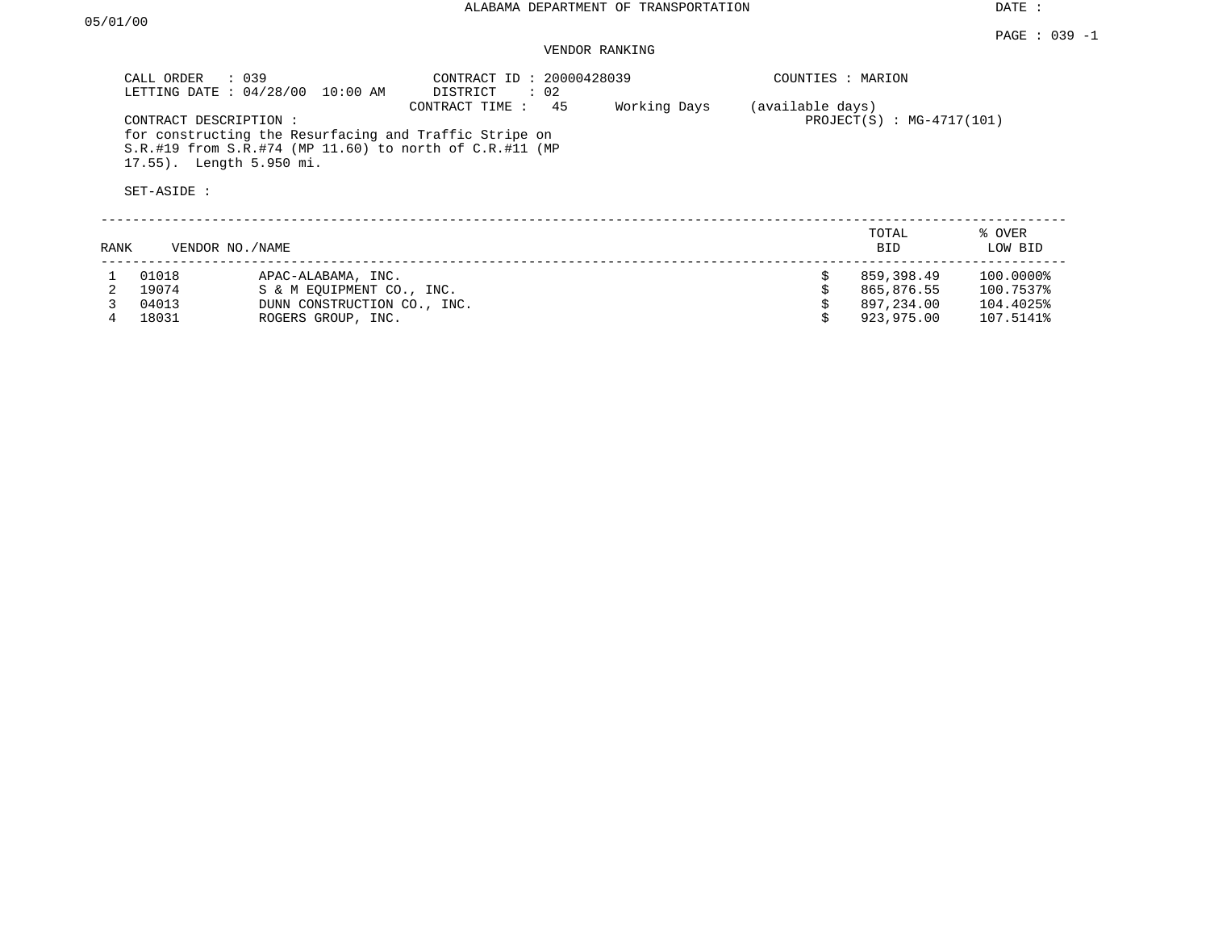#### PAGE : 039 -1 VENDOR RANKING

|      | CALL ORDER : 039<br>CONTRACT DESCRIPTION:<br>17.55). Length 5.950 mi.<br>SET-ASIDE : | LETTING DATE : 04/28/00 10:00 AM<br>for constructing the Resurfacing and Traffic Stripe on           | CONTRACT ID: 20000428039<br>DISTRICT : 02<br>CONTRACT TIME :<br>45<br>$S.R.$ #19 from $S.R.$ #74 (MP 11.60) to north of $C.R.$ #11 (MP | Working Days | COUNTIES : MARION<br>(available days) | $PROJECT(S) : MG-4717(101)$                          |                                                  |
|------|--------------------------------------------------------------------------------------|------------------------------------------------------------------------------------------------------|----------------------------------------------------------------------------------------------------------------------------------------|--------------|---------------------------------------|------------------------------------------------------|--------------------------------------------------|
| RANK | VENDOR NO./NAME                                                                      |                                                                                                      |                                                                                                                                        |              |                                       | TOTAL<br><b>BID</b>                                  | % OVER<br>LOW BID                                |
| 4    | 01018<br>19074<br>04013<br>18031                                                     | APAC-ALABAMA, INC.<br>S & M EOUIPMENT CO., INC.<br>DUNN CONSTRUCTION CO., INC.<br>ROGERS GROUP, INC. |                                                                                                                                        |              | Ŝ.                                    | 859,398.49<br>865,876.55<br>897,234.00<br>923,975.00 | 100.0000%<br>100.7537%<br>104.4025%<br>107.5141% |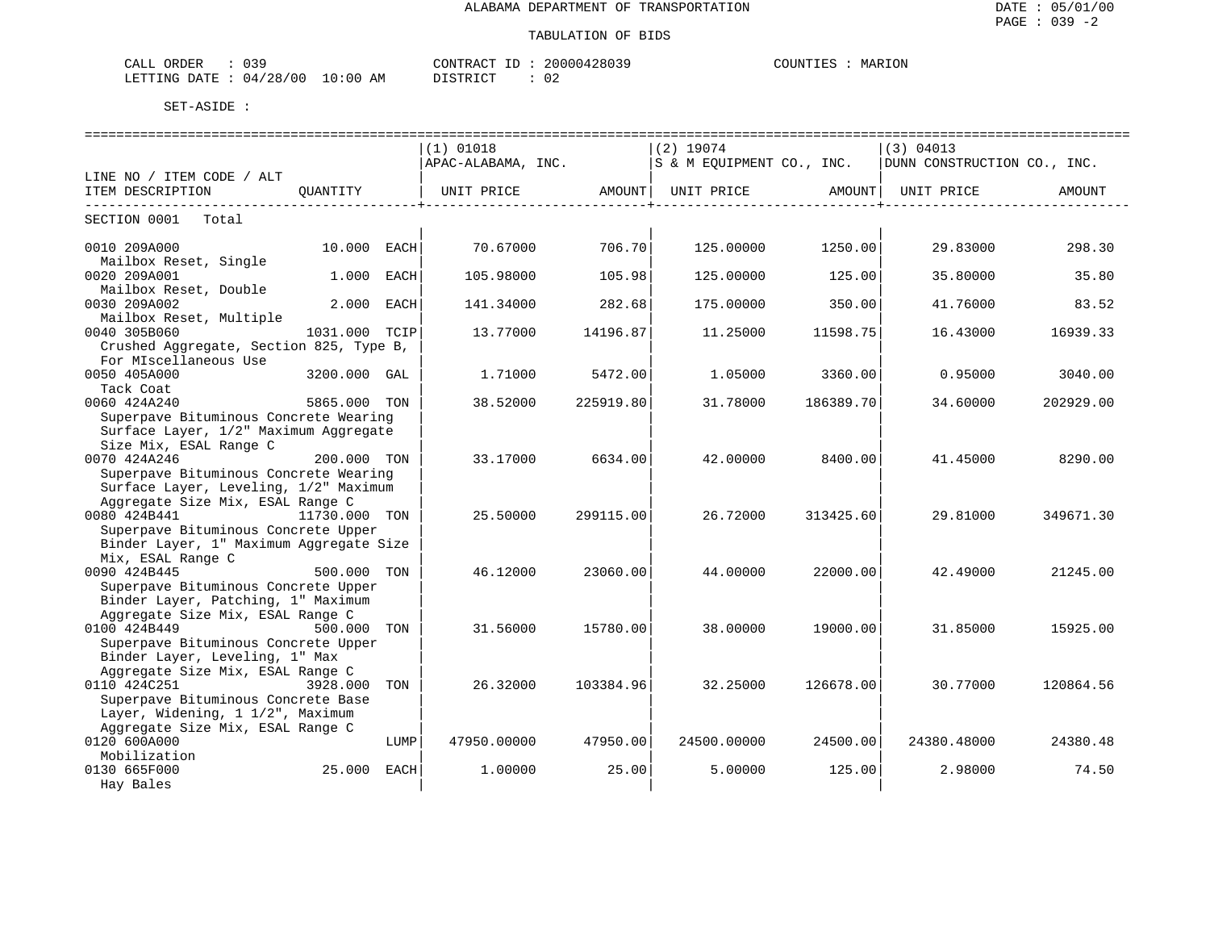| ORDER<br>CALL ( |                       | CONTRACT         | ID : | 20000428039         | <b>COUNTIES</b> | MARION |
|-----------------|-----------------------|------------------|------|---------------------|-----------------|--------|
| LETTING DATE    | : : 04/28/00 10:00 AM | TSTRICT<br>----- |      | ◡∠<br>$\sim$ $\sim$ |                 |        |

|                                         |               |      | $(1)$ 01018                                                           |           | $(2)$ 19074               |           | (3) 04013                   |           |
|-----------------------------------------|---------------|------|-----------------------------------------------------------------------|-----------|---------------------------|-----------|-----------------------------|-----------|
|                                         |               |      | APAC-ALABAMA, INC.                                                    |           | S & M EQUIPMENT CO., INC. |           | DUNN CONSTRUCTION CO., INC. |           |
| LINE NO / ITEM CODE / ALT               |               |      |                                                                       |           |                           |           |                             |           |
| ITEM DESCRIPTION                        | OUANTITY      |      | UNIT PRICE                AMOUNT    UNIT PRICE                 AMOUNT |           |                           |           | UNIT PRICE                  | AMOUNT    |
|                                         |               |      |                                                                       |           |                           |           |                             |           |
| SECTION 0001<br>Total                   |               |      |                                                                       |           |                           |           |                             |           |
|                                         |               |      |                                                                       |           |                           |           |                             |           |
| 0010 209A000                            | 10.000 EACH   |      | 70.67000                                                              | 706.70    | 125.00000                 | 1250.00   | 29.83000                    | 298.30    |
| Mailbox Reset, Single                   |               |      |                                                                       |           |                           |           |                             |           |
| 0020 209A001                            | 1.000         | EACH | 105.98000                                                             | 105.98    | 125,00000                 | 125.00    | 35.80000                    | 35.80     |
| Mailbox Reset, Double                   |               |      |                                                                       |           |                           |           |                             |           |
| 0030 209A002                            | 2.000 EACH    |      | 141.34000                                                             | 282.68    | 175.00000                 | 350.00    | 41.76000                    | 83.52     |
| Mailbox Reset, Multiple                 |               |      |                                                                       |           |                           |           |                             |           |
| 0040 305B060                            | 1031.000 TCIP |      | 13.77000                                                              | 14196.87  | 11.25000                  | 11598.75  | 16.43000                    | 16939.33  |
| Crushed Aggregate, Section 825, Type B, |               |      |                                                                       |           |                           |           |                             |           |
| For MIscellaneous Use                   |               |      |                                                                       |           |                           |           |                             |           |
| 0050 405A000                            | 3200.000 GAL  |      | 1.71000                                                               | 5472.00   | 1.05000                   | 3360.00   | 0.95000                     | 3040.00   |
| Tack Coat                               |               |      |                                                                       |           |                           |           |                             |           |
| 0060 424A240                            | 5865.000 TON  |      | 38.52000                                                              | 225919.80 | 31.78000                  | 186389.70 | 34.60000                    | 202929.00 |
| Superpave Bituminous Concrete Wearing   |               |      |                                                                       |           |                           |           |                             |           |
| Surface Layer, 1/2" Maximum Aggregate   |               |      |                                                                       |           |                           |           |                             |           |
| Size Mix, ESAL Range C                  |               |      |                                                                       |           |                           |           |                             |           |
| 0070 424A246                            | 200.000 TON   |      | 33.17000                                                              | 6634.00   | 42.00000                  | 8400.00   | 41.45000                    | 8290.00   |
| Superpave Bituminous Concrete Wearing   |               |      |                                                                       |           |                           |           |                             |           |
| Surface Layer, Leveling, 1/2" Maximum   |               |      |                                                                       |           |                           |           |                             |           |
| Aggregate Size Mix, ESAL Range C        |               |      |                                                                       |           |                           |           |                             |           |
| 0080 424B441                            | 11730.000 TON |      | 25.50000                                                              | 299115.00 | 26.72000                  | 313425.60 | 29.81000                    | 349671.30 |
| Superpave Bituminous Concrete Upper     |               |      |                                                                       |           |                           |           |                             |           |
| Binder Layer, 1" Maximum Aggregate Size |               |      |                                                                       |           |                           |           |                             |           |
| Mix, ESAL Range C                       |               |      |                                                                       |           |                           |           |                             |           |
| 0090 424B445                            | 500.000 TON   |      | 46.12000                                                              | 23060.00  | 44.00000                  | 22000.00  | 42.49000                    | 21245.00  |
| Superpave Bituminous Concrete Upper     |               |      |                                                                       |           |                           |           |                             |           |
| Binder Layer, Patching, 1" Maximum      |               |      |                                                                       |           |                           |           |                             |           |
| Aggregate Size Mix, ESAL Range C        |               |      |                                                                       |           |                           |           |                             |           |
| 0100 424B449                            | 500.000 TON   |      | 31.56000                                                              | 15780.00  | 38.00000                  | 19000.00  | 31.85000                    | 15925.00  |
| Superpave Bituminous Concrete Upper     |               |      |                                                                       |           |                           |           |                             |           |
| Binder Layer, Leveling, 1" Max          |               |      |                                                                       |           |                           |           |                             |           |
| Aggregate Size Mix, ESAL Range C        |               |      |                                                                       |           |                           |           |                             |           |
| 0110 424C251                            | 3928.000      | TON  | 26.32000                                                              | 103384.96 | 32.25000                  | 126678.00 | 30.77000                    | 120864.56 |
| Superpave Bituminous Concrete Base      |               |      |                                                                       |           |                           |           |                             |           |
| Layer, Widening, 1 1/2", Maximum        |               |      |                                                                       |           |                           |           |                             |           |
| Aggregate Size Mix, ESAL Range C        |               |      |                                                                       |           |                           |           |                             |           |
| 0120 600A000                            |               | LUMP | 47950.00000                                                           | 47950.00  | 24500.00000               | 24500.00  | 24380.48000                 | 24380.48  |
| Mobilization                            |               |      |                                                                       |           |                           |           |                             |           |
| 0130 665F000                            | 25.000 EACH   |      | 1.00000                                                               | 25.00     | 5.00000                   | 125.00    | 2.98000                     | 74.50     |
| Hay Bales                               |               |      |                                                                       |           |                           |           |                             |           |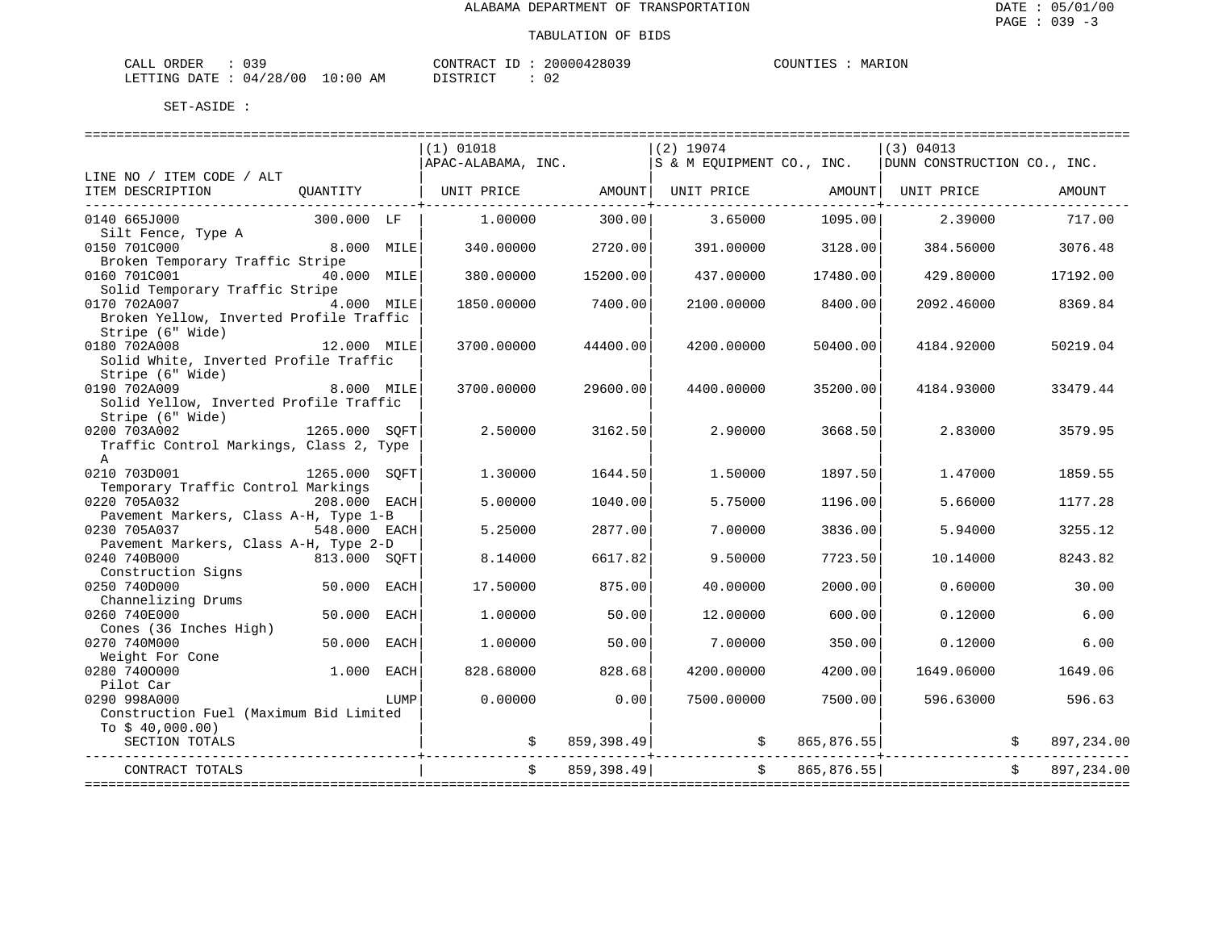| ORDER<br>CALL          | $\sim$ $\sim$ $\sim$ |             | TD.<br>CONTRACT | 20000428039 | COUNTIES | MARION |
|------------------------|----------------------|-------------|-----------------|-------------|----------|--------|
| LETTING DATE: 04/28/00 |                      | 10:00<br>AΜ | חימת דפידי את   |             |          |        |

|                                                       |               |      | $(1)$ 01018        |               | $(2)$ 19074               |               | (3) 04013                   |              |            |
|-------------------------------------------------------|---------------|------|--------------------|---------------|---------------------------|---------------|-----------------------------|--------------|------------|
|                                                       |               |      | APAC-ALABAMA, INC. |               | S & M EQUIPMENT CO., INC. |               | DUNN CONSTRUCTION CO., INC. |              |            |
| LINE NO / ITEM CODE / ALT                             |               |      |                    |               |                           |               |                             |              |            |
| ITEM DESCRIPTION                                      | OUANTITY      |      | UNIT PRICE         |               | AMOUNT  UNIT PRICE AMOUNT |               | UNIT PRICE                  |              | AMOUNT     |
|                                                       |               |      |                    |               |                           |               |                             |              |            |
| 0140 665J000                                          | 300.000 LF    |      | 1,00000            | 300.00        | 3.65000                   | 1095.00       | 2.39000                     |              | 717.00     |
| Silt Fence, Type A                                    |               |      |                    |               |                           |               |                             |              |            |
| 0150 701C000                                          | 8.000 MILE    |      | 340.00000          | 2720.00       | 391.00000                 | 3128.00       | 384.56000                   |              | 3076.48    |
| Broken Temporary Traffic Stripe<br>0160 701C001       | 40.000 MILE   |      | 380.00000          | 15200.00      | 437.00000                 | 17480.00      | 429.80000                   |              | 17192.00   |
| Solid Temporary Traffic Stripe                        |               |      |                    |               |                           |               |                             |              |            |
| 0170 702A007                                          | $4.000$ MILE  |      | 1850.00000         | 7400.00       | 2100.00000                | 8400.00       | 2092.46000                  |              | 8369.84    |
| Broken Yellow, Inverted Profile Traffic               |               |      |                    |               |                           |               |                             |              |            |
| Stripe (6" Wide)                                      |               |      |                    |               |                           |               |                             |              |            |
| .,<br>12.000 MILE<br>0180 702A008                     |               |      | 3700.00000         | 44400.00      | 4200.00000                | 50400.00      | 4184.92000                  |              | 50219.04   |
| Solid White, Inverted Profile Traffic                 |               |      |                    |               |                           |               |                             |              |            |
| Stripe (6" Wide)                                      |               |      |                    |               |                           |               |                             |              |            |
| 0190 702A009                                          | 8.000 MILE    |      | 3700.00000         | 29600.00      | 4400.00000                | 35200.00      | 4184.93000                  |              | 33479.44   |
| Solid Yellow, Inverted Profile Traffic                |               |      |                    |               |                           |               |                             |              |            |
| Stripe (6" Wide)                                      |               |      |                    |               |                           |               |                             |              |            |
| 1265.000 SOFT<br>0200 703A002                         |               |      | 2.50000            | 3162.50       | 2.90000                   | 3668.50       | 2.83000                     |              | 3579.95    |
| Traffic Control Markings, Class 2, Type               |               |      |                    |               |                           |               |                             |              |            |
| $\mathsf{A}$                                          |               |      |                    |               |                           |               |                             |              |            |
| 0210 703D001                                          | 1265.000 SOFT |      | 1.30000            | 1644.50       | 1.50000                   | 1897.50       | 1,47000                     |              | 1859.55    |
| Temporary Traffic Control Markings                    |               |      |                    |               |                           |               |                             |              |            |
| 0220 705A032                                          | 208.000 EACH  |      | 5.00000            | 1040.00       | 5.75000                   | 1196.00       | 5.66000                     |              | 1177.28    |
| Pavement Markers, Class A-H, Type 1-B                 |               |      |                    |               |                           |               |                             |              |            |
| 0230 705A037                                          | 548.000 EACH  |      | 5.25000            | 2877.00       | 7.00000                   | 3836.00       | 5.94000                     |              | 3255.12    |
| Pavement Markers, Class A-H, Type 2-D<br>0240 740B000 | 813.000 SOFT  |      | 8.14000            | 6617.82       | 9.50000                   | 7723.50       | 10.14000                    |              | 8243.82    |
| Construction Signs                                    |               |      |                    |               |                           |               |                             |              |            |
| 0250 740D000                                          | 50.000        | EACH | 17.50000           | 875.00        | 40.00000                  | 2000.00       | 0.60000                     |              | 30.00      |
| Channelizing Drums                                    |               |      |                    |               |                           |               |                             |              |            |
| 0260 740E000                                          | 50.000 EACH   |      | 1,00000            | 50.00         | 12.00000                  | 600.00        | 0.12000                     |              | 6.00       |
| Cones (36 Inches High)                                |               |      |                    |               |                           |               |                             |              |            |
| 0270 740M000                                          | 50.000        | EACH | 1,00000            | 50.00         | 7.00000                   | 350.00        | 0.12000                     |              | 6.00       |
| Weight For Cone                                       |               |      |                    |               |                           |               |                             |              |            |
| 0280 7400000                                          | 1.000         | EACH | 828.68000          | 828.68        | 4200.00000                | 4200.00       | 1649.06000                  |              | 1649.06    |
| Pilot Car                                             |               |      |                    |               |                           |               |                             |              |            |
| 0290 998A000                                          |               | LUMP | 0.00000            | 0.00          | 7500.00000                | 7500.00       | 596.63000                   |              | 596.63     |
| Construction Fuel (Maximum Bid Limited                |               |      |                    |               |                           |               |                             |              |            |
| To $$40,000.00)$                                      |               |      |                    |               |                           |               |                             |              |            |
| SECTION TOTALS                                        |               |      |                    | \$859,398.49] |                           | \$865,876.55] |                             |              | 897,234.00 |
| CONTRACT TOTALS                                       |               |      |                    | \$859,398.49  |                           | \$865,876.55] |                             | $\mathsf{S}$ | 897,234.00 |
|                                                       |               |      |                    |               |                           |               |                             |              |            |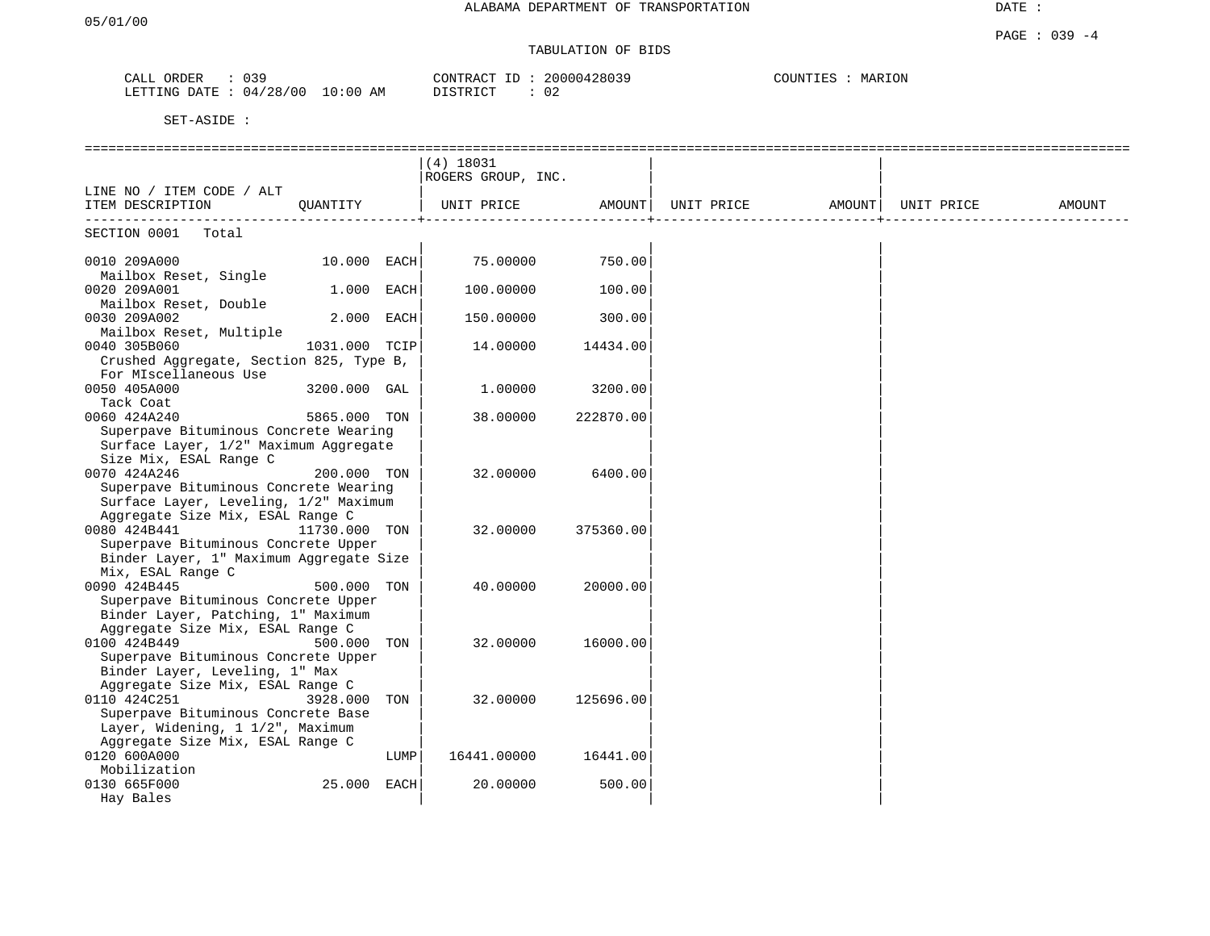PAGE : 039 -4

DATE :

# TABULATION OF BIDS

| 039<br>ORDER<br>CALL                                                                                                                        |             | CONTRACT<br>TD. | 20000428039 | MARION<br>COUNTIES |
|---------------------------------------------------------------------------------------------------------------------------------------------|-------------|-----------------|-------------|--------------------|
| 04/28/00<br>LETTING DATE<br>the contract of the contract of the contract of the contract of the contract of the contract of the contract of | 10:00<br>AΜ | DISTRICT        | ∪∠          |                    |

|                                                                        |               |      | $(4)$ 18031        |           |            |        |            |        |
|------------------------------------------------------------------------|---------------|------|--------------------|-----------|------------|--------|------------|--------|
|                                                                        |               |      | ROGERS GROUP, INC. |           |            |        |            |        |
| LINE NO / ITEM CODE / ALT                                              |               |      |                    |           |            |        |            |        |
| ITEM DESCRIPTION                                                       | QUANTITY      |      | UNIT PRICE         | AMOUNT    | UNIT PRICE | AMOUNT | UNIT PRICE | AMOUNT |
| SECTION 0001<br>Total                                                  |               |      |                    |           |            |        |            |        |
|                                                                        |               |      |                    |           |            |        |            |        |
| 0010 209A000                                                           | 10.000 EACH   |      | 75.00000           | 750.00    |            |        |            |        |
| Mailbox Reset, Single                                                  |               |      |                    |           |            |        |            |        |
| 0020 209A001                                                           | 1.000 EACH    |      | 100.00000          | 100.00    |            |        |            |        |
| Mailbox Reset, Double                                                  |               |      |                    |           |            |        |            |        |
| 0030 209A002                                                           | 2.000         | EACH | 150.00000          | 300.00    |            |        |            |        |
| Mailbox Reset, Multiple                                                |               |      |                    |           |            |        |            |        |
| 0040 305B060                                                           | 1031.000 TCIP |      | 14.00000           | 14434.00  |            |        |            |        |
| Crushed Aggregate, Section 825, Type B,                                |               |      |                    |           |            |        |            |        |
| For MIscellaneous Use                                                  |               |      |                    |           |            |        |            |        |
| 0050 405A000                                                           | 3200.000 GAL  |      | 1.00000            | 3200.00   |            |        |            |        |
| Tack Coat                                                              |               |      |                    |           |            |        |            |        |
| 0060 424A240                                                           | 5865.000 TON  |      | 38.00000           | 222870.00 |            |        |            |        |
| Superpave Bituminous Concrete Wearing                                  |               |      |                    |           |            |        |            |        |
| Surface Layer, 1/2" Maximum Aggregate                                  |               |      |                    |           |            |        |            |        |
| Size Mix, ESAL Range C<br>0070 424A246                                 | 200.000 TON   |      | 32.00000           | 6400.00   |            |        |            |        |
| Superpave Bituminous Concrete Wearing                                  |               |      |                    |           |            |        |            |        |
| Surface Layer, Leveling, 1/2" Maximum                                  |               |      |                    |           |            |        |            |        |
| Aggregate Size Mix, ESAL Range C                                       |               |      |                    |           |            |        |            |        |
| 0080 424B441                                                           | 11730.000 TON |      | 32.00000           | 375360.00 |            |        |            |        |
| Superpave Bituminous Concrete Upper                                    |               |      |                    |           |            |        |            |        |
| Binder Layer, 1" Maximum Aggregate Size                                |               |      |                    |           |            |        |            |        |
| Mix, ESAL Range C                                                      |               |      |                    |           |            |        |            |        |
| 0090 424B445                                                           | 500.000 TON   |      | 40.00000           | 20000.00  |            |        |            |        |
| Superpave Bituminous Concrete Upper                                    |               |      |                    |           |            |        |            |        |
| Binder Layer, Patching, 1" Maximum                                     |               |      |                    |           |            |        |            |        |
| Aggregate Size Mix, ESAL Range C                                       |               |      |                    |           |            |        |            |        |
| 0100 424B449                                                           | 500.000 TON   |      | 32.00000           | 16000.00  |            |        |            |        |
| Superpave Bituminous Concrete Upper                                    |               |      |                    |           |            |        |            |        |
| Binder Layer, Leveling, 1" Max                                         |               |      |                    |           |            |        |            |        |
| Aggregate Size Mix, ESAL Range C                                       |               |      |                    |           |            |        |            |        |
| 0110 424C251                                                           | 3928.000      | TON  | 32.00000           | 125696.00 |            |        |            |        |
| Superpave Bituminous Concrete Base<br>Layer, Widening, 1 1/2", Maximum |               |      |                    |           |            |        |            |        |
| Aggregate Size Mix, ESAL Range C                                       |               |      |                    |           |            |        |            |        |
| 0120 600A000                                                           |               | LUMP | 16441.00000        | 16441.00  |            |        |            |        |
| Mobilization                                                           |               |      |                    |           |            |        |            |        |
| 0130 665F000                                                           | 25.000 EACH   |      | 20.00000           | 500.00    |            |        |            |        |
|                                                                        |               |      |                    |           |            |        |            |        |
| Hay Bales                                                              |               |      |                    |           |            |        |            |        |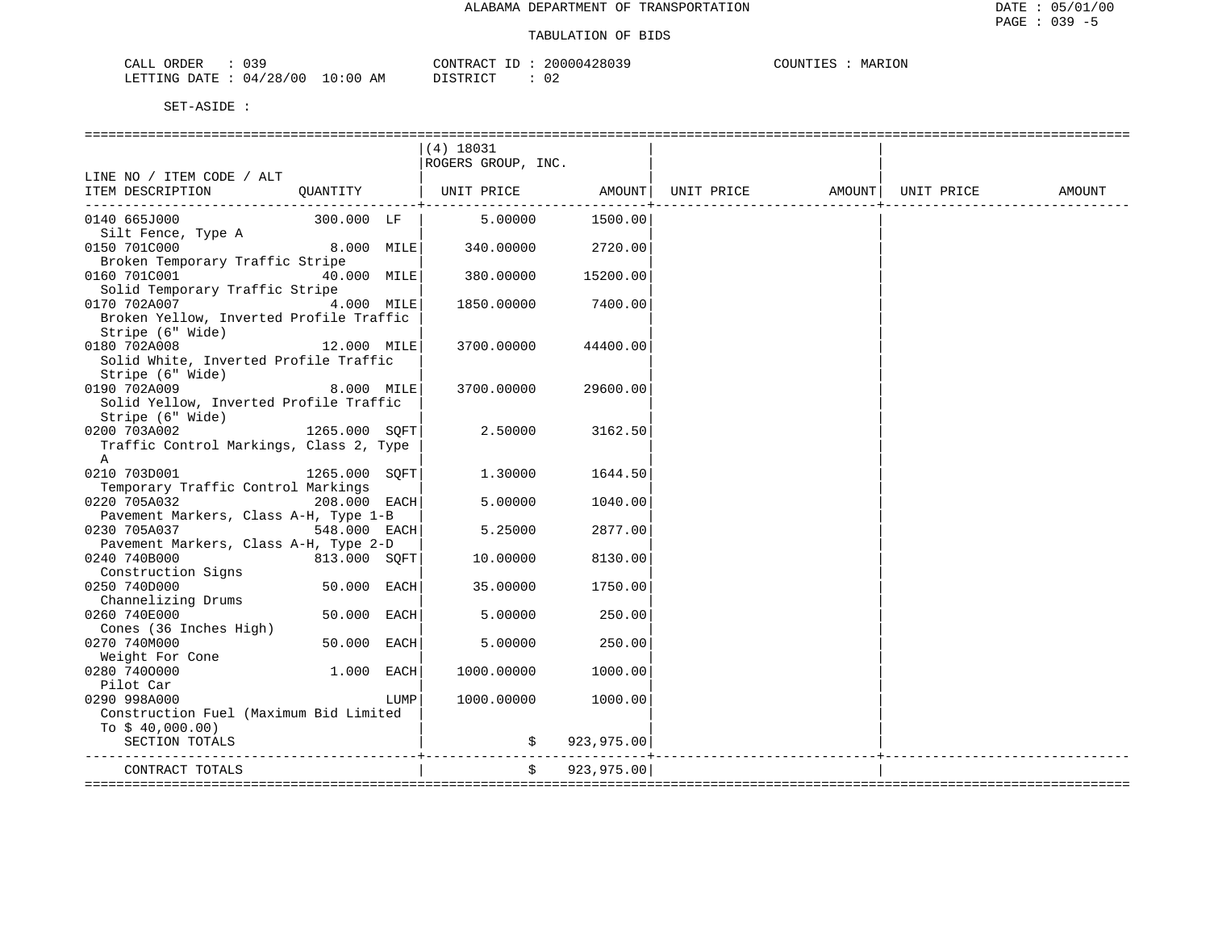| りょす<br>ORDER<br>CALL     |             | CONTRACT<br>TD.   | 20000428039 | COUNTIES<br>MARION |
|--------------------------|-------------|-------------------|-------------|--------------------|
| 04/28/00<br>LETTING DATE | 10:00<br>AΜ | יחי הדים דרי<br>. | ∩′          |                    |

|                                         |               |      | $(4)$ 18031                                                      |               |  |        |
|-----------------------------------------|---------------|------|------------------------------------------------------------------|---------------|--|--------|
|                                         |               |      | ROGERS GROUP, INC.                                               |               |  |        |
| LINE NO / ITEM CODE / ALT               |               |      |                                                                  |               |  |        |
| ITEM DESCRIPTION                        | QUANTITY      |      | UNIT PRICE         AMOUNT  UNIT PRICE         AMOUNT  UNIT PRICE |               |  | AMOUNT |
|                                         |               |      |                                                                  |               |  |        |
| 0140 665J000                            | 300.000 LF    |      | 5.00000                                                          | 1500.00       |  |        |
| Silt Fence, Type A                      |               |      |                                                                  |               |  |        |
| 0150 701C000                            | 8.000 MILE    |      | 340.00000                                                        | 2720.00       |  |        |
| Broken Temporary Traffic Stripe         |               |      |                                                                  |               |  |        |
| 0160 701C001                            | 40.000 MILE   |      | 380.00000                                                        | 15200.00      |  |        |
| Solid Temporary Traffic Stripe          |               |      |                                                                  |               |  |        |
| 0170 702A007                            | 4.000 MILE    |      | 1850.00000                                                       | 7400.00       |  |        |
| Broken Yellow, Inverted Profile Traffic |               |      |                                                                  |               |  |        |
| Stripe (6" Wide)                        |               |      |                                                                  |               |  |        |
| 0180 702A008                            | 12.000 MILE   |      | 3700.00000                                                       | 44400.00      |  |        |
| Solid White, Inverted Profile Traffic   |               |      |                                                                  |               |  |        |
| Stripe (6" Wide)                        |               |      |                                                                  |               |  |        |
| 0190 702A009                            | 8.000 MILE    |      | 3700.00000                                                       | 29600.00      |  |        |
| Solid Yellow, Inverted Profile Traffic  |               |      |                                                                  |               |  |        |
| Stripe (6" Wide)                        |               |      |                                                                  |               |  |        |
| 0200 703A002<br>1265.000 SQFT           |               |      | 2.50000                                                          | 3162.50       |  |        |
| Traffic Control Markings, Class 2, Type |               |      |                                                                  |               |  |        |
| A                                       |               |      |                                                                  |               |  |        |
| 0210 703D001                            | 1265.000 SOFT |      | 1.30000                                                          | 1644.50       |  |        |
| Temporary Traffic Control Markings      |               |      |                                                                  |               |  |        |
| 0220 705A032                            | 208.000 EACH  |      | 5.00000                                                          | 1040.00       |  |        |
| Pavement Markers, Class A-H, Type 1-B   |               |      |                                                                  |               |  |        |
| 0230 705A037                            | 548.000 EACH  |      | 5.25000                                                          | 2877.00       |  |        |
| Pavement Markers, Class A-H, Type 2-D   |               |      |                                                                  |               |  |        |
| 0240 740B000                            | 813.000 SQFT  |      | 10.00000                                                         | 8130.00       |  |        |
| Construction Signs                      |               |      |                                                                  |               |  |        |
| 0250 740D000<br>Channelizing Drums      | 50.000 EACH   |      | 35.00000                                                         | 1750.00       |  |        |
| 0260 740E000                            | 50.000 EACH   |      |                                                                  | 250.00        |  |        |
| Cones (36 Inches High)                  |               |      | 5.00000                                                          |               |  |        |
| 0270 740M000                            | 50.000 EACH   |      | 5.00000                                                          | 250.00        |  |        |
| Weight For Cone                         |               |      |                                                                  |               |  |        |
| 0280 7400000                            | 1.000 EACH    |      | 1000.00000                                                       | 1000.00       |  |        |
| Pilot Car                               |               |      |                                                                  |               |  |        |
| 0290 998A000                            |               | LUMP | 1000.00000                                                       | 1000.00       |  |        |
| Construction Fuel (Maximum Bid Limited  |               |      |                                                                  |               |  |        |
| To $$40,000.00)$                        |               |      |                                                                  |               |  |        |
| SECTION TOTALS                          |               |      |                                                                  | \$923,975.00] |  |        |
|                                         |               |      |                                                                  |               |  |        |
| CONTRACT TOTALS                         |               |      | \$                                                               | 923, 975.00   |  |        |
|                                         |               |      |                                                                  |               |  |        |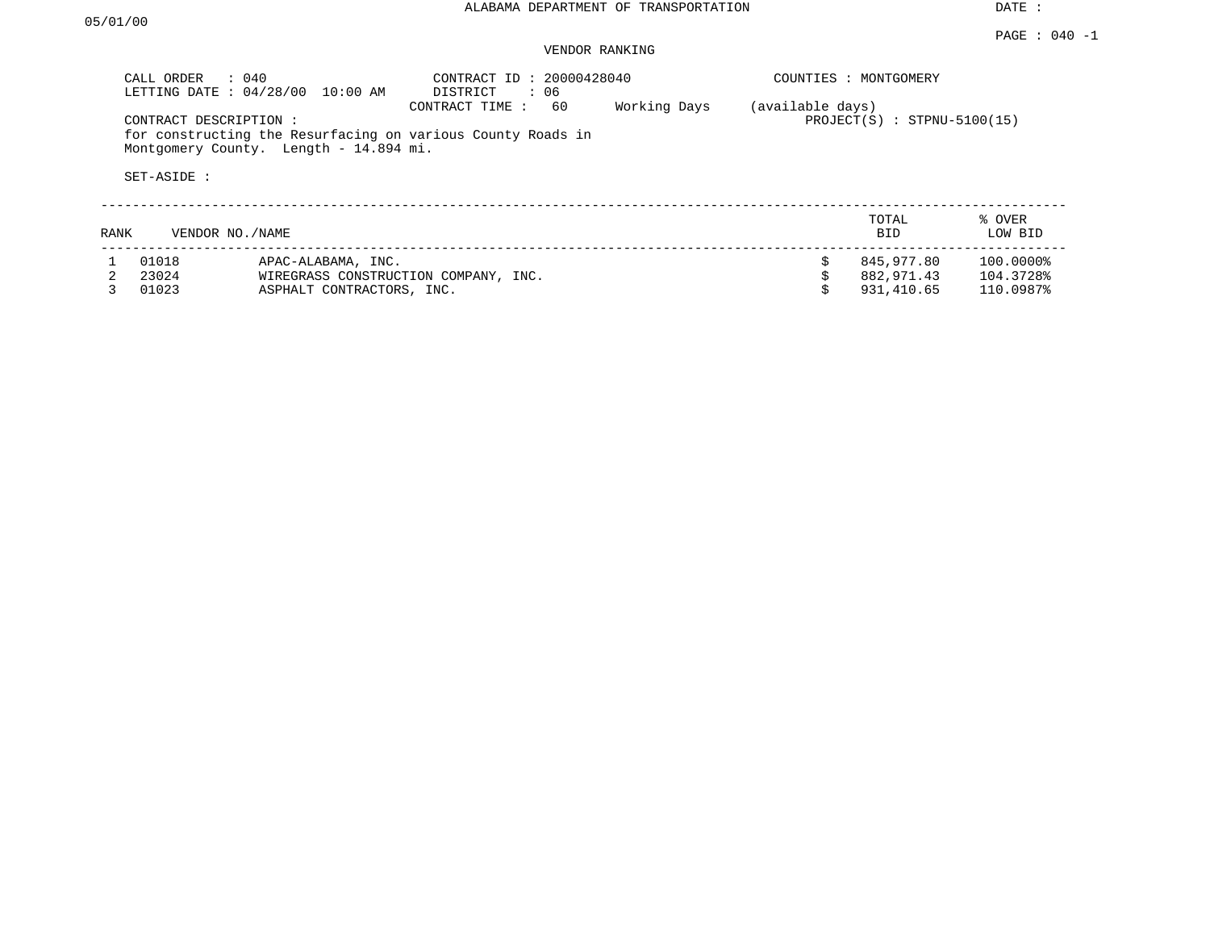## VENDOR RANKING

|      | $\therefore$ 040<br>CALL ORDER<br>LETTING DATE: 04/28/00 | $10:00$ AM                                      | CONTRACT ID: 20000428040<br>DISTRICT<br>: 06                                        |              |                  | COUNTIES : MONTGOMERY                  |                                     |
|------|----------------------------------------------------------|-------------------------------------------------|-------------------------------------------------------------------------------------|--------------|------------------|----------------------------------------|-------------------------------------|
|      | CONTRACT DESCRIPTION:<br>SET-ASIDE :                     | Montgomery County. Length - 14.894 mi.          | 60<br>CONTRACT TIME:<br>for constructing the Resurfacing on various County Roads in | Working Days | (available days) | $PROJECT(S) : STPNU-5100(15)$          |                                     |
| RANK | VENDOR NO. / NAME                                        |                                                 |                                                                                     |              |                  | TOTAL<br><b>BID</b>                    | % OVER<br>LOW BID                   |
|      | 01018<br>23024<br>01023                                  | APAC-ALABAMA, INC.<br>ASPHALT CONTRACTORS, INC. | WIREGRASS CONSTRUCTION COMPANY, INC.                                                |              |                  | 845,977.80<br>882,971.43<br>931,410.65 | 100.0000%<br>104.3728%<br>110.0987% |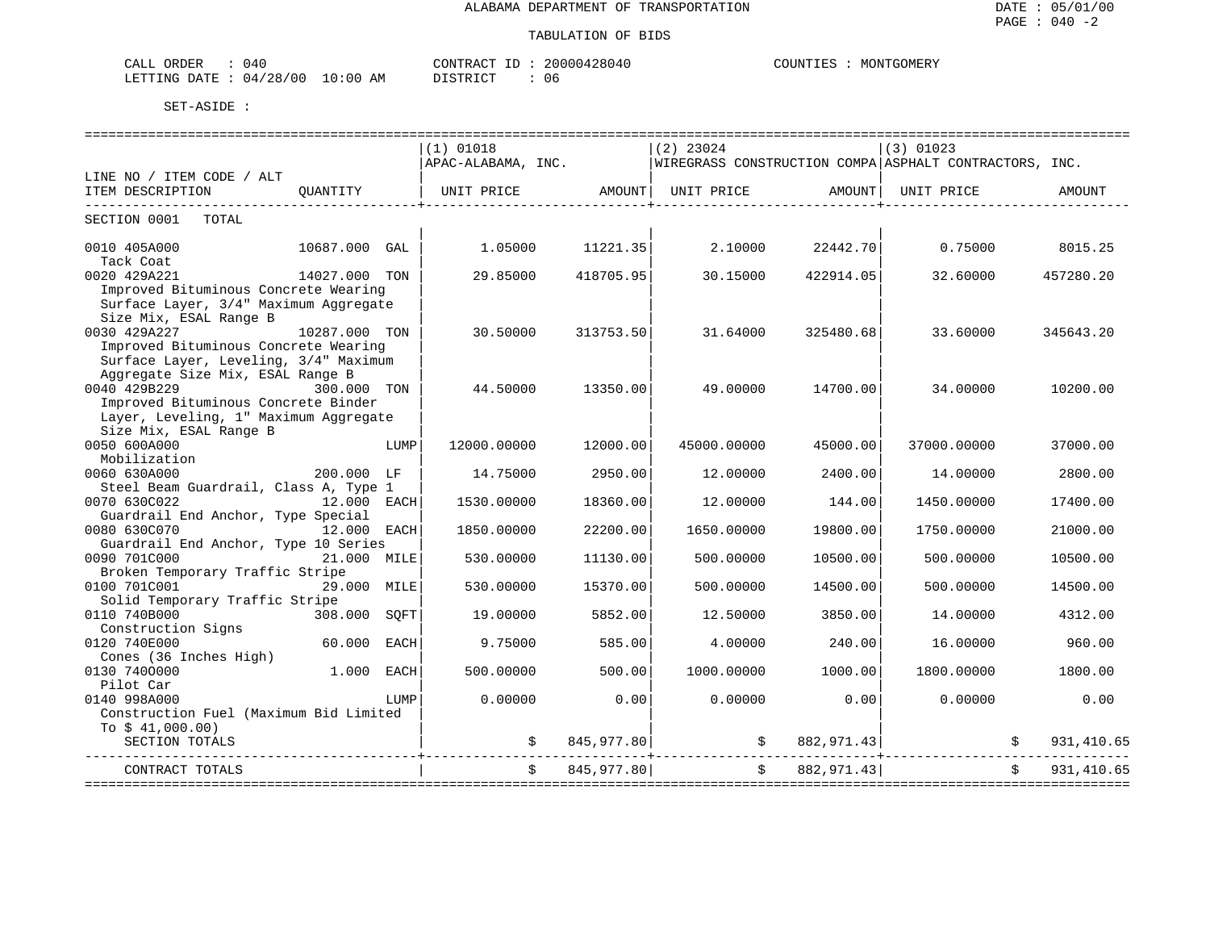| لىلطا<br>או            | 040                       |               | --<br>ידאר .<br>'R 41 | ה כ<br>(14 | MONTGOMERY<br>דתדדר י<br>$M_{\rm tot}$ |
|------------------------|---------------------------|---------------|-----------------------|------------|----------------------------------------|
| <b>ETTIMG</b><br>DATE: | $\cap$<br>04<br>128.<br>◡ | AΜ<br>1 : O O | DICTO ICT             | U6         |                                        |

|                                                                                                         |                                    |      |                                       |            |             |                                    | ==========================                             |              |            |
|---------------------------------------------------------------------------------------------------------|------------------------------------|------|---------------------------------------|------------|-------------|------------------------------------|--------------------------------------------------------|--------------|------------|
|                                                                                                         |                                    |      | $(1)$ 01018                           |            | $(2)$ 23024 |                                    | (3) 01023                                              |              |            |
|                                                                                                         |                                    |      | APAC-ALABAMA, INC.                    |            |             |                                    | WIREGRASS CONSTRUCTION COMPA ASPHALT CONTRACTORS, INC. |              |            |
| LINE NO / ITEM CODE / ALT<br>ITEM DESCRIPTION                                                           | OUANTITY                           |      | UNIT PRICE AMOUNT   UNIT PRICE AMOUNT |            |             |                                    | UNIT PRICE                                             |              | AMOUNT     |
|                                                                                                         |                                    |      |                                       |            |             | _____________________              |                                                        |              |            |
| SECTION 0001<br>TOTAL                                                                                   |                                    |      |                                       |            |             |                                    |                                                        |              |            |
| 0010 405A000<br>Tack Coat                                                                               | 10687.000 GAL                      |      | 1.05000                               | 11221.35   | 2.10000     | 22442.70                           | 0.75000                                                |              | 8015.25    |
| 0020 429A221                                                                                            | 14027.000 TON                      |      | 29.85000                              | 418705.95  | 30.15000    | 422914.05                          | 32.60000                                               |              | 457280.20  |
| Improved Bituminous Concrete Wearing<br>Surface Layer, 3/4" Maximum Aggregate<br>Size Mix, ESAL Range B |                                    |      |                                       |            |             |                                    |                                                        |              |            |
| 0030 429A227                                                                                            | 10287.000 TON                      |      | 30.50000                              | 313753.50  | 31.64000    | 325480.68                          | 33.60000                                               |              | 345643.20  |
| Improved Bituminous Concrete Wearing                                                                    |                                    |      |                                       |            |             |                                    |                                                        |              |            |
| Surface Layer, Leveling, 3/4" Maximum                                                                   |                                    |      |                                       |            |             |                                    |                                                        |              |            |
| Aggregate Size Mix, ESAL Range B                                                                        |                                    |      |                                       |            |             |                                    |                                                        |              |            |
| 0040 429B229                                                                                            | 300.000 TON                        |      | 44.50000                              | 13350.00   | 49.00000    | 14700.00                           | 34.00000                                               |              | 10200.00   |
| Improved Bituminous Concrete Binder                                                                     |                                    |      |                                       |            |             |                                    |                                                        |              |            |
| Layer, Leveling, 1" Maximum Aggregate                                                                   |                                    |      |                                       |            |             |                                    |                                                        |              |            |
| Size Mix, ESAL Range B                                                                                  |                                    |      |                                       |            |             |                                    |                                                        |              |            |
| 0050 600A000                                                                                            |                                    | LUMP | 12000.00000                           | 12000.00   | 45000.00000 | 45000.00                           | 37000.00000                                            |              | 37000.00   |
| Mobilization<br>0060 630A000                                                                            | 200.000 LF                         |      |                                       | 2950.00    | 12.00000    | 2400.00                            |                                                        |              |            |
| Steel Beam Guardrail, Class A, Type 1                                                                   |                                    |      | 14.75000                              |            |             |                                    | 14.00000                                               |              | 2800.00    |
| 0070 630C022                                                                                            | 12.000 EACH                        |      | 1530.00000                            | 18360.00   | 12.00000    | 144.00                             | 1450.00000                                             |              | 17400.00   |
| Guardrail End Anchor, Type Special                                                                      |                                    |      |                                       |            |             |                                    |                                                        |              |            |
| 0080 630C070                                                                                            | 12.000 EACH                        |      | 1850.00000                            | 22200.00   | 1650.00000  | 19800.00                           | 1750.00000                                             |              | 21000.00   |
| Guardrail End Anchor, Type 10 Series                                                                    |                                    |      |                                       |            |             |                                    |                                                        |              |            |
| 0090 701C000                                                                                            | 21.000 MILE                        |      | 530.00000                             | 11130.00   | 500.00000   | 10500.00                           | 500.00000                                              |              | 10500.00   |
| Broken Temporary Traffic Stripe                                                                         |                                    |      |                                       |            |             |                                    |                                                        |              |            |
| 0100 701C001                                                                                            | 29.000 MILE                        |      | 530.00000                             | 15370.00   | 500.00000   | 14500.00                           | 500.00000                                              |              | 14500.00   |
| Solid Temporary Traffic Stripe                                                                          |                                    |      |                                       |            |             |                                    |                                                        |              |            |
| 0110 740B000                                                                                            | 308.000 SOFT                       |      | 19.00000                              | 5852.00    | 12.50000    | 3850.00                            | 14.00000                                               |              | 4312.00    |
| Construction Signs                                                                                      |                                    |      |                                       |            |             |                                    |                                                        |              |            |
| 0120 740E000<br>Cones (36 Inches High)                                                                  | 60.000 EACH                        |      | 9.75000                               | 585.00     | 4.00000     | 240.00                             | 16.00000                                               |              | 960.00     |
| 0130 7400000                                                                                            | 1.000 EACH                         |      | 500.00000                             | 500.00     | 1000.00000  | 1000.00                            | 1800.00000                                             |              | 1800.00    |
| Pilot Car                                                                                               |                                    |      |                                       |            |             |                                    |                                                        |              |            |
| 0140 998A000                                                                                            |                                    | LUMP | 0.00000                               | 0.00       | 0.00000     | 0.00                               | 0.00000                                                |              | 0.00       |
| Construction Fuel (Maximum Bid Limited                                                                  |                                    |      |                                       |            |             |                                    |                                                        |              |            |
| To $$41,000.00)$                                                                                        |                                    |      |                                       |            |             |                                    |                                                        |              |            |
| SECTION TOTALS                                                                                          |                                    |      | \$                                    | 845,977.80 |             | 882, 971.43<br>$\ddot{\mathsf{s}}$ |                                                        |              | 931,410.65 |
| CONTRACT TOTALS                                                                                         | ---------------------------------- |      | $\ddot{s}$                            | 845,977.80 |             | \$882,971.43]                      |                                                        | $\mathsf{S}$ | 931,410.65 |
|                                                                                                         |                                    |      |                                       |            |             |                                    |                                                        |              |            |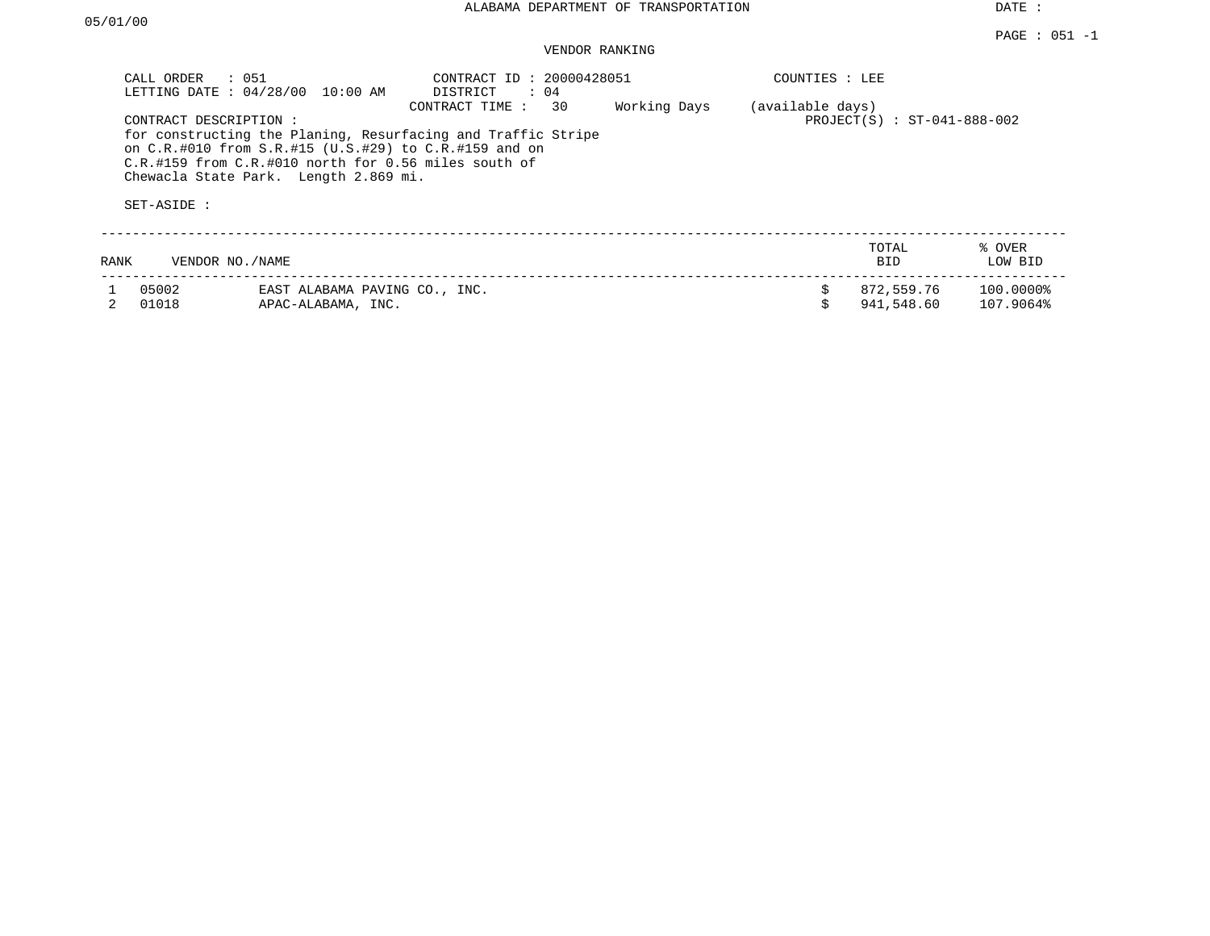#### PAGE : 051 -1 VENDOR RANKING

|      | : 051<br>CALL ORDER<br>LETTING DATE: 04/28/00<br>CONTRACT DESCRIPTION:<br>SET-ASIDE : | 10:00 AM<br>for constructing the Planing, Resurfacing and Traffic Stripe<br>on C.R.#010 from S.R.#15 (U.S.#29) to C.R.#159 and on<br>C.R.#159 from C.R.#010 north for 0.56 miles south of<br>Chewacla State Park. Length 2.869 mi. | CONTRACT ID: 20000428051<br>DISTRICT<br>CONTRACT TIME: | $\colon$ 04<br>30 | Working Days | (available days) | COUNTIES : LEE | $PROJECT(S) : ST-041-888-002$ |                        |
|------|---------------------------------------------------------------------------------------|------------------------------------------------------------------------------------------------------------------------------------------------------------------------------------------------------------------------------------|--------------------------------------------------------|-------------------|--------------|------------------|----------------|-------------------------------|------------------------|
| RANK | VENDOR NO./NAME                                                                       |                                                                                                                                                                                                                                    |                                                        |                   |              |                  |                | TOTAL<br><b>BID</b>           | % OVER<br>LOW BID      |
|      | 05002<br>01018                                                                        | EAST ALABAMA PAVING CO., INC.<br>APAC-ALABAMA, INC.                                                                                                                                                                                |                                                        |                   |              |                  |                | 872,559.76<br>941,548.60      | 100.0000%<br>107.9064% |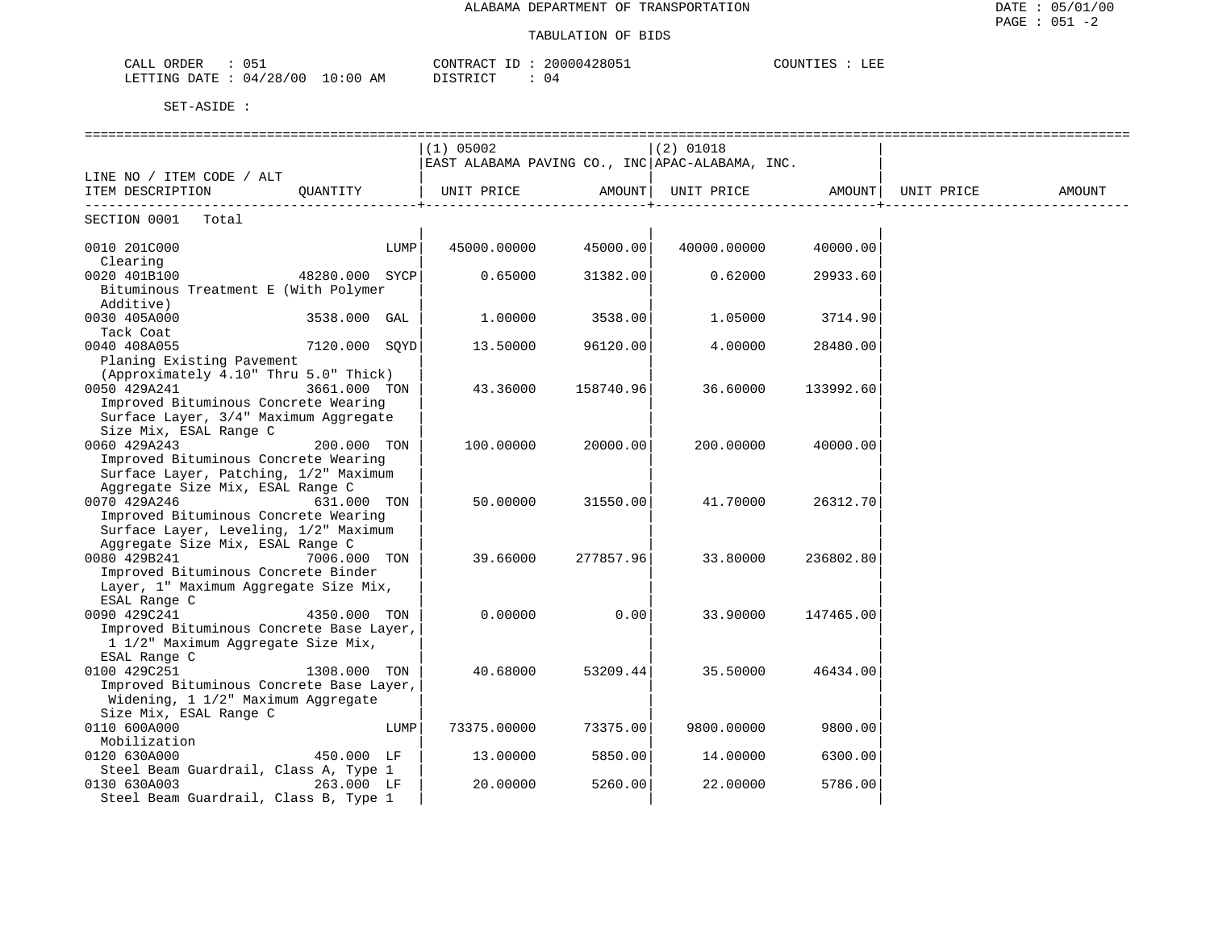| $\bigcap$ $\bigcap$ $\bigcap$<br>ORDER<br>ىلىلەپ                                       | 20000<br>42805<br>$\cap$ סידות<br>.<br>≀ בי ק<br>: 1U4<br>. | ਾਰਾ<br><b>COUNT</b><br>ᅭᇗ |
|----------------------------------------------------------------------------------------|-------------------------------------------------------------|---------------------------|
| LETTING<br>00 /<br>$\sim$ $\sim$<br>ΛM<br>DATE<br>10:00<br>(14.<br>אי<br>AP.<br>$\sim$ | $\sim$<br>04<br>. .<br>1.111111                             |                           |

|                                                   |               |      | $(1)$ 05002                                     |           | $(2)$ 01018       |           |            |        |
|---------------------------------------------------|---------------|------|-------------------------------------------------|-----------|-------------------|-----------|------------|--------|
|                                                   |               |      | EAST ALABAMA PAVING CO., INC APAC-ALABAMA, INC. |           |                   |           |            |        |
| LINE NO / ITEM CODE / ALT                         |               |      |                                                 |           |                   |           |            |        |
| ITEM DESCRIPTION                                  |               |      |                                                 |           | UNIT PRICE AMOUNT |           | UNIT PRICE | AMOUNT |
| SECTION 0001 Total                                |               |      |                                                 |           |                   |           |            |        |
| 0010 201C000                                      |               | LUMP | 45000.00000                                     | 45000.00  | 40000.00000       | 40000.00  |            |        |
| Clearing                                          |               |      |                                                 |           |                   |           |            |        |
| 0020 401B100<br>48280.000 SYCP                    |               |      | 0.65000                                         | 31382.00  | 0.62000           | 29933.60  |            |        |
| Bituminous Treatment E (With Polymer<br>Additive) |               |      |                                                 |           |                   |           |            |        |
| 0030 405A000                                      | 3538.000 GAL  |      | 1,00000                                         | 3538.00   | 1,05000           | 3714.90   |            |        |
| Tack Coat                                         |               |      |                                                 |           |                   |           |            |        |
| 0040 408A055                                      | 7120.000 SQYD |      | 13.50000                                        | 96120.00  | 4.00000           | 28480.00  |            |        |
| Planing Existing Pavement                         |               |      |                                                 |           |                   |           |            |        |
| (Approximately 4.10" Thru 5.0" Thick)             |               |      |                                                 |           |                   |           |            |        |
| 0050 429A241                                      | 3661.000 TON  |      | 43.36000                                        | 158740.96 | 36.60000          | 133992.60 |            |        |
| Improved Bituminous Concrete Wearing              |               |      |                                                 |           |                   |           |            |        |
| Surface Layer, 3/4" Maximum Aggregate             |               |      |                                                 |           |                   |           |            |        |
| Size Mix, ESAL Range C                            |               |      |                                                 |           |                   |           |            |        |
| 0060 429A243                                      | 200.000 TON   |      | 100.00000                                       | 20000.00  | 200.00000         | 40000.00  |            |        |
| Improved Bituminous Concrete Wearing              |               |      |                                                 |           |                   |           |            |        |
| Surface Layer, Patching, 1/2" Maximum             |               |      |                                                 |           |                   |           |            |        |
| Aggregate Size Mix, ESAL Range C                  |               |      |                                                 |           |                   |           |            |        |
| 0070 429A246                                      | 631.000 TON   |      | 50.00000                                        | 31550.00  | 41.70000          | 26312.70  |            |        |
| Improved Bituminous Concrete Wearing              |               |      |                                                 |           |                   |           |            |        |
| Surface Layer, Leveling, 1/2" Maximum             |               |      |                                                 |           |                   |           |            |        |
| Aggregate Size Mix, ESAL Range C                  |               |      |                                                 |           |                   |           |            |        |
| 0080 429B241                                      | 7006.000 TON  |      | 39.66000                                        | 277857.96 | 33.80000          | 236802.80 |            |        |
| Improved Bituminous Concrete Binder               |               |      |                                                 |           |                   |           |            |        |
| Layer, 1" Maximum Aggregate Size Mix,             |               |      |                                                 |           |                   |           |            |        |
| ESAL Range C                                      |               |      |                                                 |           |                   |           |            |        |
| 0090 429C241                                      | 4350.000 TON  |      | 0.00000                                         | 0.00      | 33.90000          | 147465.00 |            |        |
| Improved Bituminous Concrete Base Layer,          |               |      |                                                 |           |                   |           |            |        |
| 1 1/2" Maximum Aggregate Size Mix,                |               |      |                                                 |           |                   |           |            |        |
| ESAL Range C                                      |               |      |                                                 |           |                   |           |            |        |
| 0100 429C251                                      | 1308.000 TON  |      | 40.68000                                        | 53209.44  | 35.50000          | 46434.00  |            |        |
| Improved Bituminous Concrete Base Layer,          |               |      |                                                 |           |                   |           |            |        |
| Widening, 1 1/2" Maximum Aggregate                |               |      |                                                 |           |                   |           |            |        |
| Size Mix, ESAL Range C                            |               |      |                                                 |           |                   |           |            |        |
| 0110 600A000                                      |               | LUMP | 73375.00000                                     | 73375.00  | 9800.00000        | 9800.00   |            |        |
| Mobilization                                      |               |      |                                                 |           |                   |           |            |        |
| 0120 630A000                                      | 450.000 LF    |      | 13.00000                                        | 5850.00   | 14.00000          | 6300.00   |            |        |
| Steel Beam Guardrail, Class A, Type 1             |               |      |                                                 |           |                   |           |            |        |
| 0130 630A003                                      | 263.000 LF    |      | 20.00000                                        | 5260.00   | 22.00000          | 5786.00   |            |        |
| Steel Beam Guardrail, Class B, Type 1             |               |      |                                                 |           |                   |           |            |        |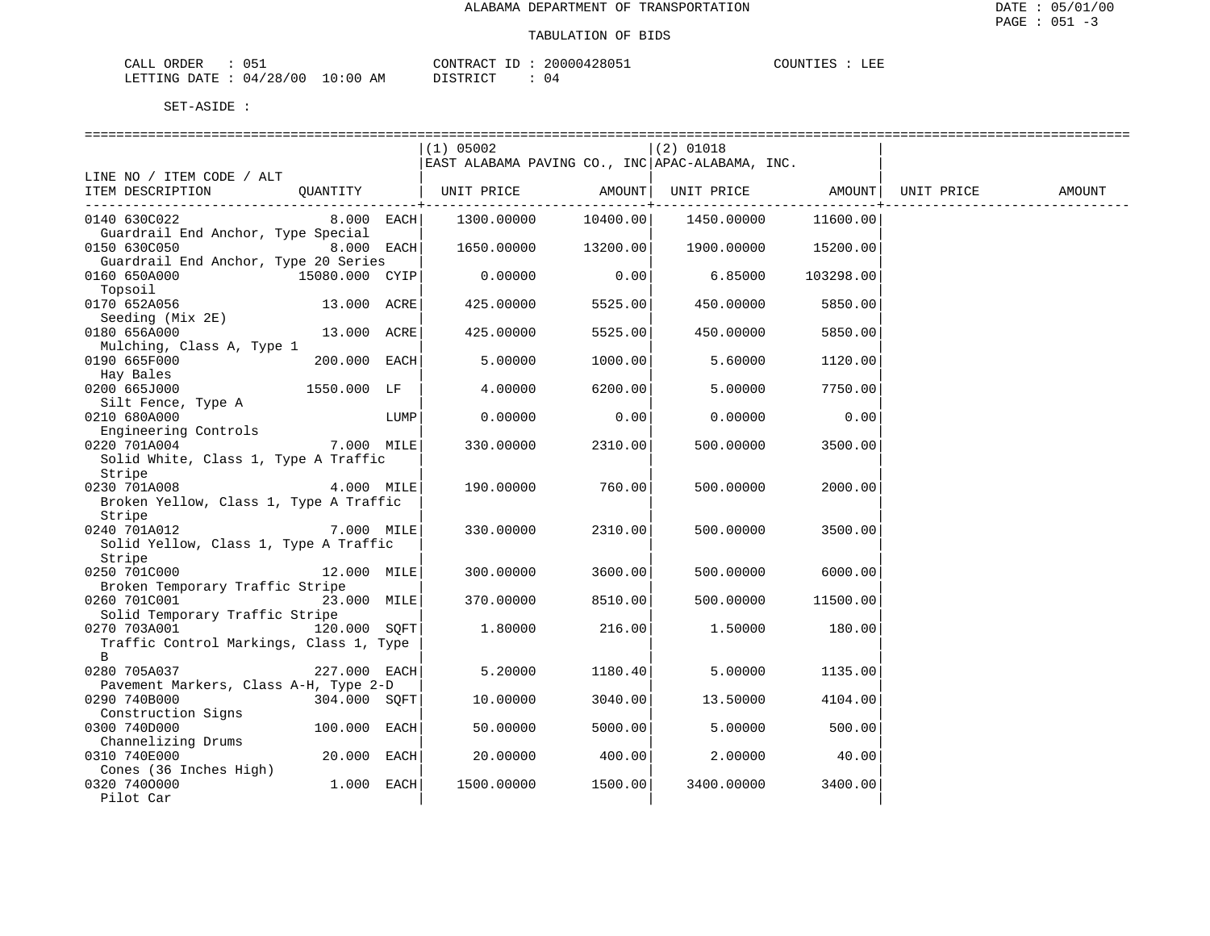| CALL ORDER                      | CONTRACT ID: 20000428051 | LEE<br>COUNTIES |
|---------------------------------|--------------------------|-----------------|
| LETTING DATE: 04/28/00 10:00 AM | DISTRICT                 |                 |

|                                         |                |      | $(1)$ 05002                                                 |          | (2) 01018  |           |        |
|-----------------------------------------|----------------|------|-------------------------------------------------------------|----------|------------|-----------|--------|
|                                         |                |      | EAST ALABAMA PAVING CO., INC APAC-ALABAMA, INC.             |          |            |           |        |
| LINE NO / ITEM CODE / ALT               |                |      |                                                             |          |            |           |        |
| ITEM DESCRIPTION                        |                |      | QUANTITY   UNIT PRICE AMOUNT  UNIT PRICE AMOUNT  UNIT PRICE |          |            |           | AMOUNT |
|                                         |                |      |                                                             |          |            |           |        |
| 0140 630C022                            | $8.000$ EACH   |      | 1300.00000                                                  | 10400.00 | 1450.00000 | 11600.00  |        |
| Guardrail End Anchor, Type Special      |                |      |                                                             |          |            |           |        |
| 0150 630C050                            | $8.000$ EACH   |      | 1650.00000                                                  | 13200.00 | 1900.00000 | 15200.00  |        |
| Guardrail End Anchor, Type 20 Series    |                |      |                                                             |          |            |           |        |
| 0160 650A000                            | 15080.000 CYIP |      | 0.00000                                                     | 0.00     | 6.85000    | 103298.00 |        |
| Topsoil                                 |                |      |                                                             |          |            |           |        |
| 0170 652A056                            | 13.000 ACRE    |      | 425.00000                                                   | 5525.00  | 450.00000  | 5850.00   |        |
| Seeding (Mix 2E)                        |                |      |                                                             |          |            |           |        |
| 0180 656A000                            | 13.000 ACRE    |      | 425.00000                                                   | 5525.00  | 450.00000  | 5850.00   |        |
| Mulching, Class A, Type 1               |                |      |                                                             |          |            |           |        |
| 0190 665F000                            | 200.000 EACH   |      | 5.00000                                                     | 1000.00  | 5.60000    | 1120.00   |        |
| Hay Bales                               |                |      |                                                             |          |            |           |        |
| 0200 665J000                            | 1550.000 LF    |      | 4.00000                                                     | 6200.00  | 5.00000    | 7750.00   |        |
| Silt Fence, Type A                      |                |      |                                                             |          |            |           |        |
| 0210 680A000                            |                | LUMP | 0.00000                                                     | 0.00     | 0.00000    | 0.00      |        |
| Engineering Controls                    |                |      |                                                             |          |            |           |        |
| 0220 701A004                            | 7.000 MILE     |      | 330.00000                                                   | 2310.00  | 500.00000  | 3500.00   |        |
| Solid White, Class 1, Type A Traffic    |                |      |                                                             |          |            |           |        |
| Stripe                                  |                |      |                                                             |          |            |           |        |
| 0230 701A008                            | 4.000 MILE     |      | 190.00000                                                   | 760.00   | 500.00000  | 2000.00   |        |
| Broken Yellow, Class 1, Type A Traffic  |                |      |                                                             |          |            |           |        |
| Stripe                                  |                |      |                                                             |          |            |           |        |
| 0240 701A012 7.000 MILE                 |                |      | 330.00000                                                   | 2310.00  | 500.00000  | 3500.00   |        |
| Solid Yellow, Class 1, Type A Traffic   |                |      |                                                             |          |            |           |        |
| Stripe<br>0250 701C000                  | 12.000 MILE    |      |                                                             |          |            |           |        |
| Broken Temporary Traffic Stripe         |                |      | 300.00000                                                   | 3600.00  | 500.00000  | 6000.00   |        |
| 0260 701C001                            | 23.000 MILE    |      | 370.00000                                                   | 8510.00  | 500.00000  | 11500.00  |        |
| Solid Temporary Traffic Stripe          |                |      |                                                             |          |            |           |        |
| 0270 703A001                            | 120.000 SOFT   |      | 1,80000                                                     | 216.00   | 1,50000    | 180.00    |        |
| Traffic Control Markings, Class 1, Type |                |      |                                                             |          |            |           |        |
| B                                       |                |      |                                                             |          |            |           |        |
| 0280 705A037                            | 227.000 EACH   |      | 5.20000                                                     | 1180.40  | 5.00000    | 1135.00   |        |
| Pavement Markers, Class A-H, Type 2-D   |                |      |                                                             |          |            |           |        |
| 0290 740B000                            | 304.000 SOFT   |      | 10,00000                                                    | 3040.00  | 13.50000   | 4104.00   |        |
| Construction Signs                      |                |      |                                                             |          |            |           |        |
| 0300 740D000                            | 100.000 EACH   |      | 50.00000                                                    | 5000.00  | 5.00000    | 500.00    |        |
| Channelizing Drums                      |                |      |                                                             |          |            |           |        |
| 0310 740E000                            | 20.000 EACH    |      | 20.00000                                                    | 400.00   | 2,00000    | 40.00     |        |
| Cones (36 Inches High)                  |                |      |                                                             |          |            |           |        |
| 0320 7400000                            | 1.000 EACH     |      | 1500.00000                                                  | 1500.00  | 3400.00000 | 3400.00   |        |
| Pilot Car                               |                |      |                                                             |          |            |           |        |
|                                         |                |      |                                                             |          |            |           |        |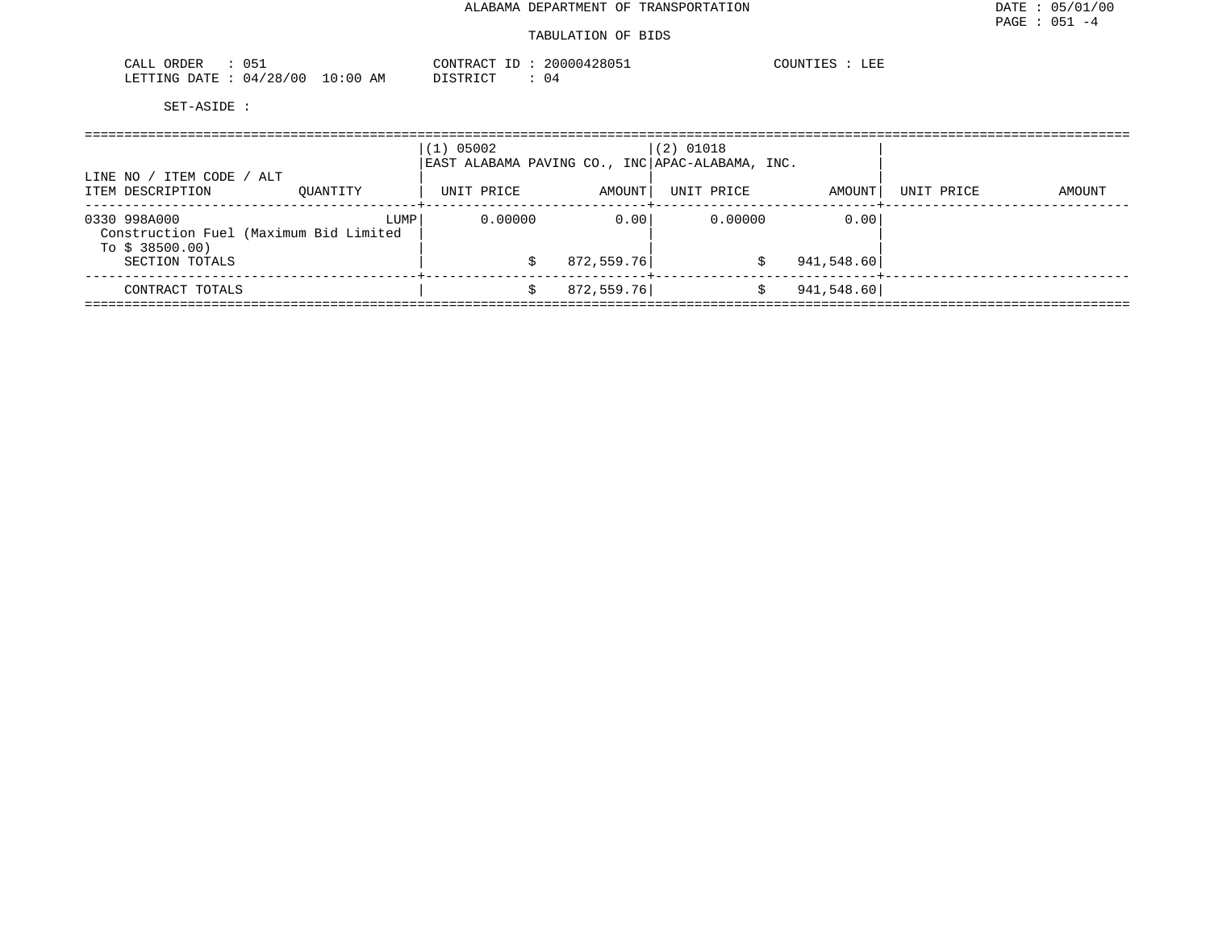| CALL ORDER                       |  |          | CONTRACT ID: 20000428051 | COUNTIES :<br>LEE |
|----------------------------------|--|----------|--------------------------|-------------------|
| LETTING DATE : 04/28/00 10:00 AM |  | DISTRICT | 04                       |                   |

|                                                                           | $(1)$ 05002 |                                                               | $(2)$ 01018 |            |            |            |        |
|---------------------------------------------------------------------------|-------------|---------------------------------------------------------------|-------------|------------|------------|------------|--------|
| ITEM CODE / ALT<br>LINE NO<br>ITEM DESCRIPTION                            | OUANTITY    | EAST ALABAMA PAVING CO., INC APAC-ALABAMA, INC.<br>UNIT PRICE | AMOUNT      | UNIT PRICE | AMOUNT     | UNIT PRICE | AMOUNT |
| 0330 998A000<br>Construction Fuel (Maximum Bid Limited<br>To $$38500.00)$ | LUMP        | 0.00000                                                       | 0.001       | 0.00000    | 0.00       |            |        |
| SECTION TOTALS                                                            |             |                                                               | 872,559.76  | S          | 941,548.60 |            |        |
| CONTRACT TOTALS                                                           |             |                                                               | 872,559.76  | S          | 941,548.60 |            |        |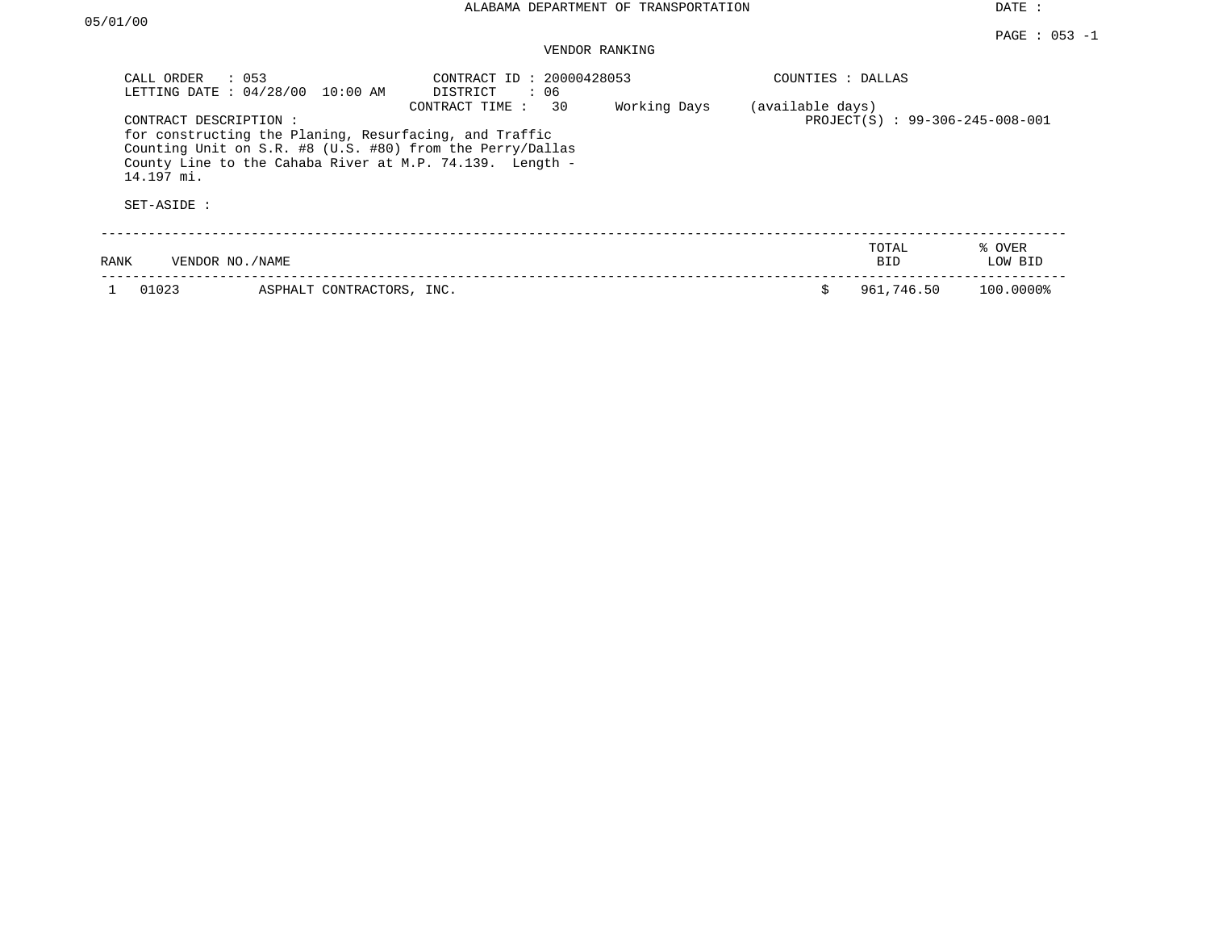## VENDOR RANKING

| CALL ORDER<br>LETTING DATE: 04/28/00               | $\therefore$ 053<br>10:00 AM                           | CONTRACT ID: 20000428053<br>: 06<br>DISTRICT                                                                                                     |              | COUNTIES : DALLAS |                                 |                   |
|----------------------------------------------------|--------------------------------------------------------|--------------------------------------------------------------------------------------------------------------------------------------------------|--------------|-------------------|---------------------------------|-------------------|
| CONTRACT DESCRIPTION:<br>14.197 mi.<br>SET-ASIDE : | for constructing the Planing, Resurfacing, and Traffic | 30<br>CONTRACT TIME:<br>Counting Unit on S.R. #8 (U.S. #80) from the Perry/Dallas<br>County Line to the Cahaba River at M.P. $74.139$ . Length - | Working Days | (available days)  | PROJECT(S) : 99-306-245-008-001 |                   |
| VENDOR NO./NAME<br>RANK                            |                                                        |                                                                                                                                                  |              |                   | TOTAL<br>BID                    | % OVER<br>LOW BID |
| 01023                                              | ASPHALT CONTRACTORS, INC.                              |                                                                                                                                                  |              |                   | 961,746.50                      | 100.0000%         |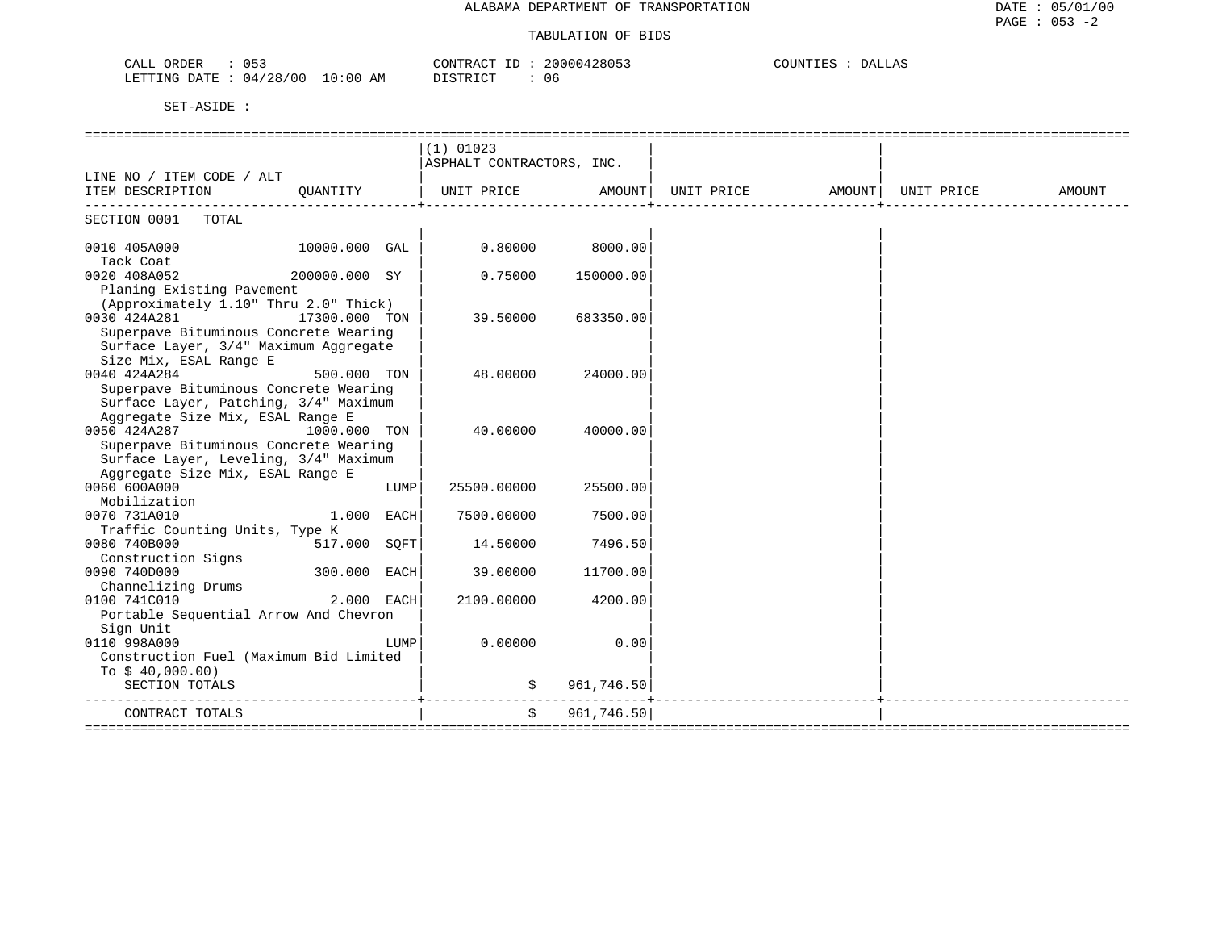| 05.<br>CALL<br>ORDER                                            | AONTRACT<br>00004 | COUNT<br>DAI<br>GLAZ |
|-----------------------------------------------------------------|-------------------|----------------------|
| 128/00<br>ETTING<br><b>DATE</b><br>0:00<br>$\mathbf{114}$<br>Aľ | יר אירא דרי<br>06 |                      |

|                                                        |               |      | $(1)$ 01023               |                   |                                                                  |  |        |
|--------------------------------------------------------|---------------|------|---------------------------|-------------------|------------------------------------------------------------------|--|--------|
|                                                        |               |      | ASPHALT CONTRACTORS, INC. |                   |                                                                  |  |        |
| LINE NO / ITEM CODE / ALT                              |               |      |                           |                   |                                                                  |  |        |
| ITEM DESCRIPTION QUANTITY                              |               |      |                           |                   | UNIT PRICE         AMOUNT  UNIT PRICE         AMOUNT  UNIT PRICE |  | AMOUNT |
| --------------------------------<br>SECTION 0001 TOTAL |               |      |                           |                   |                                                                  |  |        |
|                                                        |               |      |                           |                   |                                                                  |  |        |
| 0010 405A000<br>Tack Coat                              | 10000.000 GAL |      |                           | $0.80000$ 8000.00 |                                                                  |  |        |
| 0020 408A052                                           | 200000.000 SY |      | 0.75000                   | 150000.00         |                                                                  |  |        |
| Planing Existing Pavement                              |               |      |                           |                   |                                                                  |  |        |
| (Approximately 1.10" Thru 2.0" Thick)                  |               |      |                           |                   |                                                                  |  |        |
| 0030 424A281                                           | 17300.000 TON |      | 39.50000                  | 683350.00         |                                                                  |  |        |
| Superpave Bituminous Concrete Wearing                  |               |      |                           |                   |                                                                  |  |        |
| Surface Layer, 3/4" Maximum Aggregate                  |               |      |                           |                   |                                                                  |  |        |
| Size Mix, ESAL Range E                                 |               |      |                           |                   |                                                                  |  |        |
| 0040 424A284                                           | 500.000 TON   |      | 48.00000                  | 24000.00          |                                                                  |  |        |
| Superpave Bituminous Concrete Wearing                  |               |      |                           |                   |                                                                  |  |        |
| Surface Layer, Patching, 3/4" Maximum                  |               |      |                           |                   |                                                                  |  |        |
| Aggregate Size Mix, ESAL Range E                       |               |      |                           |                   |                                                                  |  |        |
| 0050 424A287                                           | 1000.000 TON  |      | 40.00000                  | 40000.00          |                                                                  |  |        |
| Superpave Bituminous Concrete Wearing                  |               |      |                           |                   |                                                                  |  |        |
| Surface Layer, Leveling, 3/4" Maximum                  |               |      |                           |                   |                                                                  |  |        |
| Aggregate Size Mix, ESAL Range E                       |               |      |                           |                   |                                                                  |  |        |
| 0060 600A000                                           |               | LUMP | 25500.00000               | 25500.00          |                                                                  |  |        |
| Mobilization                                           |               |      |                           |                   |                                                                  |  |        |
| 0070 731A010                                           | 1.000 EACH    |      | 7500.00000                | 7500.00           |                                                                  |  |        |
| Traffic Counting Units, Type K                         |               |      |                           |                   |                                                                  |  |        |
| 0080 740B000                                           | 517.000 SOFT  |      | 14.50000                  | 7496.50           |                                                                  |  |        |
| Construction Signs                                     |               |      |                           |                   |                                                                  |  |        |
| 0090 740D000                                           | 300.000 EACH  |      | 39.00000                  | 11700.00          |                                                                  |  |        |
| Channelizing Drums                                     |               |      |                           |                   |                                                                  |  |        |
| 0100 741C010                                           | 2.000 EACH    |      | 2100.00000                | 4200.00           |                                                                  |  |        |
| Portable Sequential Arrow And Chevron                  |               |      |                           |                   |                                                                  |  |        |
| Sign Unit                                              |               |      |                           |                   |                                                                  |  |        |
| 0110 998A000<br>Construction Fuel (Maximum Bid Limited |               | LUMP | 0.00000                   | 0.00              |                                                                  |  |        |
|                                                        |               |      |                           |                   |                                                                  |  |        |
| To $$40,000.00)$                                       |               |      |                           |                   |                                                                  |  |        |
| SECTION TOTALS                                         |               |      | \$                        | 961,746.50        |                                                                  |  |        |
| CONTRACT TOTALS                                        |               |      | $\ddot{s}$                | 961,746.50        |                                                                  |  |        |
|                                                        |               |      |                           |                   |                                                                  |  |        |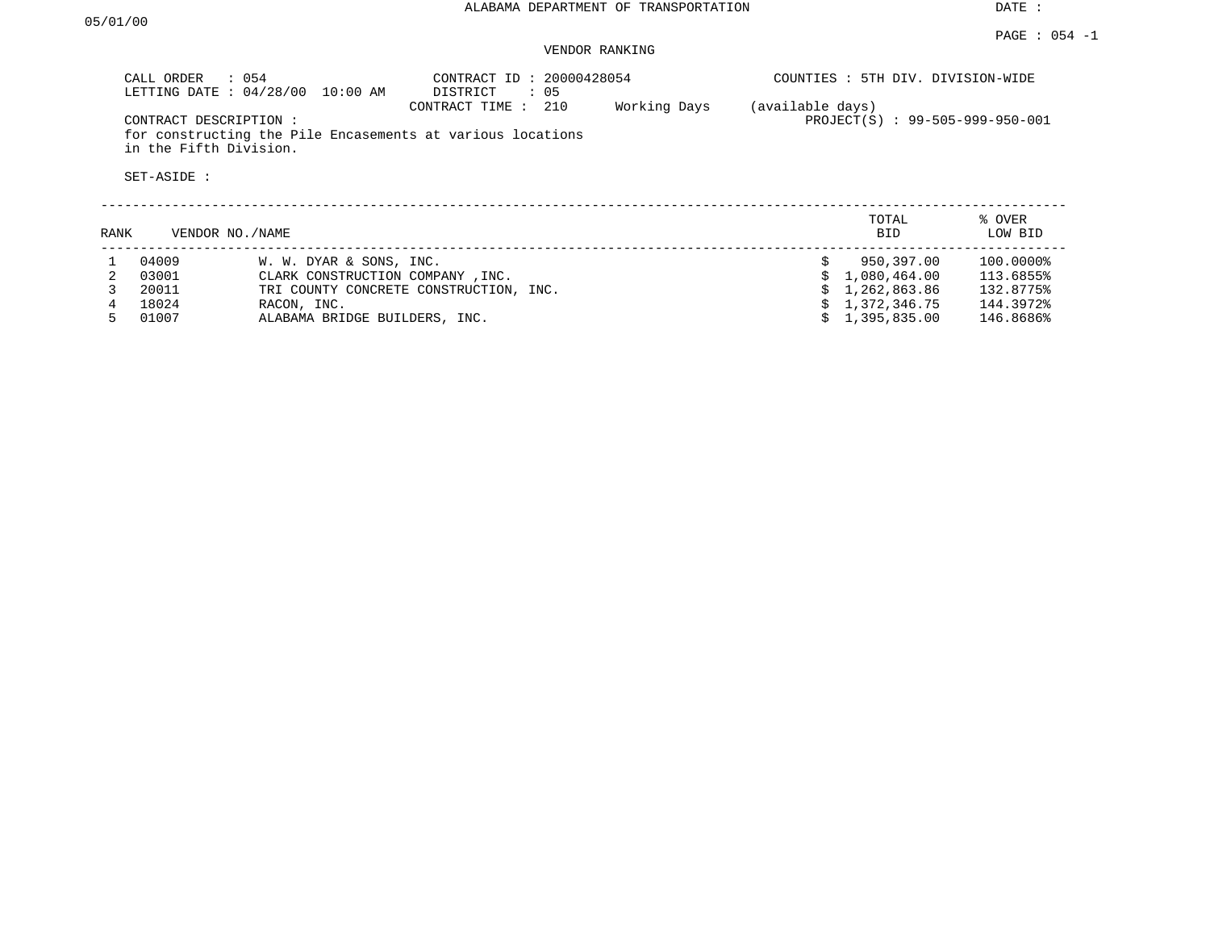### VENDOR RANKING

|      | CALL ORDER<br>$\therefore$ 0.54<br>LETTING DATE: 04/28/00<br>CONTRACT DESCRIPTION:<br>in the Fifth Division. | $10:00$ AM                       | CONTRACT ID: 20000428054<br>DISTRICT<br>: 05<br>210<br>CONTRACT TIME:<br>for constructing the Pile Encasements at various locations | Working Days | (available days) | COUNTIES : 5TH DIV. DIVISION-WIDE<br>PROJECT(S) : 99-505-999-950-001 |                   |
|------|--------------------------------------------------------------------------------------------------------------|----------------------------------|-------------------------------------------------------------------------------------------------------------------------------------|--------------|------------------|----------------------------------------------------------------------|-------------------|
|      | SET-ASIDE :                                                                                                  |                                  |                                                                                                                                     |              |                  |                                                                      |                   |
| RANK | VENDOR NO./NAME                                                                                              |                                  |                                                                                                                                     |              |                  | TOTAL<br>BID.                                                        | % OVER<br>LOW BID |
|      | 04009                                                                                                        | W. W. DYAR & SONS, INC.          |                                                                                                                                     |              | Ŝ.               | 950,397.00                                                           | 100.0000%         |
|      | 03001                                                                                                        | CLARK CONSTRUCTION COMPANY, INC. |                                                                                                                                     |              |                  | 1,080,464.00                                                         | 113.6855%         |
|      | 20011                                                                                                        |                                  | TRI COUNTY CONCRETE CONSTRUCTION, INC.                                                                                              |              |                  | 1,262,863.86                                                         | 132.8775%         |
|      | 18024                                                                                                        | RACON, INC.                      |                                                                                                                                     |              |                  | 1,372,346.75                                                         | 144.3972%         |
| 5    | 01007                                                                                                        | ALABAMA BRIDGE BUILDERS, INC.    |                                                                                                                                     |              |                  | 1,395,835.00                                                         | 146.8686%         |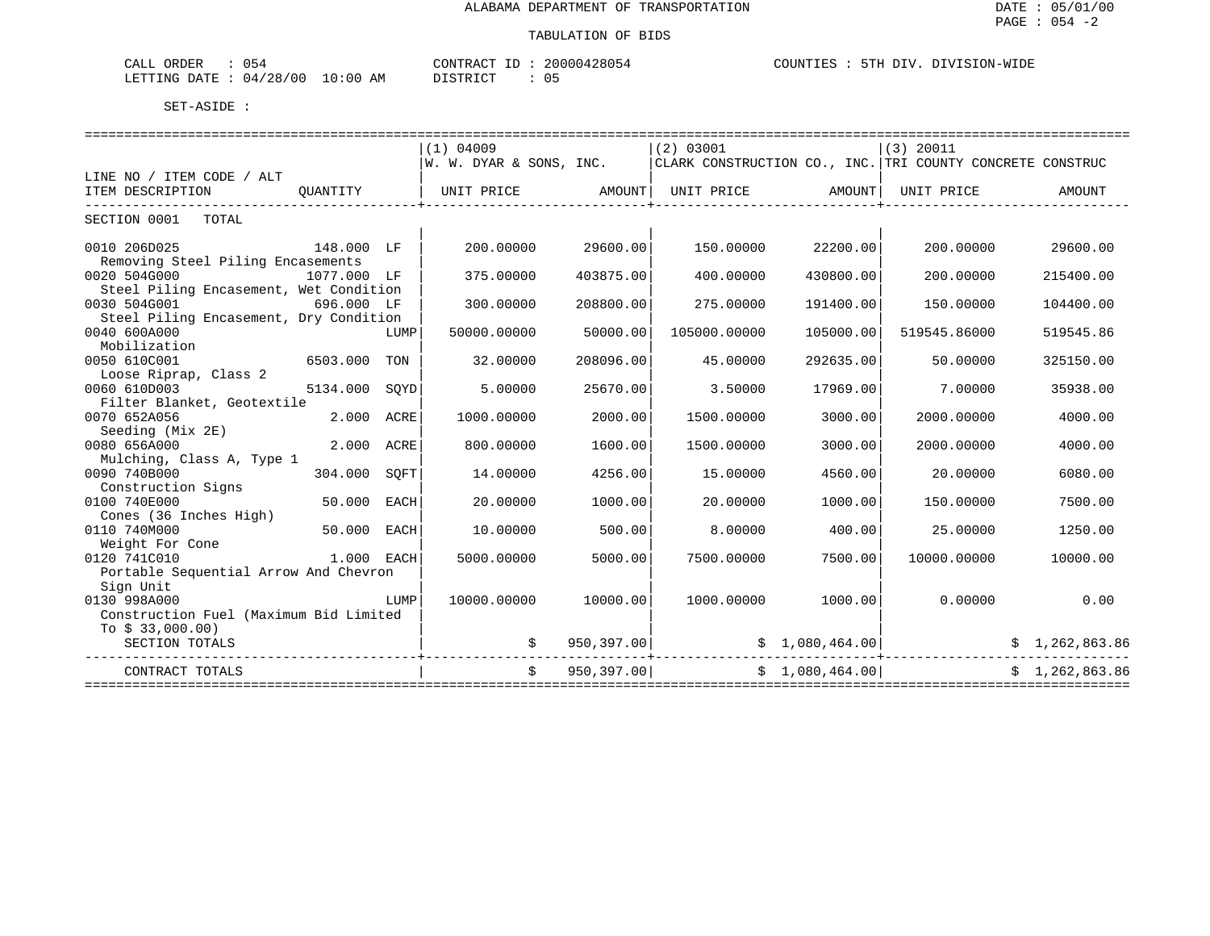| חהתי<br>$h - 4$<br>$\cdot$ 1 $\cdot$ $\cdot$<br>ັັ<br>--- |                     | יד הרא<br>$R^{\text{A}}$ | , nn n<br>$\overline{a}$<br>. | COUN | ON- |
|-----------------------------------------------------------|---------------------|--------------------------|-------------------------------|------|-----|
| ' O C<br>100<br>LETTING<br><b>DATF</b><br>14.<br>z o      | ⊢: ∩ ∩<br>. .<br>Aľ | $T^{\prime}$<br>$  -$    |                               |      |     |

|                                        |               |      | $(1)$ 04009                                                                           |             | $(2)$ 03001  |                    | $(3)$ 20011     |                |
|----------------------------------------|---------------|------|---------------------------------------------------------------------------------------|-------------|--------------|--------------------|-----------------|----------------|
|                                        |               |      | W. W. DYAR & SONS, INC. $ $ CLARK CONSTRUCTION CO., INC. TRI COUNTY CONCRETE CONSTRUC |             |              |                    |                 |                |
| LINE NO / ITEM CODE / ALT              |               |      |                                                                                       |             |              |                    |                 |                |
| ITEM DESCRIPTION                       | OUANTITY      |      | UNIT PRICE AMOUNT   UNIT PRICE AMOUNT   UNIT PRICE                                    |             |              |                    |                 | AMOUNT         |
| SECTION 0001 TOTAL                     |               |      |                                                                                       |             |              |                    |                 |                |
|                                        |               |      |                                                                                       |             |              |                    |                 |                |
| 0010 206D025<br>148.000 LF             |               |      | 200.00000                                                                             | 29600.00    | 150.00000    | 22200.00           | 200.00000       | 29600.00       |
| Removing Steel Piling Encasements      |               |      |                                                                                       |             |              |                    |                 |                |
| 0020 504G000                           | 1077.000 LF   |      | 375.00000                                                                             | 403875.00   | 400.00000    | 430800.00          | 200,00000       | 215400.00      |
| Steel Piling Encasement, Wet Condition |               |      |                                                                                       |             |              |                    |                 |                |
| 0030 504G001                           | 696.000 LF    |      | 300,00000                                                                             | 208800.00   | 275.00000    | 191400.00          | 150.00000       | 104400.00      |
| Steel Piling Encasement, Dry Condition |               |      |                                                                                       |             |              |                    |                 |                |
| 0040 600A000                           |               | LUMP | 50000.00000                                                                           | 50000.00    | 105000.00000 | 105000.00          | 519545.86000    | 519545.86      |
| Mobilization                           |               |      |                                                                                       |             |              |                    |                 |                |
| 0050 610C001                           | 6503.000 TON  |      | 32.00000                                                                              | 208096.00   | 45.00000     | 292635.00          | 50.00000        | 325150.00      |
| Loose Riprap, Class 2                  |               |      |                                                                                       |             |              |                    |                 |                |
| 0060 610D003                           | 5134.000 SOYD |      | 5.00000                                                                               | 25670.00    | 3.50000      | 17969.00           | 7.00000         | 35938.00       |
| Filter Blanket, Geotextile             |               |      |                                                                                       |             |              |                    |                 |                |
| 0070 652A056                           | 2.000 ACRE    |      | 1000.00000                                                                            | 2000.00     | 1500.00000   | 3000.00            | 2000.00000      | 4000.00        |
| Seeding (Mix 2E)                       |               |      |                                                                                       |             |              |                    |                 |                |
| 0080 656A000                           | 2.000 ACRE    |      | 800.00000                                                                             | 1600.00     | 1500.00000   | 3000.00            | 2000.00000      | 4000.00        |
| Mulching, Class A, Type 1              |               |      |                                                                                       |             |              |                    |                 |                |
| 0090 740B000                           | 304.000       | SOFT | 14.00000                                                                              | 4256.00     | 15.00000     | 4560.00            | 20.00000        | 6080.00        |
| Construction Signs                     |               |      |                                                                                       |             |              |                    |                 |                |
| 0100 740E000                           | 50.000        | EACH | 20.00000                                                                              | 1000.00     | 20,00000     | 1000.00            | 150.00000       | 7500.00        |
| Cones (36 Inches High)                 |               |      |                                                                                       |             |              |                    |                 |                |
| 0110 740M000                           | 50.000 EACH   |      | 10.00000                                                                              | 500.00      | 8,00000      | 400.00             | 25.00000        | 1250.00        |
| Weight For Cone                        |               |      |                                                                                       |             |              |                    |                 |                |
| 0120 741C010                           | 1.000 EACH    |      | 5000.00000                                                                            | 5000.00     | 7500.00000   | 7500.00            | 10000.00000     | 10000.00       |
| Portable Sequential Arrow And Chevron  |               |      |                                                                                       |             |              |                    |                 |                |
| Sign Unit                              |               |      |                                                                                       |             |              |                    |                 |                |
| 0130 998A000                           |               | LUMP | 10000.00000                                                                           | 10000.00    |              | 1000.00000 1000.00 | 0.00000         | 0.00           |
| Construction Fuel (Maximum Bid Limited |               |      |                                                                                       |             |              |                    |                 |                |
| To $$33,000.00)$                       |               |      |                                                                                       |             |              |                    |                 |                |
| SECTION TOTALS                         |               |      |                                                                                       | 950, 397.00 |              |                    | \$1,080,464.00] | \$1,262,863.86 |
| CONTRACT TOTALS                        |               |      | $\mathsf{S}$                                                                          | 950,397.00  |              | \$1,080,464.00     |                 | \$1,262,863.86 |
|                                        |               |      |                                                                                       |             |              |                    |                 |                |